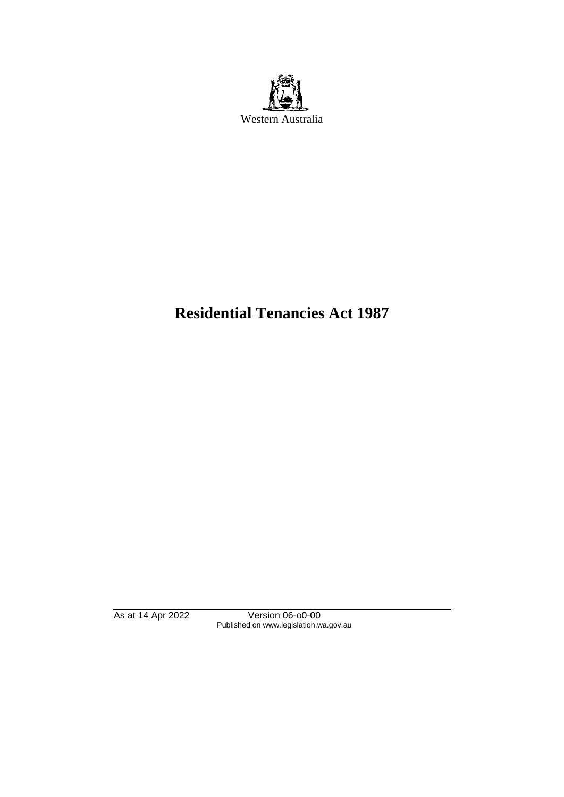

# **Residential Tenancies Act 1987**

As at 14 Apr 2022 Version 06-o0-00 Published on www.legislation.wa.gov.au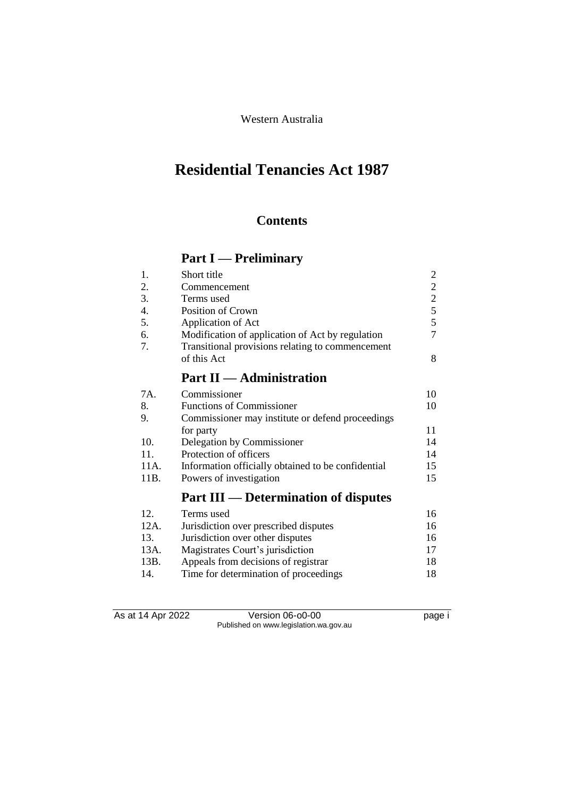Western Australia

# **Residential Tenancies Act 1987**

# **Contents**

# **Part I — Preliminary**

| 1.   | Short title                                        | 2              |
|------|----------------------------------------------------|----------------|
| 2.   | Commencement                                       | $\overline{2}$ |
| 3.   | Terms used                                         | $\overline{2}$ |
| 4.   | <b>Position of Crown</b>                           | 5              |
| 5.   | Application of Act                                 | 5              |
| 6.   | Modification of application of Act by regulation   | 7              |
| 7.   | Transitional provisions relating to commencement   |                |
|      | of this Act                                        | 8              |
|      | <b>Part II</b> — Administration                    |                |
| 7A.  | Commissioner                                       | 10             |
| 8.   | <b>Functions of Commissioner</b>                   | 10             |
| 9.   | Commissioner may institute or defend proceedings   |                |
|      | for party                                          | 11             |
| 10.  | Delegation by Commissioner                         | 14             |
| 11.  | Protection of officers                             | 14             |
| 11A. | Information officially obtained to be confidential | 15             |
| 11B. | Powers of investigation                            | 15             |
|      | <b>Part III — Determination of disputes</b>        |                |
| 12.  | Terms used                                         | 16             |
| 12A. | Jurisdiction over prescribed disputes              | 16             |
| 13.  | Jurisdiction over other disputes                   | 16             |

| 13.  | Jurisdiction over other disputes      | 16 |
|------|---------------------------------------|----|
| 13A. | Magistrates Court's jurisdiction      | 17 |
| 13B. | Appeals from decisions of registrar   | 18 |
| 14.  | Time for determination of proceedings | 18 |

As at 14 Apr 2022 Version 06-o0-00 page i Published on www.legislation.wa.gov.au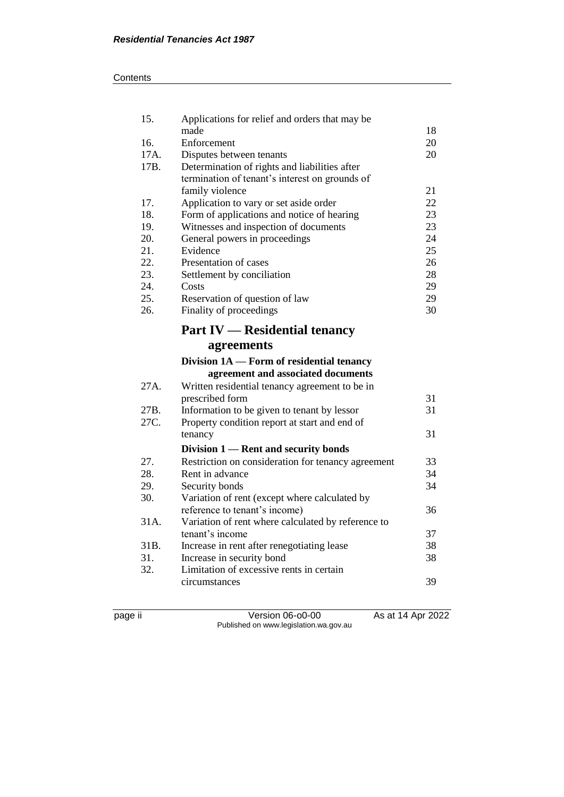#### **Contents**

| 15.  | Applications for relief and orders that may be                                  |    |
|------|---------------------------------------------------------------------------------|----|
|      | made                                                                            | 18 |
| 16.  | Enforcement                                                                     | 20 |
| 17A. | Disputes between tenants                                                        | 20 |
| 17B. | Determination of rights and liabilities after                                   |    |
|      | termination of tenant's interest on grounds of                                  |    |
|      | family violence                                                                 | 21 |
| 17.  | Application to vary or set aside order                                          | 22 |
| 18.  | Form of applications and notice of hearing                                      | 23 |
| 19.  | Witnesses and inspection of documents                                           | 23 |
| 20.  | General powers in proceedings                                                   | 24 |
| 21.  | Evidence                                                                        | 25 |
| 22.  | Presentation of cases                                                           | 26 |
| 23.  | Settlement by conciliation                                                      | 28 |
| 24.  | Costs                                                                           | 29 |
| 25.  | Reservation of question of law                                                  | 29 |
| 26.  | Finality of proceedings                                                         | 30 |
|      | <b>Part IV — Residential tenancy</b>                                            |    |
|      | agreements                                                                      |    |
|      | Division 1A — Form of residential tenancy<br>agreement and associated documents |    |
| 27A. | Written residential tenancy agreement to be in                                  |    |
|      | prescribed form                                                                 | 31 |
| 27B. | Information to be given to tenant by lessor                                     | 31 |
| 27C. | Property condition report at start and end of                                   |    |
|      | tenancy                                                                         | 31 |
|      | Division 1 — Rent and security bonds                                            |    |
| 27.  | Restriction on consideration for tenancy agreement                              | 33 |
| 28.  | Rent in advance                                                                 | 34 |

28. Rent in advance<br>29. Security bonds

page ii Version 06-o0-00 As at 14 Apr 2022 Published on www.legislation.wa.gov.au

31. Increase in security bond 38<br>32. Limitation of excessive rents in certain

30. Variation of rent (except where calculated by

31B. Increase in rent after renegotiating lease

31A. Variation of rent where calculated by reference to

Limitation of excessive rents in certain

24. Security bonds 34

reference to tenant's income) 36

tenant's income 37<br>Increase in rent after renegotiating lease 38

circumstances 39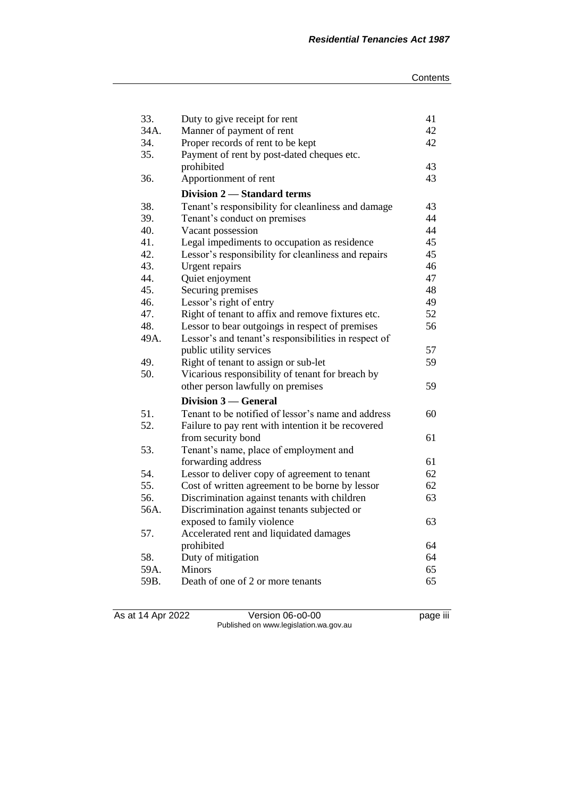| 33.  | Duty to give receipt for rent                        | 41 |
|------|------------------------------------------------------|----|
| 34A. | Manner of payment of rent                            |    |
| 34.  | Proper records of rent to be kept                    | 42 |
| 35.  | Payment of rent by post-dated cheques etc.           |    |
|      | prohibited                                           | 43 |
| 36.  | Apportionment of rent                                | 43 |
|      | Division 2 - Standard terms                          |    |
| 38.  | Tenant's responsibility for cleanliness and damage   | 43 |
| 39.  | Tenant's conduct on premises                         | 44 |
| 40.  | Vacant possession                                    | 44 |
| 41.  | Legal impediments to occupation as residence         | 45 |
| 42.  | Lessor's responsibility for cleanliness and repairs  | 45 |
| 43.  | Urgent repairs                                       | 46 |
| 44.  | Quiet enjoyment                                      | 47 |
| 45.  | Securing premises                                    | 48 |
| 46.  | Lessor's right of entry                              | 49 |
| 47.  | Right of tenant to affix and remove fixtures etc.    | 52 |
| 48.  | Lessor to bear outgoings in respect of premises      | 56 |
| 49A. | Lessor's and tenant's responsibilities in respect of |    |
|      | public utility services                              | 57 |
| 49.  | Right of tenant to assign or sub-let                 | 59 |
| 50.  | Vicarious responsibility of tenant for breach by     |    |
|      | other person lawfully on premises                    | 59 |
|      | Division 3 — General                                 |    |
| 51.  | Tenant to be notified of lessor's name and address   | 60 |
| 52.  | Failure to pay rent with intention it be recovered   |    |
|      | from security bond                                   | 61 |
| 53.  | Tenant's name, place of employment and               |    |
|      | forwarding address                                   | 61 |
| 54.  | Lessor to deliver copy of agreement to tenant        | 62 |
| 55.  | Cost of written agreement to be borne by lessor      | 62 |
| 56.  | Discrimination against tenants with children         | 63 |
| 56A. | Discrimination against tenants subjected or          |    |
|      | exposed to family violence                           | 63 |
| 57.  | Accelerated rent and liquidated damages              |    |
|      | prohibited                                           | 64 |
| 58.  | Duty of mitigation                                   | 64 |
| 59A. | <b>Minors</b>                                        | 65 |
| 59B. | Death of one of 2 or more tenants                    | 65 |

As at 14 Apr 2022 Version 06-o0-00 page iii Published on www.legislation.wa.gov.au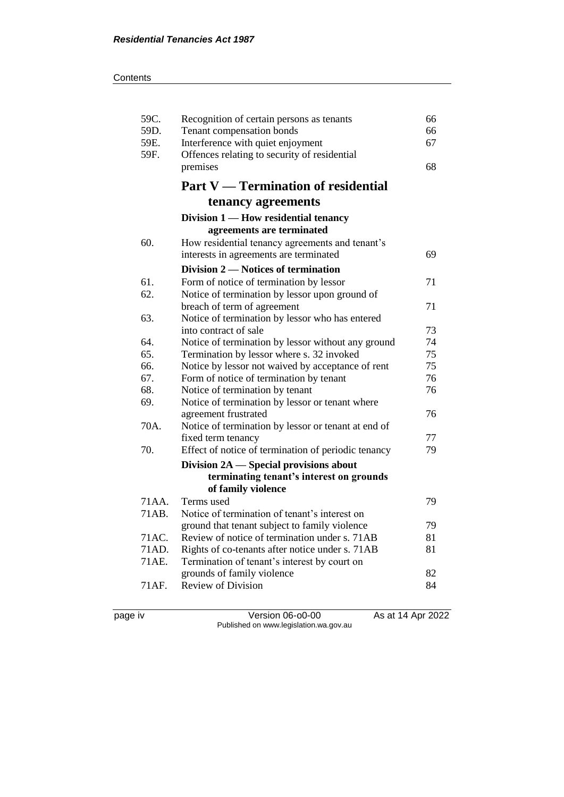| 59C.         | Recognition of certain persons as tenants                | 66<br>66 |
|--------------|----------------------------------------------------------|----------|
| 59D.         | Tenant compensation bonds                                |          |
| 59E.<br>59F. | Interference with quiet enjoyment<br>67                  |          |
|              | Offences relating to security of residential<br>premises |          |
|              |                                                          | 68       |
|              | <b>Part V</b> — Termination of residential               |          |
|              | tenancy agreements                                       |          |
|              | Division 1 - How residential tenancy                     |          |
|              | agreements are terminated                                |          |
| 60.          | How residential tenancy agreements and tenant's          |          |
|              | interests in agreements are terminated                   | 69       |
|              | Division 2 — Notices of termination                      |          |
| 61.          | Form of notice of termination by lessor                  | 71       |
| 62.          | Notice of termination by lessor upon ground of           |          |
|              | breach of term of agreement                              | 71       |
| 63.          | Notice of termination by lessor who has entered          |          |
|              | into contract of sale                                    | 73       |
| 64.          | Notice of termination by lessor without any ground       | 74       |
| 65.          | Termination by lessor where s. 32 invoked                | 75       |
| 66.          | Notice by lessor not waived by acceptance of rent        | 75       |
| 67.          | Form of notice of termination by tenant                  | 76       |
| 68.          | Notice of termination by tenant                          | 76       |
| 69.          | Notice of termination by lessor or tenant where          |          |
|              | agreement frustrated                                     | 76       |
| 70A.         | Notice of termination by lessor or tenant at end of      |          |
|              | fixed term tenancy                                       | 77       |
| 70.          | Effect of notice of termination of periodic tenancy      | 79       |
|              | Division 2A - Special provisions about                   |          |
|              | terminating tenant's interest on grounds                 |          |
|              | of family violence                                       |          |
| 71 A A.      | Terms used                                               | 79       |
| 71 A B.      | Notice of termination of tenant's interest on            |          |
|              | ground that tenant subject to family violence            | 79       |
| 71AC.        | Review of notice of termination under s. 71AB            | 81       |
| 71AD.        | Rights of co-tenants after notice under s. 71AB          | 81       |
| 71AE.        | Termination of tenant's interest by court on             |          |
|              | grounds of family violence                               | 82       |
| 71AF.        | <b>Review of Division</b>                                | 84       |
|              |                                                          |          |

page iv Version 06-o0-00 As at 14 Apr 2022 Published on www.legislation.wa.gov.au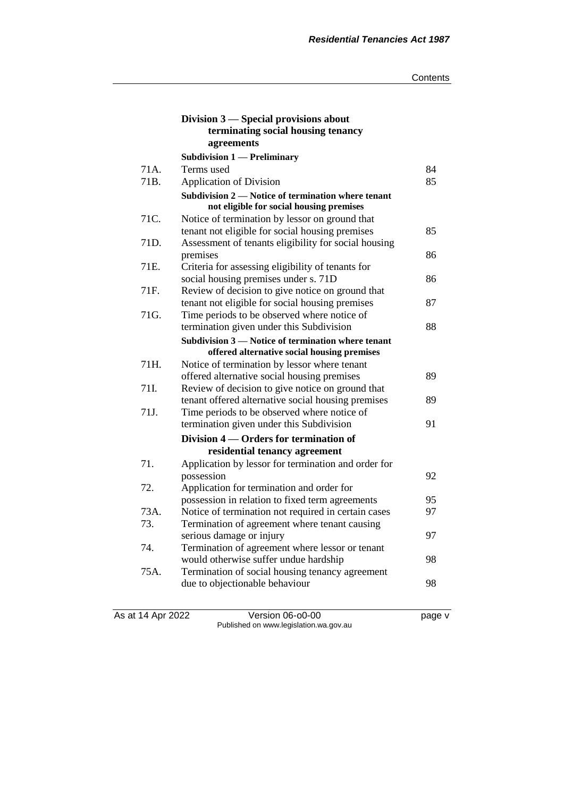|      | Division 3 – Special provisions about<br>terminating social housing tenancy<br>agreements |    |
|------|-------------------------------------------------------------------------------------------|----|
|      | <b>Subdivision 1 — Preliminary</b>                                                        |    |
| 71A. | Terms used                                                                                | 84 |
| 71B. | <b>Application of Division</b>                                                            | 85 |
|      | Subdivision 2 — Notice of termination where tenant                                        |    |
|      | not eligible for social housing premises                                                  |    |
| 71C. | Notice of termination by lessor on ground that                                            |    |
|      | tenant not eligible for social housing premises                                           | 85 |
| 71D. | Assessment of tenants eligibility for social housing                                      |    |
|      | premises                                                                                  | 86 |
| 71E. | Criteria for assessing eligibility of tenants for                                         |    |
|      | social housing premises under s. 71D                                                      | 86 |
| 71F. | Review of decision to give notice on ground that                                          |    |
|      | tenant not eligible for social housing premises                                           | 87 |
| 71G. | Time periods to be observed where notice of                                               |    |
|      | termination given under this Subdivision                                                  | 88 |
|      | Subdivision 3 – Notice of termination where tenant                                        |    |
|      | offered alternative social housing premises                                               |    |
| 71H. | Notice of termination by lessor where tenant                                              |    |
|      | offered alternative social housing premises                                               | 89 |
| 71I. | Review of decision to give notice on ground that                                          |    |
|      | tenant offered alternative social housing premises                                        | 89 |
| 71J. | Time periods to be observed where notice of                                               |    |
|      | termination given under this Subdivision                                                  | 91 |
|      | Division 4 – Orders for termination of                                                    |    |
|      | residential tenancy agreement                                                             |    |
| 71.  | Application by lessor for termination and order for                                       |    |
|      | possession                                                                                | 92 |
| 72.  | Application for termination and order for                                                 |    |
|      | possession in relation to fixed term agreements                                           | 95 |
| 73A. | Notice of termination not required in certain cases                                       | 97 |
| 73.  | Termination of agreement where tenant causing                                             |    |
|      | serious damage or injury                                                                  | 97 |
| 74.  | Termination of agreement where lessor or tenant                                           |    |
|      | would otherwise suffer undue hardship                                                     | 98 |
| 75A. | Termination of social housing tenancy agreement                                           |    |
|      | due to objectionable behaviour                                                            | 98 |
|      |                                                                                           |    |

As at 14 Apr 2022 Version 06-o0-00 page v Published on www.legislation.wa.gov.au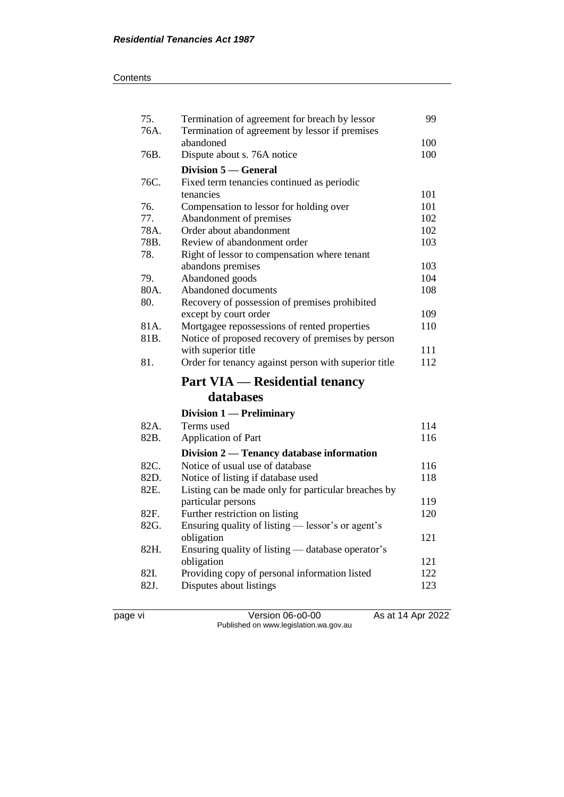| 75.  | Termination of agreement for breach by lessor                            |            |  |
|------|--------------------------------------------------------------------------|------------|--|
| 76A. | Termination of agreement by lessor if premises                           |            |  |
|      | abandoned                                                                | 100<br>100 |  |
| 76B. | Dispute about s. 76A notice                                              |            |  |
|      | <b>Division 5 – General</b>                                              |            |  |
| 76C. | Fixed term tenancies continued as periodic                               |            |  |
|      | tenancies                                                                | 101        |  |
| 76.  | Compensation to lessor for holding over                                  | 101        |  |
| 77.  | Abandonment of premises                                                  | 102        |  |
| 78A. | Order about abandonment                                                  | 102        |  |
| 78B. | Review of abandonment order                                              | 103        |  |
| 78.  | Right of lessor to compensation where tenant                             |            |  |
|      | abandons premises                                                        | 103        |  |
| 79.  | Abandoned goods                                                          | 104        |  |
| 80A. | Abandoned documents                                                      | 108        |  |
| 80.  | Recovery of possession of premises prohibited                            |            |  |
|      | except by court order                                                    | 109        |  |
| 81A. | Mortgagee repossessions of rented properties                             | 110        |  |
| 81B. | Notice of proposed recovery of premises by person                        |            |  |
|      | with superior title                                                      | 111        |  |
|      |                                                                          |            |  |
| 81.  | Order for tenancy against person with superior title                     | 112        |  |
|      | <b>Part VIA — Residential tenancy</b>                                    |            |  |
|      | databases                                                                |            |  |
|      |                                                                          |            |  |
| 82A. | Division 1 - Preliminary<br>Terms used                                   | 114        |  |
| 82B. |                                                                          | 116        |  |
|      | <b>Application of Part</b>                                               |            |  |
|      | Division 2 — Tenancy database information                                |            |  |
| 82C. | Notice of usual use of database                                          | 116        |  |
| 82D. | Notice of listing if database used                                       | 118        |  |
| 82E. | Listing can be made only for particular breaches by                      |            |  |
|      | particular persons                                                       | 119        |  |
| 82F. | Further restriction on listing                                           | 120        |  |
| 82G. | Ensuring quality of listing - lessor's or agent's                        |            |  |
| 82H. | obligation                                                               | 121        |  |
|      | Ensuring quality of listing - database operator's                        | 121        |  |
| 82I. | obligation                                                               | 122        |  |
| 82J. | Providing copy of personal information listed<br>Disputes about listings | 123        |  |

page vi Version 06-o0-00 As at 14 Apr 2022 Published on www.legislation.wa.gov.au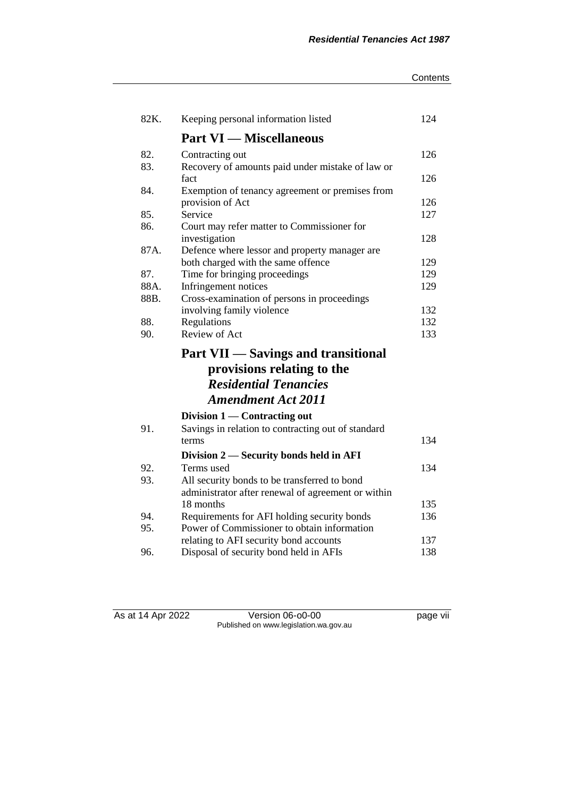#### **Contents**

| 82K.        | Keeping personal information listed                | 124 |
|-------------|----------------------------------------------------|-----|
|             | <b>Part VI — Miscellaneous</b>                     |     |
| 82.         | Contracting out                                    | 126 |
| 83.         | Recovery of amounts paid under mistake of law or   |     |
|             | fact                                               | 126 |
| 84.         | Exemption of tenancy agreement or premises from    |     |
|             | provision of Act                                   | 126 |
| 85.         | Service                                            | 127 |
| 86.         | Court may refer matter to Commissioner for         |     |
|             | investigation                                      | 128 |
| 87A.        | Defence where lessor and property manager are      |     |
|             | both charged with the same offence                 | 129 |
| 87.<br>88A. | Time for bringing proceedings                      | 129 |
| 88B.        | Infringement notices                               | 129 |
|             | Cross-examination of persons in proceedings        | 132 |
| 88.         | involving family violence<br>Regulations           | 132 |
| 90.         | Review of Act                                      | 133 |
|             |                                                    |     |
|             | <b>Part VII — Savings and transitional</b>         |     |
|             | provisions relating to the                         |     |
|             | <b>Residential Tenancies</b>                       |     |
|             | <b>Amendment Act 2011</b>                          |     |
|             | Division $1$ — Contracting out                     |     |
| 91.         | Savings in relation to contracting out of standard |     |
|             | terms                                              | 134 |
|             | Division 2 – Security bonds held in AFI            |     |
| 92.         | Terms used                                         | 134 |
| 93.         | All security bonds to be transferred to bond       |     |
|             | administrator after renewal of agreement or within |     |
|             | 18 months                                          | 135 |
| 94.         | Requirements for AFI holding security bonds        | 136 |
| 95.         | Power of Commissioner to obtain information        |     |
|             | relating to AFI security bond accounts             | 137 |
| 96.         | Disposal of security bond held in AFIs             | 138 |

As at 14 Apr 2022 Version 06-o0-00 Page vii Published on www.legislation.wa.gov.au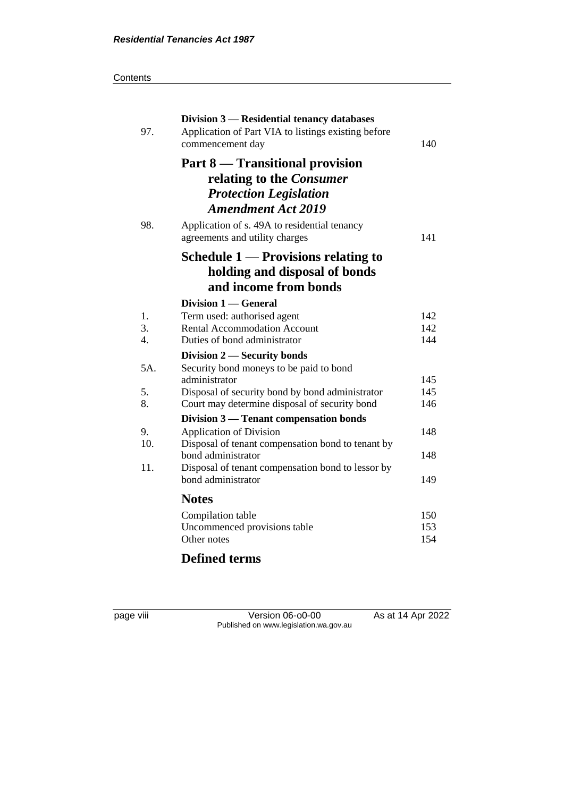| ;ontents |
|----------|
|          |

| 97.                    | Division 3 — Residential tenancy databases<br>Application of Part VIA to listings existing before<br>commencement day     | 140        |
|------------------------|---------------------------------------------------------------------------------------------------------------------------|------------|
|                        | Part 8 — Transitional provision<br>relating to the Consumer<br><b>Protection Legislation</b><br><b>Amendment Act 2019</b> |            |
| 98.                    | Application of s. 49A to residential tenancy<br>agreements and utility charges                                            | 141        |
|                        | Schedule $1$ — Provisions relating to<br>holding and disposal of bonds<br>and income from bonds                           |            |
|                        | Division 1 — General                                                                                                      |            |
| 1.                     | Term used: authorised agent                                                                                               | 142        |
| 3.<br>$\overline{4}$ . | <b>Rental Accommodation Account</b><br>Duties of bond administrator                                                       | 142<br>144 |
|                        | Division 2 – Security bonds                                                                                               |            |
| 5A.                    | Security bond moneys to be paid to bond                                                                                   |            |
|                        | administrator                                                                                                             | 145        |
| 5.                     | Disposal of security bond by bond administrator                                                                           | 145        |
| 8.                     | Court may determine disposal of security bond                                                                             | 146        |
|                        | Division 3 — Tenant compensation bonds                                                                                    |            |
| 9.                     | <b>Application of Division</b>                                                                                            | 148        |
| 10.                    | Disposal of tenant compensation bond to tenant by                                                                         |            |
|                        | bond administrator                                                                                                        | 148        |
| 11.                    | Disposal of tenant compensation bond to lessor by                                                                         |            |
|                        | bond administrator                                                                                                        | 149        |
|                        | <b>Notes</b>                                                                                                              |            |
|                        | Compilation table                                                                                                         | 150        |
|                        | Uncommenced provisions table                                                                                              | 153        |
|                        | Other notes                                                                                                               | 154        |
|                        | $\mathbf{a}$ $\mathbf{b}$                                                                                                 |            |

# **Defined terms**

page viii Version 06-o0-00 As at 14 Apr 2022 Published on www.legislation.wa.gov.au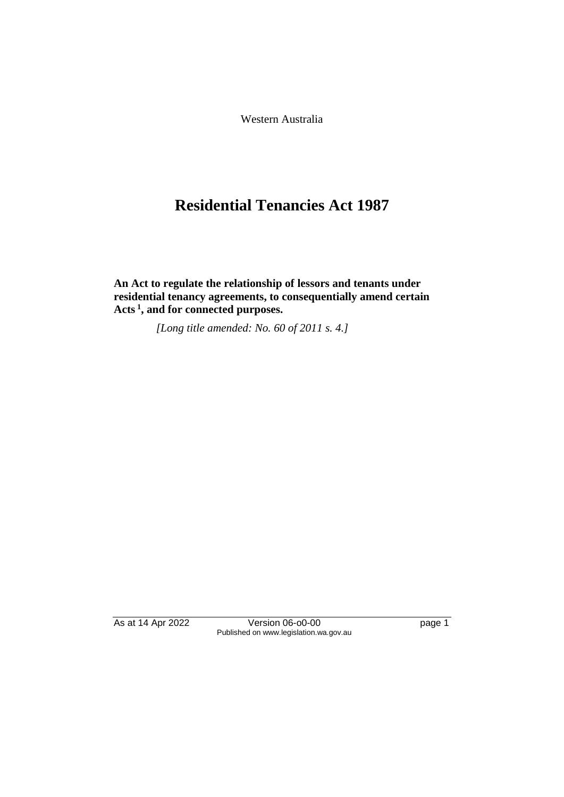Western Australia

# **Residential Tenancies Act 1987**

**An Act to regulate the relationship of lessors and tenants under residential tenancy agreements, to consequentially amend certain Acts <sup>1</sup> , and for connected purposes.** 

*[Long title amended: No. 60 of 2011 s. 4.]* 

As at 14 Apr 2022 Version 06-o0-00 Page 1 Published on www.legislation.wa.gov.au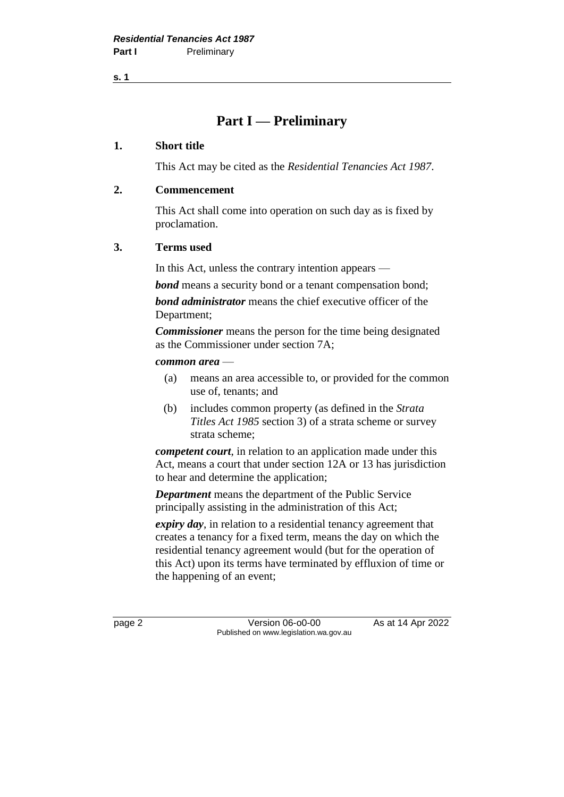**s. 1**

# **Part I — Preliminary**

### **1. Short title**

This Act may be cited as the *Residential Tenancies Act 1987*.

## **2. Commencement**

This Act shall come into operation on such day as is fixed by proclamation.

## **3. Terms used**

In this Act, unless the contrary intention appears —

*bond* means a security bond or a tenant compensation bond;

*bond administrator* means the chief executive officer of the Department;

*Commissioner* means the person for the time being designated as the Commissioner under section 7A;

#### *common area* —

- (a) means an area accessible to, or provided for the common use of, tenants; and
- (b) includes common property (as defined in the *Strata Titles Act 1985* section 3) of a strata scheme or survey strata scheme;

*competent court*, in relation to an application made under this Act, means a court that under section 12A or 13 has jurisdiction to hear and determine the application;

*Department* means the department of the Public Service principally assisting in the administration of this Act;

*expiry day*, in relation to a residential tenancy agreement that creates a tenancy for a fixed term, means the day on which the residential tenancy agreement would (but for the operation of this Act) upon its terms have terminated by effluxion of time or the happening of an event;

page 2 **Version 06-00-00** As at 14 Apr 2022 Published on www.legislation.wa.gov.au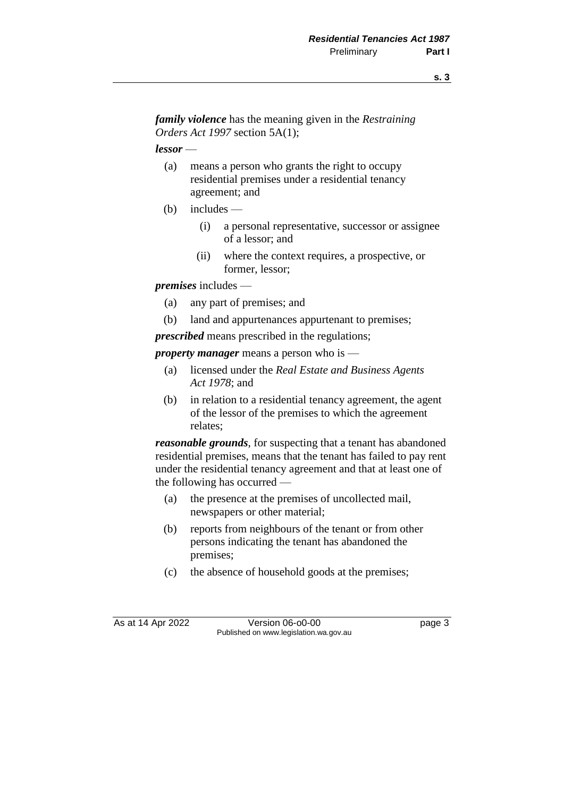*family violence* has the meaning given in the *Restraining Orders Act 1997* section 5A(1);

*lessor* —

- (a) means a person who grants the right to occupy residential premises under a residential tenancy agreement; and
- (b) includes
	- (i) a personal representative, successor or assignee of a lessor; and
	- (ii) where the context requires, a prospective, or former, lessor;

*premises* includes —

- (a) any part of premises; and
- (b) land and appurtenances appurtenant to premises;

*prescribed* means prescribed in the regulations;

*property manager* means a person who is —

- (a) licensed under the *Real Estate and Business Agents Act 1978*; and
- (b) in relation to a residential tenancy agreement, the agent of the lessor of the premises to which the agreement relates;

*reasonable grounds*, for suspecting that a tenant has abandoned residential premises, means that the tenant has failed to pay rent under the residential tenancy agreement and that at least one of the following has occurred —

- (a) the presence at the premises of uncollected mail, newspapers or other material;
- (b) reports from neighbours of the tenant or from other persons indicating the tenant has abandoned the premises;
- (c) the absence of household goods at the premises;

As at 14 Apr 2022 Version 06-00-00 Published on www.legislation.wa.gov.au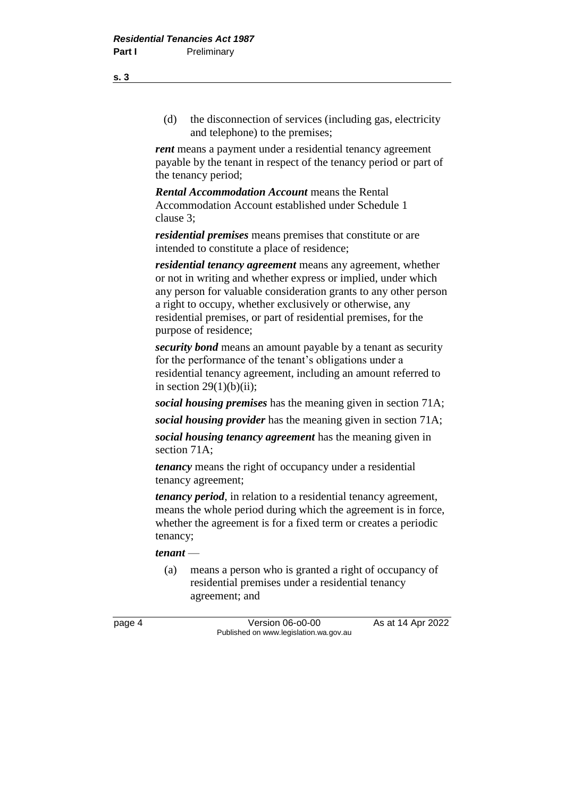(d) the disconnection of services (including gas, electricity and telephone) to the premises;

*rent* means a payment under a residential tenancy agreement payable by the tenant in respect of the tenancy period or part of the tenancy period;

*Rental Accommodation Account* means the Rental Accommodation Account established under Schedule 1 clause 3;

*residential premises* means premises that constitute or are intended to constitute a place of residence;

*residential tenancy agreement* means any agreement, whether or not in writing and whether express or implied, under which any person for valuable consideration grants to any other person a right to occupy, whether exclusively or otherwise, any residential premises, or part of residential premises, for the purpose of residence;

*security bond* means an amount payable by a tenant as security for the performance of the tenant's obligations under a residential tenancy agreement, including an amount referred to in section  $29(1)(b)(ii)$ ;

*social housing premises* has the meaning given in section 71A;

*social housing provider* has the meaning given in section 71A;

*social housing tenancy agreement* has the meaning given in section 71A;

*tenancy* means the right of occupancy under a residential tenancy agreement;

*tenancy period*, in relation to a residential tenancy agreement, means the whole period during which the agreement is in force, whether the agreement is for a fixed term or creates a periodic tenancy;

#### *tenant* —

(a) means a person who is granted a right of occupancy of residential premises under a residential tenancy agreement; and

page 4 Version 06-o0-00 As at 14 Apr 2022 Published on www.legislation.wa.gov.au

**s. 3**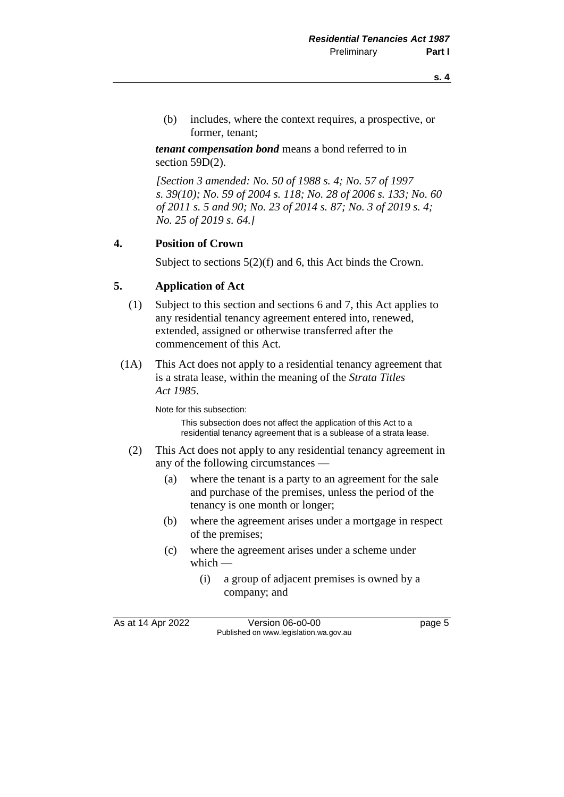(b) includes, where the context requires, a prospective, or former, tenant;

*tenant compensation bond* means a bond referred to in section 59D(2).

*[Section 3 amended: No. 50 of 1988 s. 4; No. 57 of 1997 s. 39(10); No. 59 of 2004 s. 118; No. 28 of 2006 s. 133; No. 60 of 2011 s. 5 and 90; No. 23 of 2014 s. 87; No. 3 of 2019 s. 4; No. 25 of 2019 s. 64.]* 

# **4. Position of Crown**

Subject to sections 5(2)(f) and 6, this Act binds the Crown.

## **5. Application of Act**

- (1) Subject to this section and sections 6 and 7, this Act applies to any residential tenancy agreement entered into, renewed, extended, assigned or otherwise transferred after the commencement of this Act.
- (1A) This Act does not apply to a residential tenancy agreement that is a strata lease, within the meaning of the *Strata Titles Act 1985*.

Note for this subsection:

This subsection does not affect the application of this Act to a residential tenancy agreement that is a sublease of a strata lease.

- (2) This Act does not apply to any residential tenancy agreement in any of the following circumstances —
	- (a) where the tenant is a party to an agreement for the sale and purchase of the premises, unless the period of the tenancy is one month or longer;
	- (b) where the agreement arises under a mortgage in respect of the premises;
	- (c) where the agreement arises under a scheme under which —
		- (i) a group of adjacent premises is owned by a company; and

As at 14 Apr 2022 Version 06-00-00 Page 5 Published on www.legislation.wa.gov.au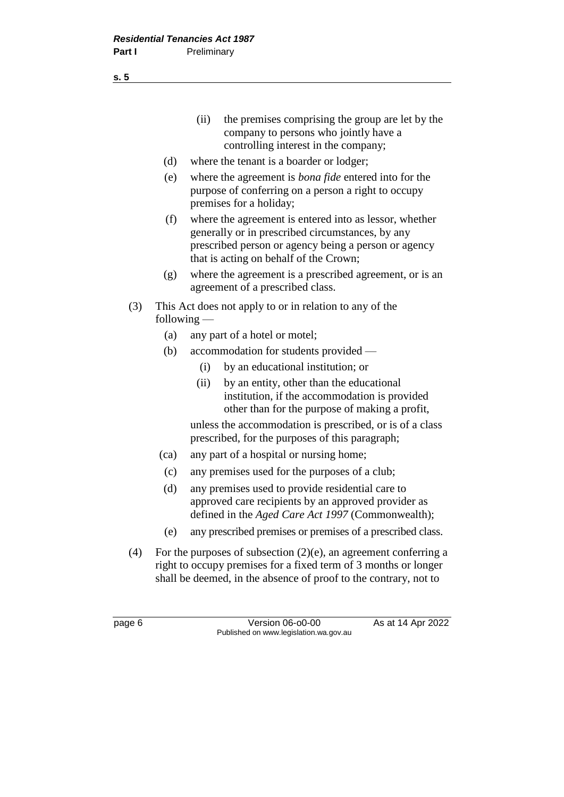(ii) the premises comprising the group are let by the company to persons who jointly have a controlling interest in the company;

- (d) where the tenant is a boarder or lodger;
- (e) where the agreement is *bona fide* entered into for the purpose of conferring on a person a right to occupy premises for a holiday;
- (f) where the agreement is entered into as lessor, whether generally or in prescribed circumstances, by any prescribed person or agency being a person or agency that is acting on behalf of the Crown;
- (g) where the agreement is a prescribed agreement, or is an agreement of a prescribed class.
- (3) This Act does not apply to or in relation to any of the following —
	- (a) any part of a hotel or motel;
	- (b) accommodation for students provided
		- (i) by an educational institution; or
		- (ii) by an entity, other than the educational institution, if the accommodation is provided other than for the purpose of making a profit,

unless the accommodation is prescribed, or is of a class prescribed, for the purposes of this paragraph;

- (ca) any part of a hospital or nursing home;
- (c) any premises used for the purposes of a club;
- (d) any premises used to provide residential care to approved care recipients by an approved provider as defined in the *Aged Care Act 1997* (Commonwealth);
- (e) any prescribed premises or premises of a prescribed class.
- (4) For the purposes of subsection  $(2)(e)$ , an agreement conferring a right to occupy premises for a fixed term of 3 months or longer shall be deemed, in the absence of proof to the contrary, not to

**s. 5**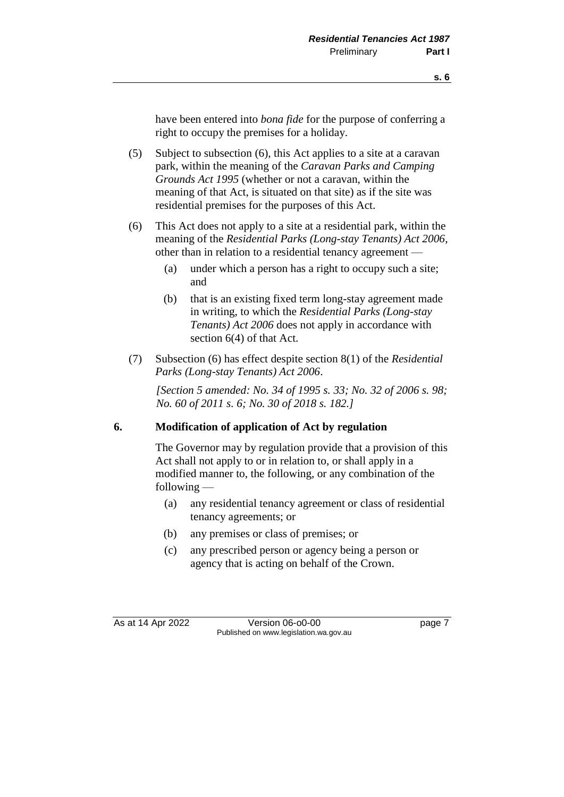have been entered into *bona fide* for the purpose of conferring a right to occupy the premises for a holiday.

- (5) Subject to subsection (6), this Act applies to a site at a caravan park, within the meaning of the *Caravan Parks and Camping Grounds Act 1995* (whether or not a caravan, within the meaning of that Act, is situated on that site) as if the site was residential premises for the purposes of this Act.
- (6) This Act does not apply to a site at a residential park, within the meaning of the *Residential Parks (Long-stay Tenants) Act 2006*, other than in relation to a residential tenancy agreement —
	- (a) under which a person has a right to occupy such a site; and
	- (b) that is an existing fixed term long-stay agreement made in writing, to which the *Residential Parks (Long-stay Tenants) Act 2006* does not apply in accordance with section 6(4) of that Act.
- (7) Subsection (6) has effect despite section 8(1) of the *Residential Parks (Long-stay Tenants) Act 2006*.

*[Section 5 amended: No. 34 of 1995 s. 33; No. 32 of 2006 s. 98; No. 60 of 2011 s. 6; No. 30 of 2018 s. 182.]*

#### **6. Modification of application of Act by regulation**

The Governor may by regulation provide that a provision of this Act shall not apply to or in relation to, or shall apply in a modified manner to, the following, or any combination of the following —

- (a) any residential tenancy agreement or class of residential tenancy agreements; or
- (b) any premises or class of premises; or
- (c) any prescribed person or agency being a person or agency that is acting on behalf of the Crown.

As at 14 Apr 2022 Version 06-00-00 Page 7 Published on www.legislation.wa.gov.au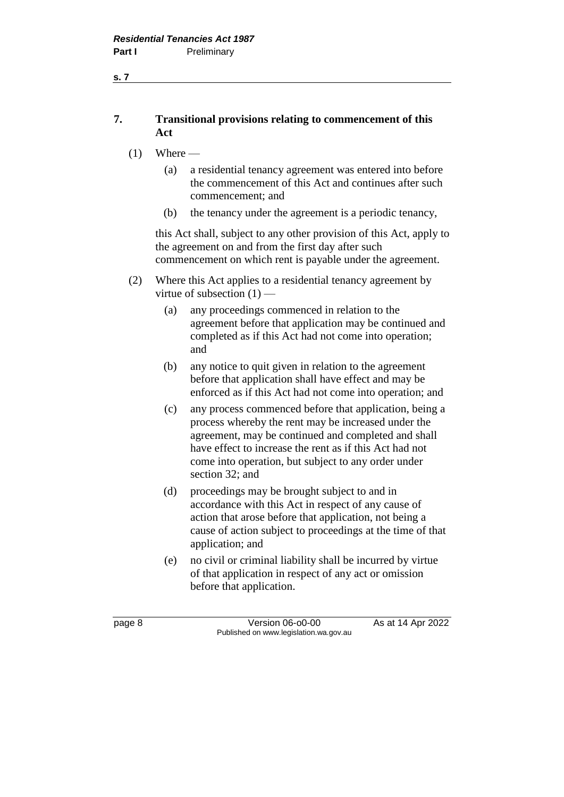**s. 7**

# **7. Transitional provisions relating to commencement of this Act**

- $(1)$  Where
	- (a) a residential tenancy agreement was entered into before the commencement of this Act and continues after such commencement; and
	- (b) the tenancy under the agreement is a periodic tenancy,

this Act shall, subject to any other provision of this Act, apply to the agreement on and from the first day after such commencement on which rent is payable under the agreement.

- (2) Where this Act applies to a residential tenancy agreement by virtue of subsection  $(1)$  —
	- (a) any proceedings commenced in relation to the agreement before that application may be continued and completed as if this Act had not come into operation; and
	- (b) any notice to quit given in relation to the agreement before that application shall have effect and may be enforced as if this Act had not come into operation; and
	- (c) any process commenced before that application, being a process whereby the rent may be increased under the agreement, may be continued and completed and shall have effect to increase the rent as if this Act had not come into operation, but subject to any order under section 32; and
	- (d) proceedings may be brought subject to and in accordance with this Act in respect of any cause of action that arose before that application, not being a cause of action subject to proceedings at the time of that application; and
	- (e) no civil or criminal liability shall be incurred by virtue of that application in respect of any act or omission before that application.

page 8 **Version 06-00-00** As at 14 Apr 2022 Published on www.legislation.wa.gov.au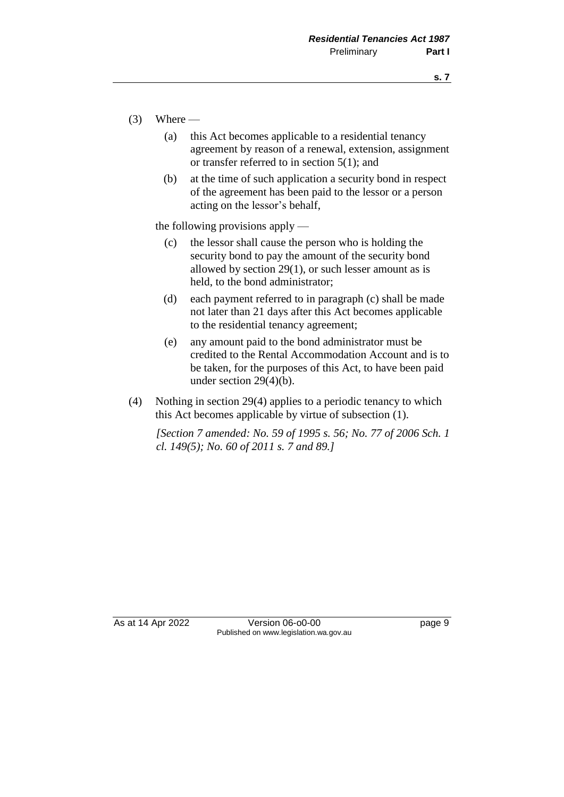- $(3)$  Where
	- (a) this Act becomes applicable to a residential tenancy agreement by reason of a renewal, extension, assignment or transfer referred to in section 5(1); and
	- (b) at the time of such application a security bond in respect of the agreement has been paid to the lessor or a person acting on the lessor's behalf,

the following provisions apply —

- (c) the lessor shall cause the person who is holding the security bond to pay the amount of the security bond allowed by section 29(1), or such lesser amount as is held, to the bond administrator;
- (d) each payment referred to in paragraph (c) shall be made not later than 21 days after this Act becomes applicable to the residential tenancy agreement;
- (e) any amount paid to the bond administrator must be credited to the Rental Accommodation Account and is to be taken, for the purposes of this Act, to have been paid under section 29(4)(b).
- (4) Nothing in section 29(4) applies to a periodic tenancy to which this Act becomes applicable by virtue of subsection (1).

*[Section 7 amended: No. 59 of 1995 s. 56; No. 77 of 2006 Sch. 1 cl. 149(5); No. 60 of 2011 s. 7 and 89.]* 

As at 14 Apr 2022 Version 06-00-00 Published on www.legislation.wa.gov.au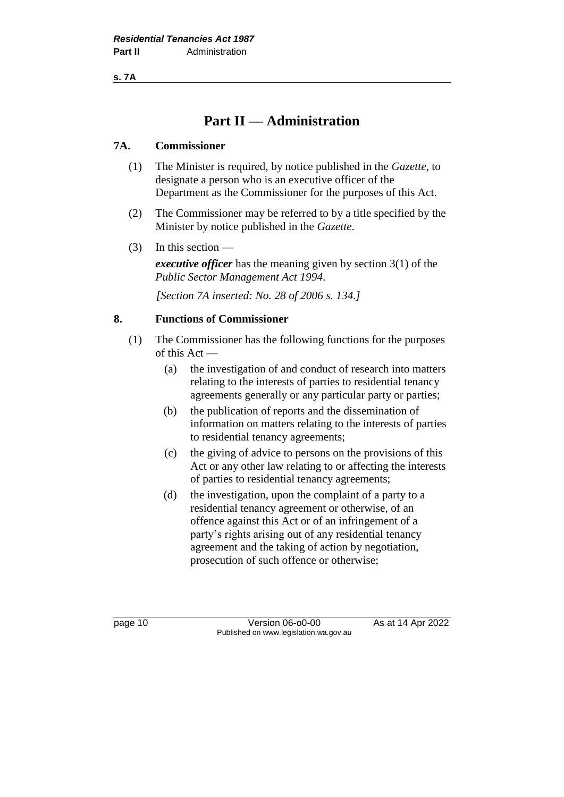**s. 7A**

# **Part II — Administration**

# **7A. Commissioner**

- (1) The Minister is required, by notice published in the *Gazette*, to designate a person who is an executive officer of the Department as the Commissioner for the purposes of this Act.
- (2) The Commissioner may be referred to by a title specified by the Minister by notice published in the *Gazette*.
- (3) In this section —

*executive officer* has the meaning given by section 3(1) of the *Public Sector Management Act 1994*.

*[Section 7A inserted: No. 28 of 2006 s. 134.]*

# **8. Functions of Commissioner**

- (1) The Commissioner has the following functions for the purposes of this Act —
	- (a) the investigation of and conduct of research into matters relating to the interests of parties to residential tenancy agreements generally or any particular party or parties;
	- (b) the publication of reports and the dissemination of information on matters relating to the interests of parties to residential tenancy agreements;
	- (c) the giving of advice to persons on the provisions of this Act or any other law relating to or affecting the interests of parties to residential tenancy agreements;
	- (d) the investigation, upon the complaint of a party to a residential tenancy agreement or otherwise, of an offence against this Act or of an infringement of a party's rights arising out of any residential tenancy agreement and the taking of action by negotiation, prosecution of such offence or otherwise;

page 10 **Version 06-00-00** As at 14 Apr 2022 Published on www.legislation.wa.gov.au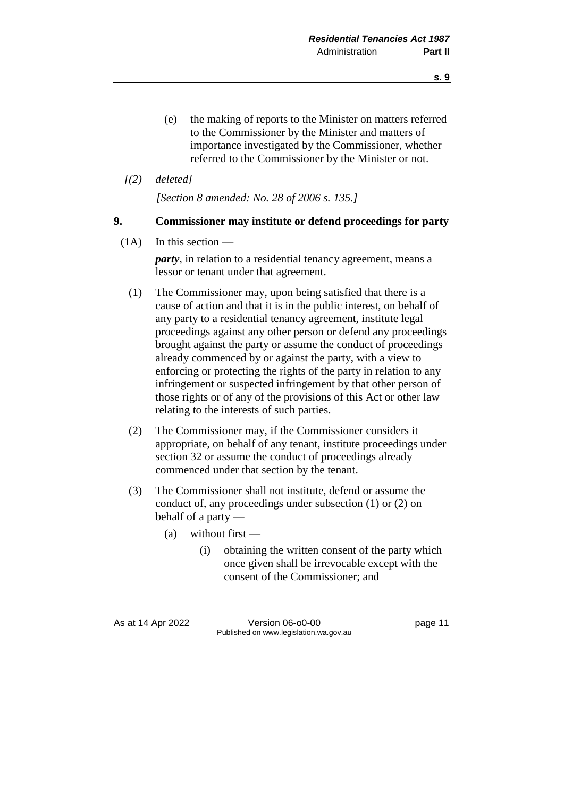- (e) the making of reports to the Minister on matters referred to the Commissioner by the Minister and matters of importance investigated by the Commissioner, whether referred to the Commissioner by the Minister or not.
- *[(2) deleted]*

*[Section 8 amended: No. 28 of 2006 s. 135.]*

## **9. Commissioner may institute or defend proceedings for party**

 $(1A)$  In this section —

*party*, in relation to a residential tenancy agreement, means a lessor or tenant under that agreement.

- (1) The Commissioner may, upon being satisfied that there is a cause of action and that it is in the public interest, on behalf of any party to a residential tenancy agreement, institute legal proceedings against any other person or defend any proceedings brought against the party or assume the conduct of proceedings already commenced by or against the party, with a view to enforcing or protecting the rights of the party in relation to any infringement or suspected infringement by that other person of those rights or of any of the provisions of this Act or other law relating to the interests of such parties.
- (2) The Commissioner may, if the Commissioner considers it appropriate, on behalf of any tenant, institute proceedings under section 32 or assume the conduct of proceedings already commenced under that section by the tenant.
- (3) The Commissioner shall not institute, defend or assume the conduct of, any proceedings under subsection (1) or (2) on behalf of a party —
	- (a) without first
		- (i) obtaining the written consent of the party which once given shall be irrevocable except with the consent of the Commissioner; and

As at 14 Apr 2022 Version 06-o0-00 page 11 Published on www.legislation.wa.gov.au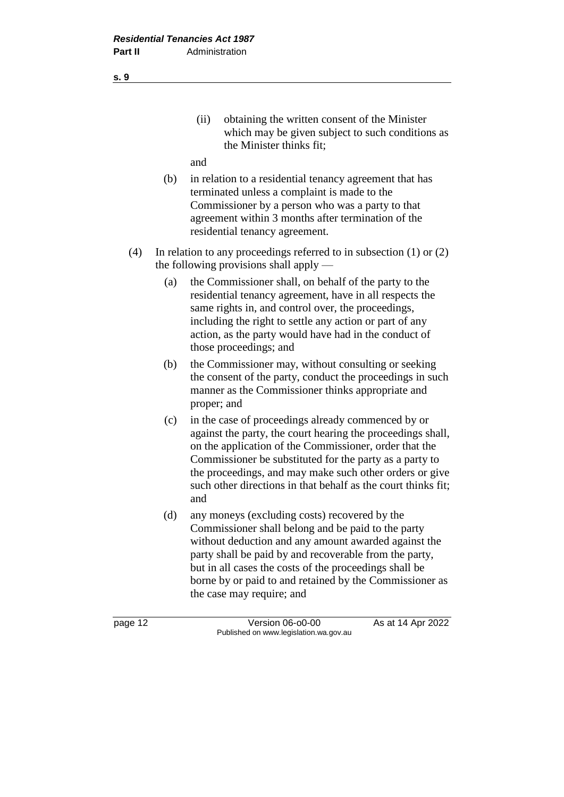(ii) obtaining the written consent of the Minister which may be given subject to such conditions as the Minister thinks fit;

and

- (b) in relation to a residential tenancy agreement that has terminated unless a complaint is made to the Commissioner by a person who was a party to that agreement within 3 months after termination of the residential tenancy agreement.
- (4) In relation to any proceedings referred to in subsection (1) or (2) the following provisions shall apply —
	- (a) the Commissioner shall, on behalf of the party to the residential tenancy agreement, have in all respects the same rights in, and control over, the proceedings, including the right to settle any action or part of any action, as the party would have had in the conduct of those proceedings; and
	- (b) the Commissioner may, without consulting or seeking the consent of the party, conduct the proceedings in such manner as the Commissioner thinks appropriate and proper; and
	- (c) in the case of proceedings already commenced by or against the party, the court hearing the proceedings shall, on the application of the Commissioner, order that the Commissioner be substituted for the party as a party to the proceedings, and may make such other orders or give such other directions in that behalf as the court thinks fit; and
	- (d) any moneys (excluding costs) recovered by the Commissioner shall belong and be paid to the party without deduction and any amount awarded against the party shall be paid by and recoverable from the party, but in all cases the costs of the proceedings shall be borne by or paid to and retained by the Commissioner as the case may require; and

page 12 **Version 06-00-00** As at 14 Apr 2022 Published on www.legislation.wa.gov.au

**s. 9**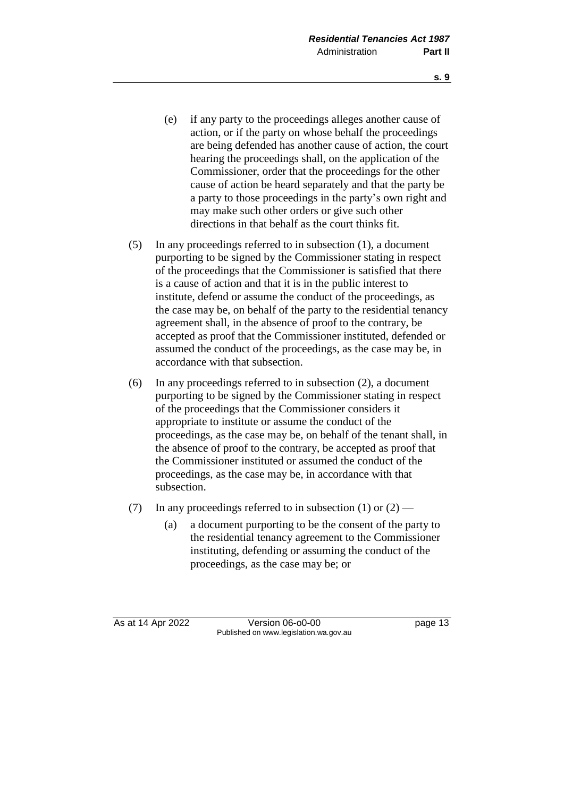- (e) if any party to the proceedings alleges another cause of action, or if the party on whose behalf the proceedings are being defended has another cause of action, the court hearing the proceedings shall, on the application of the Commissioner, order that the proceedings for the other cause of action be heard separately and that the party be a party to those proceedings in the party's own right and may make such other orders or give such other directions in that behalf as the court thinks fit.
- (5) In any proceedings referred to in subsection (1), a document purporting to be signed by the Commissioner stating in respect of the proceedings that the Commissioner is satisfied that there is a cause of action and that it is in the public interest to institute, defend or assume the conduct of the proceedings, as the case may be, on behalf of the party to the residential tenancy agreement shall, in the absence of proof to the contrary, be accepted as proof that the Commissioner instituted, defended or assumed the conduct of the proceedings, as the case may be, in accordance with that subsection.
- (6) In any proceedings referred to in subsection (2), a document purporting to be signed by the Commissioner stating in respect of the proceedings that the Commissioner considers it appropriate to institute or assume the conduct of the proceedings, as the case may be, on behalf of the tenant shall, in the absence of proof to the contrary, be accepted as proof that the Commissioner instituted or assumed the conduct of the proceedings, as the case may be, in accordance with that subsection.
- (7) In any proceedings referred to in subsection (1) or  $(2)$ 
	- (a) a document purporting to be the consent of the party to the residential tenancy agreement to the Commissioner instituting, defending or assuming the conduct of the proceedings, as the case may be; or

As at 14 Apr 2022 Version 06-00-00 Page 13 Published on www.legislation.wa.gov.au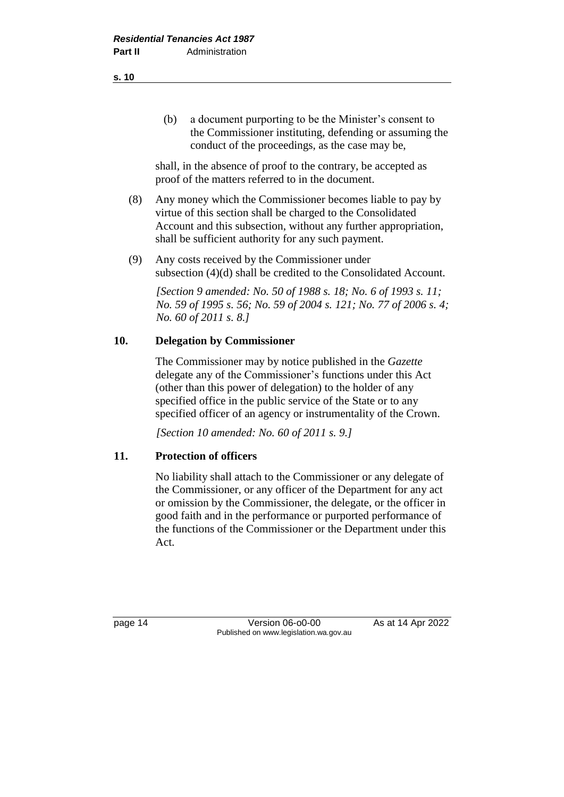shall, in the absence of proof to the contrary, be accepted as proof of the matters referred to in the document.

- (8) Any money which the Commissioner becomes liable to pay by virtue of this section shall be charged to the Consolidated Account and this subsection, without any further appropriation, shall be sufficient authority for any such payment.
- (9) Any costs received by the Commissioner under subsection (4)(d) shall be credited to the Consolidated Account.

*[Section 9 amended: No. 50 of 1988 s. 18; No. 6 of 1993 s. 11; No. 59 of 1995 s. 56; No. 59 of 2004 s. 121; No. 77 of 2006 s. 4; No. 60 of 2011 s. 8.]* 

# **10. Delegation by Commissioner**

The Commissioner may by notice published in the *Gazette* delegate any of the Commissioner's functions under this Act (other than this power of delegation) to the holder of any specified office in the public service of the State or to any specified officer of an agency or instrumentality of the Crown.

*[Section 10 amended: No. 60 of 2011 s. 9.]* 

# **11. Protection of officers**

No liability shall attach to the Commissioner or any delegate of the Commissioner, or any officer of the Department for any act or omission by the Commissioner, the delegate, or the officer in good faith and in the performance or purported performance of the functions of the Commissioner or the Department under this Act.

page 14 Version 06-00-00 As at 14 Apr 2022 Published on www.legislation.wa.gov.au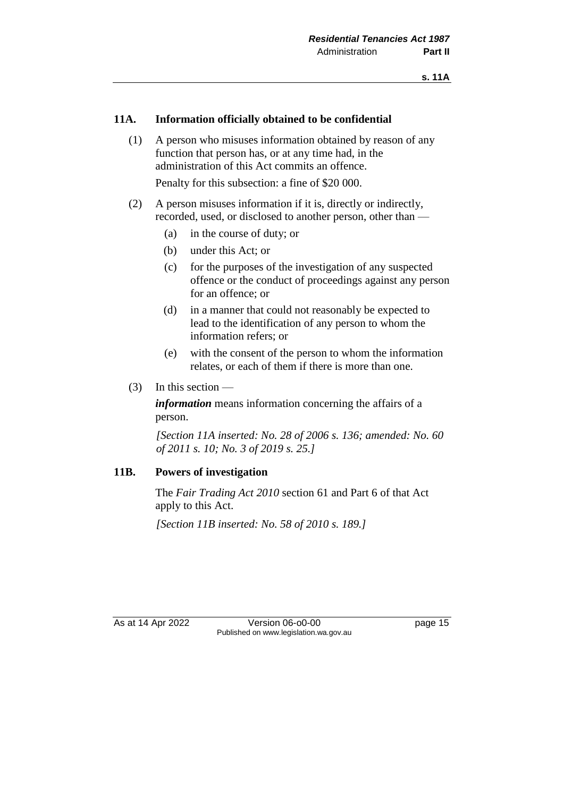#### **11A. Information officially obtained to be confidential**

(1) A person who misuses information obtained by reason of any function that person has, or at any time had, in the administration of this Act commits an offence.

Penalty for this subsection: a fine of \$20 000.

- (2) A person misuses information if it is, directly or indirectly, recorded, used, or disclosed to another person, other than —
	- (a) in the course of duty; or
	- (b) under this Act; or
	- (c) for the purposes of the investigation of any suspected offence or the conduct of proceedings against any person for an offence; or
	- (d) in a manner that could not reasonably be expected to lead to the identification of any person to whom the information refers; or
	- (e) with the consent of the person to whom the information relates, or each of them if there is more than one.
- (3) In this section —

*information* means information concerning the affairs of a person.

*[Section 11A inserted: No. 28 of 2006 s. 136; amended: No. 60 of 2011 s. 10; No. 3 of 2019 s. 25.]*

### **11B. Powers of investigation**

The *Fair Trading Act 2010* section 61 and Part 6 of that Act apply to this Act.

*[Section 11B inserted: No. 58 of 2010 s. 189.]*

As at 14 Apr 2022 Version 06-00-00 Published on www.legislation.wa.gov.au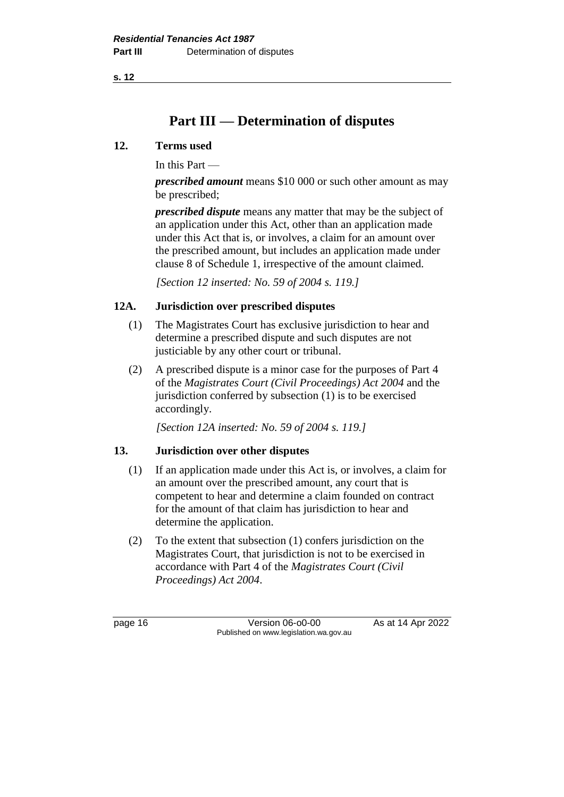**s. 12**

# **Part III — Determination of disputes**

## **12. Terms used**

In this Part —

*prescribed amount* means \$10 000 or such other amount as may be prescribed;

*prescribed dispute* means any matter that may be the subject of an application under this Act, other than an application made under this Act that is, or involves, a claim for an amount over the prescribed amount, but includes an application made under clause 8 of Schedule 1, irrespective of the amount claimed.

*[Section 12 inserted: No. 59 of 2004 s. 119.]* 

## **12A. Jurisdiction over prescribed disputes**

- (1) The Magistrates Court has exclusive jurisdiction to hear and determine a prescribed dispute and such disputes are not justiciable by any other court or tribunal.
- (2) A prescribed dispute is a minor case for the purposes of Part 4 of the *Magistrates Court (Civil Proceedings) Act 2004* and the jurisdiction conferred by subsection (1) is to be exercised accordingly.

*[Section 12A inserted: No. 59 of 2004 s. 119.]* 

# **13. Jurisdiction over other disputes**

- (1) If an application made under this Act is, or involves, a claim for an amount over the prescribed amount, any court that is competent to hear and determine a claim founded on contract for the amount of that claim has jurisdiction to hear and determine the application.
- (2) To the extent that subsection (1) confers jurisdiction on the Magistrates Court, that jurisdiction is not to be exercised in accordance with Part 4 of the *Magistrates Court (Civil Proceedings) Act 2004*.

page 16 **Version 06-00-00** As at 14 Apr 2022 Published on www.legislation.wa.gov.au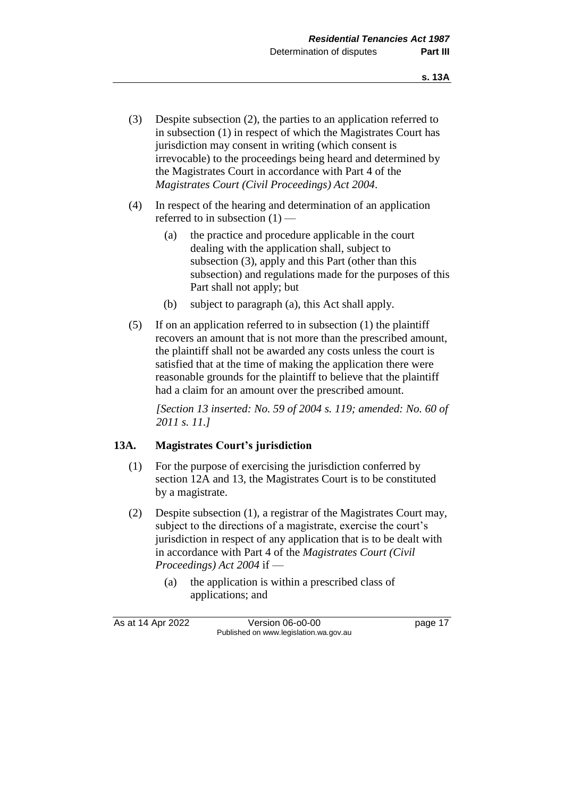- (3) Despite subsection (2), the parties to an application referred to in subsection (1) in respect of which the Magistrates Court has jurisdiction may consent in writing (which consent is irrevocable) to the proceedings being heard and determined by the Magistrates Court in accordance with Part 4 of the *Magistrates Court (Civil Proceedings) Act 2004*.
- (4) In respect of the hearing and determination of an application referred to in subsection (1) —
	- (a) the practice and procedure applicable in the court dealing with the application shall, subject to subsection (3), apply and this Part (other than this subsection) and regulations made for the purposes of this Part shall not apply; but
	- (b) subject to paragraph (a), this Act shall apply.
- (5) If on an application referred to in subsection (1) the plaintiff recovers an amount that is not more than the prescribed amount, the plaintiff shall not be awarded any costs unless the court is satisfied that at the time of making the application there were reasonable grounds for the plaintiff to believe that the plaintiff had a claim for an amount over the prescribed amount.

*[Section 13 inserted: No. 59 of 2004 s. 119; amended: No. 60 of 2011 s. 11.]* 

# **13A. Magistrates Court's jurisdiction**

- (1) For the purpose of exercising the jurisdiction conferred by section 12A and 13, the Magistrates Court is to be constituted by a magistrate.
- (2) Despite subsection (1), a registrar of the Magistrates Court may, subject to the directions of a magistrate, exercise the court's jurisdiction in respect of any application that is to be dealt with in accordance with Part 4 of the *Magistrates Court (Civil Proceedings) Act 2004* if —
	- (a) the application is within a prescribed class of applications; and

As at 14 Apr 2022 Version 06-00-00 Page 17 Published on www.legislation.wa.gov.au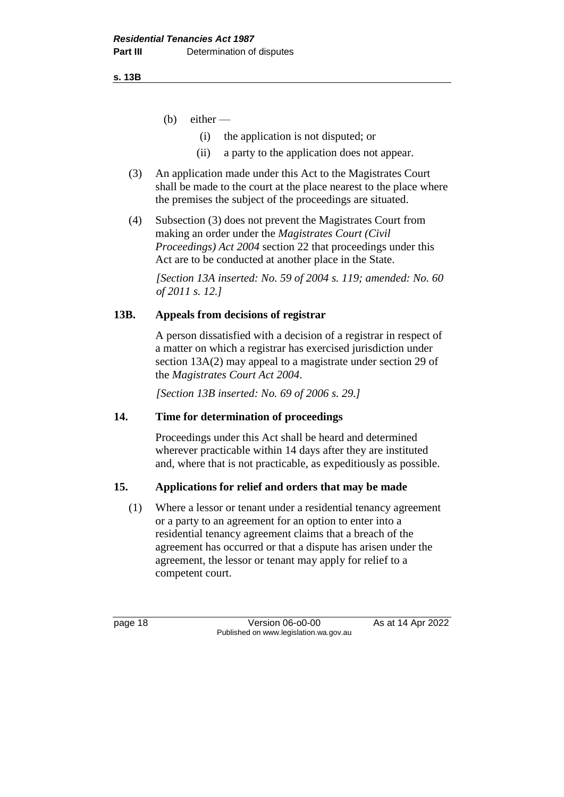**s. 13B**

- $(b)$  either
	- (i) the application is not disputed; or
	- (ii) a party to the application does not appear.
- (3) An application made under this Act to the Magistrates Court shall be made to the court at the place nearest to the place where the premises the subject of the proceedings are situated.
- (4) Subsection (3) does not prevent the Magistrates Court from making an order under the *Magistrates Court (Civil Proceedings) Act 2004* section 22 that proceedings under this Act are to be conducted at another place in the State.

*[Section 13A inserted: No. 59 of 2004 s. 119; amended: No. 60 of 2011 s. 12.]* 

# **13B. Appeals from decisions of registrar**

A person dissatisfied with a decision of a registrar in respect of a matter on which a registrar has exercised jurisdiction under section 13A(2) may appeal to a magistrate under section 29 of the *Magistrates Court Act 2004*.

*[Section 13B inserted: No. 69 of 2006 s. 29.]*

# **14. Time for determination of proceedings**

Proceedings under this Act shall be heard and determined wherever practicable within 14 days after they are instituted and, where that is not practicable, as expeditiously as possible.

# **15. Applications for relief and orders that may be made**

(1) Where a lessor or tenant under a residential tenancy agreement or a party to an agreement for an option to enter into a residential tenancy agreement claims that a breach of the agreement has occurred or that a dispute has arisen under the agreement, the lessor or tenant may apply for relief to a competent court.

page 18 **Version 06-00-00** As at 14 Apr 2022 Published on www.legislation.wa.gov.au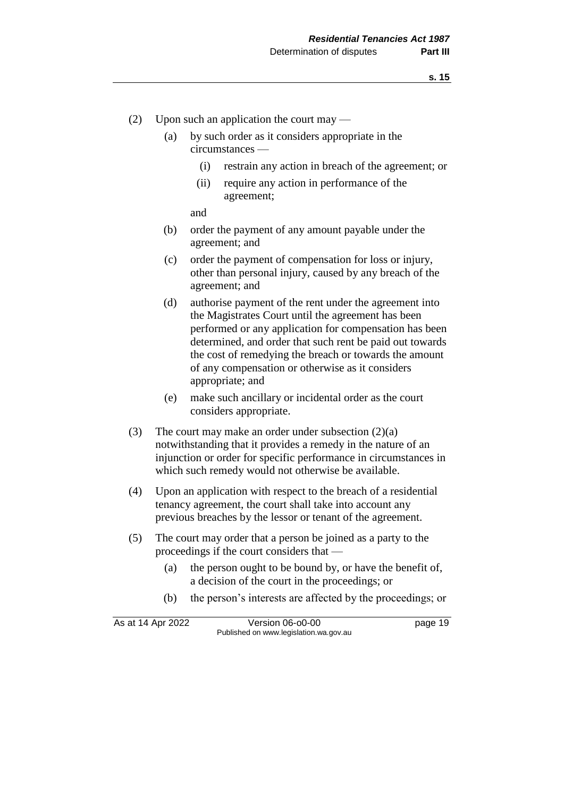- (2) Upon such an application the court may
	- (a) by such order as it considers appropriate in the circumstances —
		- (i) restrain any action in breach of the agreement; or
		- (ii) require any action in performance of the agreement;

and

- (b) order the payment of any amount payable under the agreement; and
- (c) order the payment of compensation for loss or injury, other than personal injury, caused by any breach of the agreement; and
- (d) authorise payment of the rent under the agreement into the Magistrates Court until the agreement has been performed or any application for compensation has been determined, and order that such rent be paid out towards the cost of remedying the breach or towards the amount of any compensation or otherwise as it considers appropriate; and
- (e) make such ancillary or incidental order as the court considers appropriate.
- (3) The court may make an order under subsection (2)(a) notwithstanding that it provides a remedy in the nature of an injunction or order for specific performance in circumstances in which such remedy would not otherwise be available.
- (4) Upon an application with respect to the breach of a residential tenancy agreement, the court shall take into account any previous breaches by the lessor or tenant of the agreement.
- (5) The court may order that a person be joined as a party to the proceedings if the court considers that —
	- (a) the person ought to be bound by, or have the benefit of, a decision of the court in the proceedings; or
	- (b) the person's interests are affected by the proceedings; or

| As at 14 Apr 2022 | Version 06-o0-00                       | page 19 |
|-------------------|----------------------------------------|---------|
|                   | Published on www.legislation.wa.gov.au |         |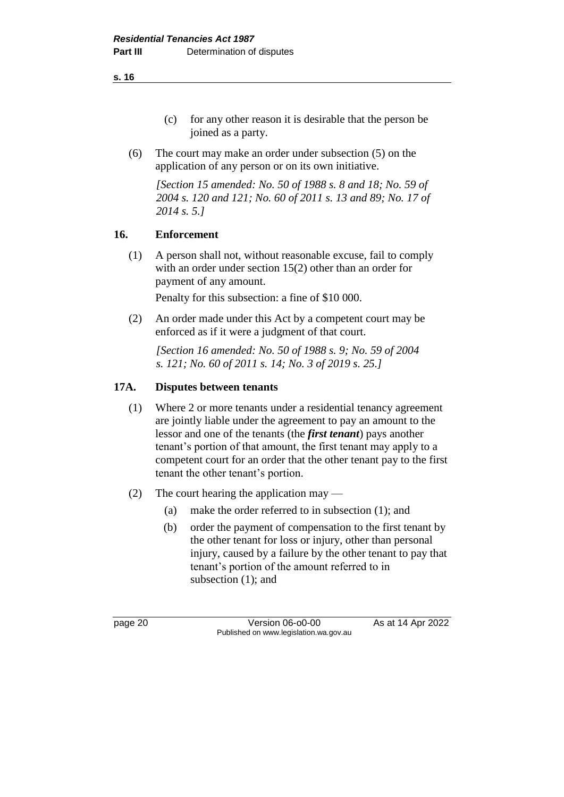(c) for any other reason it is desirable that the person be joined as a party.

(6) The court may make an order under subsection (5) on the application of any person or on its own initiative.

*[Section 15 amended: No. 50 of 1988 s. 8 and 18; No. 59 of 2004 s. 120 and 121; No. 60 of 2011 s. 13 and 89; No. 17 of 2014 s. 5.]* 

# **16. Enforcement**

(1) A person shall not, without reasonable excuse, fail to comply with an order under section 15(2) other than an order for payment of any amount.

Penalty for this subsection: a fine of \$10 000.

(2) An order made under this Act by a competent court may be enforced as if it were a judgment of that court.

*[Section 16 amended: No. 50 of 1988 s. 9; No. 59 of 2004 s. 121; No. 60 of 2011 s. 14; No. 3 of 2019 s. 25.]* 

# **17A. Disputes between tenants**

- (1) Where 2 or more tenants under a residential tenancy agreement are jointly liable under the agreement to pay an amount to the lessor and one of the tenants (the *first tenant*) pays another tenant's portion of that amount, the first tenant may apply to a competent court for an order that the other tenant pay to the first tenant the other tenant's portion.
- (2) The court hearing the application may
	- (a) make the order referred to in subsection (1); and
	- (b) order the payment of compensation to the first tenant by the other tenant for loss or injury, other than personal injury, caused by a failure by the other tenant to pay that tenant's portion of the amount referred to in subsection (1); and

page 20 **Version 06-00-00** As at 14 Apr 2022 Published on www.legislation.wa.gov.au

**s. 16**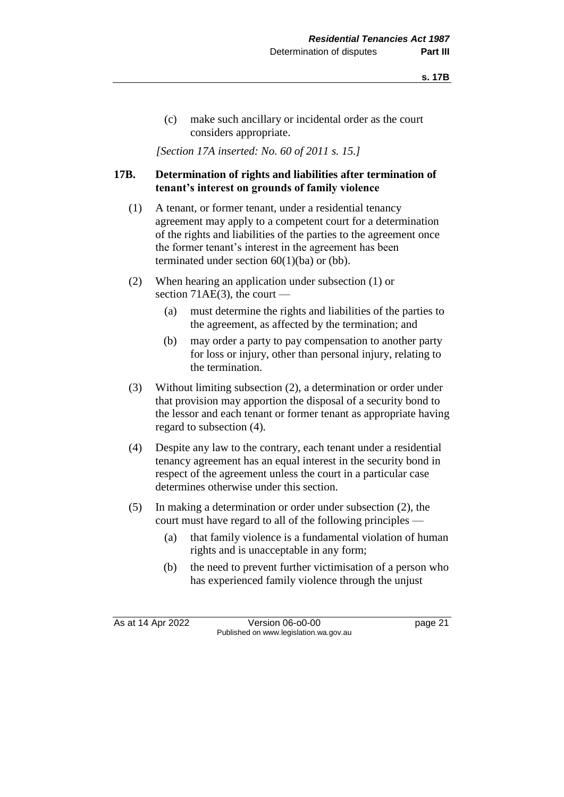(c) make such ancillary or incidental order as the court considers appropriate.

*[Section 17A inserted: No. 60 of 2011 s. 15.]* 

# **17B. Determination of rights and liabilities after termination of tenant's interest on grounds of family violence**

- (1) A tenant, or former tenant, under a residential tenancy agreement may apply to a competent court for a determination of the rights and liabilities of the parties to the agreement once the former tenant's interest in the agreement has been terminated under section 60(1)(ba) or (bb).
- (2) When hearing an application under subsection (1) or section 71 $AE(3)$ , the court —
	- (a) must determine the rights and liabilities of the parties to the agreement, as affected by the termination; and
	- (b) may order a party to pay compensation to another party for loss or injury, other than personal injury, relating to the termination.
- (3) Without limiting subsection (2), a determination or order under that provision may apportion the disposal of a security bond to the lessor and each tenant or former tenant as appropriate having regard to subsection (4).
- (4) Despite any law to the contrary, each tenant under a residential tenancy agreement has an equal interest in the security bond in respect of the agreement unless the court in a particular case determines otherwise under this section.
- (5) In making a determination or order under subsection (2), the court must have regard to all of the following principles —
	- (a) that family violence is a fundamental violation of human rights and is unacceptable in any form;
	- (b) the need to prevent further victimisation of a person who has experienced family violence through the unjust

As at 14 Apr 2022 Version 06-o0-00 page 21 Published on www.legislation.wa.gov.au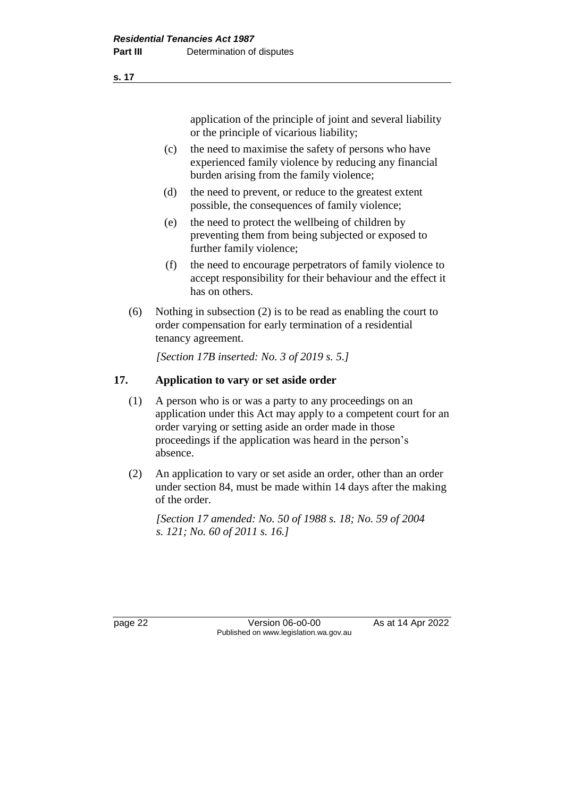application of the principle of joint and several liability or the principle of vicarious liability;

- (c) the need to maximise the safety of persons who have experienced family violence by reducing any financial burden arising from the family violence;
- (d) the need to prevent, or reduce to the greatest extent possible, the consequences of family violence;
- (e) the need to protect the wellbeing of children by preventing them from being subjected or exposed to further family violence;
- (f) the need to encourage perpetrators of family violence to accept responsibility for their behaviour and the effect it has on others.
- (6) Nothing in subsection (2) is to be read as enabling the court to order compensation for early termination of a residential tenancy agreement.

*[Section 17B inserted: No. 3 of 2019 s. 5.]* 

# **17. Application to vary or set aside order**

- (1) A person who is or was a party to any proceedings on an application under this Act may apply to a competent court for an order varying or setting aside an order made in those proceedings if the application was heard in the person's absence.
- (2) An application to vary or set aside an order, other than an order under section 84, must be made within 14 days after the making of the order.

*[Section 17 amended: No. 50 of 1988 s. 18; No. 59 of 2004 s. 121; No. 60 of 2011 s. 16.]* 

page 22 Version 06-o0-00 As at 14 Apr 2022 Published on www.legislation.wa.gov.au

**s. 17**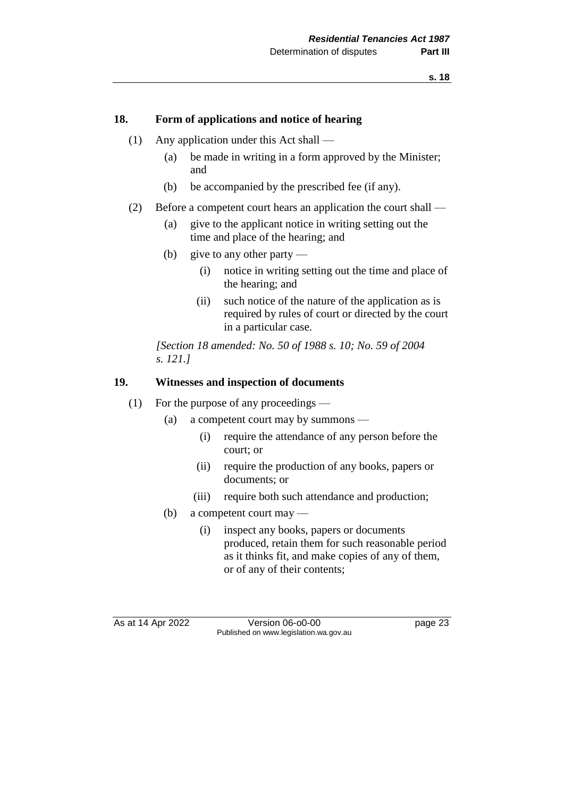#### **18. Form of applications and notice of hearing**

- (1) Any application under this Act shall
	- (a) be made in writing in a form approved by the Minister; and
	- (b) be accompanied by the prescribed fee (if any).
- (2) Before a competent court hears an application the court shall
	- (a) give to the applicant notice in writing setting out the time and place of the hearing; and
	- (b) give to any other party
		- (i) notice in writing setting out the time and place of the hearing; and
		- (ii) such notice of the nature of the application as is required by rules of court or directed by the court in a particular case.

*[Section 18 amended: No. 50 of 1988 s. 10; No. 59 of 2004 s. 121.]* 

## **19. Witnesses and inspection of documents**

#### (1) For the purpose of any proceedings —

- (a) a competent court may by summons
	- (i) require the attendance of any person before the court; or
	- (ii) require the production of any books, papers or documents; or
	- (iii) require both such attendance and production;
- (b) a competent court may
	- (i) inspect any books, papers or documents produced, retain them for such reasonable period as it thinks fit, and make copies of any of them, or of any of their contents;

As at 14 Apr 2022 Version 06-o0-00 page 23 Published on www.legislation.wa.gov.au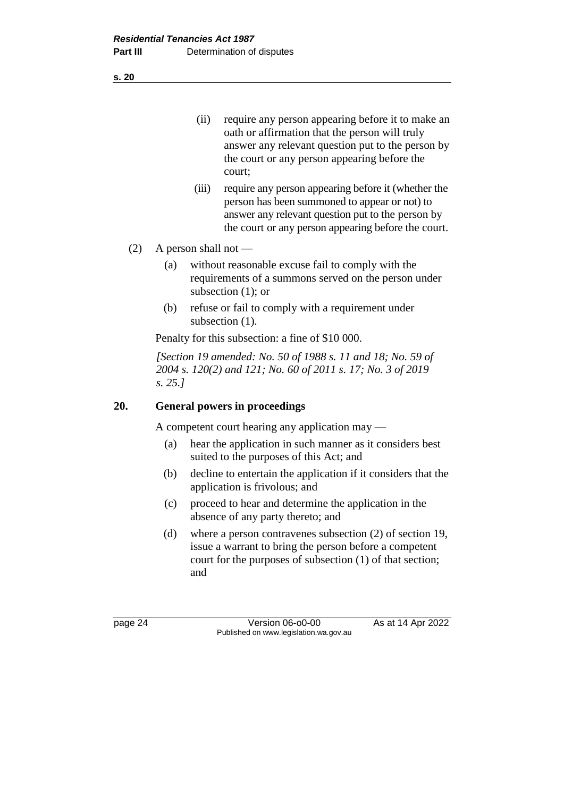(ii) require any person appearing before it to make an oath or affirmation that the person will truly answer any relevant question put to the person by the court or any person appearing before the court;

- (iii) require any person appearing before it (whether the person has been summoned to appear or not) to answer any relevant question put to the person by the court or any person appearing before the court.
- (2) A person shall not
	- (a) without reasonable excuse fail to comply with the requirements of a summons served on the person under subsection (1); or
	- (b) refuse or fail to comply with a requirement under subsection (1).

Penalty for this subsection: a fine of \$10 000.

*[Section 19 amended: No. 50 of 1988 s. 11 and 18; No. 59 of 2004 s. 120(2) and 121; No. 60 of 2011 s. 17; No. 3 of 2019 s. 25.]* 

# **20. General powers in proceedings**

A competent court hearing any application may —

- (a) hear the application in such manner as it considers best suited to the purposes of this Act; and
- (b) decline to entertain the application if it considers that the application is frivolous; and
- (c) proceed to hear and determine the application in the absence of any party thereto; and
- (d) where a person contravenes subsection (2) of section 19, issue a warrant to bring the person before a competent court for the purposes of subsection (1) of that section; and

**s. 20**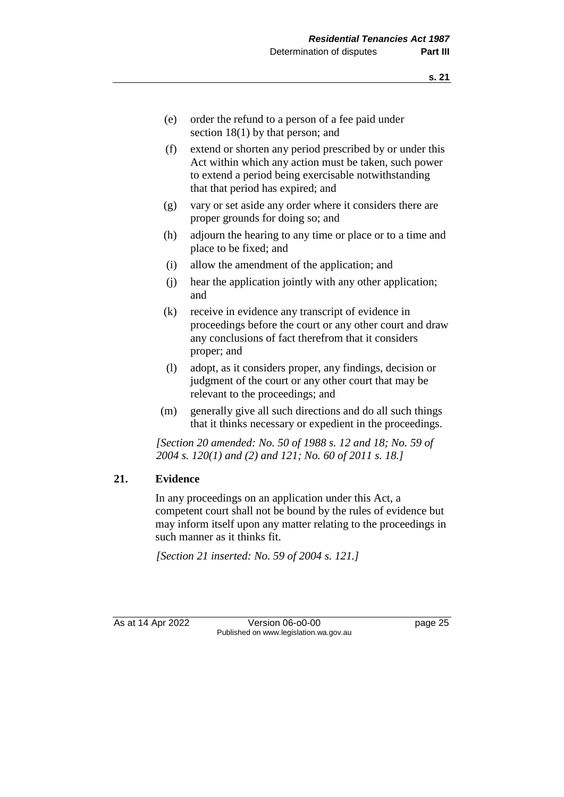- (e) order the refund to a person of a fee paid under section 18(1) by that person; and
- (f) extend or shorten any period prescribed by or under this Act within which any action must be taken, such power to extend a period being exercisable notwithstanding that that period has expired; and
- (g) vary or set aside any order where it considers there are proper grounds for doing so; and
- (h) adjourn the hearing to any time or place or to a time and place to be fixed; and
- (i) allow the amendment of the application; and
- (j) hear the application jointly with any other application; and
- (k) receive in evidence any transcript of evidence in proceedings before the court or any other court and draw any conclusions of fact therefrom that it considers proper; and
- (l) adopt, as it considers proper, any findings, decision or judgment of the court or any other court that may be relevant to the proceedings; and
- (m) generally give all such directions and do all such things that it thinks necessary or expedient in the proceedings.

*[Section 20 amended: No. 50 of 1988 s. 12 and 18; No. 59 of 2004 s. 120(1) and (2) and 121; No. 60 of 2011 s. 18.]* 

#### **21. Evidence**

In any proceedings on an application under this Act, a competent court shall not be bound by the rules of evidence but may inform itself upon any matter relating to the proceedings in such manner as it thinks fit.

*[Section 21 inserted: No. 59 of 2004 s. 121.]* 

As at 14 Apr 2022 Version 06-o0-00 page 25 Published on www.legislation.wa.gov.au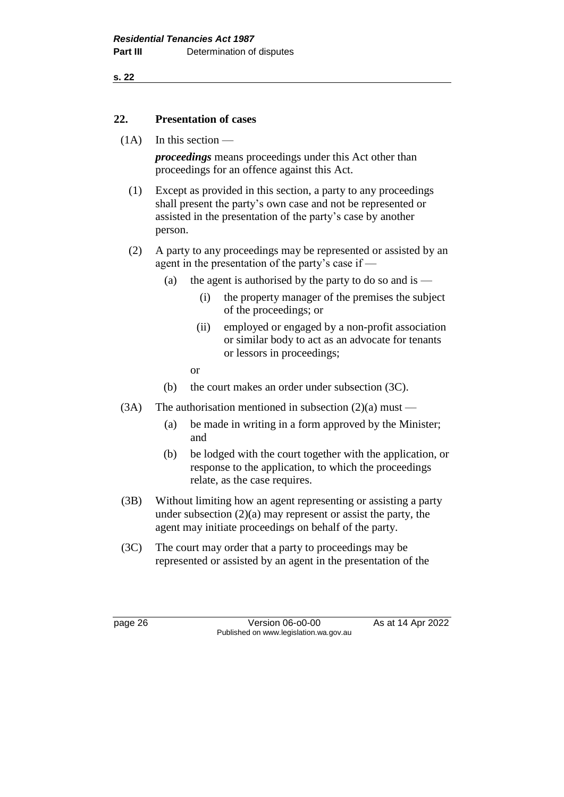**s. 22**

#### **22. Presentation of cases**

 $(1A)$  In this section —

*proceedings* means proceedings under this Act other than proceedings for an offence against this Act.

- (1) Except as provided in this section, a party to any proceedings shall present the party's own case and not be represented or assisted in the presentation of the party's case by another person.
- (2) A party to any proceedings may be represented or assisted by an agent in the presentation of the party's case if —
	- (a) the agent is authorised by the party to do so and is
		- (i) the property manager of the premises the subject of the proceedings; or
		- (ii) employed or engaged by a non-profit association or similar body to act as an advocate for tenants or lessors in proceedings;
		- or
	- (b) the court makes an order under subsection (3C).
- (3A) The authorisation mentioned in subsection  $(2)(a)$  must
	- (a) be made in writing in a form approved by the Minister; and
	- (b) be lodged with the court together with the application, or response to the application, to which the proceedings relate, as the case requires.
- (3B) Without limiting how an agent representing or assisting a party under subsection  $(2)(a)$  may represent or assist the party, the agent may initiate proceedings on behalf of the party.
- (3C) The court may order that a party to proceedings may be represented or assisted by an agent in the presentation of the

page 26 Version 06-o0-00 As at 14 Apr 2022 Published on www.legislation.wa.gov.au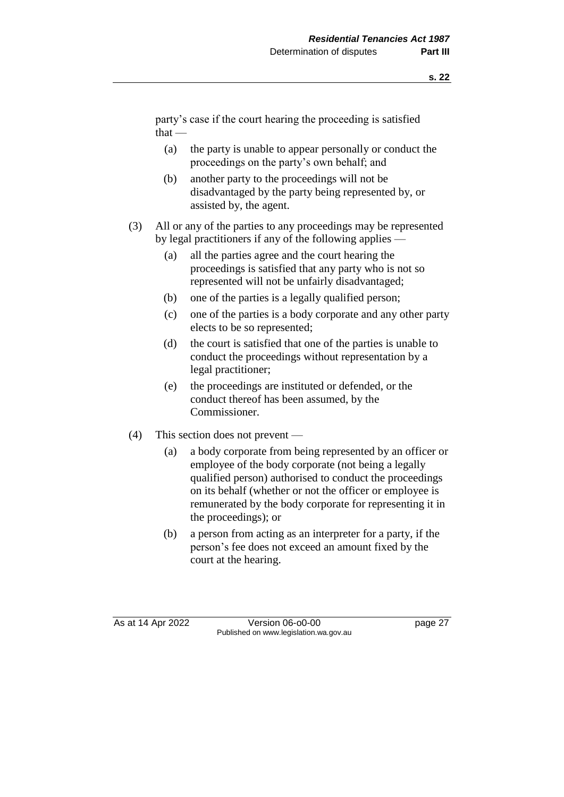party's case if the court hearing the proceeding is satisfied  $that -$ 

- (a) the party is unable to appear personally or conduct the proceedings on the party's own behalf; and
- (b) another party to the proceedings will not be disadvantaged by the party being represented by, or assisted by, the agent.
- (3) All or any of the parties to any proceedings may be represented by legal practitioners if any of the following applies —
	- (a) all the parties agree and the court hearing the proceedings is satisfied that any party who is not so represented will not be unfairly disadvantaged;
	- (b) one of the parties is a legally qualified person;
	- (c) one of the parties is a body corporate and any other party elects to be so represented;
	- (d) the court is satisfied that one of the parties is unable to conduct the proceedings without representation by a legal practitioner;
	- (e) the proceedings are instituted or defended, or the conduct thereof has been assumed, by the Commissioner.
- (4) This section does not prevent
	- (a) a body corporate from being represented by an officer or employee of the body corporate (not being a legally qualified person) authorised to conduct the proceedings on its behalf (whether or not the officer or employee is remunerated by the body corporate for representing it in the proceedings); or
	- (b) a person from acting as an interpreter for a party, if the person's fee does not exceed an amount fixed by the court at the hearing.

As at 14 Apr 2022 Version 06-o0-00 page 27 Published on www.legislation.wa.gov.au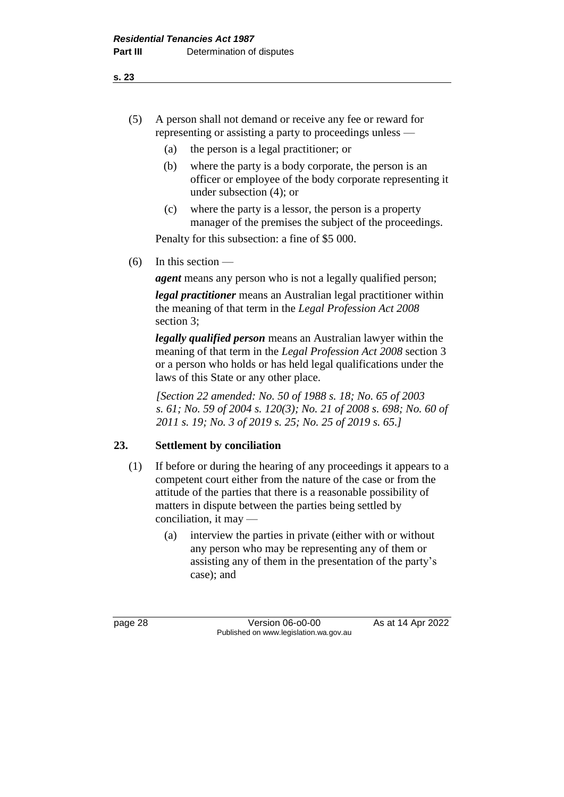- (5) A person shall not demand or receive any fee or reward for representing or assisting a party to proceedings unless —
	- (a) the person is a legal practitioner; or
	- (b) where the party is a body corporate, the person is an officer or employee of the body corporate representing it under subsection (4); or
	- (c) where the party is a lessor, the person is a property manager of the premises the subject of the proceedings.

Penalty for this subsection: a fine of \$5 000.

 $(6)$  In this section —

*agent* means any person who is not a legally qualified person;

*legal practitioner* means an Australian legal practitioner within the meaning of that term in the *Legal Profession Act 2008* section 3;

*legally qualified person* means an Australian lawyer within the meaning of that term in the *Legal Profession Act 2008* section 3 or a person who holds or has held legal qualifications under the laws of this State or any other place.

*[Section 22 amended: No. 50 of 1988 s. 18; No. 65 of 2003 s. 61; No. 59 of 2004 s. 120(3); No. 21 of 2008 s. 698; No. 60 of 2011 s. 19; No. 3 of 2019 s. 25; No. 25 of 2019 s. 65.]* 

# **23. Settlement by conciliation**

- (1) If before or during the hearing of any proceedings it appears to a competent court either from the nature of the case or from the attitude of the parties that there is a reasonable possibility of matters in dispute between the parties being settled by conciliation, it may —
	- (a) interview the parties in private (either with or without any person who may be representing any of them or assisting any of them in the presentation of the party's case); and

page 28 **Version 06-00-00** As at 14 Apr 2022 Published on www.legislation.wa.gov.au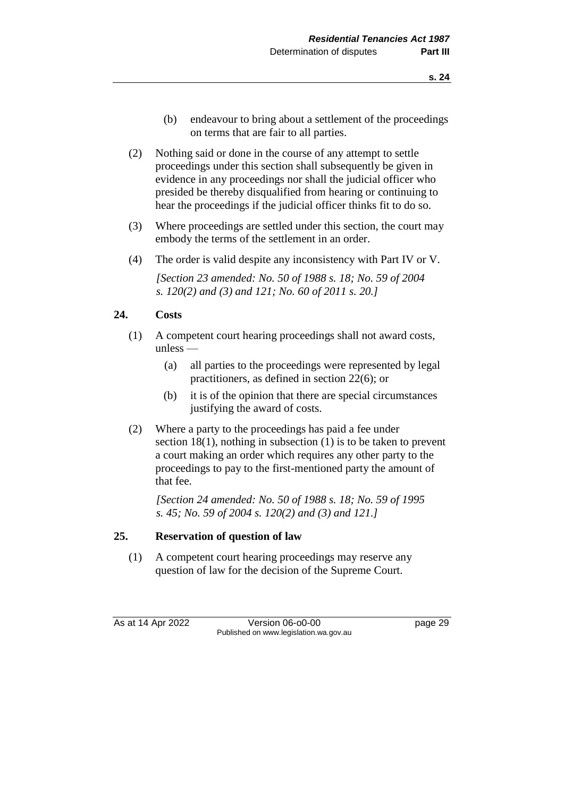- (b) endeavour to bring about a settlement of the proceedings on terms that are fair to all parties.
- (2) Nothing said or done in the course of any attempt to settle proceedings under this section shall subsequently be given in evidence in any proceedings nor shall the judicial officer who presided be thereby disqualified from hearing or continuing to hear the proceedings if the judicial officer thinks fit to do so.
- (3) Where proceedings are settled under this section, the court may embody the terms of the settlement in an order.
- (4) The order is valid despite any inconsistency with Part IV or V.

*[Section 23 amended: No. 50 of 1988 s. 18; No. 59 of 2004 s. 120(2) and (3) and 121; No. 60 of 2011 s. 20.]* 

#### **24. Costs**

- (1) A competent court hearing proceedings shall not award costs, unless —
	- (a) all parties to the proceedings were represented by legal practitioners, as defined in section 22(6); or
	- (b) it is of the opinion that there are special circumstances justifying the award of costs.
- (2) Where a party to the proceedings has paid a fee under section 18(1), nothing in subsection (1) is to be taken to prevent a court making an order which requires any other party to the proceedings to pay to the first-mentioned party the amount of that fee.

*[Section 24 amended: No. 50 of 1988 s. 18; No. 59 of 1995 s. 45; No. 59 of 2004 s. 120(2) and (3) and 121.]* 

#### **25. Reservation of question of law**

(1) A competent court hearing proceedings may reserve any question of law for the decision of the Supreme Court.

As at 14 Apr 2022 Version 06-o0-00 page 29 Published on www.legislation.wa.gov.au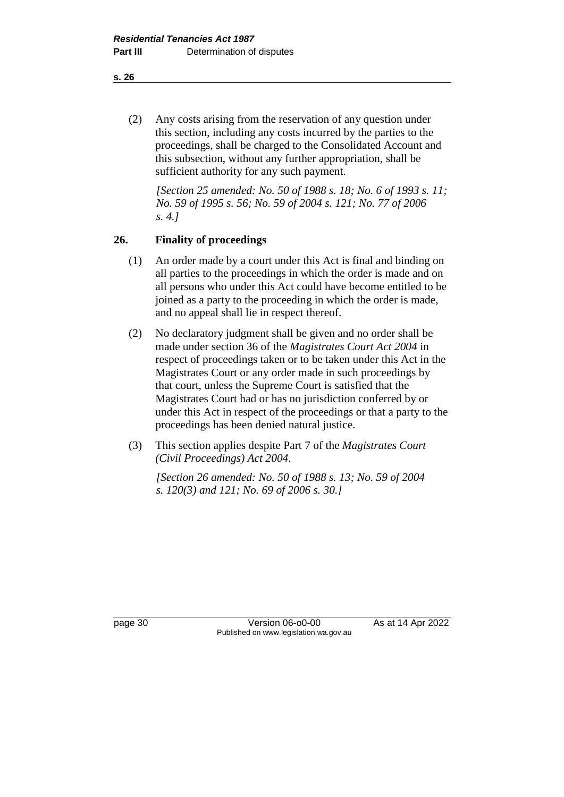(2) Any costs arising from the reservation of any question under this section, including any costs incurred by the parties to the proceedings, shall be charged to the Consolidated Account and this subsection, without any further appropriation, shall be sufficient authority for any such payment.

*[Section 25 amended: No. 50 of 1988 s. 18; No. 6 of 1993 s. 11; No. 59 of 1995 s. 56; No. 59 of 2004 s. 121; No. 77 of 2006 s. 4.]* 

# **26. Finality of proceedings**

- (1) An order made by a court under this Act is final and binding on all parties to the proceedings in which the order is made and on all persons who under this Act could have become entitled to be joined as a party to the proceeding in which the order is made, and no appeal shall lie in respect thereof.
- (2) No declaratory judgment shall be given and no order shall be made under section 36 of the *Magistrates Court Act 2004* in respect of proceedings taken or to be taken under this Act in the Magistrates Court or any order made in such proceedings by that court, unless the Supreme Court is satisfied that the Magistrates Court had or has no jurisdiction conferred by or under this Act in respect of the proceedings or that a party to the proceedings has been denied natural justice.
- (3) This section applies despite Part 7 of the *Magistrates Court (Civil Proceedings) Act 2004*.

*[Section 26 amended: No. 50 of 1988 s. 13; No. 59 of 2004 s. 120(3) and 121; No. 69 of 2006 s. 30.]* 

page 30 **Version 06-00-00** As at 14 Apr 2022 Published on www.legislation.wa.gov.au

**s. 26**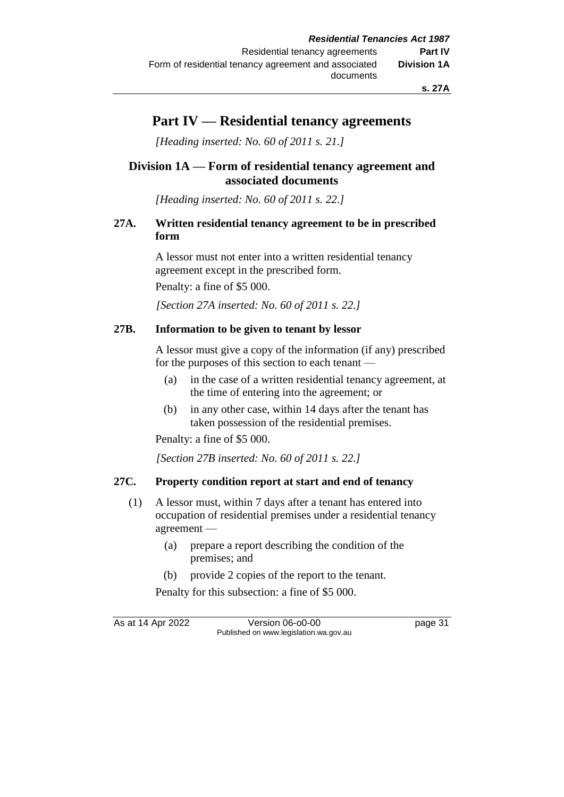# **Part IV — Residential tenancy agreements**

*[Heading inserted: No. 60 of 2011 s. 21.]*

# **Division 1A — Form of residential tenancy agreement and associated documents**

*[Heading inserted: No. 60 of 2011 s. 22.]*

# **27A. Written residential tenancy agreement to be in prescribed form**

A lessor must not enter into a written residential tenancy agreement except in the prescribed form.

Penalty: a fine of \$5 000.

*[Section 27A inserted: No. 60 of 2011 s. 22.]* 

# **27B. Information to be given to tenant by lessor**

A lessor must give a copy of the information (if any) prescribed for the purposes of this section to each tenant —

- (a) in the case of a written residential tenancy agreement, at the time of entering into the agreement; or
- (b) in any other case, within 14 days after the tenant has taken possession of the residential premises.

Penalty: a fine of \$5 000.

*[Section 27B inserted: No. 60 of 2011 s. 22.]* 

# **27C. Property condition report at start and end of tenancy**

- (1) A lessor must, within 7 days after a tenant has entered into occupation of residential premises under a residential tenancy agreement —
	- (a) prepare a report describing the condition of the premises; and
	- (b) provide 2 copies of the report to the tenant.

Penalty for this subsection: a fine of \$5 000.

As at 14 Apr 2022 Version 06-o0-00 page 31 Published on www.legislation.wa.gov.au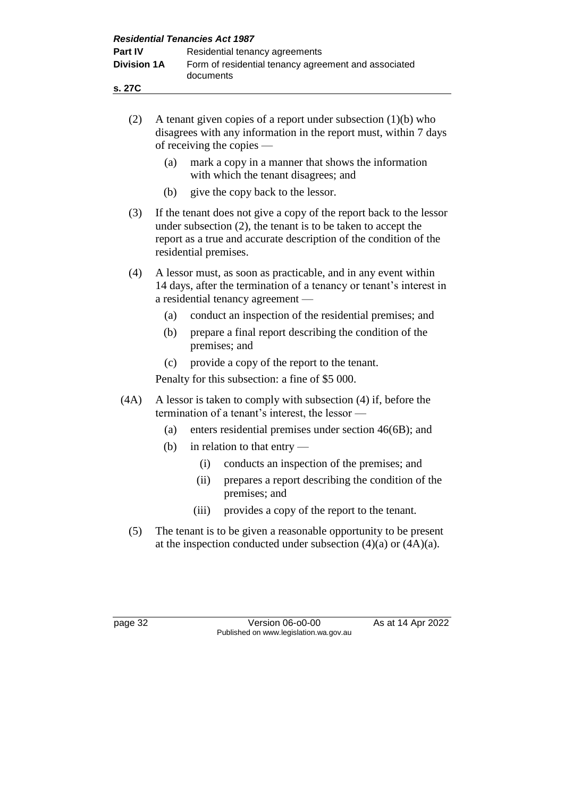| <b>Residential Tenancies Act 1987</b> |                                                                   |  |  |  |
|---------------------------------------|-------------------------------------------------------------------|--|--|--|
| <b>Part IV</b>                        | Residential tenancy agreements                                    |  |  |  |
| <b>Division 1A</b>                    | Form of residential tenancy agreement and associated<br>documents |  |  |  |
| s. 27C                                |                                                                   |  |  |  |

| (2)  | A tenant given copies of a report under subsection $(1)(b)$ who<br>disagrees with any information in the report must, within 7 days<br>of receiving the copies                                                                        |       |                                                                                                                    |  |  |
|------|---------------------------------------------------------------------------------------------------------------------------------------------------------------------------------------------------------------------------------------|-------|--------------------------------------------------------------------------------------------------------------------|--|--|
|      | (a)                                                                                                                                                                                                                                   |       | mark a copy in a manner that shows the information<br>with which the tenant disagrees; and                         |  |  |
|      | (b)                                                                                                                                                                                                                                   |       | give the copy back to the lessor.                                                                                  |  |  |
| (3)  | If the tenant does not give a copy of the report back to the lessor<br>under subsection $(2)$ , the tenant is to be taken to accept the<br>report as a true and accurate description of the condition of the<br>residential premises. |       |                                                                                                                    |  |  |
| (4)  | A lessor must, as soon as practicable, and in any event within<br>14 days, after the termination of a tenancy or tenant's interest in<br>a residential tenancy agreement —                                                            |       |                                                                                                                    |  |  |
|      | (a)                                                                                                                                                                                                                                   |       | conduct an inspection of the residential premises; and                                                             |  |  |
|      | (b)                                                                                                                                                                                                                                   |       | prepare a final report describing the condition of the<br>premises; and                                            |  |  |
|      | (c)                                                                                                                                                                                                                                   |       | provide a copy of the report to the tenant.                                                                        |  |  |
|      | Penalty for this subsection: a fine of \$5 000.                                                                                                                                                                                       |       |                                                                                                                    |  |  |
| (4A) |                                                                                                                                                                                                                                       |       | A lessor is taken to comply with subsection (4) if, before the<br>termination of a tenant's interest, the lessor — |  |  |
|      | (a)                                                                                                                                                                                                                                   |       | enters residential premises under section 46(6B); and                                                              |  |  |
|      | (b)                                                                                                                                                                                                                                   |       | in relation to that entry -                                                                                        |  |  |
|      |                                                                                                                                                                                                                                       | (i)   | conducts an inspection of the premises; and                                                                        |  |  |
|      |                                                                                                                                                                                                                                       | (ii)  | prepares a report describing the condition of the<br>premises; and                                                 |  |  |
|      |                                                                                                                                                                                                                                       | (iii) | provides a copy of the report to the tenant.                                                                       |  |  |
| (5)  | The tenant is to be given a reasonable opportunity to be present<br>at the inspection conducted under subsection $(4)(a)$ or $(4A)(a)$ .                                                                                              |       |                                                                                                                    |  |  |

page 32 Version 06-o0-00 As at 14 Apr 2022 Published on www.legislation.wa.gov.au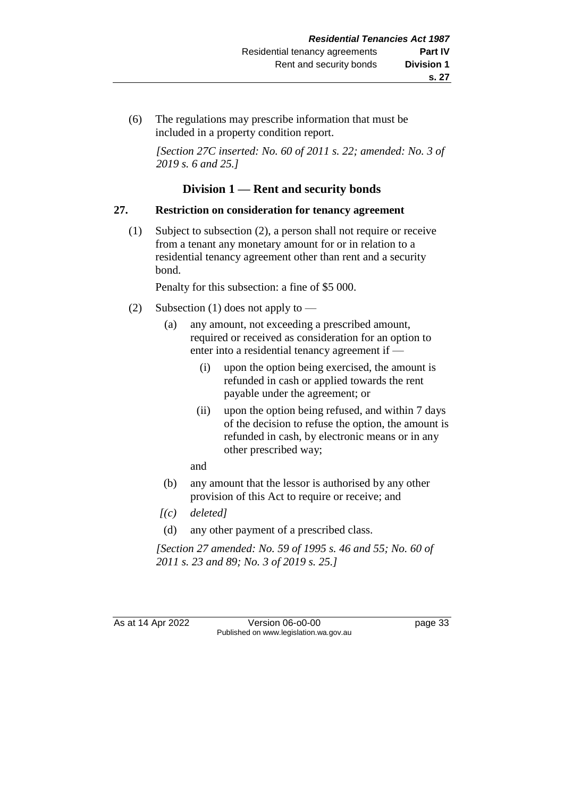(6) The regulations may prescribe information that must be included in a property condition report.

*[Section 27C inserted: No. 60 of 2011 s. 22; amended: No. 3 of 2019 s. 6 and 25.]* 

# **Division 1 — Rent and security bonds**

# **27. Restriction on consideration for tenancy agreement**

(1) Subject to subsection (2), a person shall not require or receive from a tenant any monetary amount for or in relation to a residential tenancy agreement other than rent and a security bond.

Penalty for this subsection: a fine of \$5 000.

- (2) Subsection (1) does not apply to
	- (a) any amount, not exceeding a prescribed amount, required or received as consideration for an option to enter into a residential tenancy agreement if —
		- (i) upon the option being exercised, the amount is refunded in cash or applied towards the rent payable under the agreement; or
		- (ii) upon the option being refused, and within 7 days of the decision to refuse the option, the amount is refunded in cash, by electronic means or in any other prescribed way;

and

- (b) any amount that the lessor is authorised by any other provision of this Act to require or receive; and
- *[(c) deleted]*
- (d) any other payment of a prescribed class.

*[Section 27 amended: No. 59 of 1995 s. 46 and 55; No. 60 of 2011 s. 23 and 89; No. 3 of 2019 s. 25.]* 

As at 14 Apr 2022 Version 06-00-00 Published on www.legislation.wa.gov.au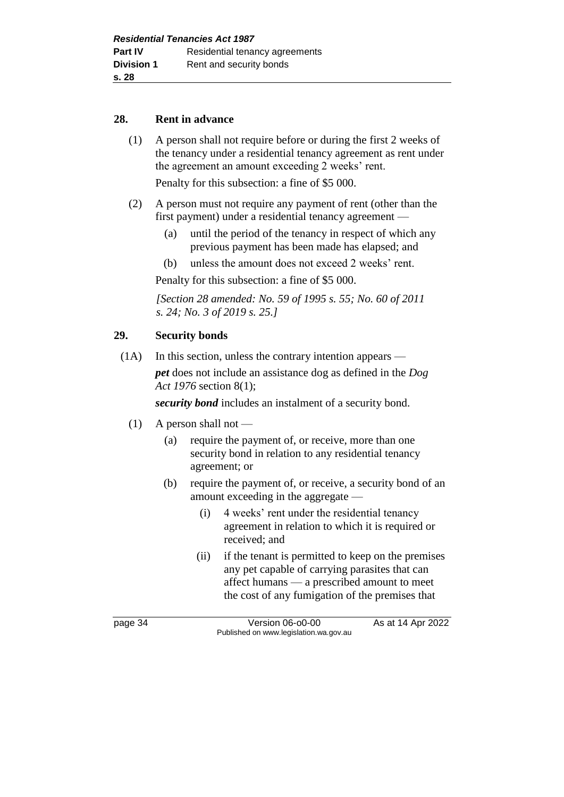#### **28. Rent in advance**

(1) A person shall not require before or during the first 2 weeks of the tenancy under a residential tenancy agreement as rent under the agreement an amount exceeding 2 weeks' rent.

Penalty for this subsection: a fine of \$5 000.

- (2) A person must not require any payment of rent (other than the first payment) under a residential tenancy agreement —
	- (a) until the period of the tenancy in respect of which any previous payment has been made has elapsed; and
	- (b) unless the amount does not exceed 2 weeks' rent.

Penalty for this subsection: a fine of \$5 000.

*[Section 28 amended: No. 59 of 1995 s. 55; No. 60 of 2011 s. 24; No. 3 of 2019 s. 25.]* 

#### **29. Security bonds**

(1A) In this section, unless the contrary intention appears —

*pet* does not include an assistance dog as defined in the *Dog Act 1976* section 8(1);

*security bond* includes an instalment of a security bond.

- $(1)$  A person shall not
	- (a) require the payment of, or receive, more than one security bond in relation to any residential tenancy agreement; or
	- (b) require the payment of, or receive, a security bond of an amount exceeding in the aggregate —
		- (i) 4 weeks' rent under the residential tenancy agreement in relation to which it is required or received; and
		- (ii) if the tenant is permitted to keep on the premises any pet capable of carrying parasites that can affect humans — a prescribed amount to meet the cost of any fumigation of the premises that

page 34 Version 06-o0-00 As at 14 Apr 2022 Published on www.legislation.wa.gov.au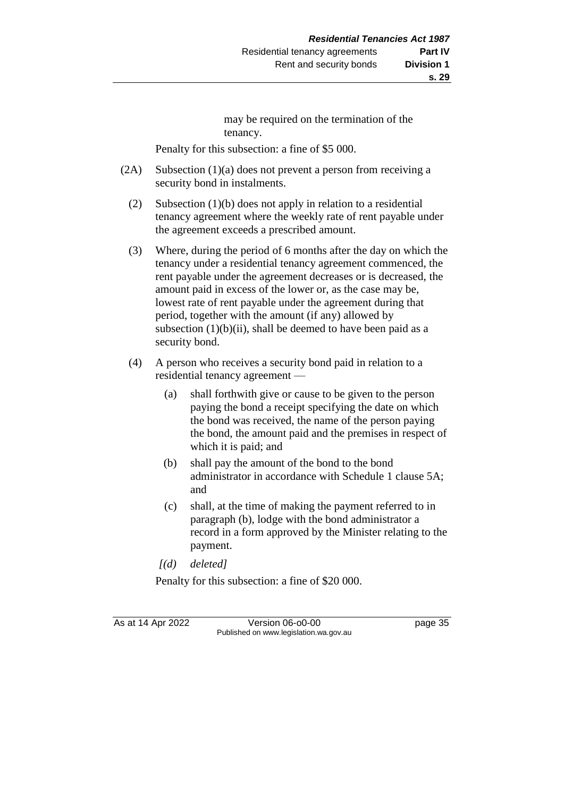may be required on the termination of the tenancy.

Penalty for this subsection: a fine of \$5 000.

- (2A) Subsection (1)(a) does not prevent a person from receiving a security bond in instalments.
	- (2) Subsection (1)(b) does not apply in relation to a residential tenancy agreement where the weekly rate of rent payable under the agreement exceeds a prescribed amount.
	- (3) Where, during the period of 6 months after the day on which the tenancy under a residential tenancy agreement commenced, the rent payable under the agreement decreases or is decreased, the amount paid in excess of the lower or, as the case may be, lowest rate of rent payable under the agreement during that period, together with the amount (if any) allowed by subsection  $(1)(b)(ii)$ , shall be deemed to have been paid as a security bond.
	- (4) A person who receives a security bond paid in relation to a residential tenancy agreement —
		- (a) shall forthwith give or cause to be given to the person paying the bond a receipt specifying the date on which the bond was received, the name of the person paying the bond, the amount paid and the premises in respect of which it is paid; and
		- (b) shall pay the amount of the bond to the bond administrator in accordance with Schedule 1 clause 5A; and
		- (c) shall, at the time of making the payment referred to in paragraph (b), lodge with the bond administrator a record in a form approved by the Minister relating to the payment.
		- *[(d) deleted]*

Penalty for this subsection: a fine of \$20 000.

As at 14 Apr 2022 Version 06-o0-00 page 35 Published on www.legislation.wa.gov.au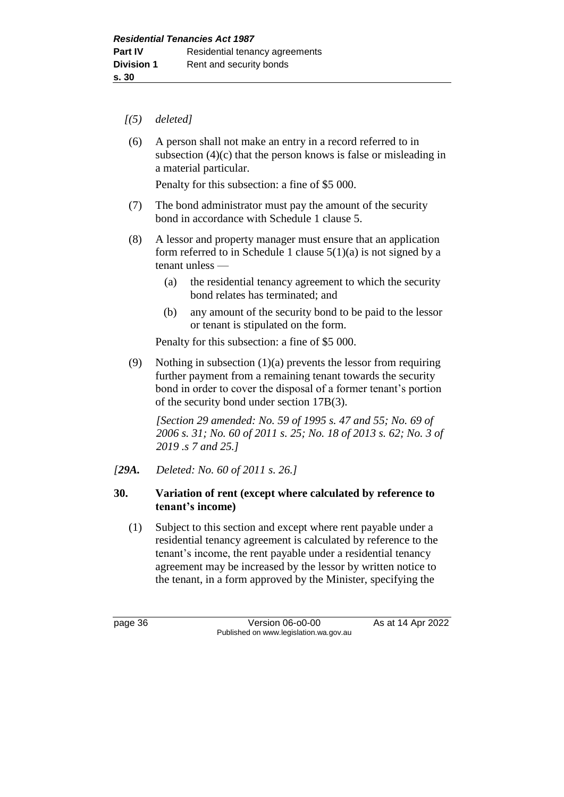- *[(5) deleted]*
- (6) A person shall not make an entry in a record referred to in subsection (4)(c) that the person knows is false or misleading in a material particular.

Penalty for this subsection: a fine of \$5 000.

- (7) The bond administrator must pay the amount of the security bond in accordance with Schedule 1 clause 5.
- (8) A lessor and property manager must ensure that an application form referred to in Schedule 1 clause  $5(1)(a)$  is not signed by a tenant unless —
	- (a) the residential tenancy agreement to which the security bond relates has terminated; and
	- (b) any amount of the security bond to be paid to the lessor or tenant is stipulated on the form.

Penalty for this subsection: a fine of \$5 000.

(9) Nothing in subsection  $(1)(a)$  prevents the lessor from requiring further payment from a remaining tenant towards the security bond in order to cover the disposal of a former tenant's portion of the security bond under section 17B(3).

*[Section 29 amended: No. 59 of 1995 s. 47 and 55; No. 69 of 2006 s. 31; No. 60 of 2011 s. 25; No. 18 of 2013 s. 62; No. 3 of 2019 .s 7 and 25.]* 

*[29A. Deleted: No. 60 of 2011 s. 26.]*

#### **30. Variation of rent (except where calculated by reference to tenant's income)**

(1) Subject to this section and except where rent payable under a residential tenancy agreement is calculated by reference to the tenant's income, the rent payable under a residential tenancy agreement may be increased by the lessor by written notice to the tenant, in a form approved by the Minister, specifying the

page 36 **Version 06-00-00** As at 14 Apr 2022 Published on www.legislation.wa.gov.au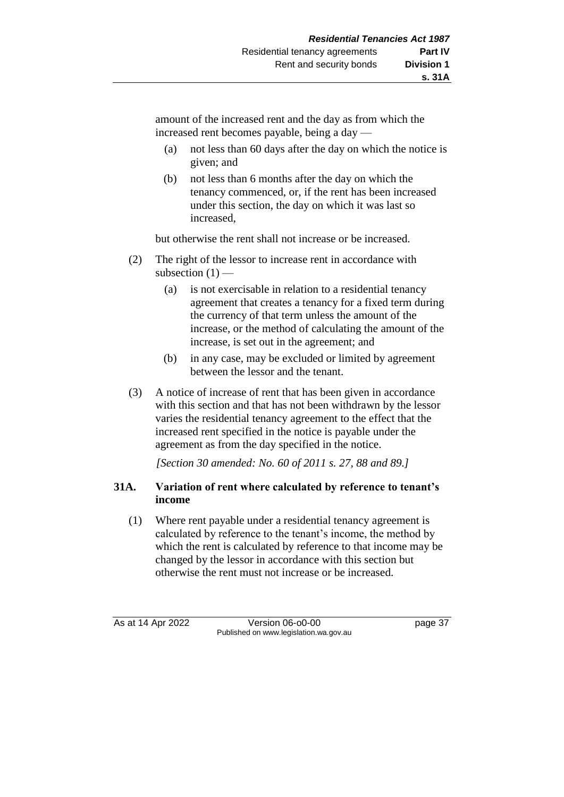amount of the increased rent and the day as from which the increased rent becomes payable, being a day —

- (a) not less than 60 days after the day on which the notice is given; and
- (b) not less than 6 months after the day on which the tenancy commenced, or, if the rent has been increased under this section, the day on which it was last so increased,

but otherwise the rent shall not increase or be increased.

- (2) The right of the lessor to increase rent in accordance with subsection  $(1)$  —
	- (a) is not exercisable in relation to a residential tenancy agreement that creates a tenancy for a fixed term during the currency of that term unless the amount of the increase, or the method of calculating the amount of the increase, is set out in the agreement; and
	- (b) in any case, may be excluded or limited by agreement between the lessor and the tenant.
- (3) A notice of increase of rent that has been given in accordance with this section and that has not been withdrawn by the lessor varies the residential tenancy agreement to the effect that the increased rent specified in the notice is payable under the agreement as from the day specified in the notice.

*[Section 30 amended: No. 60 of 2011 s. 27, 88 and 89.]* 

# **31A. Variation of rent where calculated by reference to tenant's income**

(1) Where rent payable under a residential tenancy agreement is calculated by reference to the tenant's income, the method by which the rent is calculated by reference to that income may be changed by the lessor in accordance with this section but otherwise the rent must not increase or be increased.

As at 14 Apr 2022 Version 06-o0-00 page 37 Published on www.legislation.wa.gov.au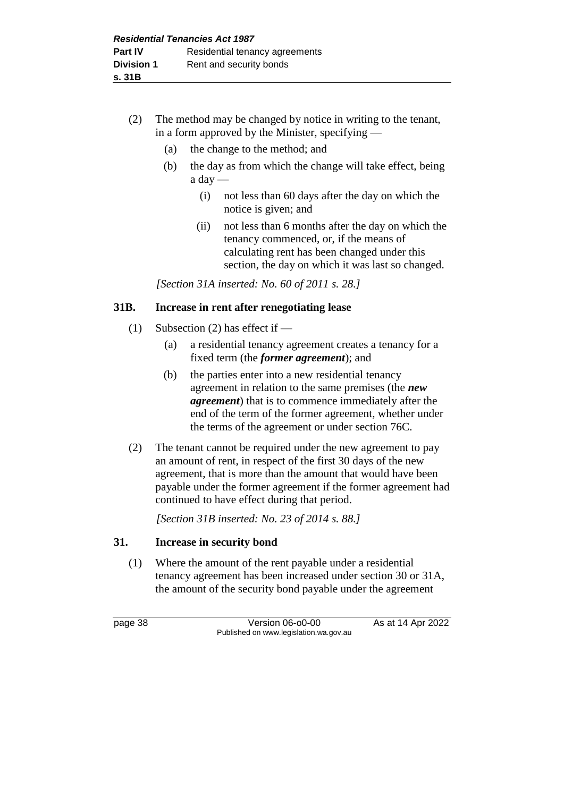- (2) The method may be changed by notice in writing to the tenant, in a form approved by the Minister, specifying —
	- (a) the change to the method; and
	- (b) the day as from which the change will take effect, being a day —
		- (i) not less than 60 days after the day on which the notice is given; and
		- (ii) not less than 6 months after the day on which the tenancy commenced, or, if the means of calculating rent has been changed under this section, the day on which it was last so changed.

*[Section 31A inserted: No. 60 of 2011 s. 28.]* 

# **31B. Increase in rent after renegotiating lease**

- (1) Subsection (2) has effect if  $-$ 
	- (a) a residential tenancy agreement creates a tenancy for a fixed term (the *former agreement*); and
	- (b) the parties enter into a new residential tenancy agreement in relation to the same premises (the *new agreement*) that is to commence immediately after the end of the term of the former agreement, whether under the terms of the agreement or under section 76C.
- (2) The tenant cannot be required under the new agreement to pay an amount of rent, in respect of the first 30 days of the new agreement, that is more than the amount that would have been payable under the former agreement if the former agreement had continued to have effect during that period.

*[Section 31B inserted: No. 23 of 2014 s. 88.]* 

# **31. Increase in security bond**

(1) Where the amount of the rent payable under a residential tenancy agreement has been increased under section 30 or 31A, the amount of the security bond payable under the agreement

page 38 Version 06-o0-00 As at 14 Apr 2022 Published on www.legislation.wa.gov.au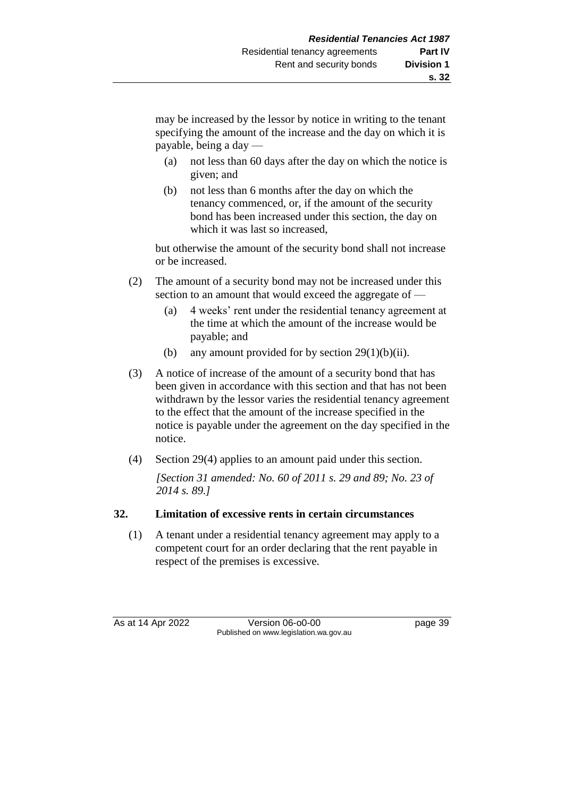may be increased by the lessor by notice in writing to the tenant specifying the amount of the increase and the day on which it is payable, being a day —

- (a) not less than 60 days after the day on which the notice is given; and
- (b) not less than 6 months after the day on which the tenancy commenced, or, if the amount of the security bond has been increased under this section, the day on which it was last so increased,

but otherwise the amount of the security bond shall not increase or be increased.

- (2) The amount of a security bond may not be increased under this section to an amount that would exceed the aggregate of —
	- (a) 4 weeks' rent under the residential tenancy agreement at the time at which the amount of the increase would be payable; and
	- (b) any amount provided for by section  $29(1)(b)(ii)$ .
- (3) A notice of increase of the amount of a security bond that has been given in accordance with this section and that has not been withdrawn by the lessor varies the residential tenancy agreement to the effect that the amount of the increase specified in the notice is payable under the agreement on the day specified in the notice.
- (4) Section 29(4) applies to an amount paid under this section.

*[Section 31 amended: No. 60 of 2011 s. 29 and 89; No. 23 of 2014 s. 89.]* 

# **32. Limitation of excessive rents in certain circumstances**

(1) A tenant under a residential tenancy agreement may apply to a competent court for an order declaring that the rent payable in respect of the premises is excessive.

As at 14 Apr 2022 Version 06-o0-00 page 39 Published on www.legislation.wa.gov.au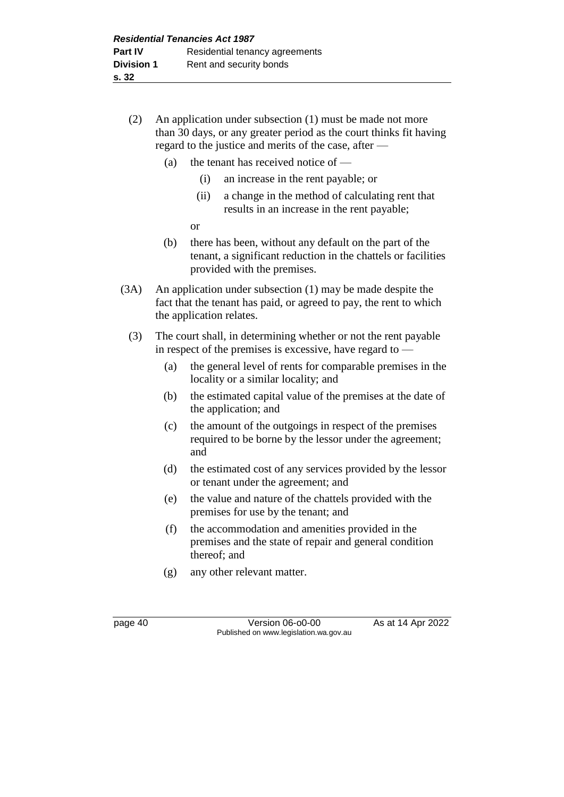- (2) An application under subsection (1) must be made not more than 30 days, or any greater period as the court thinks fit having regard to the justice and merits of the case, after —
	- (a) the tenant has received notice of
		- (i) an increase in the rent payable; or
		- (ii) a change in the method of calculating rent that results in an increase in the rent payable;
		- or
	- (b) there has been, without any default on the part of the tenant, a significant reduction in the chattels or facilities provided with the premises.
- (3A) An application under subsection (1) may be made despite the fact that the tenant has paid, or agreed to pay, the rent to which the application relates.
	- (3) The court shall, in determining whether or not the rent payable in respect of the premises is excessive, have regard to —
		- (a) the general level of rents for comparable premises in the locality or a similar locality; and
		- (b) the estimated capital value of the premises at the date of the application; and
		- (c) the amount of the outgoings in respect of the premises required to be borne by the lessor under the agreement; and
		- (d) the estimated cost of any services provided by the lessor or tenant under the agreement; and
		- (e) the value and nature of the chattels provided with the premises for use by the tenant; and
		- (f) the accommodation and amenities provided in the premises and the state of repair and general condition thereof; and
		- (g) any other relevant matter.

page 40 **Version 06-00-00** As at 14 Apr 2022 Published on www.legislation.wa.gov.au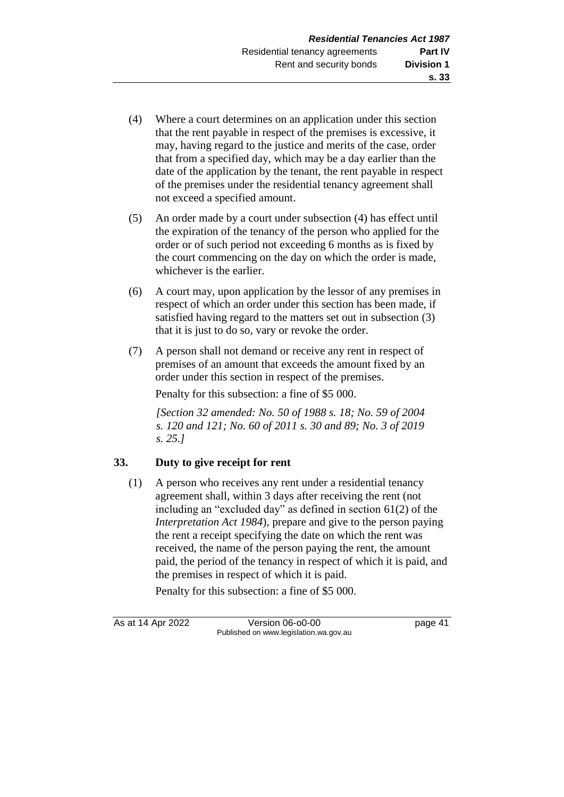- (4) Where a court determines on an application under this section that the rent payable in respect of the premises is excessive, it may, having regard to the justice and merits of the case, order that from a specified day, which may be a day earlier than the date of the application by the tenant, the rent payable in respect of the premises under the residential tenancy agreement shall not exceed a specified amount.
- (5) An order made by a court under subsection (4) has effect until the expiration of the tenancy of the person who applied for the order or of such period not exceeding 6 months as is fixed by the court commencing on the day on which the order is made, whichever is the earlier.
- (6) A court may, upon application by the lessor of any premises in respect of which an order under this section has been made, if satisfied having regard to the matters set out in subsection (3) that it is just to do so, vary or revoke the order.
- (7) A person shall not demand or receive any rent in respect of premises of an amount that exceeds the amount fixed by an order under this section in respect of the premises.

Penalty for this subsection: a fine of \$5 000.

*[Section 32 amended: No. 50 of 1988 s. 18; No. 59 of 2004 s. 120 and 121; No. 60 of 2011 s. 30 and 89; No. 3 of 2019 s. 25.]* 

# **33. Duty to give receipt for rent**

(1) A person who receives any rent under a residential tenancy agreement shall, within 3 days after receiving the rent (not including an "excluded day" as defined in section 61(2) of the *Interpretation Act 1984*), prepare and give to the person paying the rent a receipt specifying the date on which the rent was received, the name of the person paying the rent, the amount paid, the period of the tenancy in respect of which it is paid, and the premises in respect of which it is paid.

Penalty for this subsection: a fine of \$5 000.

As at 14 Apr 2022 Version 06-o0-00 page 41 Published on www.legislation.wa.gov.au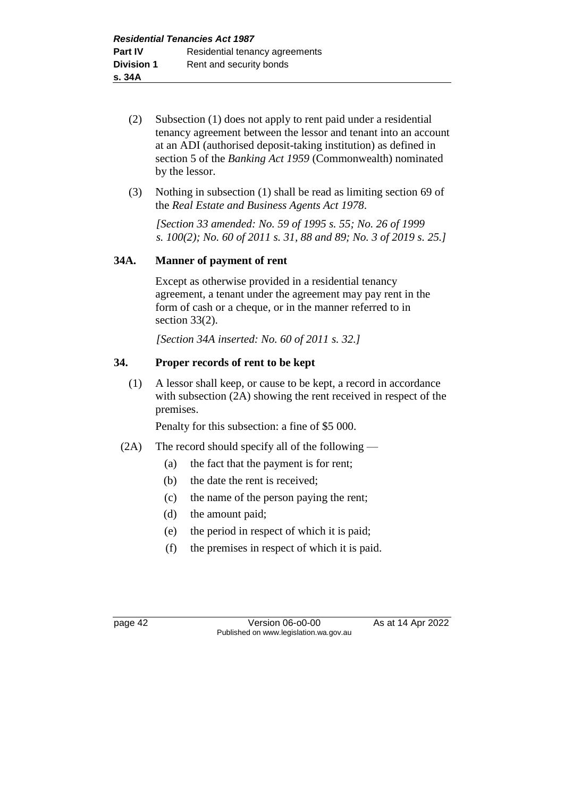- (2) Subsection (1) does not apply to rent paid under a residential tenancy agreement between the lessor and tenant into an account at an ADI (authorised deposit-taking institution) as defined in section 5 of the *Banking Act 1959* (Commonwealth) nominated by the lessor.
- (3) Nothing in subsection (1) shall be read as limiting section 69 of the *Real Estate and Business Agents Act 1978*.

*[Section 33 amended: No. 59 of 1995 s. 55; No. 26 of 1999 s. 100(2); No. 60 of 2011 s. 31, 88 and 89; No. 3 of 2019 s. 25.]* 

# **34A. Manner of payment of rent**

Except as otherwise provided in a residential tenancy agreement, a tenant under the agreement may pay rent in the form of cash or a cheque, or in the manner referred to in section 33(2).

*[Section 34A inserted: No. 60 of 2011 s. 32.]* 

# **34. Proper records of rent to be kept**

(1) A lessor shall keep, or cause to be kept, a record in accordance with subsection (2A) showing the rent received in respect of the premises.

Penalty for this subsection: a fine of \$5 000.

- (2A) The record should specify all of the following
	- (a) the fact that the payment is for rent;
	- (b) the date the rent is received;
	- (c) the name of the person paying the rent;
	- (d) the amount paid;
	- (e) the period in respect of which it is paid;
	- (f) the premises in respect of which it is paid.

page 42 **Version 06-00-00** As at 14 Apr 2022 Published on www.legislation.wa.gov.au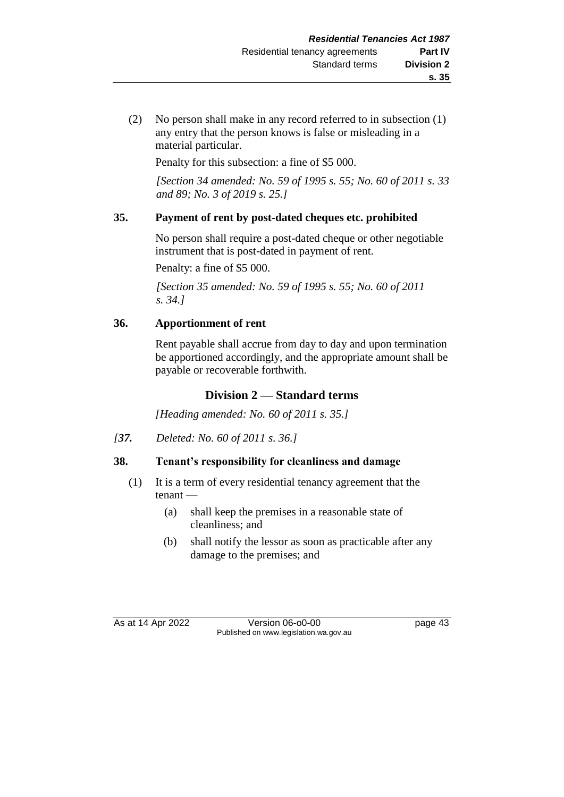(2) No person shall make in any record referred to in subsection (1) any entry that the person knows is false or misleading in a material particular.

Penalty for this subsection: a fine of \$5 000.

*[Section 34 amended: No. 59 of 1995 s. 55; No. 60 of 2011 s. 33 and 89; No. 3 of 2019 s. 25.]* 

# **35. Payment of rent by post-dated cheques etc. prohibited**

No person shall require a post-dated cheque or other negotiable instrument that is post-dated in payment of rent.

Penalty: a fine of \$5 000.

*[Section 35 amended: No. 59 of 1995 s. 55; No. 60 of 2011 s. 34.]* 

# **36. Apportionment of rent**

Rent payable shall accrue from day to day and upon termination be apportioned accordingly, and the appropriate amount shall be payable or recoverable forthwith.

# **Division 2 — Standard terms**

*[Heading amended: No. 60 of 2011 s. 35.]*

*[37. Deleted: No. 60 of 2011 s. 36.]*

# **38. Tenant's responsibility for cleanliness and damage**

- (1) It is a term of every residential tenancy agreement that the tenant —
	- (a) shall keep the premises in a reasonable state of cleanliness; and
	- (b) shall notify the lessor as soon as practicable after any damage to the premises; and

As at 14 Apr 2022 Version 06-o0-00 page 43 Published on www.legislation.wa.gov.au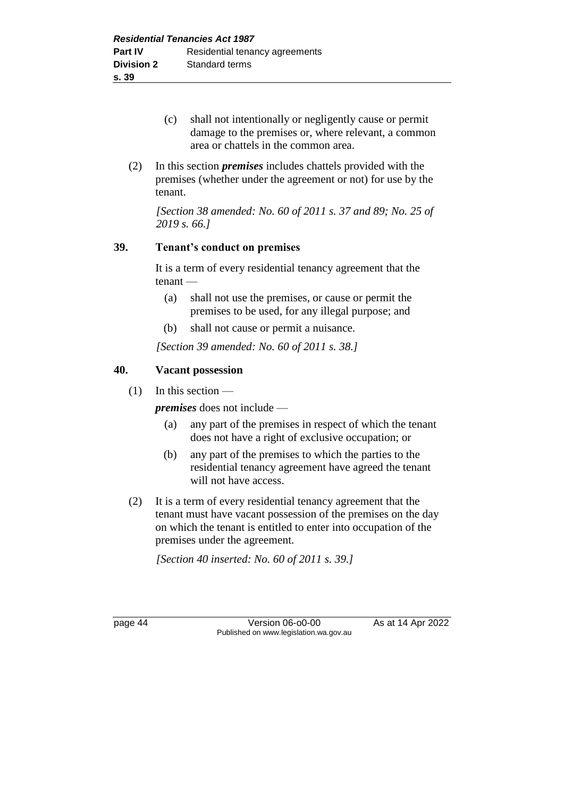- (c) shall not intentionally or negligently cause or permit damage to the premises or, where relevant, a common area or chattels in the common area.
- (2) In this section *premises* includes chattels provided with the premises (whether under the agreement or not) for use by the tenant.

*[Section 38 amended: No. 60 of 2011 s. 37 and 89; No. 25 of 2019 s. 66.]*

#### **39. Tenant's conduct on premises**

It is a term of every residential tenancy agreement that the tenant —

- (a) shall not use the premises, or cause or permit the premises to be used, for any illegal purpose; and
- (b) shall not cause or permit a nuisance.

*[Section 39 amended: No. 60 of 2011 s. 38.]*

#### **40. Vacant possession**

 $(1)$  In this section —

*premises* does not include —

- (a) any part of the premises in respect of which the tenant does not have a right of exclusive occupation; or
- (b) any part of the premises to which the parties to the residential tenancy agreement have agreed the tenant will not have access.
- (2) It is a term of every residential tenancy agreement that the tenant must have vacant possession of the premises on the day on which the tenant is entitled to enter into occupation of the premises under the agreement.

*[Section 40 inserted: No. 60 of 2011 s. 39.]*

page 44 Version 06-o0-00 As at 14 Apr 2022 Published on www.legislation.wa.gov.au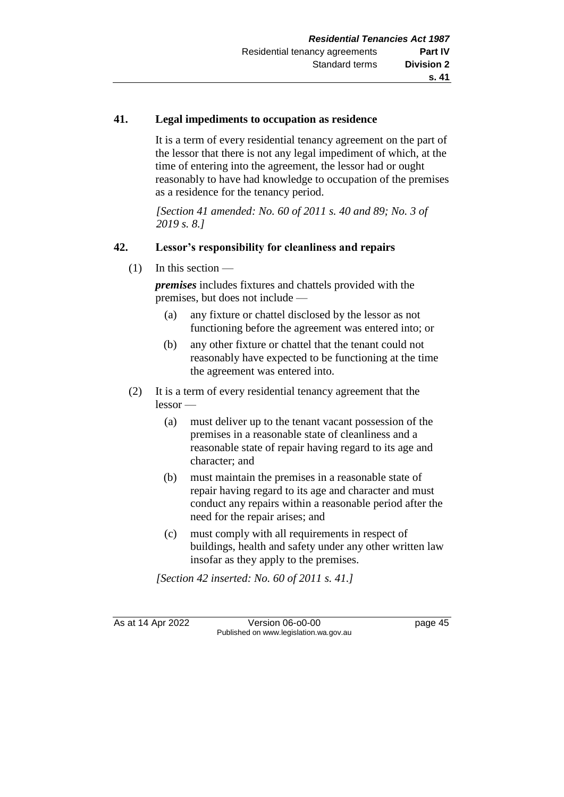# **41. Legal impediments to occupation as residence**

It is a term of every residential tenancy agreement on the part of the lessor that there is not any legal impediment of which, at the time of entering into the agreement, the lessor had or ought reasonably to have had knowledge to occupation of the premises as a residence for the tenancy period.

*[Section 41 amended: No. 60 of 2011 s. 40 and 89; No. 3 of 2019 s. 8.]*

# **42. Lessor's responsibility for cleanliness and repairs**

(1) In this section —

*premises* includes fixtures and chattels provided with the premises, but does not include —

- (a) any fixture or chattel disclosed by the lessor as not functioning before the agreement was entered into; or
- (b) any other fixture or chattel that the tenant could not reasonably have expected to be functioning at the time the agreement was entered into.
- (2) It is a term of every residential tenancy agreement that the lessor —
	- (a) must deliver up to the tenant vacant possession of the premises in a reasonable state of cleanliness and a reasonable state of repair having regard to its age and character; and
	- (b) must maintain the premises in a reasonable state of repair having regard to its age and character and must conduct any repairs within a reasonable period after the need for the repair arises; and
	- (c) must comply with all requirements in respect of buildings, health and safety under any other written law insofar as they apply to the premises.

*[Section 42 inserted: No. 60 of 2011 s. 41.]*

As at 14 Apr 2022 Version 06-o0-00 page 45 Published on www.legislation.wa.gov.au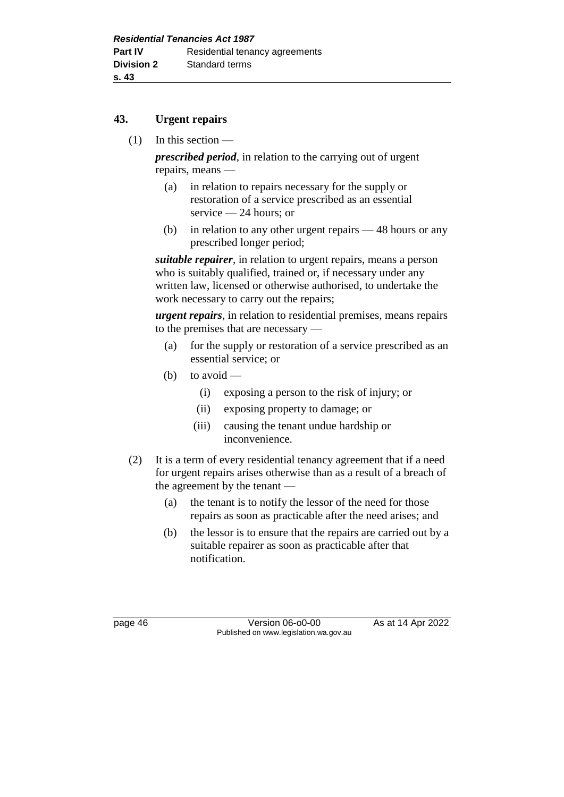#### **43. Urgent repairs**

(1) In this section —

*prescribed period*, in relation to the carrying out of urgent repairs, means —

- (a) in relation to repairs necessary for the supply or restoration of a service prescribed as an essential service — 24 hours; or
- (b) in relation to any other urgent repairs 48 hours or any prescribed longer period;

*suitable repairer*, in relation to urgent repairs, means a person who is suitably qualified, trained or, if necessary under any written law, licensed or otherwise authorised, to undertake the work necessary to carry out the repairs;

*urgent repairs*, in relation to residential premises, means repairs to the premises that are necessary —

- (a) for the supply or restoration of a service prescribed as an essential service; or
- (b) to avoid
	- (i) exposing a person to the risk of injury; or
	- (ii) exposing property to damage; or
	- (iii) causing the tenant undue hardship or inconvenience.
- (2) It is a term of every residential tenancy agreement that if a need for urgent repairs arises otherwise than as a result of a breach of the agreement by the tenant —
	- (a) the tenant is to notify the lessor of the need for those repairs as soon as practicable after the need arises; and
	- (b) the lessor is to ensure that the repairs are carried out by a suitable repairer as soon as practicable after that notification.

page 46 Version 06-o0-00 As at 14 Apr 2022 Published on www.legislation.wa.gov.au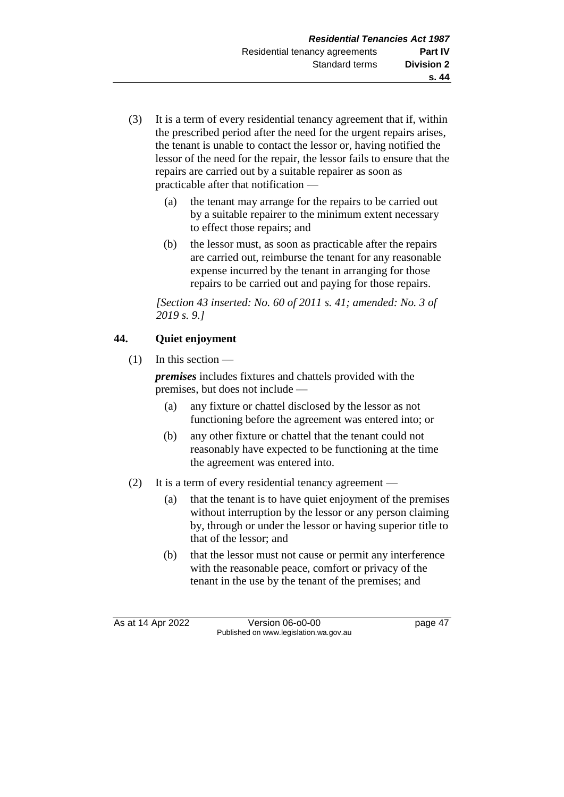- (3) It is a term of every residential tenancy agreement that if, within the prescribed period after the need for the urgent repairs arises, the tenant is unable to contact the lessor or, having notified the lessor of the need for the repair, the lessor fails to ensure that the repairs are carried out by a suitable repairer as soon as practicable after that notification —
	- (a) the tenant may arrange for the repairs to be carried out by a suitable repairer to the minimum extent necessary to effect those repairs; and
	- (b) the lessor must, as soon as practicable after the repairs are carried out, reimburse the tenant for any reasonable expense incurred by the tenant in arranging for those repairs to be carried out and paying for those repairs.

*[Section 43 inserted: No. 60 of 2011 s. 41; amended: No. 3 of 2019 s. 9.]*

# **44. Quiet enjoyment**

 $(1)$  In this section —

*premises* includes fixtures and chattels provided with the premises, but does not include —

- (a) any fixture or chattel disclosed by the lessor as not functioning before the agreement was entered into; or
- (b) any other fixture or chattel that the tenant could not reasonably have expected to be functioning at the time the agreement was entered into.
- (2) It is a term of every residential tenancy agreement
	- (a) that the tenant is to have quiet enjoyment of the premises without interruption by the lessor or any person claiming by, through or under the lessor or having superior title to that of the lessor; and
	- (b) that the lessor must not cause or permit any interference with the reasonable peace, comfort or privacy of the tenant in the use by the tenant of the premises; and

As at 14 Apr 2022 Version 06-o0-00 page 47 Published on www.legislation.wa.gov.au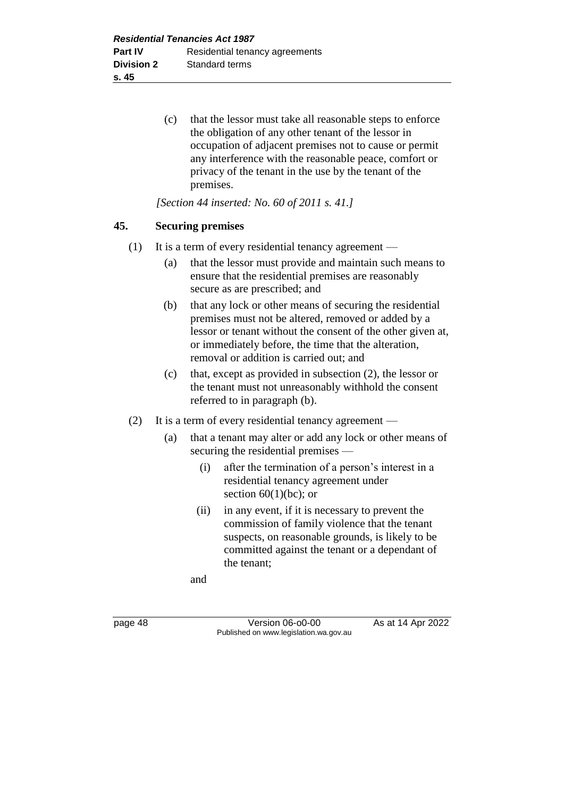(c) that the lessor must take all reasonable steps to enforce the obligation of any other tenant of the lessor in occupation of adjacent premises not to cause or permit any interference with the reasonable peace, comfort or privacy of the tenant in the use by the tenant of the premises.

*[Section 44 inserted: No. 60 of 2011 s. 41.]*

#### **45. Securing premises**

- (1) It is a term of every residential tenancy agreement
	- (a) that the lessor must provide and maintain such means to ensure that the residential premises are reasonably secure as are prescribed; and
	- (b) that any lock or other means of securing the residential premises must not be altered, removed or added by a lessor or tenant without the consent of the other given at, or immediately before, the time that the alteration, removal or addition is carried out; and
	- (c) that, except as provided in subsection (2), the lessor or the tenant must not unreasonably withhold the consent referred to in paragraph (b).
- (2) It is a term of every residential tenancy agreement
	- (a) that a tenant may alter or add any lock or other means of securing the residential premises —
		- (i) after the termination of a person's interest in a residential tenancy agreement under section  $60(1)(bc)$ ; or
		- (ii) in any event, if it is necessary to prevent the commission of family violence that the tenant suspects, on reasonable grounds, is likely to be committed against the tenant or a dependant of the tenant;

and

page 48 Version 06-00-00 As at 14 Apr 2022 Published on www.legislation.wa.gov.au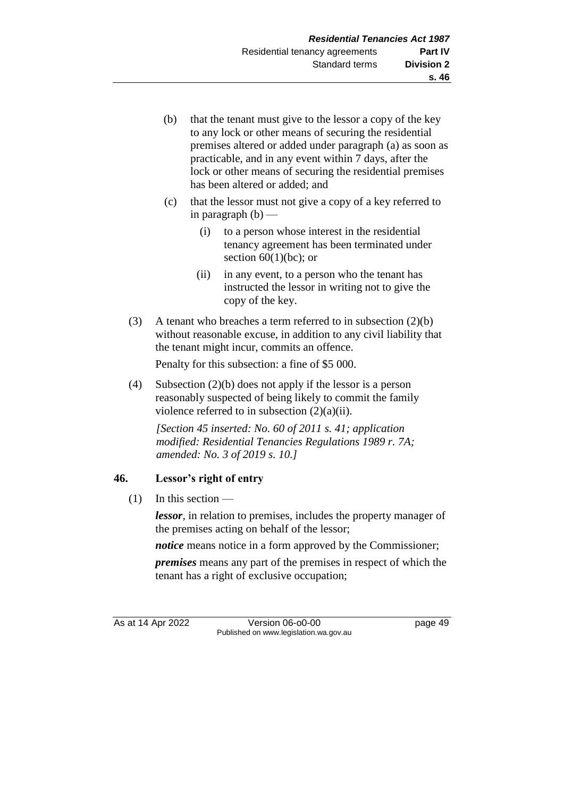- (b) that the tenant must give to the lessor a copy of the key to any lock or other means of securing the residential premises altered or added under paragraph (a) as soon as practicable, and in any event within 7 days, after the lock or other means of securing the residential premises has been altered or added; and
- (c) that the lessor must not give a copy of a key referred to in paragraph  $(b)$  —
	- (i) to a person whose interest in the residential tenancy agreement has been terminated under section  $60(1)(bc)$ ; or
	- (ii) in any event, to a person who the tenant has instructed the lessor in writing not to give the copy of the key.
- (3) A tenant who breaches a term referred to in subsection (2)(b) without reasonable excuse, in addition to any civil liability that the tenant might incur, commits an offence.

Penalty for this subsection: a fine of \$5 000.

(4) Subsection (2)(b) does not apply if the lessor is a person reasonably suspected of being likely to commit the family violence referred to in subsection (2)(a)(ii).

*[Section 45 inserted: No. 60 of 2011 s. 41; application modified: Residential Tenancies Regulations 1989 r. 7A; amended: No. 3 of 2019 s. 10.]*

# **46. Lessor's right of entry**

 $(1)$  In this section —

*lessor*, in relation to premises, includes the property manager of the premises acting on behalf of the lessor;

*notice* means notice in a form approved by the Commissioner;

*premises* means any part of the premises in respect of which the tenant has a right of exclusive occupation;

As at 14 Apr 2022 Version 06-o0-00 page 49 Published on www.legislation.wa.gov.au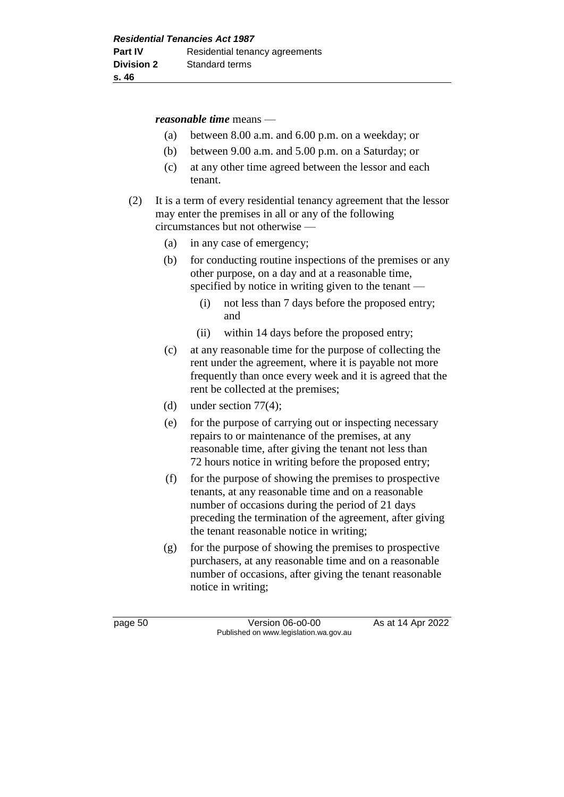#### *reasonable time* means —

- (a) between 8.00 a.m. and 6.00 p.m. on a weekday; or
- (b) between 9.00 a.m. and 5.00 p.m. on a Saturday; or
- (c) at any other time agreed between the lessor and each tenant.
- (2) It is a term of every residential tenancy agreement that the lessor may enter the premises in all or any of the following circumstances but not otherwise —
	- (a) in any case of emergency;
	- (b) for conducting routine inspections of the premises or any other purpose, on a day and at a reasonable time, specified by notice in writing given to the tenant —
		- (i) not less than 7 days before the proposed entry; and
		- (ii) within 14 days before the proposed entry;
	- (c) at any reasonable time for the purpose of collecting the rent under the agreement, where it is payable not more frequently than once every week and it is agreed that the rent be collected at the premises;
	- (d) under section  $77(4)$ ;
	- (e) for the purpose of carrying out or inspecting necessary repairs to or maintenance of the premises, at any reasonable time, after giving the tenant not less than 72 hours notice in writing before the proposed entry;
	- (f) for the purpose of showing the premises to prospective tenants, at any reasonable time and on a reasonable number of occasions during the period of 21 days preceding the termination of the agreement, after giving the tenant reasonable notice in writing;
	- (g) for the purpose of showing the premises to prospective purchasers, at any reasonable time and on a reasonable number of occasions, after giving the tenant reasonable notice in writing;

page 50 Version 06-00-00 As at 14 Apr 2022 Published on www.legislation.wa.gov.au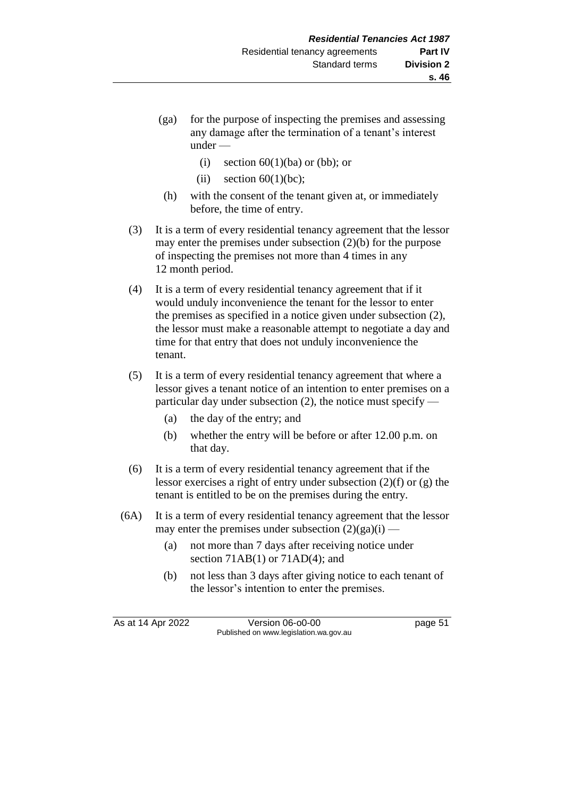- (ga) for the purpose of inspecting the premises and assessing any damage after the termination of a tenant's interest under —
	- (i) section  $60(1)(ba)$  or (bb); or
	- (ii) section  $60(1)(bc)$ ;
	- (h) with the consent of the tenant given at, or immediately before, the time of entry.
- (3) It is a term of every residential tenancy agreement that the lessor may enter the premises under subsection (2)(b) for the purpose of inspecting the premises not more than 4 times in any 12 month period.
- (4) It is a term of every residential tenancy agreement that if it would unduly inconvenience the tenant for the lessor to enter the premises as specified in a notice given under subsection (2), the lessor must make a reasonable attempt to negotiate a day and time for that entry that does not unduly inconvenience the tenant.
- (5) It is a term of every residential tenancy agreement that where a lessor gives a tenant notice of an intention to enter premises on a particular day under subsection (2), the notice must specify —
	- (a) the day of the entry; and
	- (b) whether the entry will be before or after 12.00 p.m. on that day.
- (6) It is a term of every residential tenancy agreement that if the lessor exercises a right of entry under subsection (2)(f) or (g) the tenant is entitled to be on the premises during the entry.
- (6A) It is a term of every residential tenancy agreement that the lessor may enter the premises under subsection  $(2)(ga)(i)$ .
	- (a) not more than 7 days after receiving notice under section 71AB(1) or 71AD(4); and
	- (b) not less than 3 days after giving notice to each tenant of the lessor's intention to enter the premises.

As at 14 Apr 2022 Version 06-o0-00 page 51 Published on www.legislation.wa.gov.au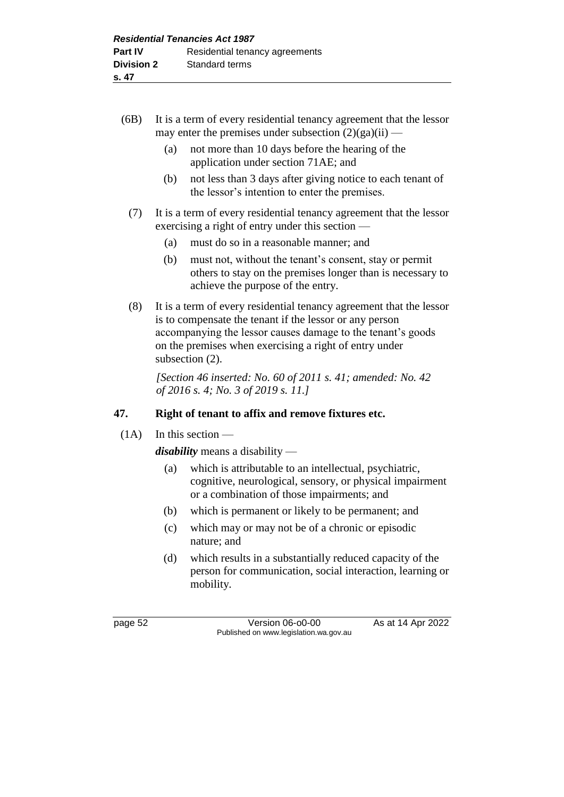- (6B) It is a term of every residential tenancy agreement that the lessor may enter the premises under subsection  $(2)(ga)(ii)$  —
	- (a) not more than 10 days before the hearing of the application under section 71AE; and
	- (b) not less than 3 days after giving notice to each tenant of the lessor's intention to enter the premises.
	- (7) It is a term of every residential tenancy agreement that the lessor exercising a right of entry under this section —
		- (a) must do so in a reasonable manner; and
		- (b) must not, without the tenant's consent, stay or permit others to stay on the premises longer than is necessary to achieve the purpose of the entry.
	- (8) It is a term of every residential tenancy agreement that the lessor is to compensate the tenant if the lessor or any person accompanying the lessor causes damage to the tenant's goods on the premises when exercising a right of entry under subsection (2).

*[Section 46 inserted: No. 60 of 2011 s. 41; amended: No. 42 of 2016 s. 4; No. 3 of 2019 s. 11.]*

# **47. Right of tenant to affix and remove fixtures etc.**

 $(1A)$  In this section —

*disability* means a disability —

- (a) which is attributable to an intellectual, psychiatric, cognitive, neurological, sensory, or physical impairment or a combination of those impairments; and
- (b) which is permanent or likely to be permanent; and
- (c) which may or may not be of a chronic or episodic nature; and
- (d) which results in a substantially reduced capacity of the person for communication, social interaction, learning or mobility.

page 52 Version 06-o0-00 As at 14 Apr 2022 Published on www.legislation.wa.gov.au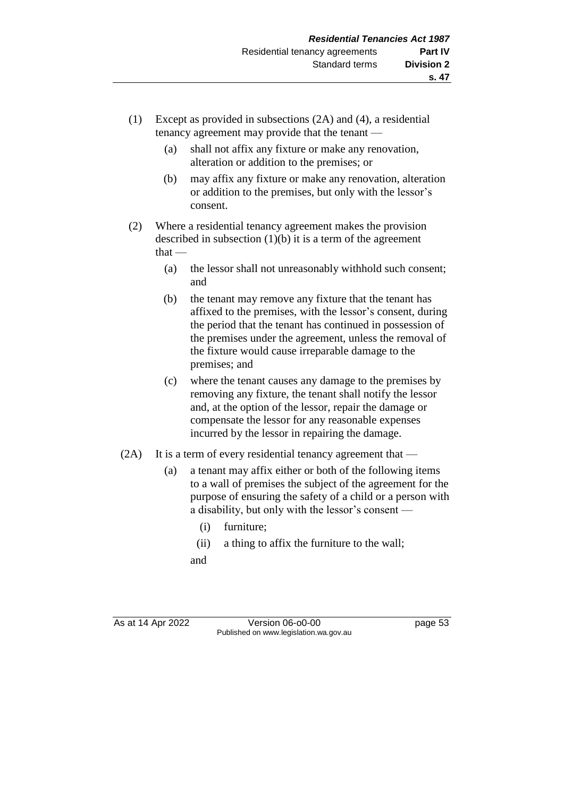- (1) Except as provided in subsections (2A) and (4), a residential tenancy agreement may provide that the tenant —
	- (a) shall not affix any fixture or make any renovation, alteration or addition to the premises; or
	- (b) may affix any fixture or make any renovation, alteration or addition to the premises, but only with the lessor's consent.
- (2) Where a residential tenancy agreement makes the provision described in subsection (1)(b) it is a term of the agreement that —
	- (a) the lessor shall not unreasonably withhold such consent; and
	- (b) the tenant may remove any fixture that the tenant has affixed to the premises, with the lessor's consent, during the period that the tenant has continued in possession of the premises under the agreement, unless the removal of the fixture would cause irreparable damage to the premises; and
	- (c) where the tenant causes any damage to the premises by removing any fixture, the tenant shall notify the lessor and, at the option of the lessor, repair the damage or compensate the lessor for any reasonable expenses incurred by the lessor in repairing the damage.
- (2A) It is a term of every residential tenancy agreement that
	- (a) a tenant may affix either or both of the following items to a wall of premises the subject of the agreement for the purpose of ensuring the safety of a child or a person with a disability, but only with the lessor's consent —
		- (i) furniture;
		- (ii) a thing to affix the furniture to the wall; and
- 

As at 14 Apr 2022 Version 06-00-00 Published on www.legislation.wa.gov.au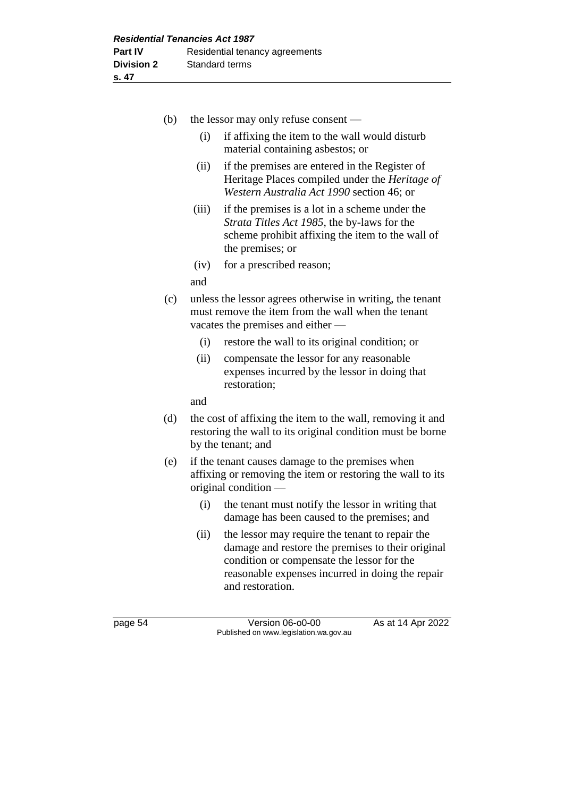| (b) |                                                                                                                                                      | the lessor may only refuse consent —                                                                                                                                  |  |
|-----|------------------------------------------------------------------------------------------------------------------------------------------------------|-----------------------------------------------------------------------------------------------------------------------------------------------------------------------|--|
|     | (i)                                                                                                                                                  | if affixing the item to the wall would disturb<br>material containing asbestos; or                                                                                    |  |
|     | (ii)                                                                                                                                                 | if the premises are entered in the Register of<br>Heritage Places compiled under the Heritage of<br>Western Australia Act 1990 section 46; or                         |  |
|     | (iii)                                                                                                                                                | if the premises is a lot in a scheme under the<br>Strata Titles Act 1985, the by-laws for the<br>scheme prohibit affixing the item to the wall of<br>the premises; or |  |
|     | (iv)                                                                                                                                                 | for a prescribed reason;                                                                                                                                              |  |
|     | and                                                                                                                                                  |                                                                                                                                                                       |  |
| (c) | unless the lessor agrees otherwise in writing, the tenant<br>must remove the item from the wall when the tenant<br>vacates the premises and either — |                                                                                                                                                                       |  |
|     | (i)                                                                                                                                                  | restore the wall to its original condition; or                                                                                                                        |  |
|     | (ii)                                                                                                                                                 | compensate the lessor for any reasonable<br>expenses incurred by the lessor in doing that<br>restoration;                                                             |  |
|     | and                                                                                                                                                  |                                                                                                                                                                       |  |
| (d) | the cost of affixing the item to the wall, removing it and<br>restoring the wall to its original condition must be borne<br>by the tenant; and       |                                                                                                                                                                       |  |
| (e) |                                                                                                                                                      | if the tenant causes damage to the premises when<br>affixing or removing the item or restoring the wall to its<br>original condition $-$                              |  |
|     | (i)                                                                                                                                                  | the tenant must notify the lessor in writing that<br>damage has been caused to the premises; and                                                                      |  |
|     | (ii)                                                                                                                                                 | the lessor may require the tenant to repair the                                                                                                                       |  |

(ii) the lessor may require the tenant to repair the damage and restore the premises to their original condition or compensate the lessor for the reasonable expenses incurred in doing the repair and restoration.

page 54 Version 06-o0-00 As at 14 Apr 2022 Published on www.legislation.wa.gov.au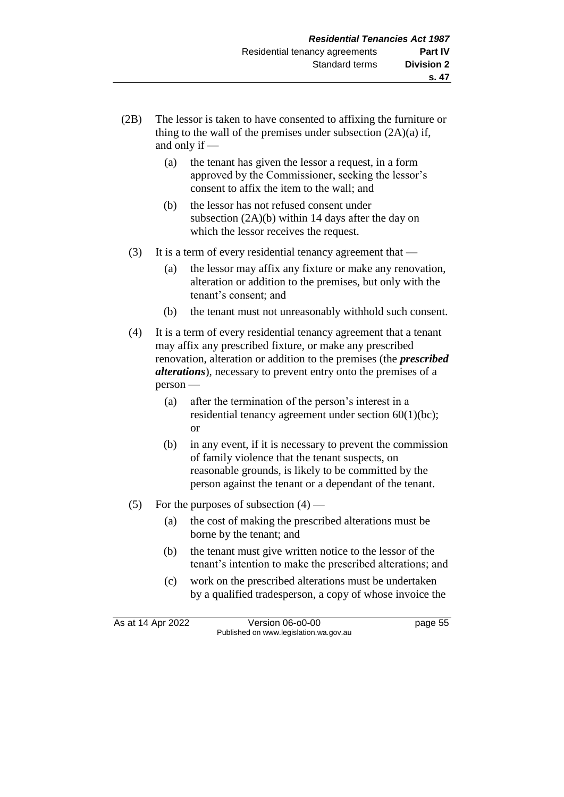- (2B) The lessor is taken to have consented to affixing the furniture or thing to the wall of the premises under subsection  $(2A)(a)$  if, and only if —
	- (a) the tenant has given the lessor a request, in a form approved by the Commissioner, seeking the lessor's consent to affix the item to the wall; and
	- (b) the lessor has not refused consent under subsection (2A)(b) within 14 days after the day on which the lessor receives the request.
	- (3) It is a term of every residential tenancy agreement that
		- (a) the lessor may affix any fixture or make any renovation, alteration or addition to the premises, but only with the tenant's consent; and
		- (b) the tenant must not unreasonably withhold such consent.
	- (4) It is a term of every residential tenancy agreement that a tenant may affix any prescribed fixture, or make any prescribed renovation, alteration or addition to the premises (the *prescribed alterations*), necessary to prevent entry onto the premises of a person —
		- (a) after the termination of the person's interest in a residential tenancy agreement under section 60(1)(bc); or
		- (b) in any event, if it is necessary to prevent the commission of family violence that the tenant suspects, on reasonable grounds, is likely to be committed by the person against the tenant or a dependant of the tenant.
	- (5) For the purposes of subsection  $(4)$ 
		- (a) the cost of making the prescribed alterations must be borne by the tenant; and
		- (b) the tenant must give written notice to the lessor of the tenant's intention to make the prescribed alterations; and
		- (c) work on the prescribed alterations must be undertaken by a qualified tradesperson, a copy of whose invoice the

As at 14 Apr 2022 Version 06-o0-00 page 55 Published on www.legislation.wa.gov.au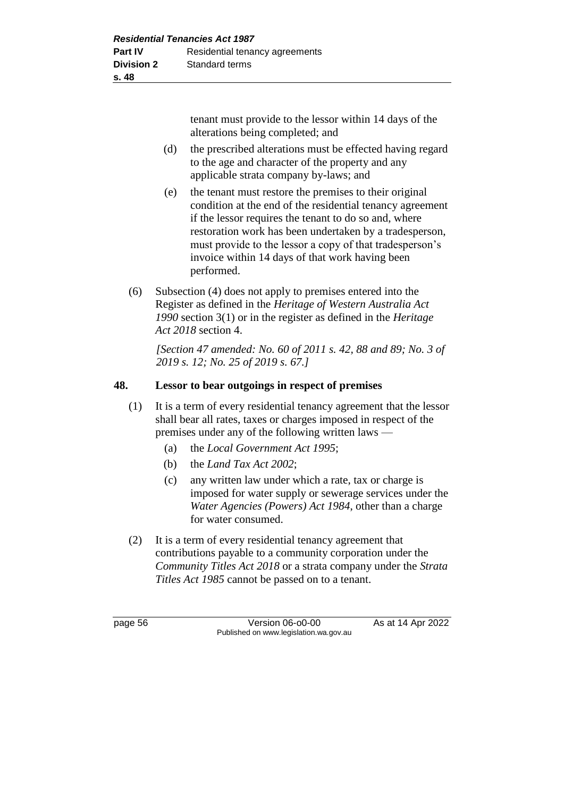tenant must provide to the lessor within 14 days of the alterations being completed; and

- (d) the prescribed alterations must be effected having regard to the age and character of the property and any applicable strata company by-laws; and
- (e) the tenant must restore the premises to their original condition at the end of the residential tenancy agreement if the lessor requires the tenant to do so and, where restoration work has been undertaken by a tradesperson, must provide to the lessor a copy of that tradesperson's invoice within 14 days of that work having been performed.
- (6) Subsection (4) does not apply to premises entered into the Register as defined in the *Heritage of Western Australia Act 1990* section 3(1) or in the register as defined in the *Heritage Act 2018* section 4.

*[Section 47 amended: No. 60 of 2011 s. 42, 88 and 89; No. 3 of 2019 s. 12; No. 25 of 2019 s. 67.]* 

# **48. Lessor to bear outgoings in respect of premises**

- (1) It is a term of every residential tenancy agreement that the lessor shall bear all rates, taxes or charges imposed in respect of the premises under any of the following written laws —
	- (a) the *Local Government Act 1995*;
	- (b) the *Land Tax Act 2002*;
	- (c) any written law under which a rate, tax or charge is imposed for water supply or sewerage services under the *Water Agencies (Powers) Act 1984*, other than a charge for water consumed.
- (2) It is a term of every residential tenancy agreement that contributions payable to a community corporation under the *Community Titles Act 2018* or a strata company under the *Strata Titles Act 1985* cannot be passed on to a tenant.

page 56 **Version 06-00-00** As at 14 Apr 2022 Published on www.legislation.wa.gov.au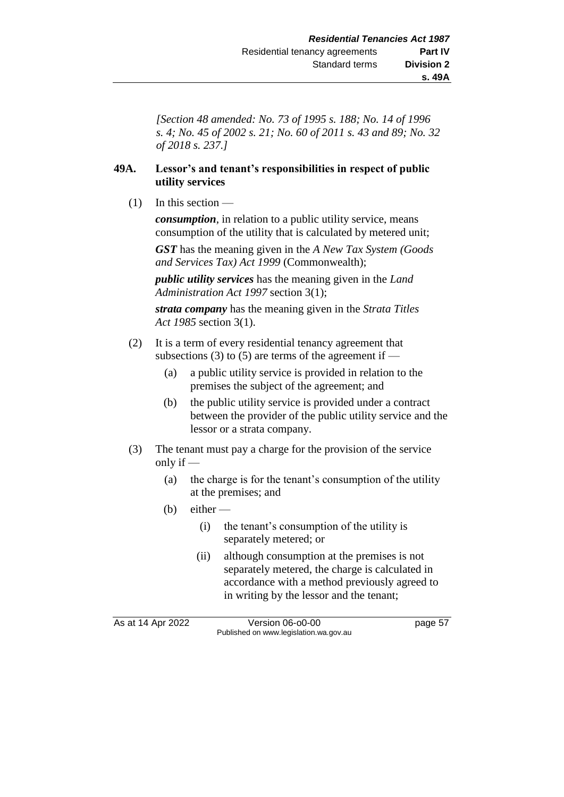*[Section 48 amended: No. 73 of 1995 s. 188; No. 14 of 1996 s. 4; No. 45 of 2002 s. 21; No. 60 of 2011 s. 43 and 89; No. 32 of 2018 s. 237.]* 

#### **49A. Lessor's and tenant's responsibilities in respect of public utility services**

 $(1)$  In this section —

*consumption*, in relation to a public utility service, means consumption of the utility that is calculated by metered unit;

*GST* has the meaning given in the *A New Tax System (Goods and Services Tax) Act 1999* (Commonwealth);

*public utility services* has the meaning given in the *Land Administration Act 1997* section 3(1);

*strata company* has the meaning given in the *Strata Titles Act 1985* section 3(1).

- (2) It is a term of every residential tenancy agreement that subsections (3) to (5) are terms of the agreement if —
	- (a) a public utility service is provided in relation to the premises the subject of the agreement; and
	- (b) the public utility service is provided under a contract between the provider of the public utility service and the lessor or a strata company.
- (3) The tenant must pay a charge for the provision of the service only if —
	- (a) the charge is for the tenant's consumption of the utility at the premises; and
	- (b) either  $-$ 
		- (i) the tenant's consumption of the utility is separately metered; or
		- (ii) although consumption at the premises is not separately metered, the charge is calculated in accordance with a method previously agreed to in writing by the lessor and the tenant;

As at 14 Apr 2022 Version 06-00-00 Published on www.legislation.wa.gov.au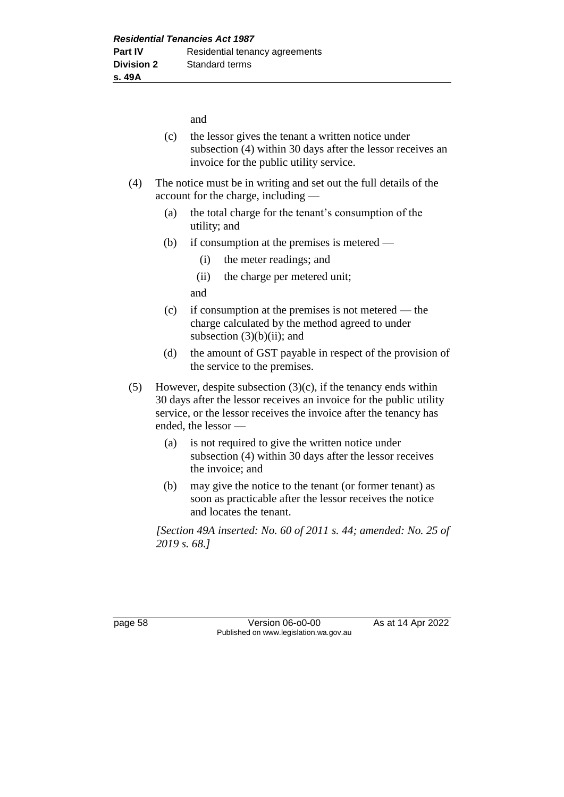and

- (c) the lessor gives the tenant a written notice under subsection (4) within 30 days after the lessor receives an invoice for the public utility service.
- (4) The notice must be in writing and set out the full details of the account for the charge, including —
	- (a) the total charge for the tenant's consumption of the utility; and
	- (b) if consumption at the premises is metered
		- (i) the meter readings; and
		- (ii) the charge per metered unit;

and

- (c) if consumption at the premises is not metered the charge calculated by the method agreed to under subsection  $(3)(b)(ii)$ ; and
- (d) the amount of GST payable in respect of the provision of the service to the premises.
- (5) However, despite subsection  $(3)(c)$ , if the tenancy ends within 30 days after the lessor receives an invoice for the public utility service, or the lessor receives the invoice after the tenancy has ended, the lessor —
	- (a) is not required to give the written notice under subsection (4) within 30 days after the lessor receives the invoice; and
	- (b) may give the notice to the tenant (or former tenant) as soon as practicable after the lessor receives the notice and locates the tenant.

*[Section 49A inserted: No. 60 of 2011 s. 44; amended: No. 25 of 2019 s. 68.]* 

page 58 Version 06-o0-00 As at 14 Apr 2022 Published on www.legislation.wa.gov.au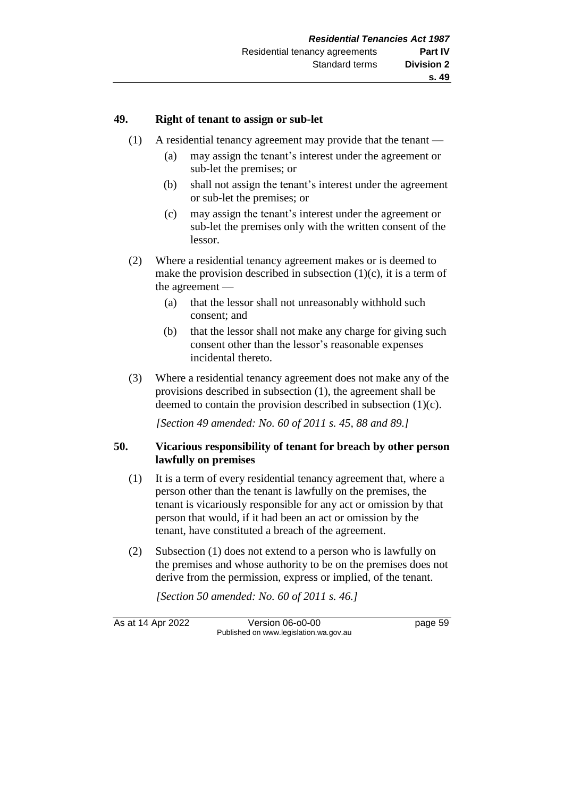#### **49. Right of tenant to assign or sub-let**

- (1) A residential tenancy agreement may provide that the tenant
	- (a) may assign the tenant's interest under the agreement or sub-let the premises; or
	- (b) shall not assign the tenant's interest under the agreement or sub-let the premises; or
	- (c) may assign the tenant's interest under the agreement or sub-let the premises only with the written consent of the lessor.
- (2) Where a residential tenancy agreement makes or is deemed to make the provision described in subsection  $(1)(c)$ , it is a term of the agreement —
	- (a) that the lessor shall not unreasonably withhold such consent; and
	- (b) that the lessor shall not make any charge for giving such consent other than the lessor's reasonable expenses incidental thereto.
- (3) Where a residential tenancy agreement does not make any of the provisions described in subsection (1), the agreement shall be deemed to contain the provision described in subsection (1)(c).

*[Section 49 amended: No. 60 of 2011 s. 45, 88 and 89.]* 

#### **50. Vicarious responsibility of tenant for breach by other person lawfully on premises**

- (1) It is a term of every residential tenancy agreement that, where a person other than the tenant is lawfully on the premises, the tenant is vicariously responsible for any act or omission by that person that would, if it had been an act or omission by the tenant, have constituted a breach of the agreement.
- (2) Subsection (1) does not extend to a person who is lawfully on the premises and whose authority to be on the premises does not derive from the permission, express or implied, of the tenant.

*[Section 50 amended: No. 60 of 2011 s. 46.]* 

As at 14 Apr 2022 Version 06-o0-00 page 59 Published on www.legislation.wa.gov.au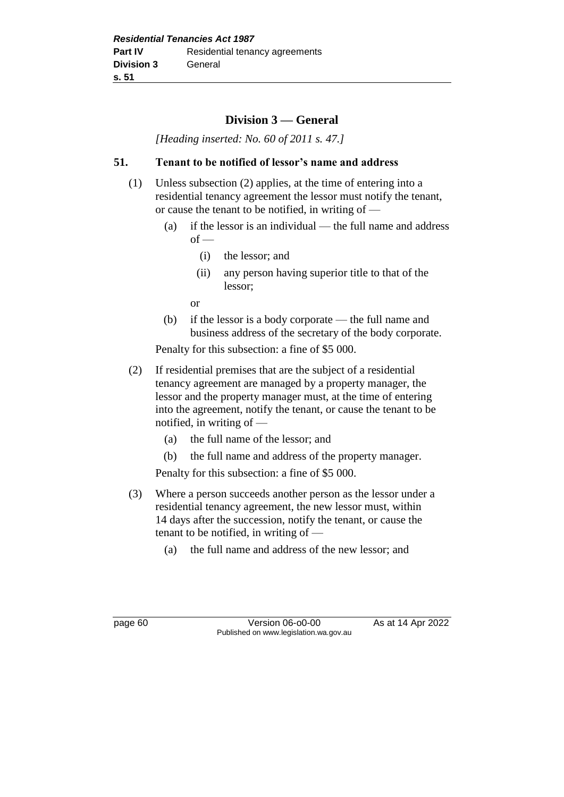# **Division 3 — General**

*[Heading inserted: No. 60 of 2011 s. 47.]* 

#### **51. Tenant to be notified of lessor's name and address**

- (1) Unless subsection (2) applies, at the time of entering into a residential tenancy agreement the lessor must notify the tenant, or cause the tenant to be notified, in writing of —
	- (a) if the lessor is an individual the full name and address  $of -$ 
		- (i) the lessor; and
		- (ii) any person having superior title to that of the lessor;

or

(b) if the lessor is a body corporate — the full name and business address of the secretary of the body corporate.

Penalty for this subsection: a fine of \$5 000.

- (2) If residential premises that are the subject of a residential tenancy agreement are managed by a property manager, the lessor and the property manager must, at the time of entering into the agreement, notify the tenant, or cause the tenant to be notified, in writing of —
	- (a) the full name of the lessor; and
	- (b) the full name and address of the property manager.

Penalty for this subsection: a fine of \$5 000.

- (3) Where a person succeeds another person as the lessor under a residential tenancy agreement, the new lessor must, within 14 days after the succession, notify the tenant, or cause the tenant to be notified, in writing of —
	- (a) the full name and address of the new lessor; and

page 60 Version 06-00-00 As at 14 Apr 2022 Published on www.legislation.wa.gov.au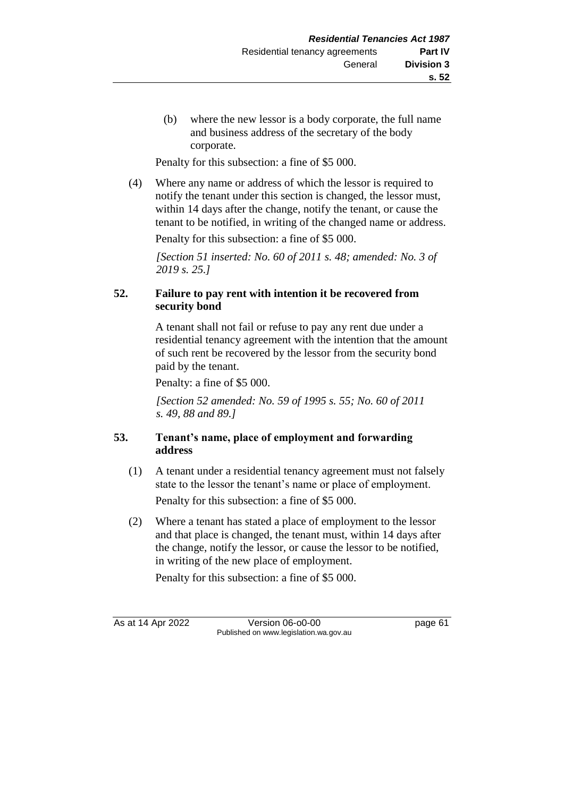(b) where the new lessor is a body corporate, the full name and business address of the secretary of the body corporate.

Penalty for this subsection: a fine of \$5 000.

(4) Where any name or address of which the lessor is required to notify the tenant under this section is changed, the lessor must, within 14 days after the change, notify the tenant, or cause the tenant to be notified, in writing of the changed name or address.

Penalty for this subsection: a fine of \$5 000.

*[Section 51 inserted: No. 60 of 2011 s. 48; amended: No. 3 of 2019 s. 25.]* 

# **52. Failure to pay rent with intention it be recovered from security bond**

A tenant shall not fail or refuse to pay any rent due under a residential tenancy agreement with the intention that the amount of such rent be recovered by the lessor from the security bond paid by the tenant.

Penalty: a fine of \$5 000.

*[Section 52 amended: No. 59 of 1995 s. 55; No. 60 of 2011 s. 49, 88 and 89.]* 

# **53. Tenant's name, place of employment and forwarding address**

(1) A tenant under a residential tenancy agreement must not falsely state to the lessor the tenant's name or place of employment.

Penalty for this subsection: a fine of \$5 000.

(2) Where a tenant has stated a place of employment to the lessor and that place is changed, the tenant must, within 14 days after the change, notify the lessor, or cause the lessor to be notified, in writing of the new place of employment.

Penalty for this subsection: a fine of \$5 000.

As at 14 Apr 2022 Version 06-o0-00 page 61 Published on www.legislation.wa.gov.au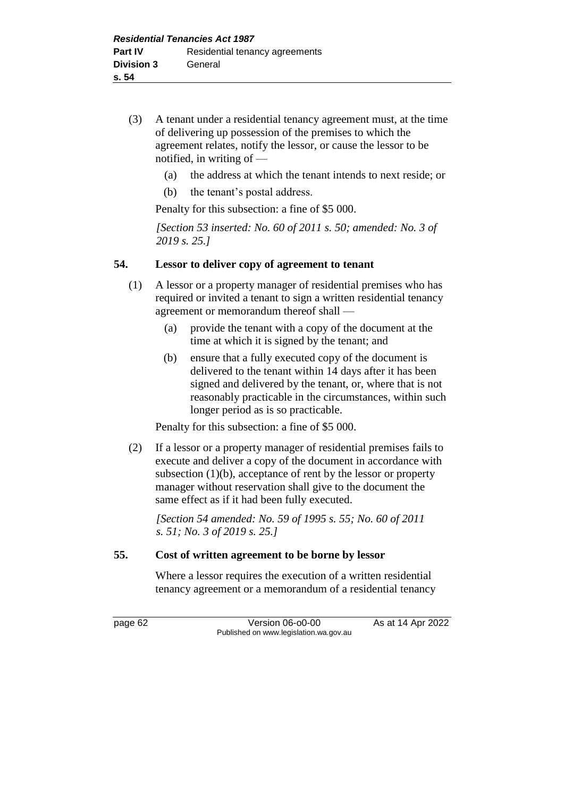- (3) A tenant under a residential tenancy agreement must, at the time of delivering up possession of the premises to which the agreement relates, notify the lessor, or cause the lessor to be notified, in writing of —
	- (a) the address at which the tenant intends to next reside; or
	- (b) the tenant's postal address.

Penalty for this subsection: a fine of \$5 000.

*[Section 53 inserted: No. 60 of 2011 s. 50; amended: No. 3 of 2019 s. 25.]* 

#### **54. Lessor to deliver copy of agreement to tenant**

- (1) A lessor or a property manager of residential premises who has required or invited a tenant to sign a written residential tenancy agreement or memorandum thereof shall —
	- (a) provide the tenant with a copy of the document at the time at which it is signed by the tenant; and
	- (b) ensure that a fully executed copy of the document is delivered to the tenant within 14 days after it has been signed and delivered by the tenant, or, where that is not reasonably practicable in the circumstances, within such longer period as is so practicable.

Penalty for this subsection: a fine of \$5 000.

(2) If a lessor or a property manager of residential premises fails to execute and deliver a copy of the document in accordance with subsection (1)(b), acceptance of rent by the lessor or property manager without reservation shall give to the document the same effect as if it had been fully executed.

*[Section 54 amended: No. 59 of 1995 s. 55; No. 60 of 2011 s. 51; No. 3 of 2019 s. 25.]* 

#### **55. Cost of written agreement to be borne by lessor**

Where a lessor requires the execution of a written residential tenancy agreement or a memorandum of a residential tenancy

page 62 Version 06-00-00 As at 14 Apr 2022 Published on www.legislation.wa.gov.au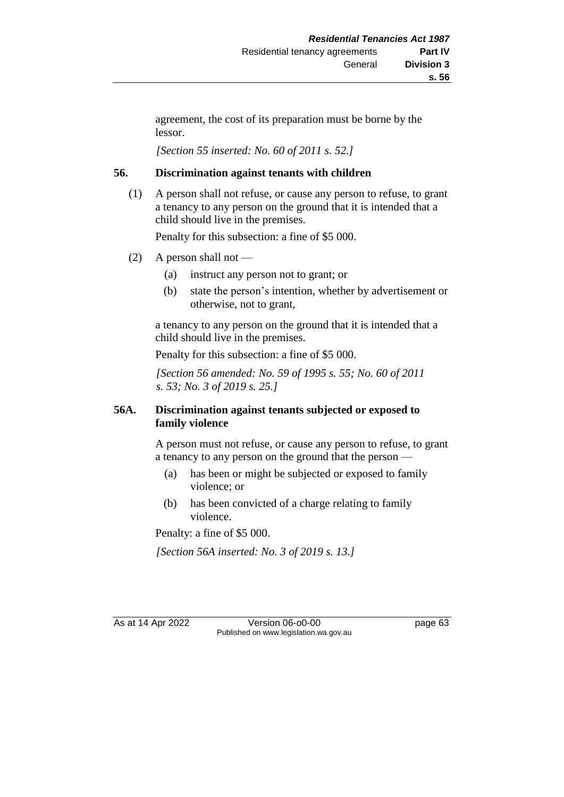agreement, the cost of its preparation must be borne by the lessor.

*[Section 55 inserted: No. 60 of 2011 s. 52.]* 

### **56. Discrimination against tenants with children**

(1) A person shall not refuse, or cause any person to refuse, to grant a tenancy to any person on the ground that it is intended that a child should live in the premises.

Penalty for this subsection: a fine of \$5 000.

- (2) A person shall not
	- (a) instruct any person not to grant; or
	- (b) state the person's intention, whether by advertisement or otherwise, not to grant,

a tenancy to any person on the ground that it is intended that a child should live in the premises.

Penalty for this subsection: a fine of \$5 000.

*[Section 56 amended: No. 59 of 1995 s. 55; No. 60 of 2011 s. 53; No. 3 of 2019 s. 25.]* 

## **56A. Discrimination against tenants subjected or exposed to family violence**

A person must not refuse, or cause any person to refuse, to grant a tenancy to any person on the ground that the person —

- (a) has been or might be subjected or exposed to family violence; or
- (b) has been convicted of a charge relating to family violence.

Penalty: a fine of \$5 000.

*[Section 56A inserted: No. 3 of 2019 s. 13.]* 

As at 14 Apr 2022 Version 06-o0-00 page 63 Published on www.legislation.wa.gov.au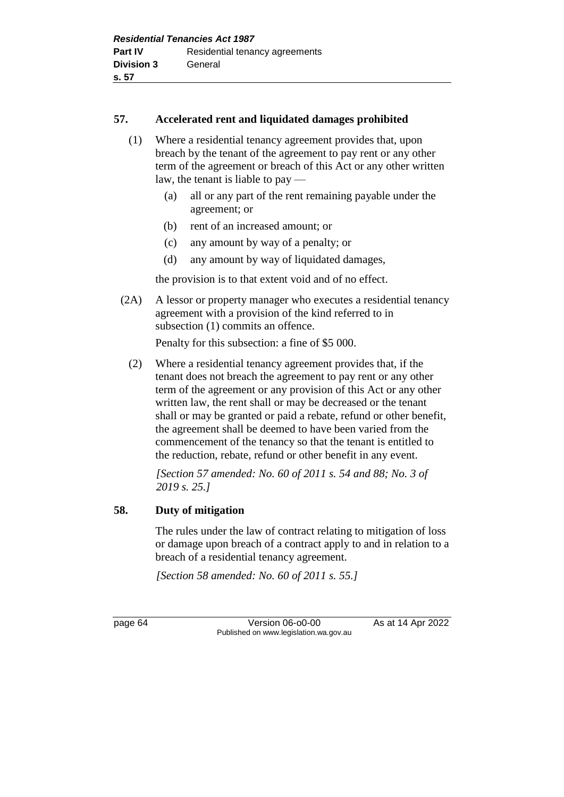#### **57. Accelerated rent and liquidated damages prohibited**

- (1) Where a residential tenancy agreement provides that, upon breach by the tenant of the agreement to pay rent or any other term of the agreement or breach of this Act or any other written law, the tenant is liable to pay —
	- (a) all or any part of the rent remaining payable under the agreement; or
	- (b) rent of an increased amount; or
	- (c) any amount by way of a penalty; or
	- (d) any amount by way of liquidated damages,

the provision is to that extent void and of no effect.

(2A) A lessor or property manager who executes a residential tenancy agreement with a provision of the kind referred to in subsection (1) commits an offence.

Penalty for this subsection: a fine of \$5 000.

(2) Where a residential tenancy agreement provides that, if the tenant does not breach the agreement to pay rent or any other term of the agreement or any provision of this Act or any other written law, the rent shall or may be decreased or the tenant shall or may be granted or paid a rebate, refund or other benefit, the agreement shall be deemed to have been varied from the commencement of the tenancy so that the tenant is entitled to the reduction, rebate, refund or other benefit in any event.

*[Section 57 amended: No. 60 of 2011 s. 54 and 88; No. 3 of 2019 s. 25.]* 

## **58. Duty of mitigation**

The rules under the law of contract relating to mitigation of loss or damage upon breach of a contract apply to and in relation to a breach of a residential tenancy agreement.

*[Section 58 amended: No. 60 of 2011 s. 55.]* 

page 64 Version 06-00-00 As at 14 Apr 2022 Published on www.legislation.wa.gov.au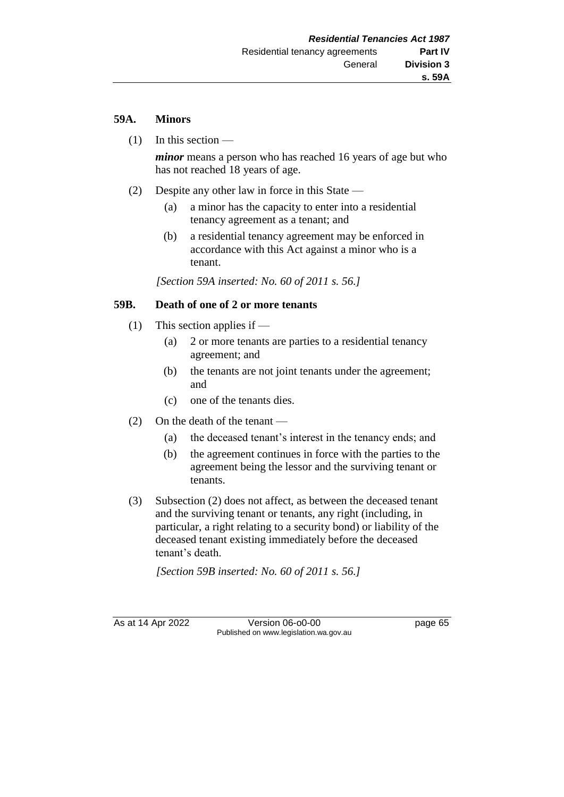## **59A. Minors**

(1) In this section —

*minor* means a person who has reached 16 years of age but who has not reached 18 years of age.

- (2) Despite any other law in force in this State
	- (a) a minor has the capacity to enter into a residential tenancy agreement as a tenant; and
	- (b) a residential tenancy agreement may be enforced in accordance with this Act against a minor who is a tenant.

*[Section 59A inserted: No. 60 of 2011 s. 56.]*

## **59B. Death of one of 2 or more tenants**

- (1) This section applies if
	- (a) 2 or more tenants are parties to a residential tenancy agreement; and
	- (b) the tenants are not joint tenants under the agreement; and
	- (c) one of the tenants dies.
- (2) On the death of the tenant
	- (a) the deceased tenant's interest in the tenancy ends; and
	- (b) the agreement continues in force with the parties to the agreement being the lessor and the surviving tenant or tenants.
- (3) Subsection (2) does not affect, as between the deceased tenant and the surviving tenant or tenants, any right (including, in particular, a right relating to a security bond) or liability of the deceased tenant existing immediately before the deceased tenant's death.

*[Section 59B inserted: No. 60 of 2011 s. 56.]*

As at 14 Apr 2022 Version 06-o0-00 page 65 Published on www.legislation.wa.gov.au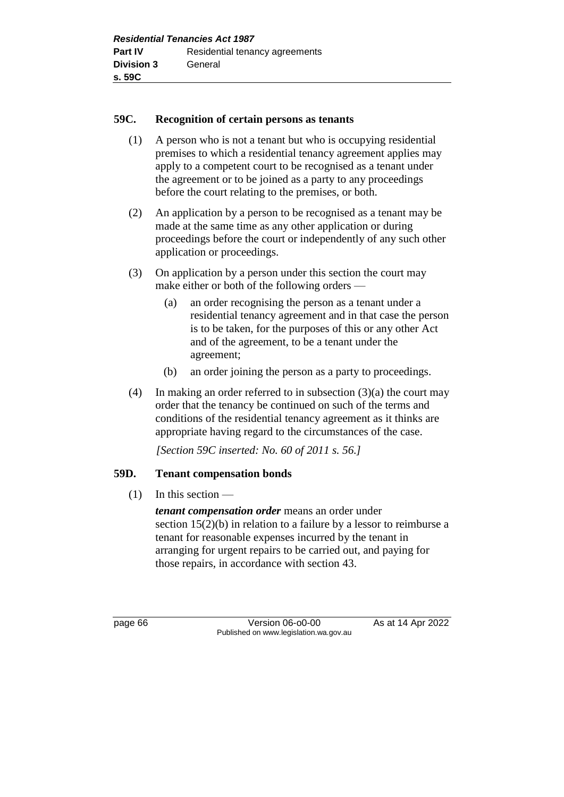#### **59C. Recognition of certain persons as tenants**

- (1) A person who is not a tenant but who is occupying residential premises to which a residential tenancy agreement applies may apply to a competent court to be recognised as a tenant under the agreement or to be joined as a party to any proceedings before the court relating to the premises, or both.
- (2) An application by a person to be recognised as a tenant may be made at the same time as any other application or during proceedings before the court or independently of any such other application or proceedings.
- (3) On application by a person under this section the court may make either or both of the following orders —
	- (a) an order recognising the person as a tenant under a residential tenancy agreement and in that case the person is to be taken, for the purposes of this or any other Act and of the agreement, to be a tenant under the agreement;
	- (b) an order joining the person as a party to proceedings.
- (4) In making an order referred to in subsection  $(3)(a)$  the court may order that the tenancy be continued on such of the terms and conditions of the residential tenancy agreement as it thinks are appropriate having regard to the circumstances of the case.

*[Section 59C inserted: No. 60 of 2011 s. 56.]*

#### **59D. Tenant compensation bonds**

 $(1)$  In this section —

*tenant compensation order* means an order under section 15(2)(b) in relation to a failure by a lessor to reimburse a tenant for reasonable expenses incurred by the tenant in arranging for urgent repairs to be carried out, and paying for those repairs, in accordance with section 43.

page 66 **Version 06-00-00** As at 14 Apr 2022 Published on www.legislation.wa.gov.au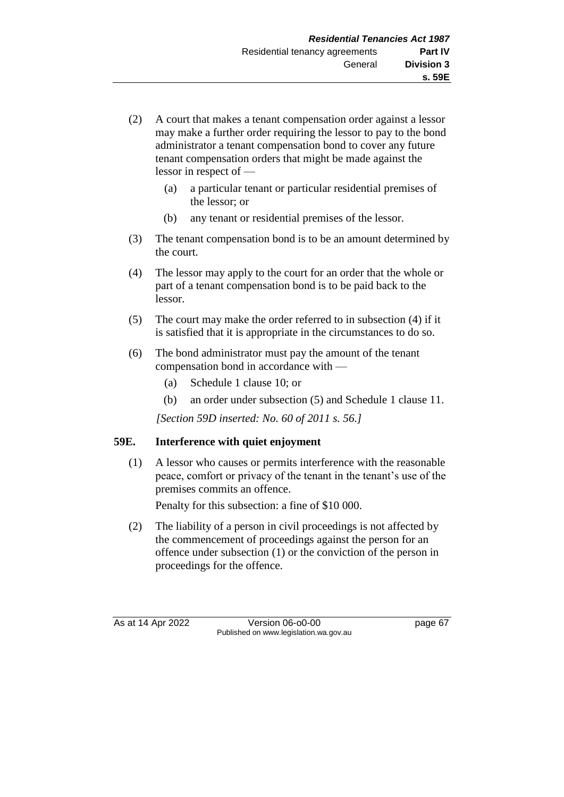- (2) A court that makes a tenant compensation order against a lessor may make a further order requiring the lessor to pay to the bond administrator a tenant compensation bond to cover any future tenant compensation orders that might be made against the lessor in respect of —
	- (a) a particular tenant or particular residential premises of the lessor; or
	- (b) any tenant or residential premises of the lessor.
- (3) The tenant compensation bond is to be an amount determined by the court.
- (4) The lessor may apply to the court for an order that the whole or part of a tenant compensation bond is to be paid back to the lessor.
- (5) The court may make the order referred to in subsection (4) if it is satisfied that it is appropriate in the circumstances to do so.
- (6) The bond administrator must pay the amount of the tenant compensation bond in accordance with —
	- (a) Schedule 1 clause 10; or
	- (b) an order under subsection (5) and Schedule 1 clause 11.

*[Section 59D inserted: No. 60 of 2011 s. 56.]*

## **59E. Interference with quiet enjoyment**

(1) A lessor who causes or permits interference with the reasonable peace, comfort or privacy of the tenant in the tenant's use of the premises commits an offence.

Penalty for this subsection: a fine of \$10 000.

(2) The liability of a person in civil proceedings is not affected by the commencement of proceedings against the person for an offence under subsection (1) or the conviction of the person in proceedings for the offence.

As at 14 Apr 2022 Version 06-o0-00 page 67 Published on www.legislation.wa.gov.au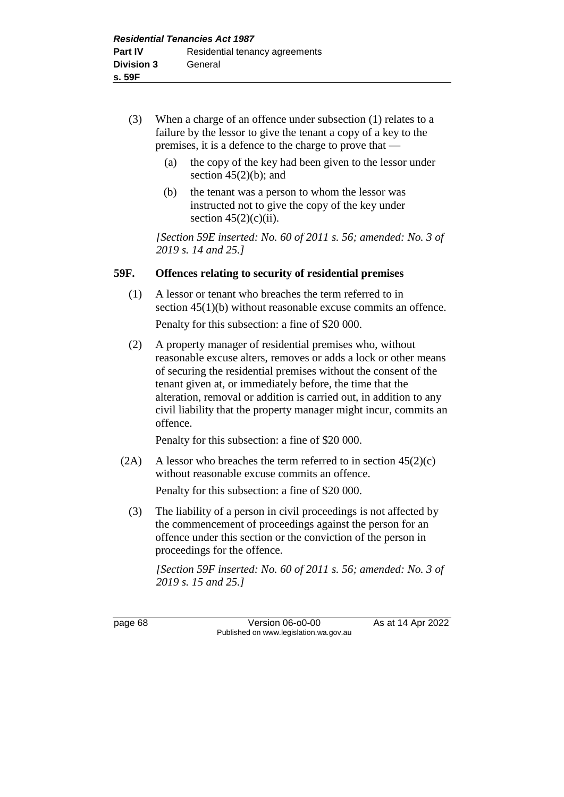- (3) When a charge of an offence under subsection (1) relates to a failure by the lessor to give the tenant a copy of a key to the premises, it is a defence to the charge to prove that —
	- (a) the copy of the key had been given to the lessor under section  $45(2)(b)$ ; and
	- (b) the tenant was a person to whom the lessor was instructed not to give the copy of the key under section  $45(2)(c)(ii)$ .

*[Section 59E inserted: No. 60 of 2011 s. 56; amended: No. 3 of 2019 s. 14 and 25.]*

#### **59F. Offences relating to security of residential premises**

- (1) A lessor or tenant who breaches the term referred to in section 45(1)(b) without reasonable excuse commits an offence. Penalty for this subsection: a fine of \$20 000.
- (2) A property manager of residential premises who, without reasonable excuse alters, removes or adds a lock or other means of securing the residential premises without the consent of the tenant given at, or immediately before, the time that the alteration, removal or addition is carried out, in addition to any civil liability that the property manager might incur, commits an offence.

Penalty for this subsection: a fine of \$20 000.

(2A) A lessor who breaches the term referred to in section  $45(2)(c)$ without reasonable excuse commits an offence.

Penalty for this subsection: a fine of \$20 000.

(3) The liability of a person in civil proceedings is not affected by the commencement of proceedings against the person for an offence under this section or the conviction of the person in proceedings for the offence.

*[Section 59F inserted: No. 60 of 2011 s. 56; amended: No. 3 of 2019 s. 15 and 25.]*

page 68 Version 06-00-00 As at 14 Apr 2022 Published on www.legislation.wa.gov.au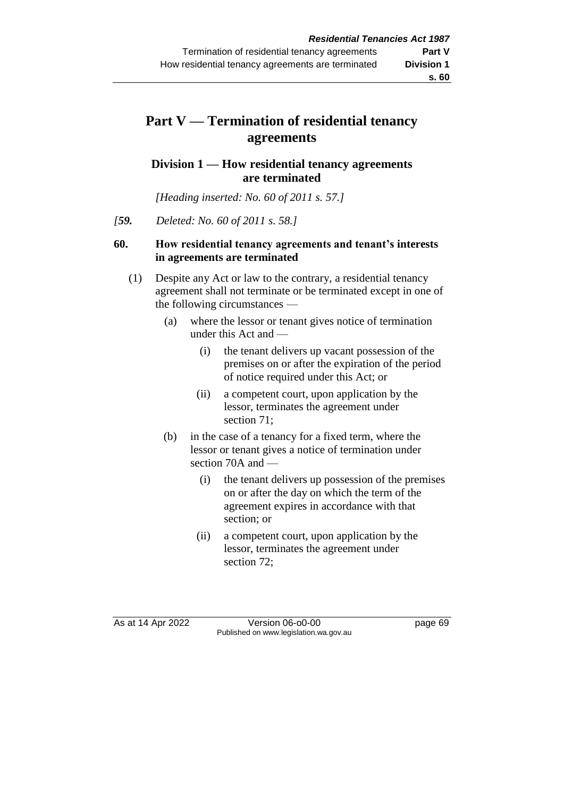# **Part V — Termination of residential tenancy agreements**

## **Division 1 — How residential tenancy agreements are terminated**

*[Heading inserted: No. 60 of 2011 s. 57.]*

*[59. Deleted: No. 60 of 2011 s. 58.]* 

## **60. How residential tenancy agreements and tenant's interests in agreements are terminated**

- (1) Despite any Act or law to the contrary, a residential tenancy agreement shall not terminate or be terminated except in one of the following circumstances —
	- (a) where the lessor or tenant gives notice of termination under this Act and —
		- (i) the tenant delivers up vacant possession of the premises on or after the expiration of the period of notice required under this Act; or
		- (ii) a competent court, upon application by the lessor, terminates the agreement under section 71;
	- (b) in the case of a tenancy for a fixed term, where the lessor or tenant gives a notice of termination under section 70A and —
		- (i) the tenant delivers up possession of the premises on or after the day on which the term of the agreement expires in accordance with that section; or
		- (ii) a competent court, upon application by the lessor, terminates the agreement under section 72;

As at 14 Apr 2022 Version 06-o0-00 page 69 Published on www.legislation.wa.gov.au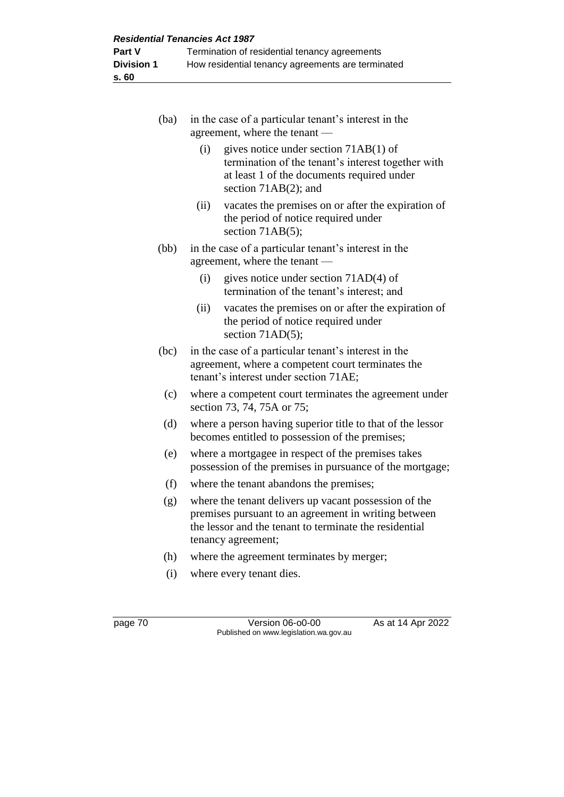| (ba) | in the case of a particular tenant's interest in the<br>agreement, where the tenant -                                                                                                         |
|------|-----------------------------------------------------------------------------------------------------------------------------------------------------------------------------------------------|
|      | (i)<br>gives notice under section $71AB(1)$ of<br>termination of the tenant's interest together with<br>at least 1 of the documents required under<br>section 71AB(2); and                    |
|      | (ii)<br>vacates the premises on or after the expiration of<br>the period of notice required under<br>section $71AB(5)$ ;                                                                      |
| (bb) | in the case of a particular tenant's interest in the<br>agreement, where the tenant                                                                                                           |
|      | (i)<br>gives notice under section 71AD(4) of<br>termination of the tenant's interest; and                                                                                                     |
|      | (ii)<br>vacates the premises on or after the expiration of<br>the period of notice required under<br>section $71AD(5)$ ;                                                                      |
| (bc) | in the case of a particular tenant's interest in the<br>agreement, where a competent court terminates the<br>tenant's interest under section 71AE;                                            |
| (c)  | where a competent court terminates the agreement under<br>section 73, 74, 75A or 75;                                                                                                          |
| (d)  | where a person having superior title to that of the lessor<br>becomes entitled to possession of the premises;                                                                                 |
| (e)  | where a mortgagee in respect of the premises takes<br>possession of the premises in pursuance of the mortgage;                                                                                |
| (f)  | where the tenant abandons the premises;                                                                                                                                                       |
| (g)  | where the tenant delivers up vacant possession of the<br>premises pursuant to an agreement in writing between<br>the lessor and the tenant to terminate the residential<br>tenancy agreement; |
| (h)  | where the agreement terminates by merger;                                                                                                                                                     |
| (i)  | where every tenant dies.                                                                                                                                                                      |

page 70 Version 06-o0-00 As at 14 Apr 2022 Published on www.legislation.wa.gov.au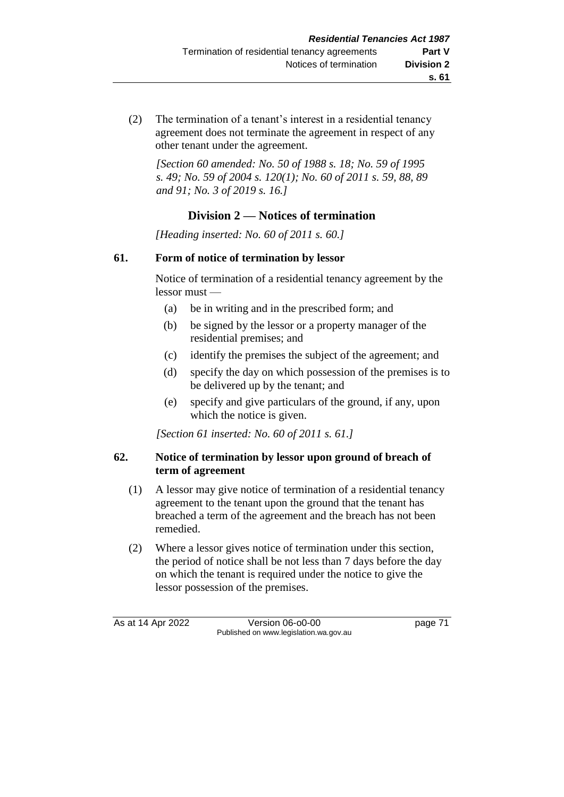(2) The termination of a tenant's interest in a residential tenancy agreement does not terminate the agreement in respect of any other tenant under the agreement.

*[Section 60 amended: No. 50 of 1988 s. 18; No. 59 of 1995 s. 49; No. 59 of 2004 s. 120(1); No. 60 of 2011 s. 59, 88, 89 and 91; No. 3 of 2019 s. 16.]* 

## **Division 2 — Notices of termination**

*[Heading inserted: No. 60 of 2011 s. 60.]*

## **61. Form of notice of termination by lessor**

Notice of termination of a residential tenancy agreement by the lessor must —

- (a) be in writing and in the prescribed form; and
- (b) be signed by the lessor or a property manager of the residential premises; and
- (c) identify the premises the subject of the agreement; and
- (d) specify the day on which possession of the premises is to be delivered up by the tenant; and
- (e) specify and give particulars of the ground, if any, upon which the notice is given.

*[Section 61 inserted: No. 60 of 2011 s. 61.]*

#### **62. Notice of termination by lessor upon ground of breach of term of agreement**

- (1) A lessor may give notice of termination of a residential tenancy agreement to the tenant upon the ground that the tenant has breached a term of the agreement and the breach has not been remedied.
- (2) Where a lessor gives notice of termination under this section, the period of notice shall be not less than 7 days before the day on which the tenant is required under the notice to give the lessor possession of the premises.

As at 14 Apr 2022 Version 06-o0-00 page 71 Published on www.legislation.wa.gov.au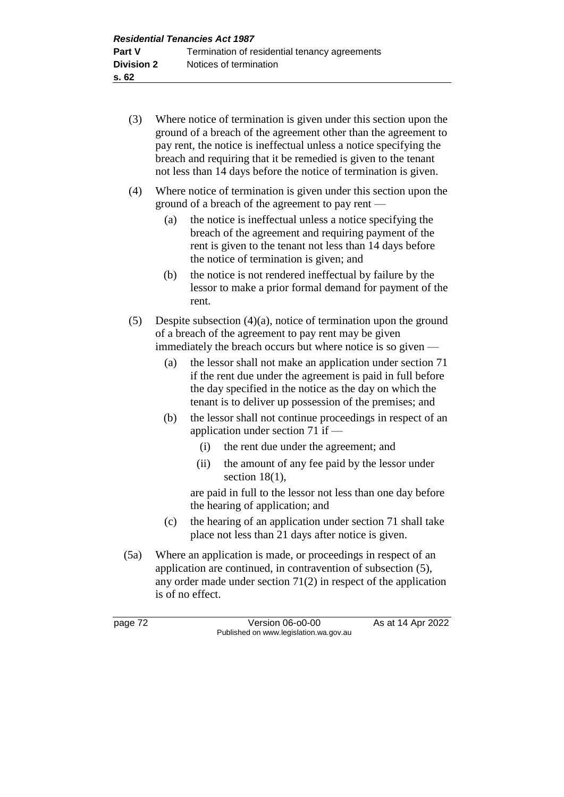- (3) Where notice of termination is given under this section upon the ground of a breach of the agreement other than the agreement to pay rent, the notice is ineffectual unless a notice specifying the breach and requiring that it be remedied is given to the tenant not less than 14 days before the notice of termination is given.
- (4) Where notice of termination is given under this section upon the ground of a breach of the agreement to pay rent —
	- (a) the notice is ineffectual unless a notice specifying the breach of the agreement and requiring payment of the rent is given to the tenant not less than 14 days before the notice of termination is given; and
	- (b) the notice is not rendered ineffectual by failure by the lessor to make a prior formal demand for payment of the rent.
- (5) Despite subsection (4)(a), notice of termination upon the ground of a breach of the agreement to pay rent may be given immediately the breach occurs but where notice is so given —
	- (a) the lessor shall not make an application under section 71 if the rent due under the agreement is paid in full before the day specified in the notice as the day on which the tenant is to deliver up possession of the premises; and
	- (b) the lessor shall not continue proceedings in respect of an application under section 71 if —
		- (i) the rent due under the agreement; and
		- (ii) the amount of any fee paid by the lessor under section 18(1),

are paid in full to the lessor not less than one day before the hearing of application; and

- (c) the hearing of an application under section 71 shall take place not less than 21 days after notice is given.
- (5a) Where an application is made, or proceedings in respect of an application are continued, in contravention of subsection (5), any order made under section 71(2) in respect of the application is of no effect.

page 72 Version 06-o0-00 As at 14 Apr 2022 Published on www.legislation.wa.gov.au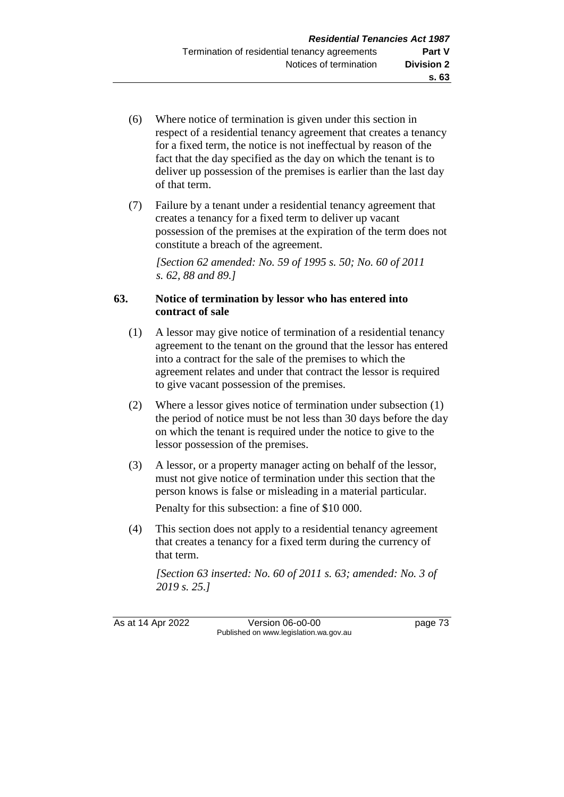- (6) Where notice of termination is given under this section in respect of a residential tenancy agreement that creates a tenancy for a fixed term, the notice is not ineffectual by reason of the fact that the day specified as the day on which the tenant is to deliver up possession of the premises is earlier than the last day of that term.
- (7) Failure by a tenant under a residential tenancy agreement that creates a tenancy for a fixed term to deliver up vacant possession of the premises at the expiration of the term does not constitute a breach of the agreement.

*[Section 62 amended: No. 59 of 1995 s. 50; No. 60 of 2011 s. 62, 88 and 89.]* 

#### **63. Notice of termination by lessor who has entered into contract of sale**

- (1) A lessor may give notice of termination of a residential tenancy agreement to the tenant on the ground that the lessor has entered into a contract for the sale of the premises to which the agreement relates and under that contract the lessor is required to give vacant possession of the premises.
- (2) Where a lessor gives notice of termination under subsection (1) the period of notice must be not less than 30 days before the day on which the tenant is required under the notice to give to the lessor possession of the premises.
- (3) A lessor, or a property manager acting on behalf of the lessor, must not give notice of termination under this section that the person knows is false or misleading in a material particular. Penalty for this subsection: a fine of \$10 000.
- (4) This section does not apply to a residential tenancy agreement that creates a tenancy for a fixed term during the currency of that term.

*[Section 63 inserted: No. 60 of 2011 s. 63; amended: No. 3 of 2019 s. 25.]*

As at 14 Apr 2022 Version 06-o0-00 page 73 Published on www.legislation.wa.gov.au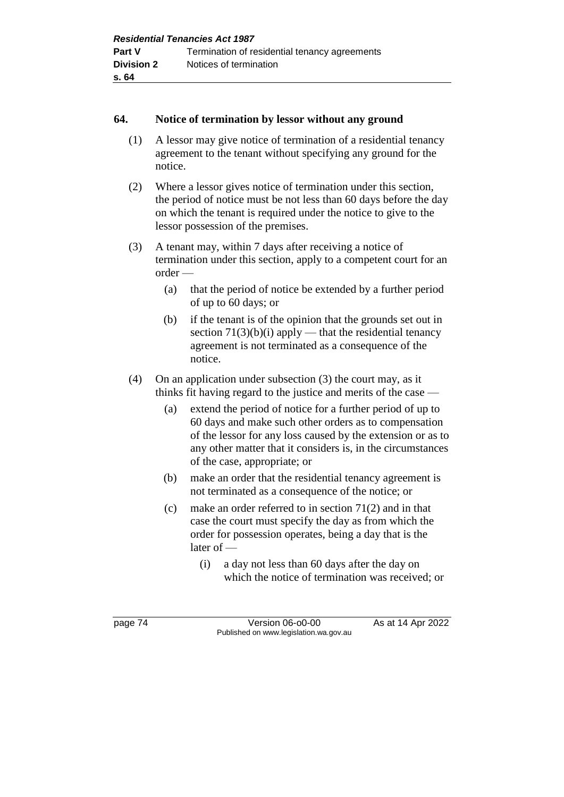#### **64. Notice of termination by lessor without any ground**

- (1) A lessor may give notice of termination of a residential tenancy agreement to the tenant without specifying any ground for the notice.
- (2) Where a lessor gives notice of termination under this section, the period of notice must be not less than 60 days before the day on which the tenant is required under the notice to give to the lessor possession of the premises.
- (3) A tenant may, within 7 days after receiving a notice of termination under this section, apply to a competent court for an order —
	- (a) that the period of notice be extended by a further period of up to 60 days; or
	- (b) if the tenant is of the opinion that the grounds set out in section  $71(3)(b)(i)$  apply — that the residential tenancy agreement is not terminated as a consequence of the notice.
- (4) On an application under subsection (3) the court may, as it thinks fit having regard to the justice and merits of the case —
	- (a) extend the period of notice for a further period of up to 60 days and make such other orders as to compensation of the lessor for any loss caused by the extension or as to any other matter that it considers is, in the circumstances of the case, appropriate; or
	- (b) make an order that the residential tenancy agreement is not terminated as a consequence of the notice; or
	- (c) make an order referred to in section 71(2) and in that case the court must specify the day as from which the order for possession operates, being a day that is the later of —
		- (i) a day not less than 60 days after the day on which the notice of termination was received; or

page 74 Version 06-o0-00 As at 14 Apr 2022 Published on www.legislation.wa.gov.au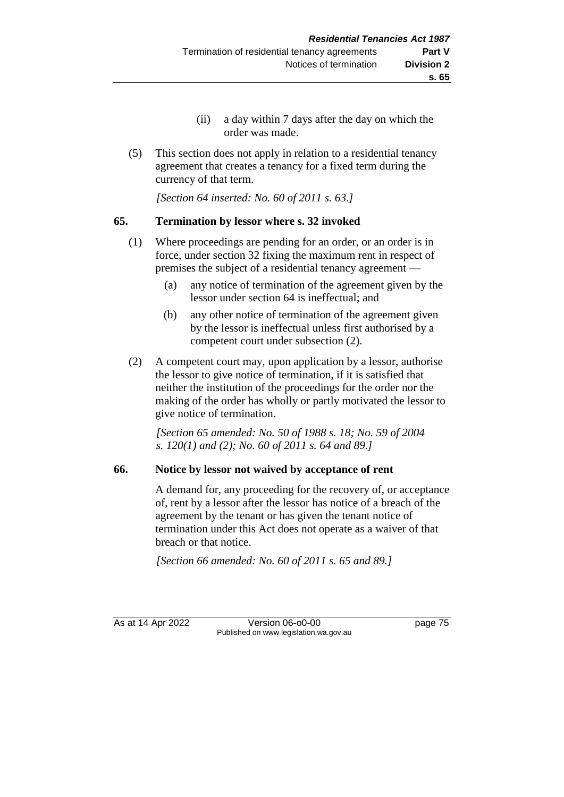- (ii) a day within 7 days after the day on which the order was made.
- (5) This section does not apply in relation to a residential tenancy agreement that creates a tenancy for a fixed term during the currency of that term.

*[Section 64 inserted: No. 60 of 2011 s. 63.]*

## **65. Termination by lessor where s. 32 invoked**

- (1) Where proceedings are pending for an order, or an order is in force, under section 32 fixing the maximum rent in respect of premises the subject of a residential tenancy agreement —
	- (a) any notice of termination of the agreement given by the lessor under section 64 is ineffectual; and
	- (b) any other notice of termination of the agreement given by the lessor is ineffectual unless first authorised by a competent court under subsection (2).
- (2) A competent court may, upon application by a lessor, authorise the lessor to give notice of termination, if it is satisfied that neither the institution of the proceedings for the order nor the making of the order has wholly or partly motivated the lessor to give notice of termination.

*[Section 65 amended: No. 50 of 1988 s. 18; No. 59 of 2004 s. 120(1) and (2); No. 60 of 2011 s. 64 and 89.]* 

## **66. Notice by lessor not waived by acceptance of rent**

A demand for, any proceeding for the recovery of, or acceptance of, rent by a lessor after the lessor has notice of a breach of the agreement by the tenant or has given the tenant notice of termination under this Act does not operate as a waiver of that breach or that notice.

*[Section 66 amended: No. 60 of 2011 s. 65 and 89.]* 

As at 14 Apr 2022 Version 06-o0-00 page 75 Published on www.legislation.wa.gov.au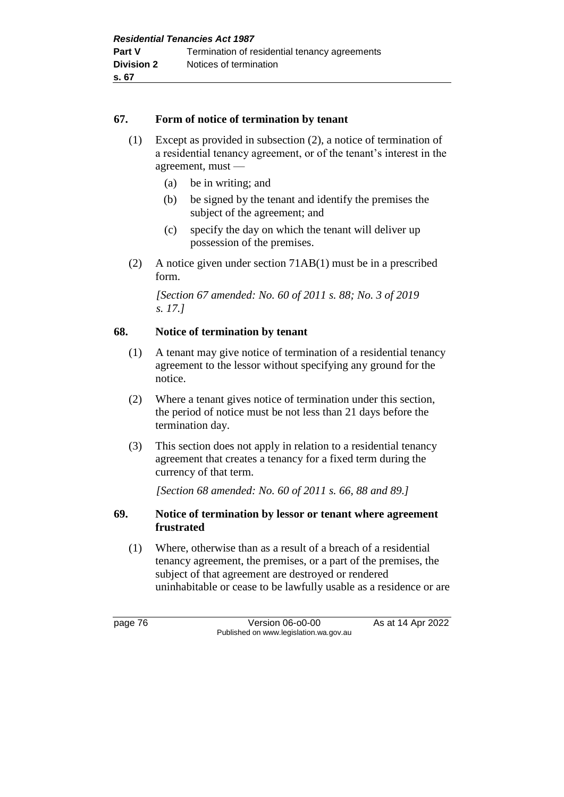#### **67. Form of notice of termination by tenant**

- (1) Except as provided in subsection (2), a notice of termination of a residential tenancy agreement, or of the tenant's interest in the agreement, must —
	- (a) be in writing; and
	- (b) be signed by the tenant and identify the premises the subject of the agreement; and
	- (c) specify the day on which the tenant will deliver up possession of the premises.
- (2) A notice given under section 71AB(1) must be in a prescribed form.

*[Section 67 amended: No. 60 of 2011 s. 88; No. 3 of 2019 s. 17.]* 

#### **68. Notice of termination by tenant**

- (1) A tenant may give notice of termination of a residential tenancy agreement to the lessor without specifying any ground for the notice.
- (2) Where a tenant gives notice of termination under this section, the period of notice must be not less than 21 days before the termination day.
- (3) This section does not apply in relation to a residential tenancy agreement that creates a tenancy for a fixed term during the currency of that term.

*[Section 68 amended: No. 60 of 2011 s. 66, 88 and 89.]* 

#### **69. Notice of termination by lessor or tenant where agreement frustrated**

(1) Where, otherwise than as a result of a breach of a residential tenancy agreement, the premises, or a part of the premises, the subject of that agreement are destroyed or rendered uninhabitable or cease to be lawfully usable as a residence or are

page 76 Version 06-o0-00 As at 14 Apr 2022 Published on www.legislation.wa.gov.au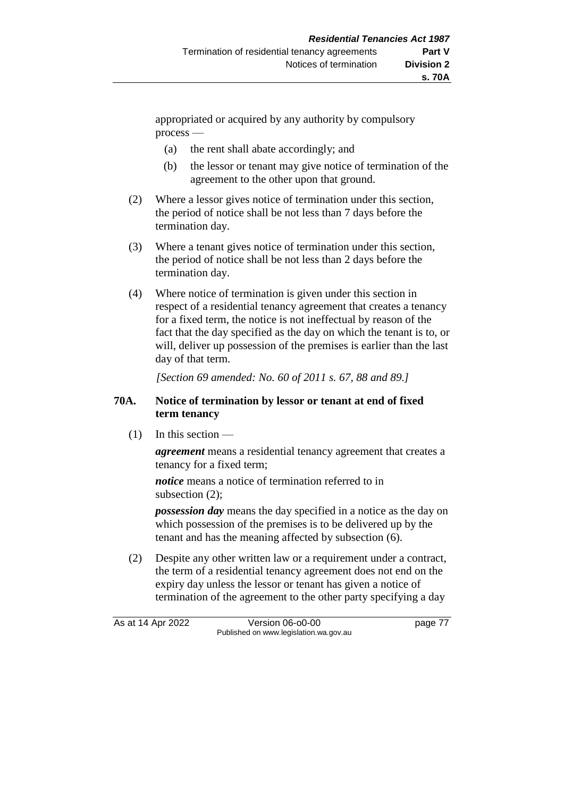appropriated or acquired by any authority by compulsory process —

- (a) the rent shall abate accordingly; and
- (b) the lessor or tenant may give notice of termination of the agreement to the other upon that ground.
- (2) Where a lessor gives notice of termination under this section, the period of notice shall be not less than 7 days before the termination day.
- (3) Where a tenant gives notice of termination under this section, the period of notice shall be not less than 2 days before the termination day.
- (4) Where notice of termination is given under this section in respect of a residential tenancy agreement that creates a tenancy for a fixed term, the notice is not ineffectual by reason of the fact that the day specified as the day on which the tenant is to, or will, deliver up possession of the premises is earlier than the last day of that term.

*[Section 69 amended: No. 60 of 2011 s. 67, 88 and 89.]* 

#### **70A. Notice of termination by lessor or tenant at end of fixed term tenancy**

 $(1)$  In this section —

*agreement* means a residential tenancy agreement that creates a tenancy for a fixed term;

*notice* means a notice of termination referred to in subsection (2);

*possession day* means the day specified in a notice as the day on which possession of the premises is to be delivered up by the tenant and has the meaning affected by subsection (6).

(2) Despite any other written law or a requirement under a contract, the term of a residential tenancy agreement does not end on the expiry day unless the lessor or tenant has given a notice of termination of the agreement to the other party specifying a day

As at 14 Apr 2022 Version 06-o0-00 page 77 Published on www.legislation.wa.gov.au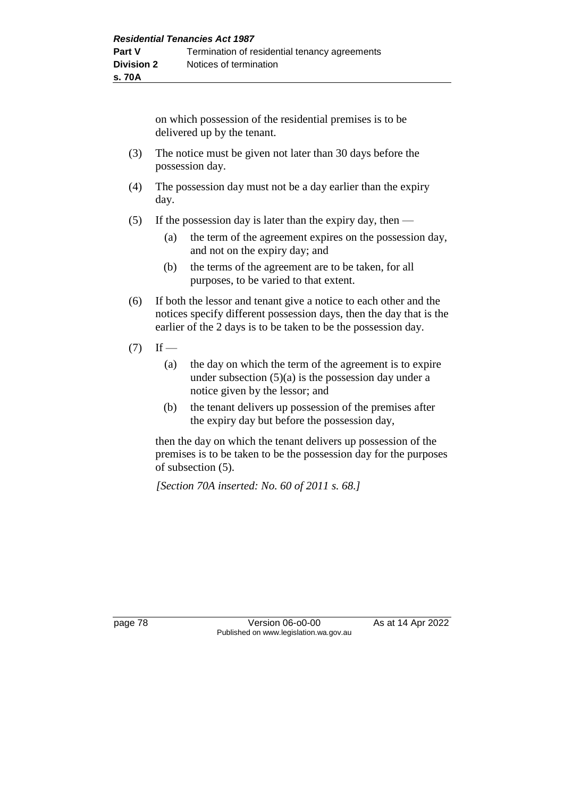on which possession of the residential premises is to be delivered up by the tenant.

- (3) The notice must be given not later than 30 days before the possession day.
- (4) The possession day must not be a day earlier than the expiry day.
- (5) If the possession day is later than the expiry day, then  $-$ 
	- (a) the term of the agreement expires on the possession day, and not on the expiry day; and
	- (b) the terms of the agreement are to be taken, for all purposes, to be varied to that extent.
- (6) If both the lessor and tenant give a notice to each other and the notices specify different possession days, then the day that is the earlier of the 2 days is to be taken to be the possession day.
- $(7)$  If
	- (a) the day on which the term of the agreement is to expire under subsection  $(5)(a)$  is the possession day under a notice given by the lessor; and
	- (b) the tenant delivers up possession of the premises after the expiry day but before the possession day,

then the day on which the tenant delivers up possession of the premises is to be taken to be the possession day for the purposes of subsection (5).

*[Section 70A inserted: No. 60 of 2011 s. 68.]* 

page 78 **Version 06-00-00** As at 14 Apr 2022 Published on www.legislation.wa.gov.au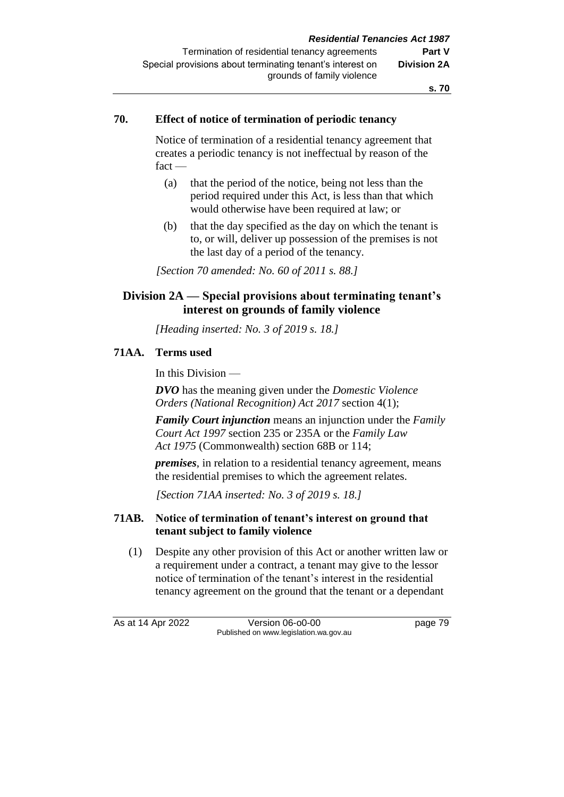#### **70. Effect of notice of termination of periodic tenancy**

Notice of termination of a residential tenancy agreement that creates a periodic tenancy is not ineffectual by reason of the fact —

- (a) that the period of the notice, being not less than the period required under this Act, is less than that which would otherwise have been required at law; or
- (b) that the day specified as the day on which the tenant is to, or will, deliver up possession of the premises is not the last day of a period of the tenancy.

*[Section 70 amended: No. 60 of 2011 s. 88.]* 

## **Division 2A — Special provisions about terminating tenant's interest on grounds of family violence**

*[Heading inserted: No. 3 of 2019 s. 18.]* 

#### **71AA. Terms used**

In this Division —

*DVO* has the meaning given under the *Domestic Violence Orders (National Recognition) Act 2017* section 4(1);

*Family Court injunction* means an injunction under the *Family Court Act 1997* section 235 or 235A or the *Family Law Act 1975* (Commonwealth) section 68B or 114;

*premises*, in relation to a residential tenancy agreement, means the residential premises to which the agreement relates.

*[Section 71AA inserted: No. 3 of 2019 s. 18.]*

## **71AB. Notice of termination of tenant's interest on ground that tenant subject to family violence**

(1) Despite any other provision of this Act or another written law or a requirement under a contract, a tenant may give to the lessor notice of termination of the tenant's interest in the residential tenancy agreement on the ground that the tenant or a dependant

As at 14 Apr 2022 Version 06-o0-00 page 79 Published on www.legislation.wa.gov.au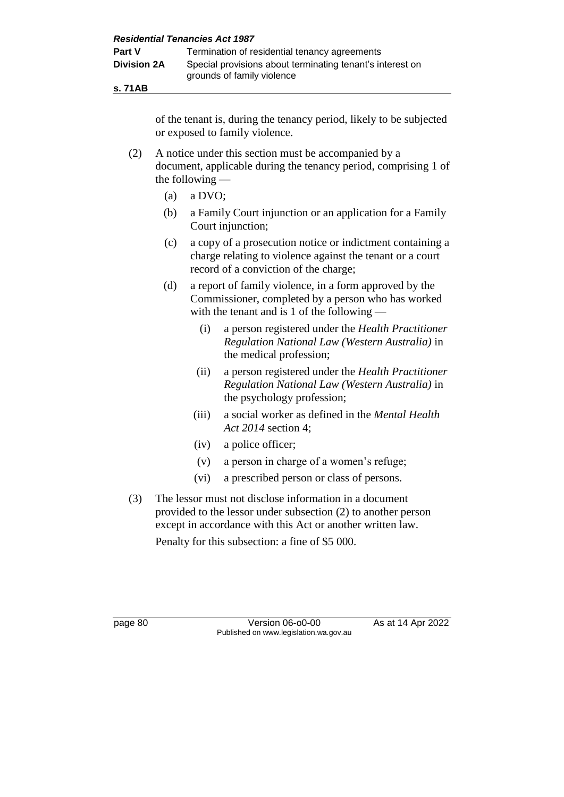**s. 71AB**

of the tenant is, during the tenancy period, likely to be subjected or exposed to family violence.

- (2) A notice under this section must be accompanied by a document, applicable during the tenancy period, comprising 1 of the following —
	- (a) a DVO;
	- (b) a Family Court injunction or an application for a Family Court injunction;
	- (c) a copy of a prosecution notice or indictment containing a charge relating to violence against the tenant or a court record of a conviction of the charge;
	- (d) a report of family violence, in a form approved by the Commissioner, completed by a person who has worked with the tenant and is 1 of the following —
		- (i) a person registered under the *Health Practitioner Regulation National Law (Western Australia)* in the medical profession;
		- (ii) a person registered under the *Health Practitioner Regulation National Law (Western Australia)* in the psychology profession;
		- (iii) a social worker as defined in the *Mental Health Act 2014* section 4;
		- (iv) a police officer;
		- (v) a person in charge of a women's refuge;
		- (vi) a prescribed person or class of persons.
- (3) The lessor must not disclose information in a document provided to the lessor under subsection (2) to another person except in accordance with this Act or another written law.

Penalty for this subsection: a fine of \$5 000.

page 80 Version 06-o0-00 As at 14 Apr 2022 Published on www.legislation.wa.gov.au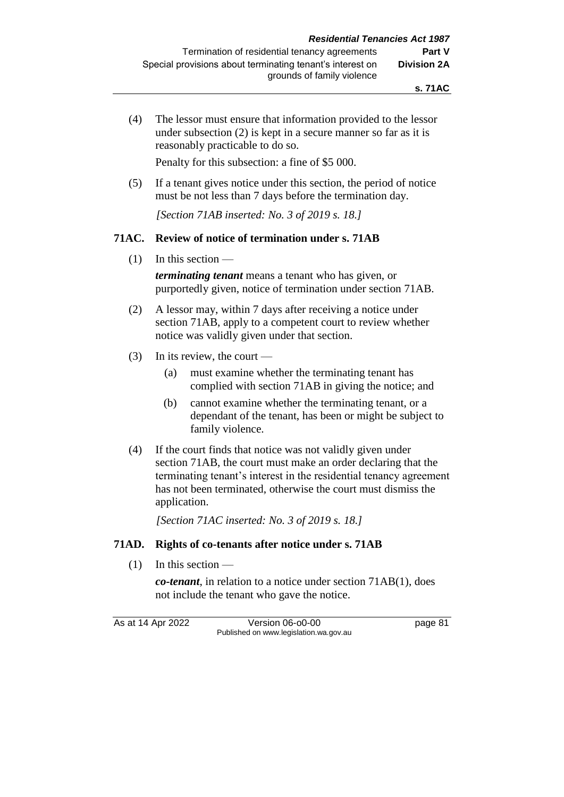(4) The lessor must ensure that information provided to the lessor under subsection (2) is kept in a secure manner so far as it is reasonably practicable to do so.

Penalty for this subsection: a fine of \$5 000.

(5) If a tenant gives notice under this section, the period of notice must be not less than 7 days before the termination day.

*[Section 71AB inserted: No. 3 of 2019 s. 18.]*

#### **71AC. Review of notice of termination under s. 71AB**

(1) In this section —

*terminating tenant* means a tenant who has given, or purportedly given, notice of termination under section 71AB.

- (2) A lessor may, within 7 days after receiving a notice under section 71AB, apply to a competent court to review whether notice was validly given under that section.
- (3) In its review, the court
	- (a) must examine whether the terminating tenant has complied with section 71AB in giving the notice; and
	- (b) cannot examine whether the terminating tenant, or a dependant of the tenant, has been or might be subject to family violence.
- (4) If the court finds that notice was not validly given under section 71AB, the court must make an order declaring that the terminating tenant's interest in the residential tenancy agreement has not been terminated, otherwise the court must dismiss the application.

*[Section 71AC inserted: No. 3 of 2019 s. 18.]*

#### **71AD. Rights of co-tenants after notice under s. 71AB**

 $(1)$  In this section —

*co-tenant*, in relation to a notice under section 71AB(1), does not include the tenant who gave the notice.

As at 14 Apr 2022 Version 06-o0-00 page 81 Published on www.legislation.wa.gov.au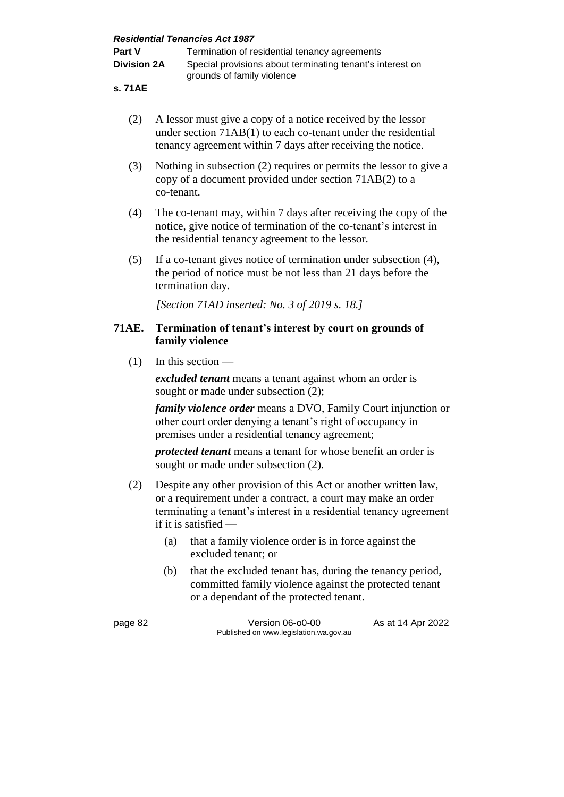| <b>Residential Tenancies Act 1987</b> |                                                                                                                                                                                           |                                                                                                                                                                                                                               |  |
|---------------------------------------|-------------------------------------------------------------------------------------------------------------------------------------------------------------------------------------------|-------------------------------------------------------------------------------------------------------------------------------------------------------------------------------------------------------------------------------|--|
| Part V                                |                                                                                                                                                                                           | Termination of residential tenancy agreements                                                                                                                                                                                 |  |
| <b>Division 2A</b>                    |                                                                                                                                                                                           | Special provisions about terminating tenant's interest on                                                                                                                                                                     |  |
| s. 71AE                               |                                                                                                                                                                                           | grounds of family violence                                                                                                                                                                                                    |  |
|                                       |                                                                                                                                                                                           |                                                                                                                                                                                                                               |  |
| (2)                                   |                                                                                                                                                                                           | A lessor must give a copy of a notice received by the lessor<br>under section 71AB(1) to each co-tenant under the residential<br>tenancy agreement within 7 days after receiving the notice.                                  |  |
| (3)                                   | Nothing in subsection (2) requires or permits the lessor to give a<br>copy of a document provided under section 71AB(2) to a<br>co-tenant.                                                |                                                                                                                                                                                                                               |  |
| (4)                                   | The co-tenant may, within 7 days after receiving the copy of the<br>notice, give notice of termination of the co-tenant's interest in<br>the residential tenancy agreement to the lessor. |                                                                                                                                                                                                                               |  |
| (5)                                   |                                                                                                                                                                                           | If a co-tenant gives notice of termination under subsection (4),<br>the period of notice must be not less than 21 days before the<br>termination day.                                                                         |  |
|                                       |                                                                                                                                                                                           | [Section 71AD inserted: No. 3 of 2019 s. 18.]                                                                                                                                                                                 |  |
| <b>71AE.</b>                          |                                                                                                                                                                                           | Termination of tenant's interest by court on grounds of<br>family violence                                                                                                                                                    |  |
| (1)                                   |                                                                                                                                                                                           | In this section $-$                                                                                                                                                                                                           |  |
|                                       |                                                                                                                                                                                           | excluded tenant means a tenant against whom an order is<br>sought or made under subsection (2);                                                                                                                               |  |
|                                       |                                                                                                                                                                                           | <i>family violence order</i> means a DVO, Family Court injunction or<br>other court order denying a tenant's right of occupancy in<br>premises under a residential tenancy agreement;                                         |  |
|                                       |                                                                                                                                                                                           | protected tenant means a tenant for whose benefit an order is<br>sought or made under subsection (2).                                                                                                                         |  |
| (2)                                   |                                                                                                                                                                                           | Despite any other provision of this Act or another written law,<br>or a requirement under a contract, a court may make an order<br>terminating a tenant's interest in a residential tenancy agreement<br>if it is satisfied — |  |
|                                       | (a)                                                                                                                                                                                       | that a family violence order is in force against the<br>excluded tenant; or                                                                                                                                                   |  |
|                                       | (b)                                                                                                                                                                                       | that the excluded tenant has, during the tenancy period,<br>committed family violence against the protected tenant<br>or a dependant of the protected tenant.                                                                 |  |
| page 82                               |                                                                                                                                                                                           | Version 06-o0-00<br>As at 14 Apr 2022<br>Published on www.legislation.wa.gov.au                                                                                                                                               |  |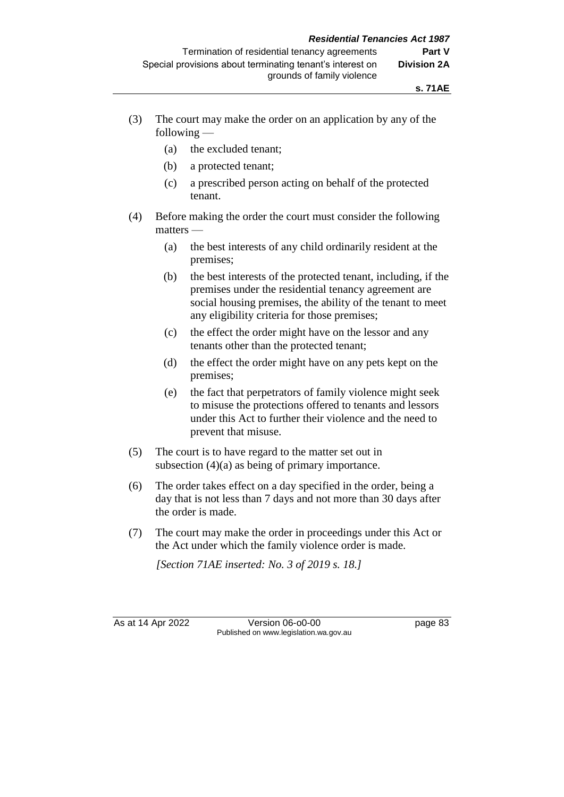- (3) The court may make the order on an application by any of the following —
	- (a) the excluded tenant;
	- (b) a protected tenant;
	- (c) a prescribed person acting on behalf of the protected tenant.
- (4) Before making the order the court must consider the following matters —
	- (a) the best interests of any child ordinarily resident at the premises;
	- (b) the best interests of the protected tenant, including, if the premises under the residential tenancy agreement are social housing premises, the ability of the tenant to meet any eligibility criteria for those premises;
	- (c) the effect the order might have on the lessor and any tenants other than the protected tenant;
	- (d) the effect the order might have on any pets kept on the premises;
	- (e) the fact that perpetrators of family violence might seek to misuse the protections offered to tenants and lessors under this Act to further their violence and the need to prevent that misuse.
- (5) The court is to have regard to the matter set out in subsection (4)(a) as being of primary importance.
- (6) The order takes effect on a day specified in the order, being a day that is not less than 7 days and not more than 30 days after the order is made.
- (7) The court may make the order in proceedings under this Act or the Act under which the family violence order is made.

*[Section 71AE inserted: No. 3 of 2019 s. 18.]*

As at 14 Apr 2022 Version 06-o0-00 page 83 Published on www.legislation.wa.gov.au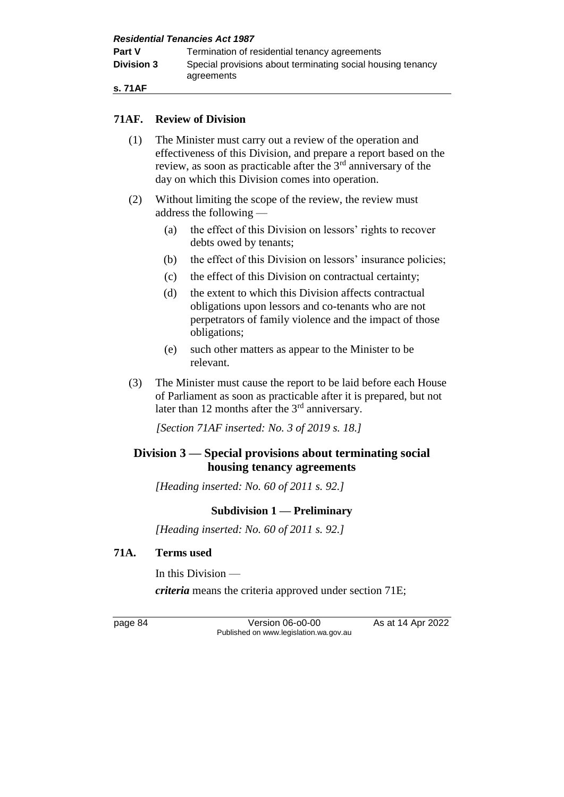**Part V** Termination of residential tenancy agreements **Division 3** Special provisions about terminating social housing tenancy agreements

**s. 71AF**

#### **71AF. Review of Division**

- (1) The Minister must carry out a review of the operation and effectiveness of this Division, and prepare a report based on the review, as soon as practicable after the  $3<sup>rd</sup>$  anniversary of the day on which this Division comes into operation.
- (2) Without limiting the scope of the review, the review must address the following —
	- (a) the effect of this Division on lessors' rights to recover debts owed by tenants;
	- (b) the effect of this Division on lessors' insurance policies;
	- (c) the effect of this Division on contractual certainty;
	- (d) the extent to which this Division affects contractual obligations upon lessors and co-tenants who are not perpetrators of family violence and the impact of those obligations;
	- (e) such other matters as appear to the Minister to be relevant.
- (3) The Minister must cause the report to be laid before each House of Parliament as soon as practicable after it is prepared, but not later than 12 months after the 3<sup>rd</sup> anniversary.

*[Section 71AF inserted: No. 3 of 2019 s. 18.]*

## **Division 3 — Special provisions about terminating social housing tenancy agreements**

*[Heading inserted: No. 60 of 2011 s. 92.]*

## **Subdivision 1 — Preliminary**

*[Heading inserted: No. 60 of 2011 s. 92.]*

#### **71A. Terms used**

In this Division —

*criteria* means the criteria approved under section 71E;

page 84 Version 06-o0-00 As at 14 Apr 2022 Published on www.legislation.wa.gov.au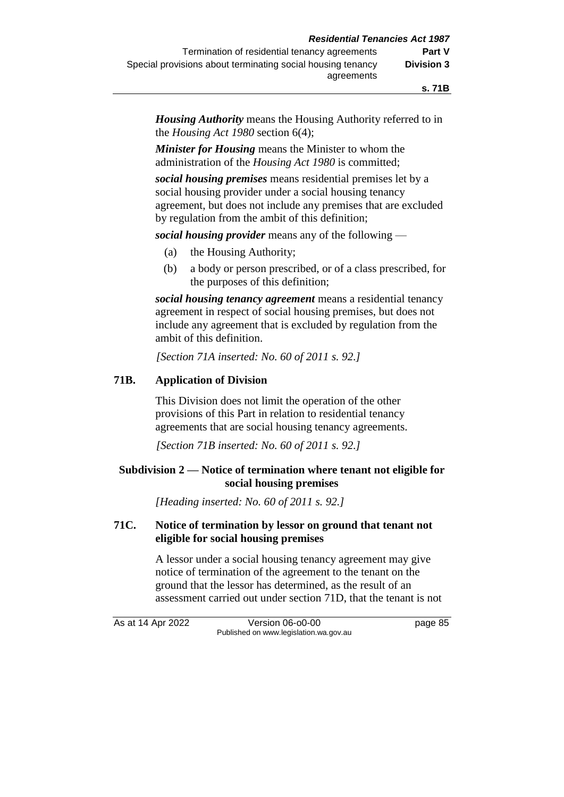*Housing Authority* means the Housing Authority referred to in the *Housing Act 1980* section 6(4);

*Minister for Housing* means the Minister to whom the administration of the *Housing Act 1980* is committed;

*social housing premises* means residential premises let by a social housing provider under a social housing tenancy agreement, but does not include any premises that are excluded by regulation from the ambit of this definition;

*social housing provider* means any of the following —

- (a) the Housing Authority;
- (b) a body or person prescribed, or of a class prescribed, for the purposes of this definition;

*social housing tenancy agreement* means a residential tenancy agreement in respect of social housing premises, but does not include any agreement that is excluded by regulation from the ambit of this definition.

*[Section 71A inserted: No. 60 of 2011 s. 92.]*

## **71B. Application of Division**

This Division does not limit the operation of the other provisions of this Part in relation to residential tenancy agreements that are social housing tenancy agreements.

*[Section 71B inserted: No. 60 of 2011 s. 92.]*

#### **Subdivision 2 — Notice of termination where tenant not eligible for social housing premises**

*[Heading inserted: No. 60 of 2011 s. 92.]*

#### **71C. Notice of termination by lessor on ground that tenant not eligible for social housing premises**

A lessor under a social housing tenancy agreement may give notice of termination of the agreement to the tenant on the ground that the lessor has determined, as the result of an assessment carried out under section 71D, that the tenant is not

As at 14 Apr 2022 Version 06-o0-00 page 85 Published on www.legislation.wa.gov.au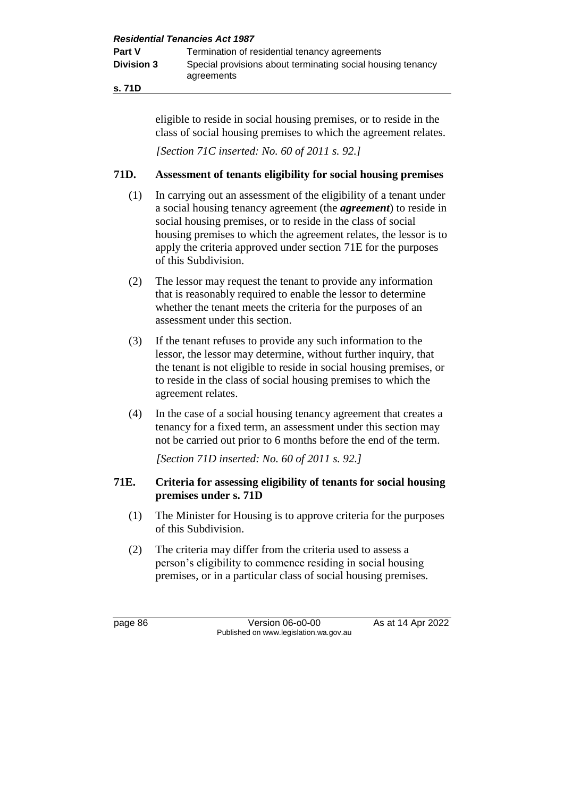**s. 71D**

eligible to reside in social housing premises, or to reside in the class of social housing premises to which the agreement relates.

*[Section 71C inserted: No. 60 of 2011 s. 92.]*

## **71D. Assessment of tenants eligibility for social housing premises**

- (1) In carrying out an assessment of the eligibility of a tenant under a social housing tenancy agreement (the *agreement*) to reside in social housing premises, or to reside in the class of social housing premises to which the agreement relates, the lessor is to apply the criteria approved under section 71E for the purposes of this Subdivision.
- (2) The lessor may request the tenant to provide any information that is reasonably required to enable the lessor to determine whether the tenant meets the criteria for the purposes of an assessment under this section.
- (3) If the tenant refuses to provide any such information to the lessor, the lessor may determine, without further inquiry, that the tenant is not eligible to reside in social housing premises, or to reside in the class of social housing premises to which the agreement relates.
- (4) In the case of a social housing tenancy agreement that creates a tenancy for a fixed term, an assessment under this section may not be carried out prior to 6 months before the end of the term.

*[Section 71D inserted: No. 60 of 2011 s. 92.]*

## **71E. Criteria for assessing eligibility of tenants for social housing premises under s. 71D**

- (1) The Minister for Housing is to approve criteria for the purposes of this Subdivision.
- (2) The criteria may differ from the criteria used to assess a person's eligibility to commence residing in social housing premises, or in a particular class of social housing premises.

page 86 Version 06-o0-00 As at 14 Apr 2022 Published on www.legislation.wa.gov.au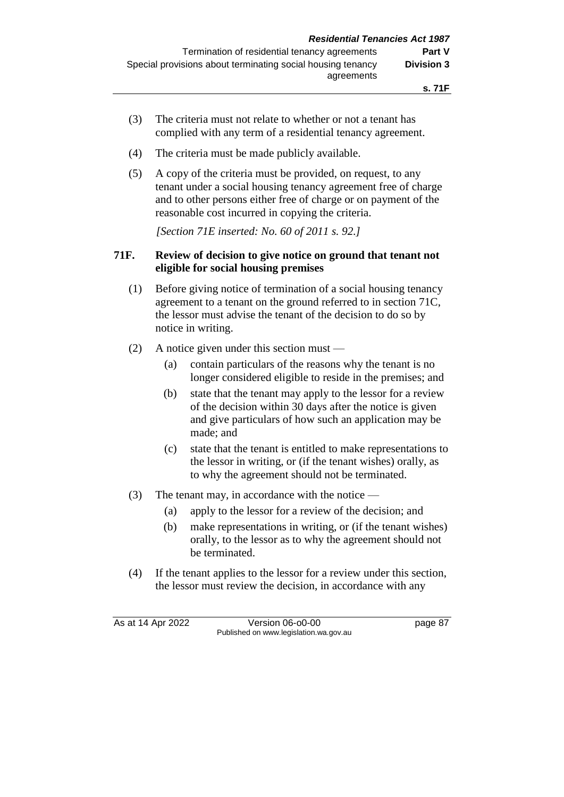- (3) The criteria must not relate to whether or not a tenant has complied with any term of a residential tenancy agreement.
- (4) The criteria must be made publicly available.
- (5) A copy of the criteria must be provided, on request, to any tenant under a social housing tenancy agreement free of charge and to other persons either free of charge or on payment of the reasonable cost incurred in copying the criteria.

*[Section 71E inserted: No. 60 of 2011 s. 92.]*

### **71F. Review of decision to give notice on ground that tenant not eligible for social housing premises**

- (1) Before giving notice of termination of a social housing tenancy agreement to a tenant on the ground referred to in section 71C, the lessor must advise the tenant of the decision to do so by notice in writing.
- (2) A notice given under this section must
	- (a) contain particulars of the reasons why the tenant is no longer considered eligible to reside in the premises; and
	- (b) state that the tenant may apply to the lessor for a review of the decision within 30 days after the notice is given and give particulars of how such an application may be made; and
	- (c) state that the tenant is entitled to make representations to the lessor in writing, or (if the tenant wishes) orally, as to why the agreement should not be terminated.
- (3) The tenant may, in accordance with the notice
	- (a) apply to the lessor for a review of the decision; and
	- (b) make representations in writing, or (if the tenant wishes) orally, to the lessor as to why the agreement should not be terminated.
- (4) If the tenant applies to the lessor for a review under this section, the lessor must review the decision, in accordance with any

As at 14 Apr 2022 Version 06-o0-00 page 87 Published on www.legislation.wa.gov.au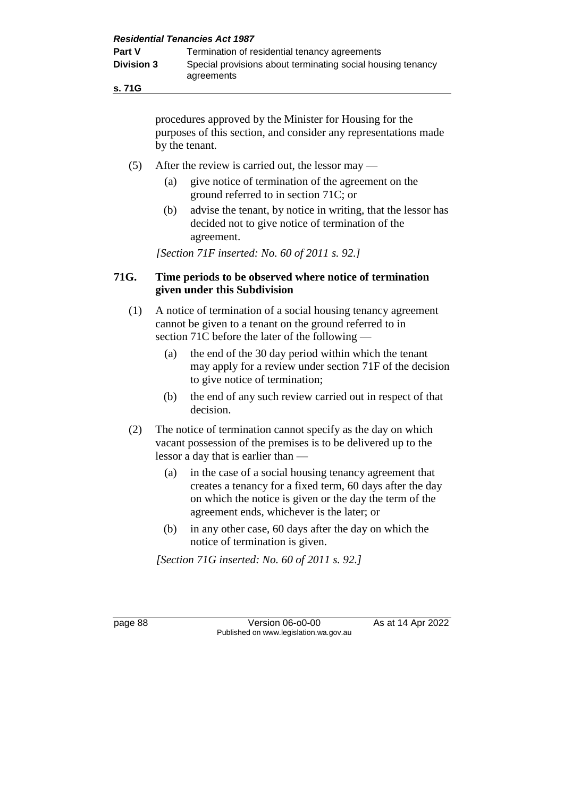**s. 71G**

procedures approved by the Minister for Housing for the purposes of this section, and consider any representations made by the tenant.

- (5) After the review is carried out, the lessor may
	- (a) give notice of termination of the agreement on the ground referred to in section 71C; or
	- (b) advise the tenant, by notice in writing, that the lessor has decided not to give notice of termination of the agreement.

*[Section 71F inserted: No. 60 of 2011 s. 92.]*

### **71G. Time periods to be observed where notice of termination given under this Subdivision**

- (1) A notice of termination of a social housing tenancy agreement cannot be given to a tenant on the ground referred to in section 71C before the later of the following —
	- (a) the end of the 30 day period within which the tenant may apply for a review under section 71F of the decision to give notice of termination;
	- (b) the end of any such review carried out in respect of that decision.
- (2) The notice of termination cannot specify as the day on which vacant possession of the premises is to be delivered up to the lessor a day that is earlier than —
	- (a) in the case of a social housing tenancy agreement that creates a tenancy for a fixed term, 60 days after the day on which the notice is given or the day the term of the agreement ends, whichever is the later; or
	- (b) in any other case, 60 days after the day on which the notice of termination is given.

*[Section 71G inserted: No. 60 of 2011 s. 92.]*

page 88 Version 06-o0-00 As at 14 Apr 2022 Published on www.legislation.wa.gov.au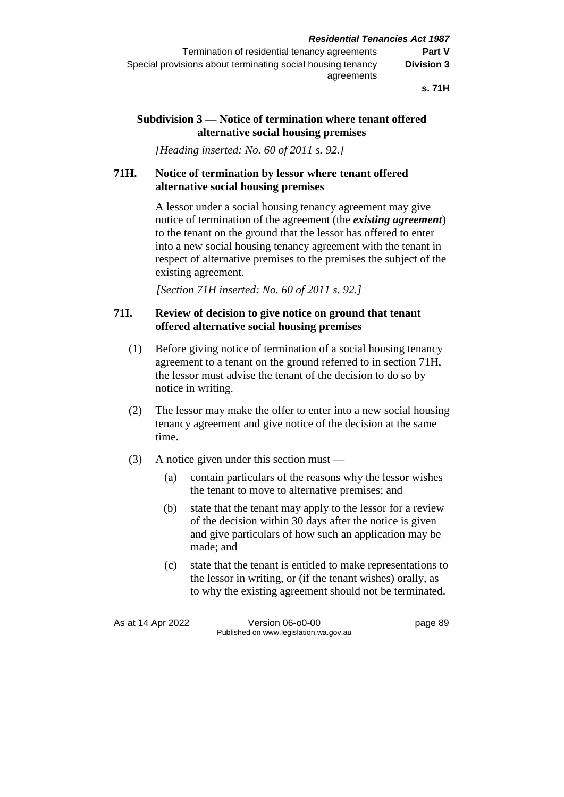#### **Subdivision 3 — Notice of termination where tenant offered alternative social housing premises**

*[Heading inserted: No. 60 of 2011 s. 92.]*

### **71H. Notice of termination by lessor where tenant offered alternative social housing premises**

A lessor under a social housing tenancy agreement may give notice of termination of the agreement (the *existing agreement*) to the tenant on the ground that the lessor has offered to enter into a new social housing tenancy agreement with the tenant in respect of alternative premises to the premises the subject of the existing agreement.

*[Section 71H inserted: No. 60 of 2011 s. 92.]*

### **71I. Review of decision to give notice on ground that tenant offered alternative social housing premises**

- (1) Before giving notice of termination of a social housing tenancy agreement to a tenant on the ground referred to in section 71H, the lessor must advise the tenant of the decision to do so by notice in writing.
- (2) The lessor may make the offer to enter into a new social housing tenancy agreement and give notice of the decision at the same time.
- (3) A notice given under this section must
	- (a) contain particulars of the reasons why the lessor wishes the tenant to move to alternative premises; and
	- (b) state that the tenant may apply to the lessor for a review of the decision within 30 days after the notice is given and give particulars of how such an application may be made; and
	- (c) state that the tenant is entitled to make representations to the lessor in writing, or (if the tenant wishes) orally, as to why the existing agreement should not be terminated.

As at 14 Apr 2022 Version 06-o0-00 page 89 Published on www.legislation.wa.gov.au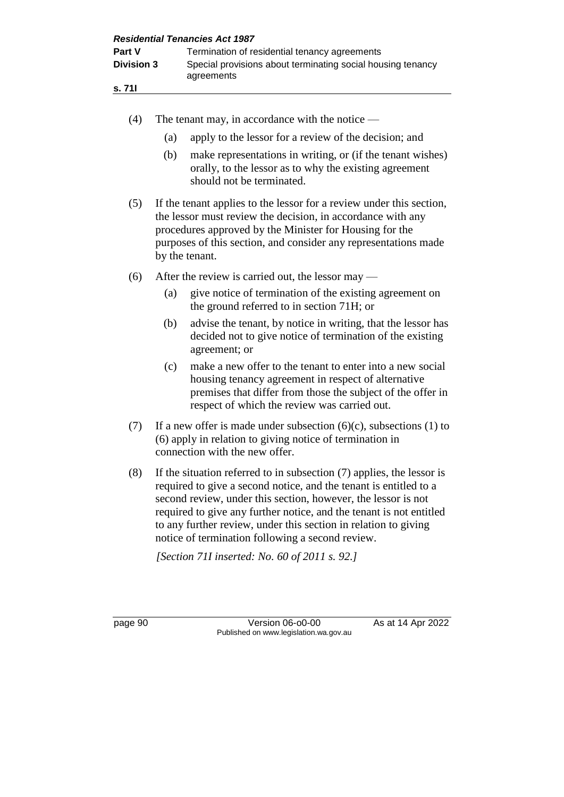| <b>Residential Tenancies Act 1987</b> |                                                                                                                                                                       |                                                                                                                                                                                                                                                                                                                                                                                                             |  |  |
|---------------------------------------|-----------------------------------------------------------------------------------------------------------------------------------------------------------------------|-------------------------------------------------------------------------------------------------------------------------------------------------------------------------------------------------------------------------------------------------------------------------------------------------------------------------------------------------------------------------------------------------------------|--|--|
| Part V<br><b>Division 3</b><br>s. 711 |                                                                                                                                                                       | Termination of residential tenancy agreements<br>Special provisions about terminating social housing tenancy<br>agreements                                                                                                                                                                                                                                                                                  |  |  |
|                                       |                                                                                                                                                                       |                                                                                                                                                                                                                                                                                                                                                                                                             |  |  |
| (4)                                   |                                                                                                                                                                       | The tenant may, in accordance with the notice $-$                                                                                                                                                                                                                                                                                                                                                           |  |  |
|                                       | (a)                                                                                                                                                                   | apply to the lessor for a review of the decision; and                                                                                                                                                                                                                                                                                                                                                       |  |  |
|                                       | (b)                                                                                                                                                                   | make representations in writing, or (if the tenant wishes)<br>orally, to the lessor as to why the existing agreement<br>should not be terminated.                                                                                                                                                                                                                                                           |  |  |
| (5)                                   |                                                                                                                                                                       | If the tenant applies to the lessor for a review under this section,<br>the lessor must review the decision, in accordance with any<br>procedures approved by the Minister for Housing for the<br>purposes of this section, and consider any representations made<br>by the tenant.                                                                                                                         |  |  |
| (6)                                   |                                                                                                                                                                       | After the review is carried out, the lessor may —                                                                                                                                                                                                                                                                                                                                                           |  |  |
|                                       | (a)                                                                                                                                                                   | give notice of termination of the existing agreement on<br>the ground referred to in section 71H; or                                                                                                                                                                                                                                                                                                        |  |  |
|                                       | (b)                                                                                                                                                                   | advise the tenant, by notice in writing, that the lessor has<br>decided not to give notice of termination of the existing<br>agreement; or                                                                                                                                                                                                                                                                  |  |  |
|                                       | (c)                                                                                                                                                                   | make a new offer to the tenant to enter into a new social<br>housing tenancy agreement in respect of alternative<br>premises that differ from those the subject of the offer in<br>respect of which the review was carried out.                                                                                                                                                                             |  |  |
| (7)                                   | If a new offer is made under subsection $(6)(c)$ , subsections $(1)$ to<br>(6) apply in relation to giving notice of termination in<br>connection with the new offer. |                                                                                                                                                                                                                                                                                                                                                                                                             |  |  |
| (8)                                   |                                                                                                                                                                       | If the situation referred to in subsection $(7)$ applies, the lessor is<br>required to give a second notice, and the tenant is entitled to a<br>second review, under this section, however, the lessor is not<br>required to give any further notice, and the tenant is not entitled<br>to any further review, under this section in relation to giving<br>notice of termination following a second review. |  |  |
|                                       |                                                                                                                                                                       | [Section 711 inserted: No. 60 of 2011 s. 92.]                                                                                                                                                                                                                                                                                                                                                               |  |  |
| page 90                               |                                                                                                                                                                       | Version 06-o0-00<br>As at 14 Apr 2022<br>Published on www.legislation.wa.gov.au                                                                                                                                                                                                                                                                                                                             |  |  |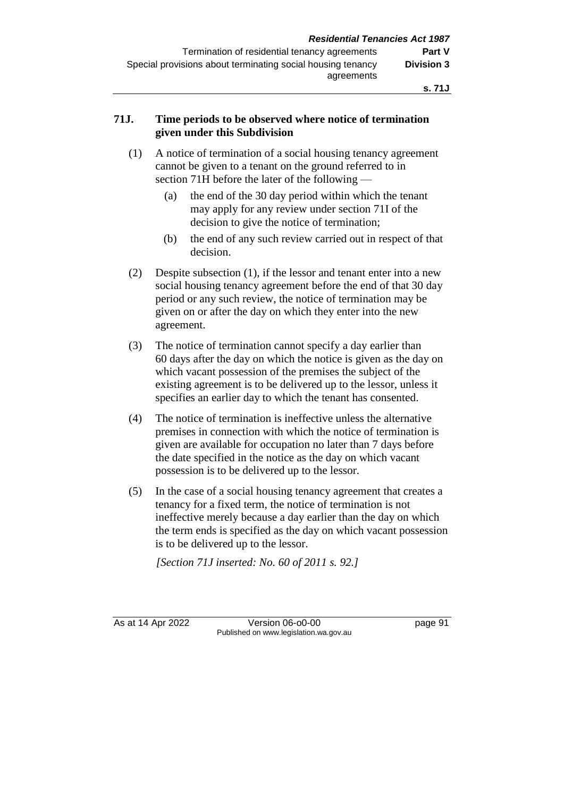### **71J. Time periods to be observed where notice of termination given under this Subdivision**

- (1) A notice of termination of a social housing tenancy agreement cannot be given to a tenant on the ground referred to in section 71H before the later of the following —
	- (a) the end of the 30 day period within which the tenant may apply for any review under section 71I of the decision to give the notice of termination;
	- (b) the end of any such review carried out in respect of that decision.
- (2) Despite subsection (1), if the lessor and tenant enter into a new social housing tenancy agreement before the end of that 30 day period or any such review, the notice of termination may be given on or after the day on which they enter into the new agreement.
- (3) The notice of termination cannot specify a day earlier than 60 days after the day on which the notice is given as the day on which vacant possession of the premises the subject of the existing agreement is to be delivered up to the lessor, unless it specifies an earlier day to which the tenant has consented.
- (4) The notice of termination is ineffective unless the alternative premises in connection with which the notice of termination is given are available for occupation no later than 7 days before the date specified in the notice as the day on which vacant possession is to be delivered up to the lessor.
- (5) In the case of a social housing tenancy agreement that creates a tenancy for a fixed term, the notice of termination is not ineffective merely because a day earlier than the day on which the term ends is specified as the day on which vacant possession is to be delivered up to the lessor.

*[Section 71J inserted: No. 60 of 2011 s. 92.]*

As at 14 Apr 2022 Version 06-o0-00 page 91 Published on www.legislation.wa.gov.au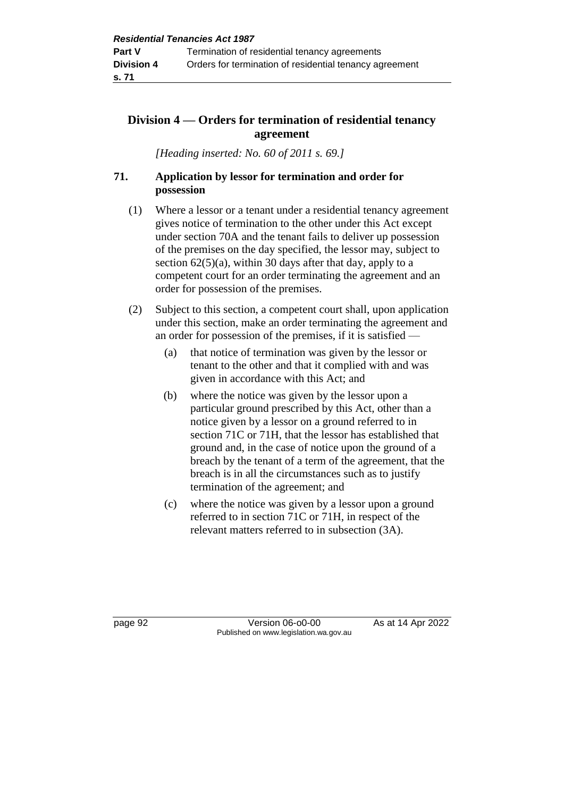## **Division 4 — Orders for termination of residential tenancy agreement**

*[Heading inserted: No. 60 of 2011 s. 69.]*

## **71. Application by lessor for termination and order for possession**

- (1) Where a lessor or a tenant under a residential tenancy agreement gives notice of termination to the other under this Act except under section 70A and the tenant fails to deliver up possession of the premises on the day specified, the lessor may, subject to section  $62(5)(a)$ , within 30 days after that day, apply to a competent court for an order terminating the agreement and an order for possession of the premises.
- (2) Subject to this section, a competent court shall, upon application under this section, make an order terminating the agreement and an order for possession of the premises, if it is satisfied —
	- (a) that notice of termination was given by the lessor or tenant to the other and that it complied with and was given in accordance with this Act; and
	- (b) where the notice was given by the lessor upon a particular ground prescribed by this Act, other than a notice given by a lessor on a ground referred to in section 71C or 71H, that the lessor has established that ground and, in the case of notice upon the ground of a breach by the tenant of a term of the agreement, that the breach is in all the circumstances such as to justify termination of the agreement; and
	- (c) where the notice was given by a lessor upon a ground referred to in section 71C or 71H, in respect of the relevant matters referred to in subsection (3A).

page 92 Version 06-00-00 As at 14 Apr 2022 Published on www.legislation.wa.gov.au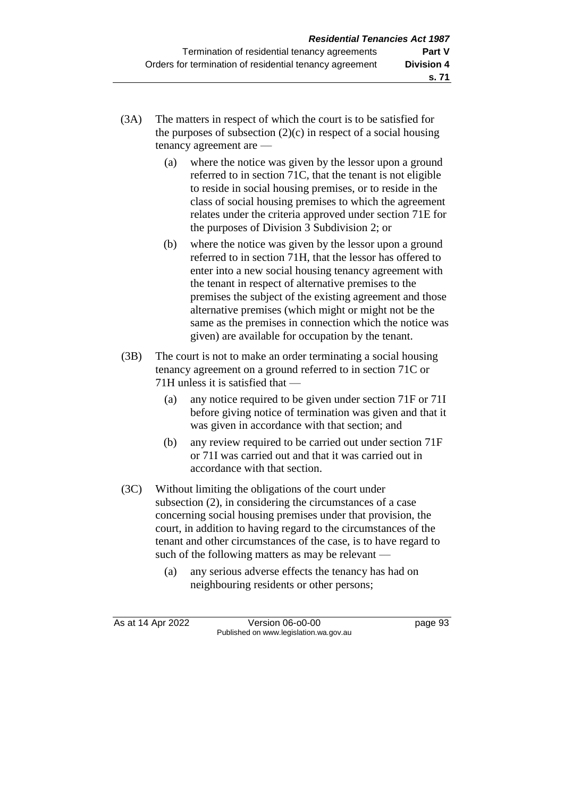- (3A) The matters in respect of which the court is to be satisfied for the purposes of subsection  $(2)(c)$  in respect of a social housing tenancy agreement are —
	- (a) where the notice was given by the lessor upon a ground referred to in section 71C, that the tenant is not eligible to reside in social housing premises, or to reside in the class of social housing premises to which the agreement relates under the criteria approved under section 71E for the purposes of Division 3 Subdivision 2; or
	- (b) where the notice was given by the lessor upon a ground referred to in section 71H, that the lessor has offered to enter into a new social housing tenancy agreement with the tenant in respect of alternative premises to the premises the subject of the existing agreement and those alternative premises (which might or might not be the same as the premises in connection which the notice was given) are available for occupation by the tenant.
- (3B) The court is not to make an order terminating a social housing tenancy agreement on a ground referred to in section 71C or 71H unless it is satisfied that —
	- (a) any notice required to be given under section 71F or 71I before giving notice of termination was given and that it was given in accordance with that section; and
	- (b) any review required to be carried out under section 71F or 71I was carried out and that it was carried out in accordance with that section.
- (3C) Without limiting the obligations of the court under subsection (2), in considering the circumstances of a case concerning social housing premises under that provision, the court, in addition to having regard to the circumstances of the tenant and other circumstances of the case, is to have regard to such of the following matters as may be relevant —
	- (a) any serious adverse effects the tenancy has had on neighbouring residents or other persons;

As at 14 Apr 2022 Version 06-o0-00 page 93 Published on www.legislation.wa.gov.au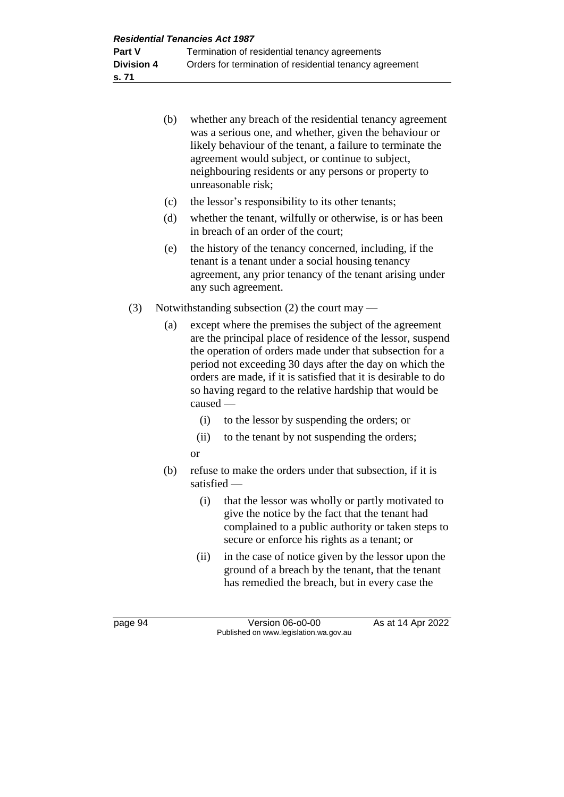| (b) | whether any breach of the residential tenancy agreement<br>was a serious one, and whether, given the behaviour or<br>likely behaviour of the tenant, a failure to terminate the<br>agreement would subject, or continue to subject,<br>neighbouring residents or any persons or property to<br>unreasonable risk; |
|-----|-------------------------------------------------------------------------------------------------------------------------------------------------------------------------------------------------------------------------------------------------------------------------------------------------------------------|
| (c) | the lessor's responsibility to its other tenants;                                                                                                                                                                                                                                                                 |
| (d) | whether the tenant, wilfully or otherwise, is or has been<br>in breach of an order of the court;                                                                                                                                                                                                                  |

- (e) the history of the tenancy concerned, including, if the tenant is a tenant under a social housing tenancy agreement, any prior tenancy of the tenant arising under any such agreement.
- (3) Notwithstanding subsection (2) the court may
	- (a) except where the premises the subject of the agreement are the principal place of residence of the lessor, suspend the operation of orders made under that subsection for a period not exceeding 30 days after the day on which the orders are made, if it is satisfied that it is desirable to do so having regard to the relative hardship that would be caused —
		- (i) to the lessor by suspending the orders; or
		- (ii) to the tenant by not suspending the orders;
		- or
	- (b) refuse to make the orders under that subsection, if it is satisfied —
		- (i) that the lessor was wholly or partly motivated to give the notice by the fact that the tenant had complained to a public authority or taken steps to secure or enforce his rights as a tenant; or
		- (ii) in the case of notice given by the lessor upon the ground of a breach by the tenant, that the tenant has remedied the breach, but in every case the

page 94 Version 06-00-00 As at 14 Apr 2022 Published on www.legislation.wa.gov.au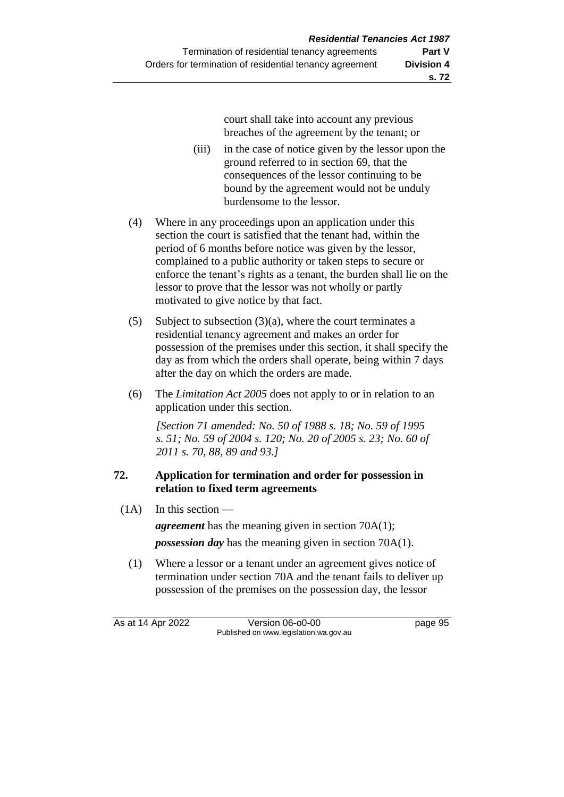court shall take into account any previous breaches of the agreement by the tenant; or

- (iii) in the case of notice given by the lessor upon the ground referred to in section 69, that the consequences of the lessor continuing to be bound by the agreement would not be unduly burdensome to the lessor.
- (4) Where in any proceedings upon an application under this section the court is satisfied that the tenant had, within the period of 6 months before notice was given by the lessor, complained to a public authority or taken steps to secure or enforce the tenant's rights as a tenant, the burden shall lie on the lessor to prove that the lessor was not wholly or partly motivated to give notice by that fact.
- (5) Subject to subsection (3)(a), where the court terminates a residential tenancy agreement and makes an order for possession of the premises under this section, it shall specify the day as from which the orders shall operate, being within 7 days after the day on which the orders are made.
- (6) The *Limitation Act 2005* does not apply to or in relation to an application under this section.

*[Section 71 amended: No. 50 of 1988 s. 18; No. 59 of 1995 s. 51; No. 59 of 2004 s. 120; No. 20 of 2005 s. 23; No. 60 of 2011 s. 70, 88, 89 and 93.]* 

## **72. Application for termination and order for possession in relation to fixed term agreements**

 $(1A)$  In this section —

*agreement* has the meaning given in section 70A(1); *possession day* has the meaning given in section 70A(1).

(1) Where a lessor or a tenant under an agreement gives notice of termination under section 70A and the tenant fails to deliver up possession of the premises on the possession day, the lessor

As at 14 Apr 2022 Version 06-o0-00 page 95 Published on www.legislation.wa.gov.au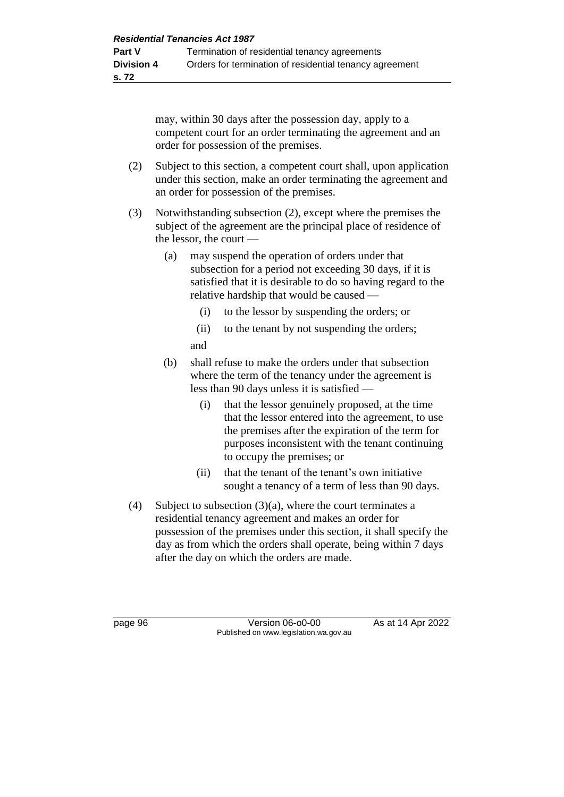may, within 30 days after the possession day, apply to a competent court for an order terminating the agreement and an order for possession of the premises.

- (2) Subject to this section, a competent court shall, upon application under this section, make an order terminating the agreement and an order for possession of the premises.
- (3) Notwithstanding subsection (2), except where the premises the subject of the agreement are the principal place of residence of the lessor, the court —
	- (a) may suspend the operation of orders under that subsection for a period not exceeding 30 days, if it is satisfied that it is desirable to do so having regard to the relative hardship that would be caused —
		- (i) to the lessor by suspending the orders; or
		- (ii) to the tenant by not suspending the orders;
		- and
	- (b) shall refuse to make the orders under that subsection where the term of the tenancy under the agreement is less than 90 days unless it is satisfied —
		- (i) that the lessor genuinely proposed, at the time that the lessor entered into the agreement, to use the premises after the expiration of the term for purposes inconsistent with the tenant continuing to occupy the premises; or
		- (ii) that the tenant of the tenant's own initiative sought a tenancy of a term of less than 90 days.
- (4) Subject to subsection  $(3)(a)$ , where the court terminates a residential tenancy agreement and makes an order for possession of the premises under this section, it shall specify the day as from which the orders shall operate, being within 7 days after the day on which the orders are made.

page 96 **Version 06-00-00** As at 14 Apr 2022 Published on www.legislation.wa.gov.au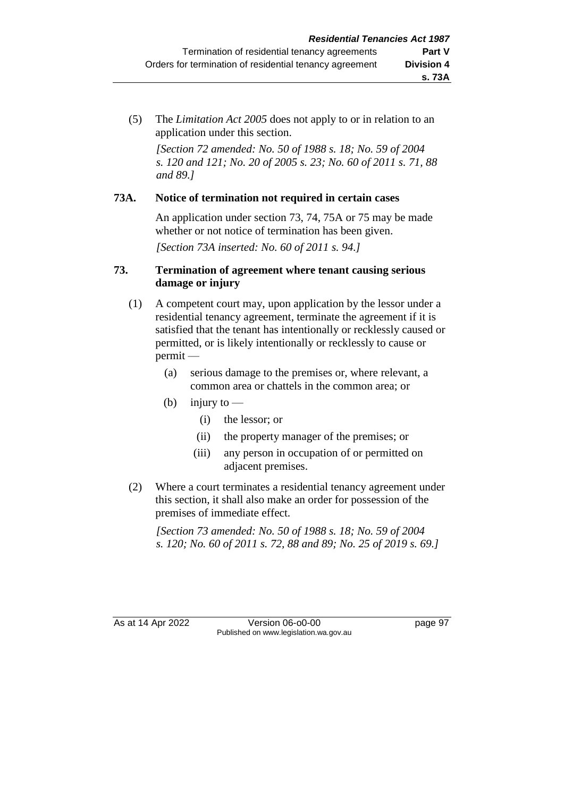(5) The *Limitation Act 2005* does not apply to or in relation to an application under this section.

*[Section 72 amended: No. 50 of 1988 s. 18; No. 59 of 2004 s. 120 and 121; No. 20 of 2005 s. 23; No. 60 of 2011 s. 71, 88 and 89.]*

### **73A. Notice of termination not required in certain cases**

An application under section 73, 74, 75A or 75 may be made whether or not notice of termination has been given.

*[Section 73A inserted: No. 60 of 2011 s. 94.]*

#### **73. Termination of agreement where tenant causing serious damage or injury**

- (1) A competent court may, upon application by the lessor under a residential tenancy agreement, terminate the agreement if it is satisfied that the tenant has intentionally or recklessly caused or permitted, or is likely intentionally or recklessly to cause or permit —
	- (a) serious damage to the premises or, where relevant, a common area or chattels in the common area; or
	- (b) injury to  $-$ 
		- (i) the lessor; or
		- (ii) the property manager of the premises; or
		- (iii) any person in occupation of or permitted on adjacent premises.
- (2) Where a court terminates a residential tenancy agreement under this section, it shall also make an order for possession of the premises of immediate effect.

*[Section 73 amended: No. 50 of 1988 s. 18; No. 59 of 2004 s. 120; No. 60 of 2011 s. 72, 88 and 89; No. 25 of 2019 s. 69.]* 

As at 14 Apr 2022 Version 06-o0-00 page 97 Published on www.legislation.wa.gov.au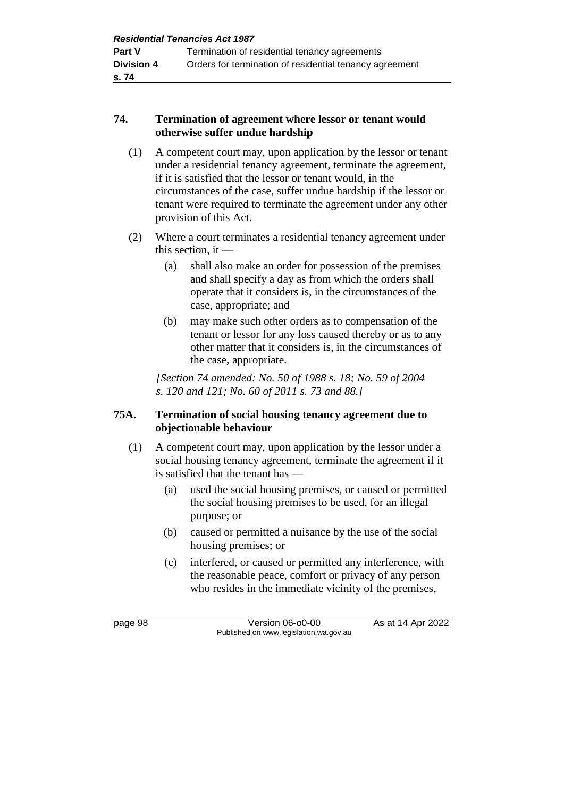### **74. Termination of agreement where lessor or tenant would otherwise suffer undue hardship**

- (1) A competent court may, upon application by the lessor or tenant under a residential tenancy agreement, terminate the agreement, if it is satisfied that the lessor or tenant would, in the circumstances of the case, suffer undue hardship if the lessor or tenant were required to terminate the agreement under any other provision of this Act.
- (2) Where a court terminates a residential tenancy agreement under this section, it  $-$ 
	- (a) shall also make an order for possession of the premises and shall specify a day as from which the orders shall operate that it considers is, in the circumstances of the case, appropriate; and
	- (b) may make such other orders as to compensation of the tenant or lessor for any loss caused thereby or as to any other matter that it considers is, in the circumstances of the case, appropriate.

*[Section 74 amended: No. 50 of 1988 s. 18; No. 59 of 2004 s. 120 and 121; No. 60 of 2011 s. 73 and 88.]* 

#### **75A. Termination of social housing tenancy agreement due to objectionable behaviour**

- (1) A competent court may, upon application by the lessor under a social housing tenancy agreement, terminate the agreement if it is satisfied that the tenant has —
	- (a) used the social housing premises, or caused or permitted the social housing premises to be used, for an illegal purpose; or
	- (b) caused or permitted a nuisance by the use of the social housing premises; or
	- (c) interfered, or caused or permitted any interference, with the reasonable peace, comfort or privacy of any person who resides in the immediate vicinity of the premises,

page 98 Version 06-o0-00 As at 14 Apr 2022 Published on www.legislation.wa.gov.au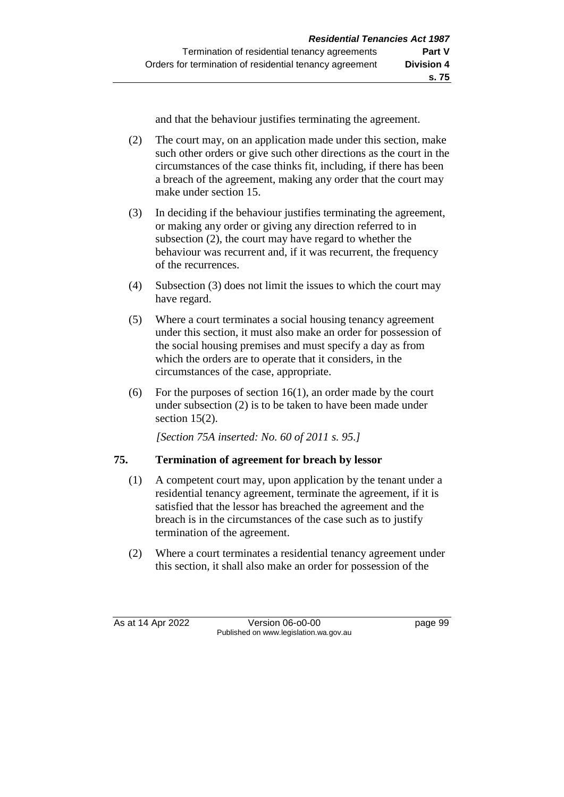and that the behaviour justifies terminating the agreement.

- (2) The court may, on an application made under this section, make such other orders or give such other directions as the court in the circumstances of the case thinks fit, including, if there has been a breach of the agreement, making any order that the court may make under section 15.
- (3) In deciding if the behaviour justifies terminating the agreement, or making any order or giving any direction referred to in subsection (2), the court may have regard to whether the behaviour was recurrent and, if it was recurrent, the frequency of the recurrences.
- (4) Subsection (3) does not limit the issues to which the court may have regard.
- (5) Where a court terminates a social housing tenancy agreement under this section, it must also make an order for possession of the social housing premises and must specify a day as from which the orders are to operate that it considers, in the circumstances of the case, appropriate.
- (6) For the purposes of section  $16(1)$ , an order made by the court under subsection (2) is to be taken to have been made under section 15(2).

*[Section 75A inserted: No. 60 of 2011 s. 95.]*

## **75. Termination of agreement for breach by lessor**

- (1) A competent court may, upon application by the tenant under a residential tenancy agreement, terminate the agreement, if it is satisfied that the lessor has breached the agreement and the breach is in the circumstances of the case such as to justify termination of the agreement.
- (2) Where a court terminates a residential tenancy agreement under this section, it shall also make an order for possession of the

As at 14 Apr 2022 Version 06-o0-00 page 99 Published on www.legislation.wa.gov.au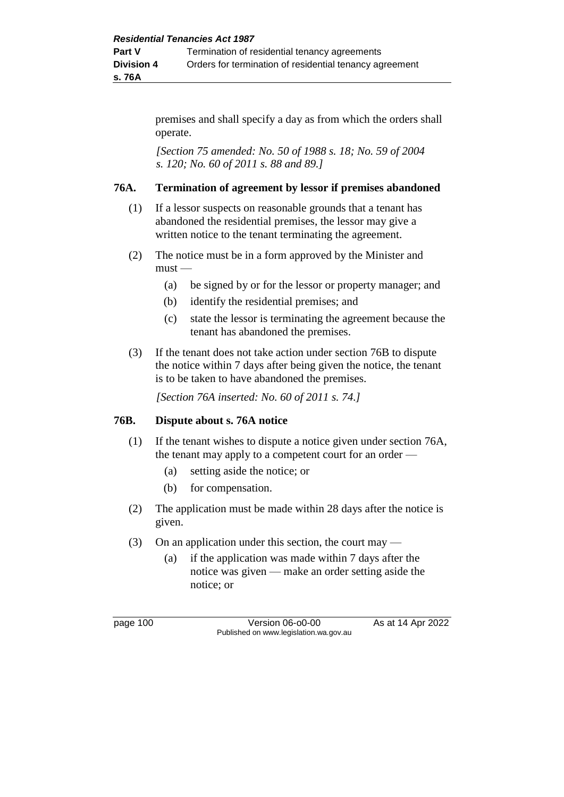premises and shall specify a day as from which the orders shall operate.

*[Section 75 amended: No. 50 of 1988 s. 18; No. 59 of 2004 s. 120; No. 60 of 2011 s. 88 and 89.]* 

## **76A. Termination of agreement by lessor if premises abandoned**

- (1) If a lessor suspects on reasonable grounds that a tenant has abandoned the residential premises, the lessor may give a written notice to the tenant terminating the agreement.
- (2) The notice must be in a form approved by the Minister and  $must -$ 
	- (a) be signed by or for the lessor or property manager; and
	- (b) identify the residential premises; and
	- (c) state the lessor is terminating the agreement because the tenant has abandoned the premises.
- (3) If the tenant does not take action under section 76B to dispute the notice within 7 days after being given the notice, the tenant is to be taken to have abandoned the premises.

*[Section 76A inserted: No. 60 of 2011 s. 74.]*

## **76B. Dispute about s. 76A notice**

- (1) If the tenant wishes to dispute a notice given under section 76A, the tenant may apply to a competent court for an order -
	- (a) setting aside the notice; or
	- (b) for compensation.
- (2) The application must be made within 28 days after the notice is given.
- (3) On an application under this section, the court may
	- (a) if the application was made within 7 days after the notice was given — make an order setting aside the notice; or

page 100 Version 06-o0-00 As at 14 Apr 2022 Published on www.legislation.wa.gov.au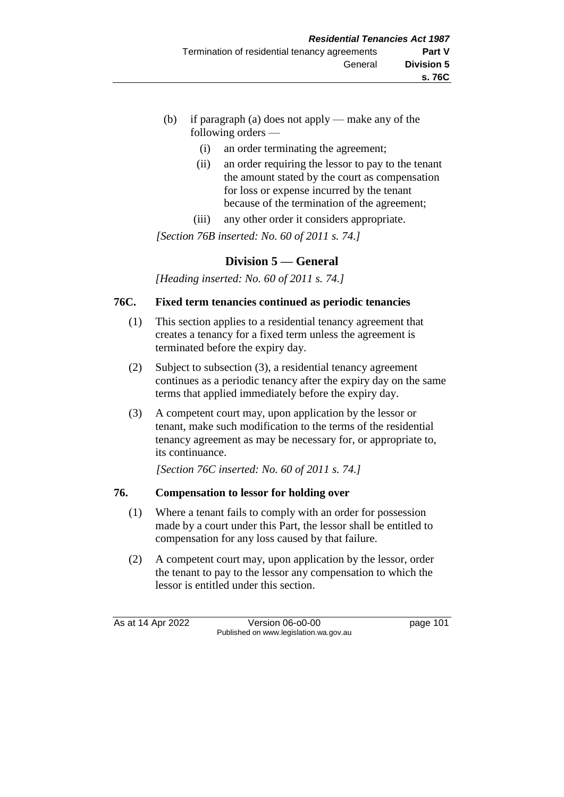- (b) if paragraph (a) does not apply make any of the following orders —
	- (i) an order terminating the agreement;
	- (ii) an order requiring the lessor to pay to the tenant the amount stated by the court as compensation for loss or expense incurred by the tenant because of the termination of the agreement;
	- (iii) any other order it considers appropriate.

*[Section 76B inserted: No. 60 of 2011 s. 74.]*

# **Division 5 — General**

*[Heading inserted: No. 60 of 2011 s. 74.]*

## **76C. Fixed term tenancies continued as periodic tenancies**

- (1) This section applies to a residential tenancy agreement that creates a tenancy for a fixed term unless the agreement is terminated before the expiry day.
- (2) Subject to subsection (3), a residential tenancy agreement continues as a periodic tenancy after the expiry day on the same terms that applied immediately before the expiry day.
- (3) A competent court may, upon application by the lessor or tenant, make such modification to the terms of the residential tenancy agreement as may be necessary for, or appropriate to, its continuance.

*[Section 76C inserted: No. 60 of 2011 s. 74.]*

## **76. Compensation to lessor for holding over**

- (1) Where a tenant fails to comply with an order for possession made by a court under this Part, the lessor shall be entitled to compensation for any loss caused by that failure.
- (2) A competent court may, upon application by the lessor, order the tenant to pay to the lessor any compensation to which the lessor is entitled under this section.

As at 14 Apr 2022 Version 06-o0-00 page 101 Published on www.legislation.wa.gov.au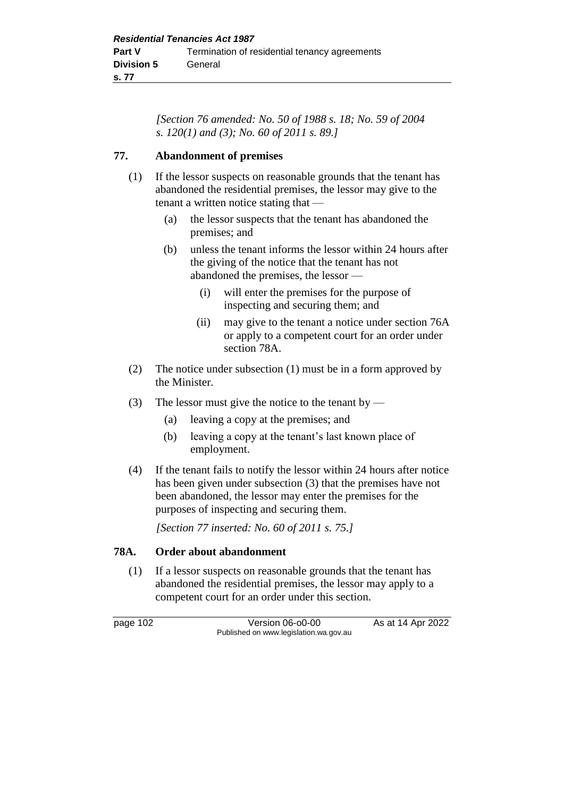*[Section 76 amended: No. 50 of 1988 s. 18; No. 59 of 2004 s. 120(1) and (3); No. 60 of 2011 s. 89.]* 

## **77. Abandonment of premises**

- (1) If the lessor suspects on reasonable grounds that the tenant has abandoned the residential premises, the lessor may give to the tenant a written notice stating that —
	- (a) the lessor suspects that the tenant has abandoned the premises; and
	- (b) unless the tenant informs the lessor within 24 hours after the giving of the notice that the tenant has not abandoned the premises, the lessor —
		- (i) will enter the premises for the purpose of inspecting and securing them; and
		- (ii) may give to the tenant a notice under section 76A or apply to a competent court for an order under section 78A.
- (2) The notice under subsection (1) must be in a form approved by the Minister.
- (3) The lessor must give the notice to the tenant by
	- (a) leaving a copy at the premises; and
	- (b) leaving a copy at the tenant's last known place of employment.
- (4) If the tenant fails to notify the lessor within 24 hours after notice has been given under subsection (3) that the premises have not been abandoned, the lessor may enter the premises for the purposes of inspecting and securing them.

*[Section 77 inserted: No. 60 of 2011 s. 75.]*

## **78A. Order about abandonment**

(1) If a lessor suspects on reasonable grounds that the tenant has abandoned the residential premises, the lessor may apply to a competent court for an order under this section.

page 102 Version 06-o0-00 As at 14 Apr 2022 Published on www.legislation.wa.gov.au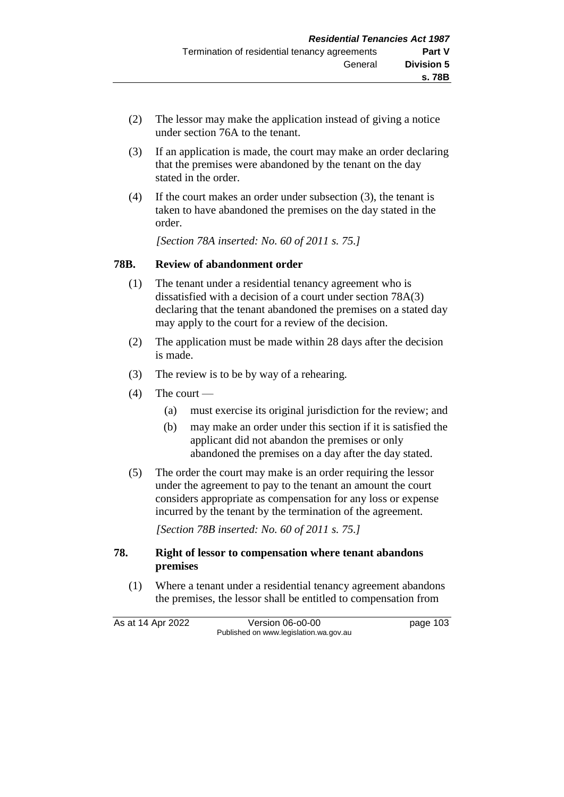- (2) The lessor may make the application instead of giving a notice under section 76A to the tenant.
- (3) If an application is made, the court may make an order declaring that the premises were abandoned by the tenant on the day stated in the order.
- (4) If the court makes an order under subsection (3), the tenant is taken to have abandoned the premises on the day stated in the order.

*[Section 78A inserted: No. 60 of 2011 s. 75.]*

#### **78B. Review of abandonment order**

- (1) The tenant under a residential tenancy agreement who is dissatisfied with a decision of a court under section 78A(3) declaring that the tenant abandoned the premises on a stated day may apply to the court for a review of the decision.
- (2) The application must be made within 28 days after the decision is made.
- (3) The review is to be by way of a rehearing.
- $(4)$  The court
	- (a) must exercise its original jurisdiction for the review; and
	- (b) may make an order under this section if it is satisfied the applicant did not abandon the premises or only abandoned the premises on a day after the day stated.
- (5) The order the court may make is an order requiring the lessor under the agreement to pay to the tenant an amount the court considers appropriate as compensation for any loss or expense incurred by the tenant by the termination of the agreement.

*[Section 78B inserted: No. 60 of 2011 s. 75.]*

#### **78. Right of lessor to compensation where tenant abandons premises**

(1) Where a tenant under a residential tenancy agreement abandons the premises, the lessor shall be entitled to compensation from

As at 14 Apr 2022 Version 06-o0-00 page 103 Published on www.legislation.wa.gov.au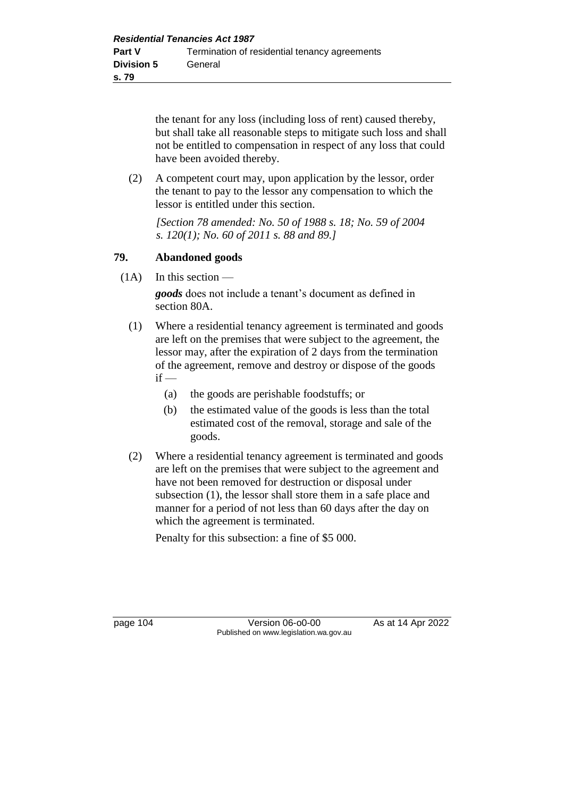the tenant for any loss (including loss of rent) caused thereby, but shall take all reasonable steps to mitigate such loss and shall not be entitled to compensation in respect of any loss that could have been avoided thereby.

(2) A competent court may, upon application by the lessor, order the tenant to pay to the lessor any compensation to which the lessor is entitled under this section.

*[Section 78 amended: No. 50 of 1988 s. 18; No. 59 of 2004 s. 120(1); No. 60 of 2011 s. 88 and 89.]* 

#### **79. Abandoned goods**

 $(1A)$  In this section —

*goods* does not include a tenant's document as defined in section 80A.

- (1) Where a residential tenancy agreement is terminated and goods are left on the premises that were subject to the agreement, the lessor may, after the expiration of 2 days from the termination of the agreement, remove and destroy or dispose of the goods  $if -$ 
	- (a) the goods are perishable foodstuffs; or
	- (b) the estimated value of the goods is less than the total estimated cost of the removal, storage and sale of the goods.
- (2) Where a residential tenancy agreement is terminated and goods are left on the premises that were subject to the agreement and have not been removed for destruction or disposal under subsection (1), the lessor shall store them in a safe place and manner for a period of not less than 60 days after the day on which the agreement is terminated.

Penalty for this subsection: a fine of \$5 000.

page 104 Version 06-o0-00 As at 14 Apr 2022 Published on www.legislation.wa.gov.au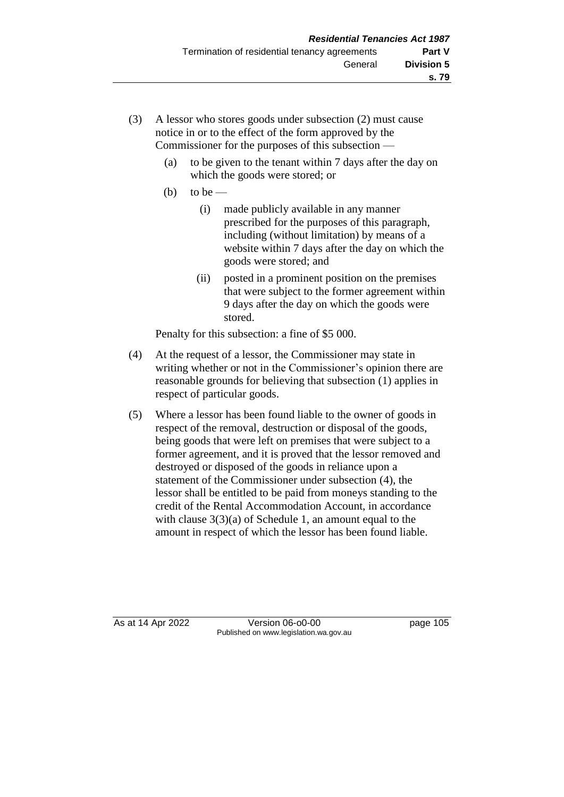- (3) A lessor who stores goods under subsection (2) must cause notice in or to the effect of the form approved by the Commissioner for the purposes of this subsection —
	- (a) to be given to the tenant within 7 days after the day on which the goods were stored; or
	- (b) to be
		- (i) made publicly available in any manner prescribed for the purposes of this paragraph, including (without limitation) by means of a website within 7 days after the day on which the goods were stored; and
		- (ii) posted in a prominent position on the premises that were subject to the former agreement within 9 days after the day on which the goods were stored.

Penalty for this subsection: a fine of \$5 000.

- (4) At the request of a lessor, the Commissioner may state in writing whether or not in the Commissioner's opinion there are reasonable grounds for believing that subsection (1) applies in respect of particular goods.
- (5) Where a lessor has been found liable to the owner of goods in respect of the removal, destruction or disposal of the goods, being goods that were left on premises that were subject to a former agreement, and it is proved that the lessor removed and destroyed or disposed of the goods in reliance upon a statement of the Commissioner under subsection (4), the lessor shall be entitled to be paid from moneys standing to the credit of the Rental Accommodation Account, in accordance with clause  $3(3)(a)$  of Schedule 1, an amount equal to the amount in respect of which the lessor has been found liable.

As at 14 Apr 2022 Version 06-o0-00 page 105 Published on www.legislation.wa.gov.au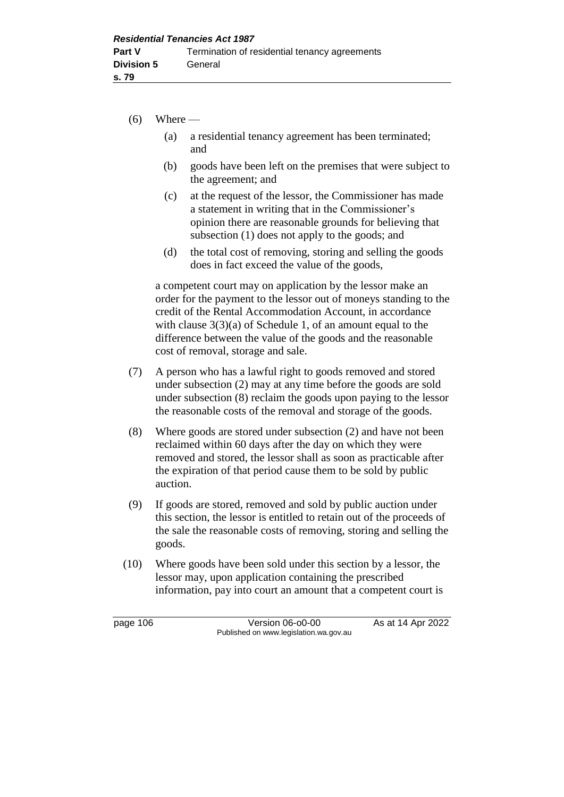- $(6)$  Where
	- (a) a residential tenancy agreement has been terminated; and
	- (b) goods have been left on the premises that were subject to the agreement; and
	- (c) at the request of the lessor, the Commissioner has made a statement in writing that in the Commissioner's opinion there are reasonable grounds for believing that subsection (1) does not apply to the goods; and
	- (d) the total cost of removing, storing and selling the goods does in fact exceed the value of the goods,

a competent court may on application by the lessor make an order for the payment to the lessor out of moneys standing to the credit of the Rental Accommodation Account, in accordance with clause  $3(3)(a)$  of Schedule 1, of an amount equal to the difference between the value of the goods and the reasonable cost of removal, storage and sale.

- (7) A person who has a lawful right to goods removed and stored under subsection (2) may at any time before the goods are sold under subsection (8) reclaim the goods upon paying to the lessor the reasonable costs of the removal and storage of the goods.
- (8) Where goods are stored under subsection (2) and have not been reclaimed within 60 days after the day on which they were removed and stored, the lessor shall as soon as practicable after the expiration of that period cause them to be sold by public auction.
- (9) If goods are stored, removed and sold by public auction under this section, the lessor is entitled to retain out of the proceeds of the sale the reasonable costs of removing, storing and selling the goods.
- (10) Where goods have been sold under this section by a lessor, the lessor may, upon application containing the prescribed information, pay into court an amount that a competent court is

page 106 **Version 06-00-00** As at 14 Apr 2022 Published on www.legislation.wa.gov.au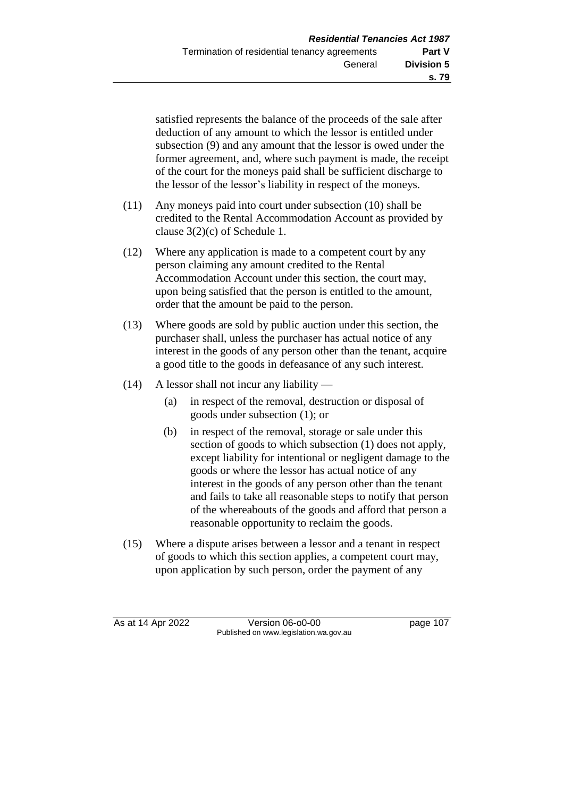satisfied represents the balance of the proceeds of the sale after deduction of any amount to which the lessor is entitled under subsection (9) and any amount that the lessor is owed under the former agreement, and, where such payment is made, the receipt of the court for the moneys paid shall be sufficient discharge to the lessor of the lessor's liability in respect of the moneys.

- (11) Any moneys paid into court under subsection (10) shall be credited to the Rental Accommodation Account as provided by clause 3(2)(c) of Schedule 1.
- (12) Where any application is made to a competent court by any person claiming any amount credited to the Rental Accommodation Account under this section, the court may, upon being satisfied that the person is entitled to the amount, order that the amount be paid to the person.
- (13) Where goods are sold by public auction under this section, the purchaser shall, unless the purchaser has actual notice of any interest in the goods of any person other than the tenant, acquire a good title to the goods in defeasance of any such interest.
- $(14)$  A lessor shall not incur any liability
	- (a) in respect of the removal, destruction or disposal of goods under subsection (1); or
	- (b) in respect of the removal, storage or sale under this section of goods to which subsection (1) does not apply, except liability for intentional or negligent damage to the goods or where the lessor has actual notice of any interest in the goods of any person other than the tenant and fails to take all reasonable steps to notify that person of the whereabouts of the goods and afford that person a reasonable opportunity to reclaim the goods.
- (15) Where a dispute arises between a lessor and a tenant in respect of goods to which this section applies, a competent court may, upon application by such person, order the payment of any

As at 14 Apr 2022 Version 06-o0-00 page 107 Published on www.legislation.wa.gov.au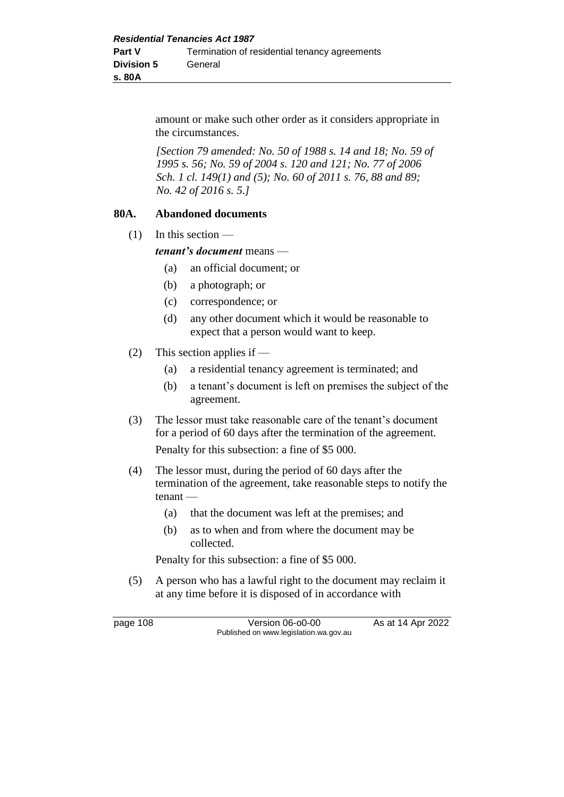amount or make such other order as it considers appropriate in the circumstances.

*[Section 79 amended: No. 50 of 1988 s. 14 and 18; No. 59 of 1995 s. 56; No. 59 of 2004 s. 120 and 121; No. 77 of 2006 Sch. 1 cl. 149(1) and (5); No. 60 of 2011 s. 76, 88 and 89; No. 42 of 2016 s. 5.]* 

#### **80A. Abandoned documents**

 $(1)$  In this section —

*tenant's document* means —

- (a) an official document; or
- (b) a photograph; or
- (c) correspondence; or
- (d) any other document which it would be reasonable to expect that a person would want to keep.
- (2) This section applies if
	- (a) a residential tenancy agreement is terminated; and
	- (b) a tenant's document is left on premises the subject of the agreement.
- (3) The lessor must take reasonable care of the tenant's document for a period of 60 days after the termination of the agreement. Penalty for this subsection: a fine of \$5 000.
- (4) The lessor must, during the period of 60 days after the termination of the agreement, take reasonable steps to notify the tenant —
	- (a) that the document was left at the premises; and
	- (b) as to when and from where the document may be collected.

Penalty for this subsection: a fine of \$5 000.

(5) A person who has a lawful right to the document may reclaim it at any time before it is disposed of in accordance with

page 108 Version 06-00-00 As at 14 Apr 2022 Published on www.legislation.wa.gov.au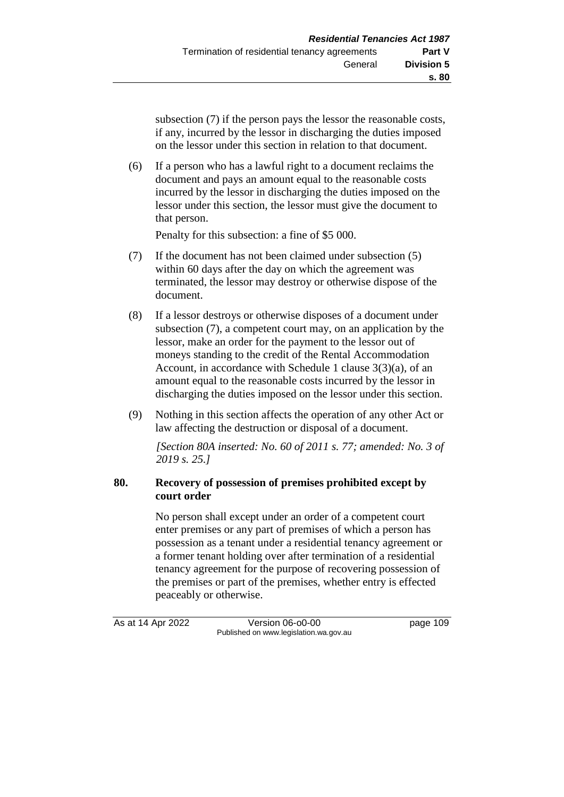subsection (7) if the person pays the lessor the reasonable costs, if any, incurred by the lessor in discharging the duties imposed on the lessor under this section in relation to that document.

(6) If a person who has a lawful right to a document reclaims the document and pays an amount equal to the reasonable costs incurred by the lessor in discharging the duties imposed on the lessor under this section, the lessor must give the document to that person.

Penalty for this subsection: a fine of \$5 000.

- (7) If the document has not been claimed under subsection (5) within 60 days after the day on which the agreement was terminated, the lessor may destroy or otherwise dispose of the document.
- (8) If a lessor destroys or otherwise disposes of a document under subsection (7), a competent court may, on an application by the lessor, make an order for the payment to the lessor out of moneys standing to the credit of the Rental Accommodation Account, in accordance with Schedule 1 clause 3(3)(a), of an amount equal to the reasonable costs incurred by the lessor in discharging the duties imposed on the lessor under this section.
- (9) Nothing in this section affects the operation of any other Act or law affecting the destruction or disposal of a document.

*[Section 80A inserted: No. 60 of 2011 s. 77; amended: No. 3 of 2019 s. 25.]* 

## **80. Recovery of possession of premises prohibited except by court order**

No person shall except under an order of a competent court enter premises or any part of premises of which a person has possession as a tenant under a residential tenancy agreement or a former tenant holding over after termination of a residential tenancy agreement for the purpose of recovering possession of the premises or part of the premises, whether entry is effected peaceably or otherwise.

As at 14 Apr 2022 Version 06-o0-00 page 109 Published on www.legislation.wa.gov.au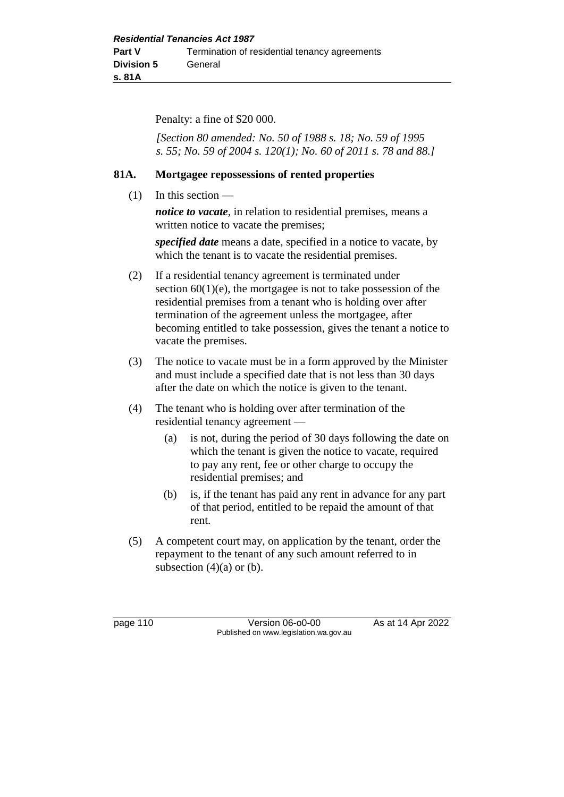Penalty: a fine of \$20 000.

*[Section 80 amended: No. 50 of 1988 s. 18; No. 59 of 1995 s. 55; No. 59 of 2004 s. 120(1); No. 60 of 2011 s. 78 and 88.]* 

#### **81A. Mortgagee repossessions of rented properties**

(1) In this section —

*notice to vacate*, in relation to residential premises, means a written notice to vacate the premises;

*specified date* means a date, specified in a notice to vacate, by which the tenant is to vacate the residential premises.

- (2) If a residential tenancy agreement is terminated under section  $60(1)(e)$ , the mortgagee is not to take possession of the residential premises from a tenant who is holding over after termination of the agreement unless the mortgagee, after becoming entitled to take possession, gives the tenant a notice to vacate the premises.
- (3) The notice to vacate must be in a form approved by the Minister and must include a specified date that is not less than 30 days after the date on which the notice is given to the tenant.
- (4) The tenant who is holding over after termination of the residential tenancy agreement —
	- (a) is not, during the period of 30 days following the date on which the tenant is given the notice to vacate, required to pay any rent, fee or other charge to occupy the residential premises; and
	- (b) is, if the tenant has paid any rent in advance for any part of that period, entitled to be repaid the amount of that rent.
- (5) A competent court may, on application by the tenant, order the repayment to the tenant of any such amount referred to in subsection  $(4)(a)$  or  $(b)$ .

page 110 Version 06-o0-00 As at 14 Apr 2022 Published on www.legislation.wa.gov.au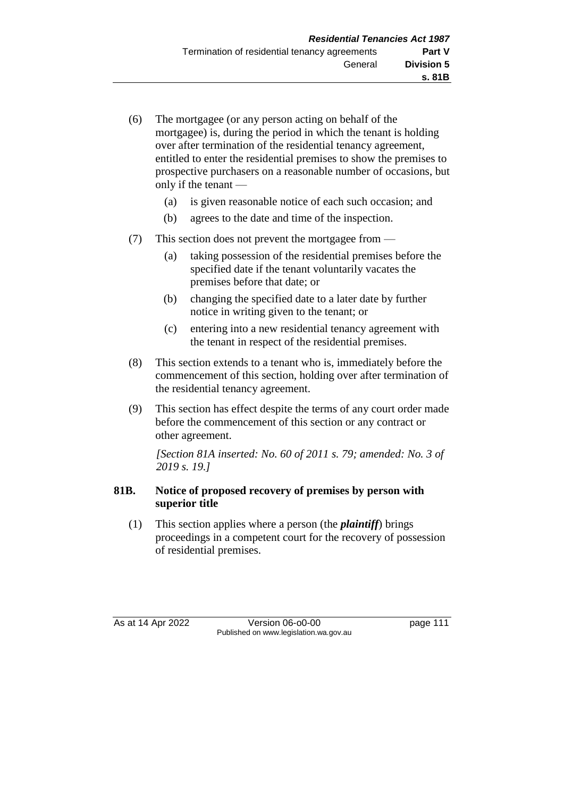- (6) The mortgagee (or any person acting on behalf of the mortgagee) is, during the period in which the tenant is holding over after termination of the residential tenancy agreement, entitled to enter the residential premises to show the premises to prospective purchasers on a reasonable number of occasions, but only if the tenant —
	- (a) is given reasonable notice of each such occasion; and
	- (b) agrees to the date and time of the inspection.
- (7) This section does not prevent the mortgagee from
	- (a) taking possession of the residential premises before the specified date if the tenant voluntarily vacates the premises before that date; or
	- (b) changing the specified date to a later date by further notice in writing given to the tenant; or
	- (c) entering into a new residential tenancy agreement with the tenant in respect of the residential premises.
- (8) This section extends to a tenant who is, immediately before the commencement of this section, holding over after termination of the residential tenancy agreement.
- (9) This section has effect despite the terms of any court order made before the commencement of this section or any contract or other agreement.

*[Section 81A inserted: No. 60 of 2011 s. 79; amended: No. 3 of 2019 s. 19.]* 

# **81B. Notice of proposed recovery of premises by person with superior title**

(1) This section applies where a person (the *plaintiff*) brings proceedings in a competent court for the recovery of possession of residential premises.

As at 14 Apr 2022 Version 06-00-00 Published on www.legislation.wa.gov.au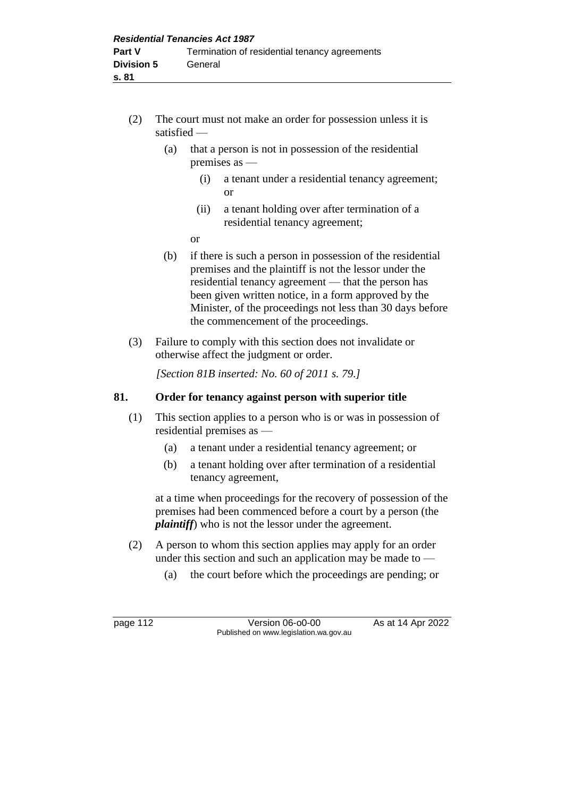- (2) The court must not make an order for possession unless it is satisfied —
	- (a) that a person is not in possession of the residential premises as —
		- (i) a tenant under a residential tenancy agreement; or
		- (ii) a tenant holding over after termination of a residential tenancy agreement;
		- or
	- (b) if there is such a person in possession of the residential premises and the plaintiff is not the lessor under the residential tenancy agreement — that the person has been given written notice, in a form approved by the Minister, of the proceedings not less than 30 days before the commencement of the proceedings.
- (3) Failure to comply with this section does not invalidate or otherwise affect the judgment or order.

*[Section 81B inserted: No. 60 of 2011 s. 79.]* 

# **81. Order for tenancy against person with superior title**

- (1) This section applies to a person who is or was in possession of residential premises as —
	- (a) a tenant under a residential tenancy agreement; or
	- (b) a tenant holding over after termination of a residential tenancy agreement,

at a time when proceedings for the recovery of possession of the premises had been commenced before a court by a person (the *plaintiff*) who is not the lessor under the agreement.

- (2) A person to whom this section applies may apply for an order under this section and such an application may be made to —
	- (a) the court before which the proceedings are pending; or

page 112 **Version 06-00-00** As at 14 Apr 2022 Published on www.legislation.wa.gov.au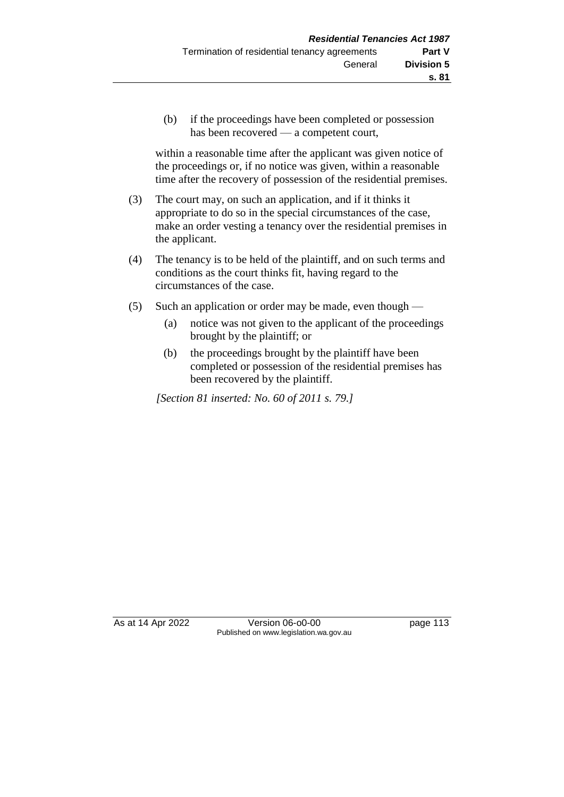(b) if the proceedings have been completed or possession has been recovered — a competent court,

within a reasonable time after the applicant was given notice of the proceedings or, if no notice was given, within a reasonable time after the recovery of possession of the residential premises.

- (3) The court may, on such an application, and if it thinks it appropriate to do so in the special circumstances of the case, make an order vesting a tenancy over the residential premises in the applicant.
- (4) The tenancy is to be held of the plaintiff, and on such terms and conditions as the court thinks fit, having regard to the circumstances of the case.
- (5) Such an application or order may be made, even though
	- (a) notice was not given to the applicant of the proceedings brought by the plaintiff; or
	- (b) the proceedings brought by the plaintiff have been completed or possession of the residential premises has been recovered by the plaintiff.

*[Section 81 inserted: No. 60 of 2011 s. 79.]* 

As at 14 Apr 2022 Version 06-o0-00 page 113 Published on www.legislation.wa.gov.au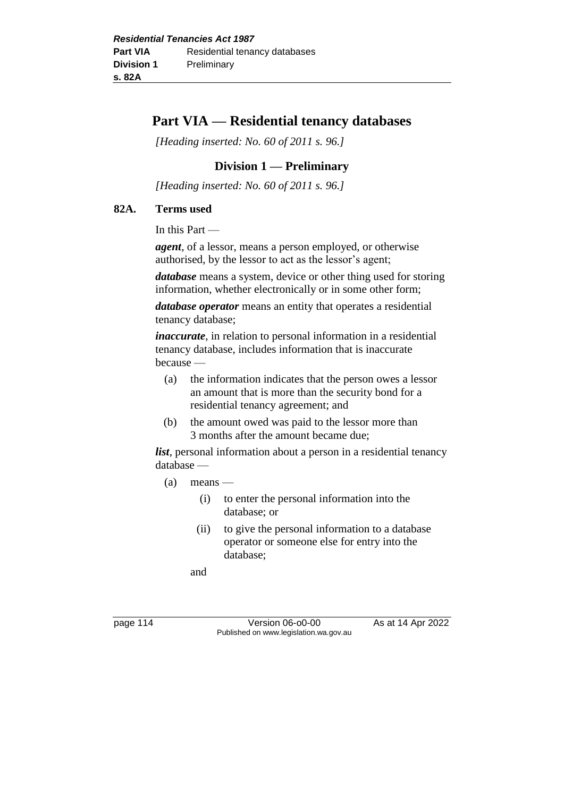# **Part VIA — Residential tenancy databases**

*[Heading inserted: No. 60 of 2011 s. 96.]* 

## **Division 1 — Preliminary**

*[Heading inserted: No. 60 of 2011 s. 96.]* 

#### **82A. Terms used**

In this Part —

*agent*, of a lessor, means a person employed, or otherwise authorised, by the lessor to act as the lessor's agent;

*database* means a system, device or other thing used for storing information, whether electronically or in some other form;

*database operator* means an entity that operates a residential tenancy database;

*inaccurate*, in relation to personal information in a residential tenancy database, includes information that is inaccurate because —

- (a) the information indicates that the person owes a lessor an amount that is more than the security bond for a residential tenancy agreement; and
- (b) the amount owed was paid to the lessor more than 3 months after the amount became due;

*list*, personal information about a person in a residential tenancy database —

- $(a)$  means
	- (i) to enter the personal information into the database; or
	- (ii) to give the personal information to a database operator or someone else for entry into the database;

and

page 114 Version 06-00-00 As at 14 Apr 2022 Published on www.legislation.wa.gov.au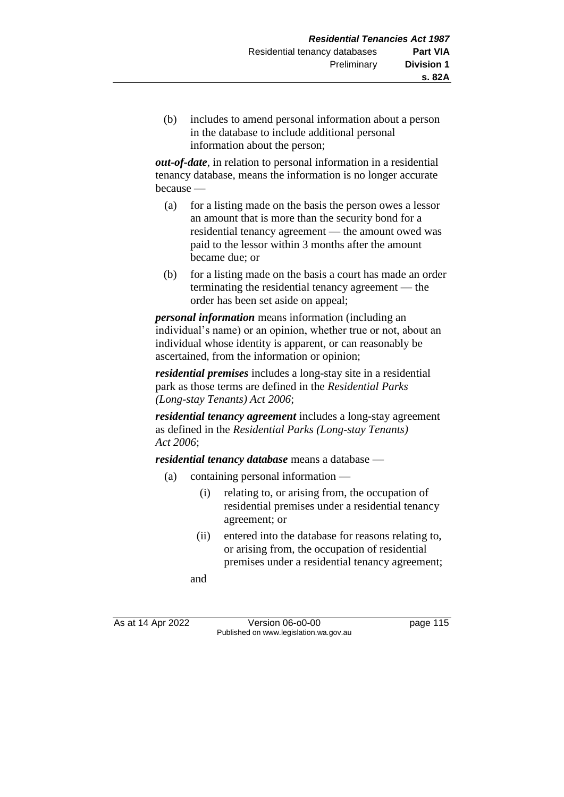(b) includes to amend personal information about a person in the database to include additional personal information about the person;

*out-of-date*, in relation to personal information in a residential tenancy database, means the information is no longer accurate because —

- (a) for a listing made on the basis the person owes a lessor an amount that is more than the security bond for a residential tenancy agreement — the amount owed was paid to the lessor within 3 months after the amount became due; or
- (b) for a listing made on the basis a court has made an order terminating the residential tenancy agreement — the order has been set aside on appeal;

*personal information* means information (including an individual's name) or an opinion, whether true or not, about an individual whose identity is apparent, or can reasonably be ascertained, from the information or opinion;

*residential premises* includes a long-stay site in a residential park as those terms are defined in the *Residential Parks (Long-stay Tenants) Act 2006*;

*residential tenancy agreement* includes a long-stay agreement as defined in the *Residential Parks (Long-stay Tenants) Act 2006*;

*residential tenancy database* means a database —

- (a) containing personal information
	- (i) relating to, or arising from, the occupation of residential premises under a residential tenancy agreement; or
	- (ii) entered into the database for reasons relating to, or arising from, the occupation of residential premises under a residential tenancy agreement;

and

As at 14 Apr 2022 Version 06-o0-00 page 115 Published on www.legislation.wa.gov.au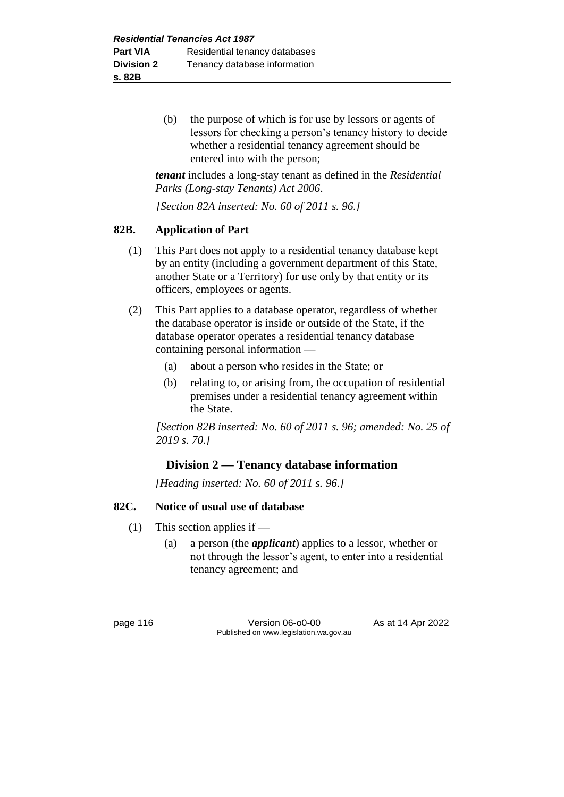(b) the purpose of which is for use by lessors or agents of lessors for checking a person's tenancy history to decide whether a residential tenancy agreement should be entered into with the person;

*tenant* includes a long-stay tenant as defined in the *Residential Parks (Long-stay Tenants) Act 2006*.

*[Section 82A inserted: No. 60 of 2011 s. 96.]* 

#### **82B. Application of Part**

- (1) This Part does not apply to a residential tenancy database kept by an entity (including a government department of this State, another State or a Territory) for use only by that entity or its officers, employees or agents.
- (2) This Part applies to a database operator, regardless of whether the database operator is inside or outside of the State, if the database operator operates a residential tenancy database containing personal information —
	- (a) about a person who resides in the State; or
	- (b) relating to, or arising from, the occupation of residential premises under a residential tenancy agreement within the State.

*[Section 82B inserted: No. 60 of 2011 s. 96; amended: No. 25 of 2019 s. 70.]* 

## **Division 2 — Tenancy database information**

*[Heading inserted: No. 60 of 2011 s. 96.]* 

## **82C. Notice of usual use of database**

- (1) This section applies if
	- (a) a person (the *applicant*) applies to a lessor, whether or not through the lessor's agent, to enter into a residential tenancy agreement; and

page 116 **Version 06-00-00** As at 14 Apr 2022 Published on www.legislation.wa.gov.au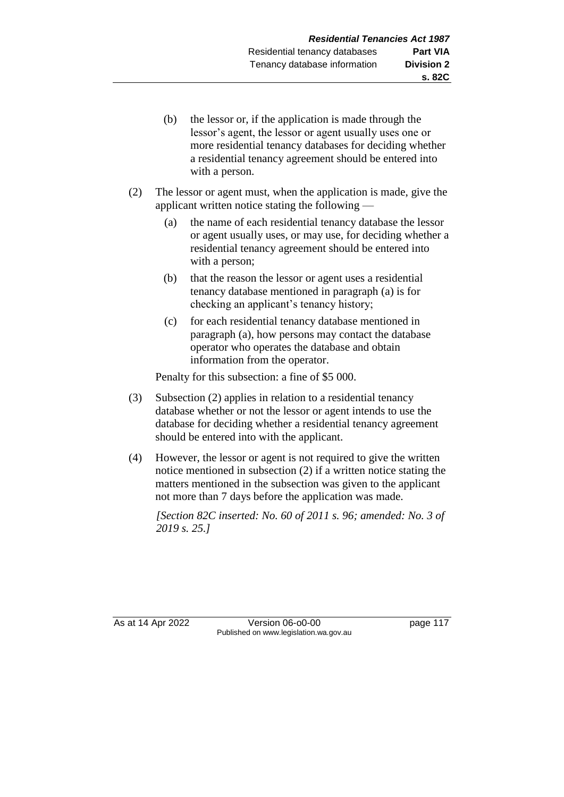- (b) the lessor or, if the application is made through the lessor's agent, the lessor or agent usually uses one or more residential tenancy databases for deciding whether a residential tenancy agreement should be entered into with a person.
- (2) The lessor or agent must, when the application is made, give the applicant written notice stating the following —
	- (a) the name of each residential tenancy database the lessor or agent usually uses, or may use, for deciding whether a residential tenancy agreement should be entered into with a person;
	- (b) that the reason the lessor or agent uses a residential tenancy database mentioned in paragraph (a) is for checking an applicant's tenancy history;
	- (c) for each residential tenancy database mentioned in paragraph (a), how persons may contact the database operator who operates the database and obtain information from the operator.

Penalty for this subsection: a fine of \$5 000.

- (3) Subsection (2) applies in relation to a residential tenancy database whether or not the lessor or agent intends to use the database for deciding whether a residential tenancy agreement should be entered into with the applicant.
- (4) However, the lessor or agent is not required to give the written notice mentioned in subsection (2) if a written notice stating the matters mentioned in the subsection was given to the applicant not more than 7 days before the application was made.

*[Section 82C inserted: No. 60 of 2011 s. 96; amended: No. 3 of 2019 s. 25.]* 

As at 14 Apr 2022 Version 06-o0-00 Page 117 Published on www.legislation.wa.gov.au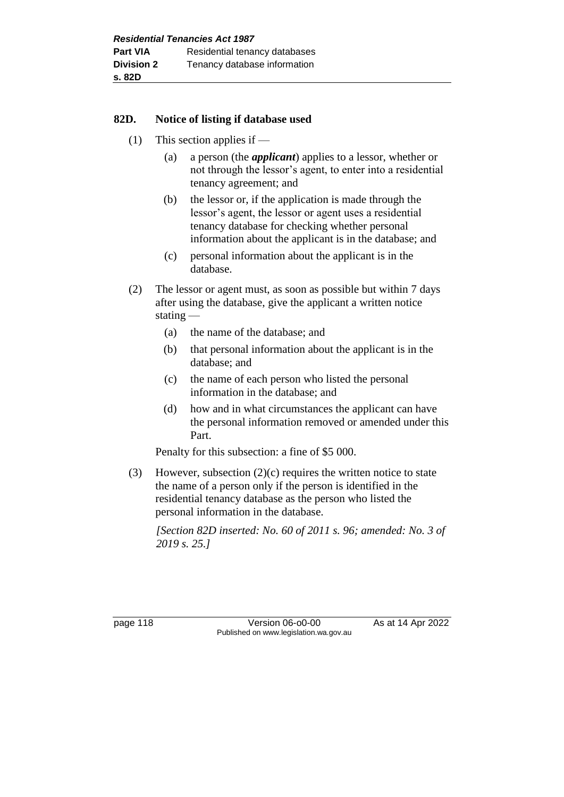#### **82D. Notice of listing if database used**

- (1) This section applies if
	- (a) a person (the *applicant*) applies to a lessor, whether or not through the lessor's agent, to enter into a residential tenancy agreement; and
	- (b) the lessor or, if the application is made through the lessor's agent, the lessor or agent uses a residential tenancy database for checking whether personal information about the applicant is in the database; and
	- (c) personal information about the applicant is in the database.
- (2) The lessor or agent must, as soon as possible but within 7 days after using the database, give the applicant a written notice stating —
	- (a) the name of the database; and
	- (b) that personal information about the applicant is in the database; and
	- (c) the name of each person who listed the personal information in the database; and
	- (d) how and in what circumstances the applicant can have the personal information removed or amended under this Part.

Penalty for this subsection: a fine of \$5 000.

(3) However, subsection  $(2)(c)$  requires the written notice to state the name of a person only if the person is identified in the residential tenancy database as the person who listed the personal information in the database.

*[Section 82D inserted: No. 60 of 2011 s. 96; amended: No. 3 of 2019 s. 25.]* 

page 118 **Version 06-00-00** As at 14 Apr 2022 Published on www.legislation.wa.gov.au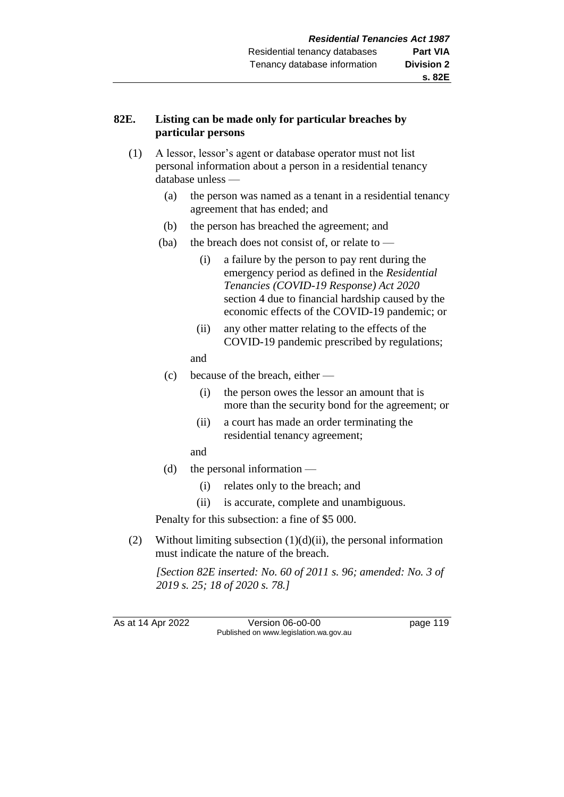## **82E. Listing can be made only for particular breaches by particular persons**

- (1) A lessor, lessor's agent or database operator must not list personal information about a person in a residential tenancy database unless —
	- (a) the person was named as a tenant in a residential tenancy agreement that has ended; and
	- (b) the person has breached the agreement; and
	- (ba) the breach does not consist of, or relate to  $-$ 
		- (i) a failure by the person to pay rent during the emergency period as defined in the *Residential Tenancies (COVID-19 Response) Act 2020* section 4 due to financial hardship caused by the economic effects of the COVID-19 pandemic; or
		- (ii) any other matter relating to the effects of the COVID-19 pandemic prescribed by regulations;
		- and
	- (c) because of the breach, either
		- (i) the person owes the lessor an amount that is more than the security bond for the agreement; or
		- (ii) a court has made an order terminating the residential tenancy agreement;
		- and
	- (d) the personal information
		- (i) relates only to the breach; and
		- (ii) is accurate, complete and unambiguous.

Penalty for this subsection: a fine of \$5 000.

(2) Without limiting subsection  $(1)(d)(ii)$ , the personal information must indicate the nature of the breach.

*[Section 82E inserted: No. 60 of 2011 s. 96; amended: No. 3 of 2019 s. 25; 18 of 2020 s. 78.]* 

As at 14 Apr 2022 Version 06-o0-00 page 119 Published on www.legislation.wa.gov.au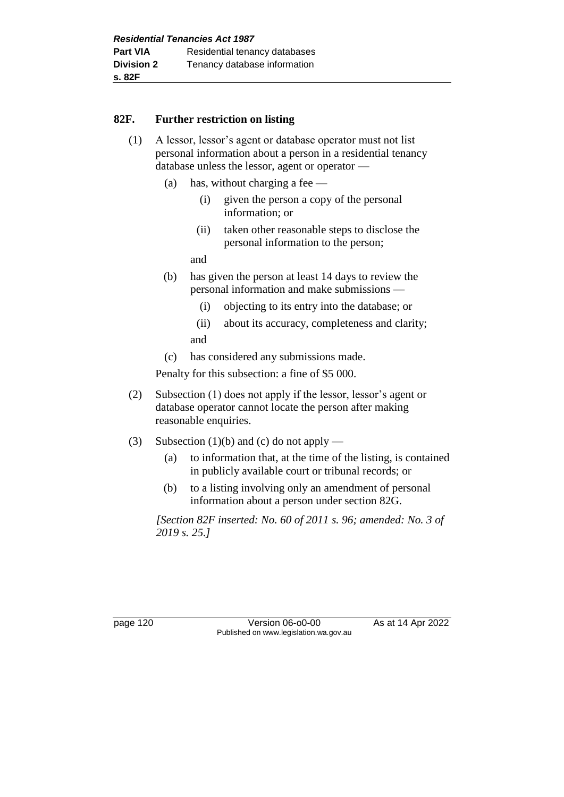#### **82F. Further restriction on listing**

- (1) A lessor, lessor's agent or database operator must not list personal information about a person in a residential tenancy database unless the lessor, agent or operator —
	- (a) has, without charging a fee
		- (i) given the person a copy of the personal information; or
		- (ii) taken other reasonable steps to disclose the personal information to the person;

and

- (b) has given the person at least 14 days to review the personal information and make submissions —
	- (i) objecting to its entry into the database; or
	- (ii) about its accuracy, completeness and clarity; and
- (c) has considered any submissions made.

Penalty for this subsection: a fine of \$5 000.

- (2) Subsection (1) does not apply if the lessor, lessor's agent or database operator cannot locate the person after making reasonable enquiries.
- (3) Subsection (1)(b) and (c) do not apply
	- (a) to information that, at the time of the listing, is contained in publicly available court or tribunal records; or
	- (b) to a listing involving only an amendment of personal information about a person under section 82G.

*[Section 82F inserted: No. 60 of 2011 s. 96; amended: No. 3 of 2019 s. 25.]* 

page 120 Version 06-00-00 As at 14 Apr 2022 Published on www.legislation.wa.gov.au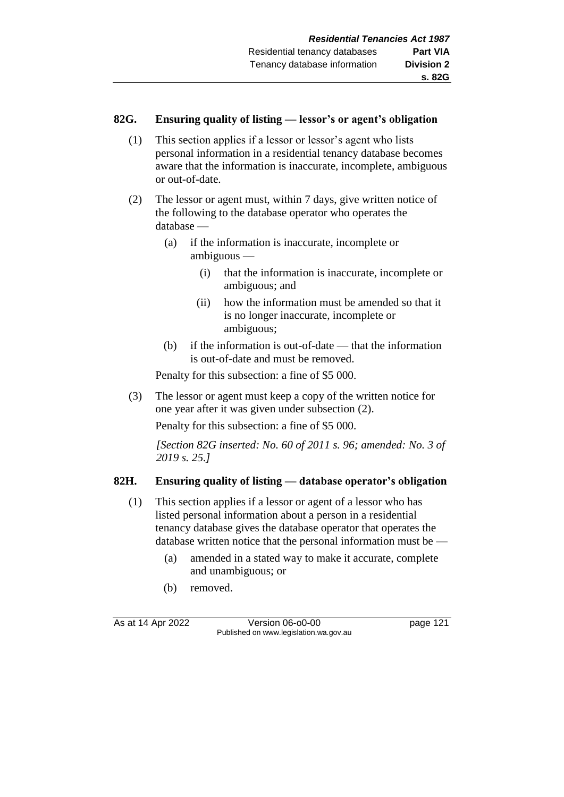#### **82G. Ensuring quality of listing — lessor's or agent's obligation**

- (1) This section applies if a lessor or lessor's agent who lists personal information in a residential tenancy database becomes aware that the information is inaccurate, incomplete, ambiguous or out-of-date.
- (2) The lessor or agent must, within 7 days, give written notice of the following to the database operator who operates the database —
	- (a) if the information is inaccurate, incomplete or ambiguous —
		- (i) that the information is inaccurate, incomplete or ambiguous; and
		- (ii) how the information must be amended so that it is no longer inaccurate, incomplete or ambiguous;
	- (b) if the information is out-of-date that the information is out-of-date and must be removed.

Penalty for this subsection: a fine of \$5 000.

(3) The lessor or agent must keep a copy of the written notice for one year after it was given under subsection (2).

Penalty for this subsection: a fine of \$5 000.

*[Section 82G inserted: No. 60 of 2011 s. 96; amended: No. 3 of 2019 s. 25.]* 

## **82H. Ensuring quality of listing — database operator's obligation**

- (1) This section applies if a lessor or agent of a lessor who has listed personal information about a person in a residential tenancy database gives the database operator that operates the database written notice that the personal information must be —
	- (a) amended in a stated way to make it accurate, complete and unambiguous; or
	- (b) removed.

As at 14 Apr 2022 Version 06-00-00 Published on www.legislation.wa.gov.au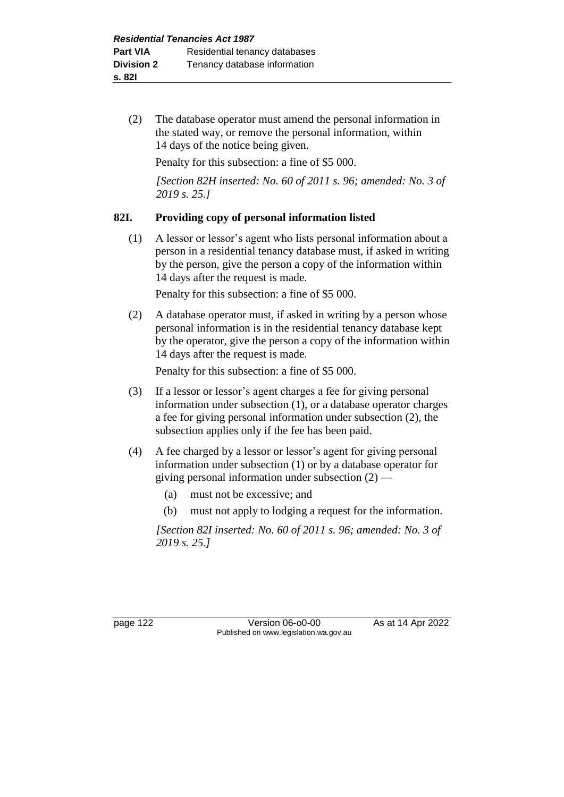(2) The database operator must amend the personal information in the stated way, or remove the personal information, within 14 days of the notice being given.

Penalty for this subsection: a fine of \$5 000.

*[Section 82H inserted: No. 60 of 2011 s. 96; amended: No. 3 of 2019 s. 25.]* 

# **82I. Providing copy of personal information listed**

(1) A lessor or lessor's agent who lists personal information about a person in a residential tenancy database must, if asked in writing by the person, give the person a copy of the information within 14 days after the request is made.

Penalty for this subsection: a fine of \$5 000.

(2) A database operator must, if asked in writing by a person whose personal information is in the residential tenancy database kept by the operator, give the person a copy of the information within 14 days after the request is made.

Penalty for this subsection: a fine of \$5 000.

- (3) If a lessor or lessor's agent charges a fee for giving personal information under subsection (1), or a database operator charges a fee for giving personal information under subsection (2), the subsection applies only if the fee has been paid.
- (4) A fee charged by a lessor or lessor's agent for giving personal information under subsection (1) or by a database operator for giving personal information under subsection (2) —
	- (a) must not be excessive; and
	- (b) must not apply to lodging a request for the information.

*[Section 82I inserted: No. 60 of 2011 s. 96; amended: No. 3 of 2019 s. 25.]* 

page 122 Version 06-o0-00 As at 14 Apr 2022 Published on www.legislation.wa.gov.au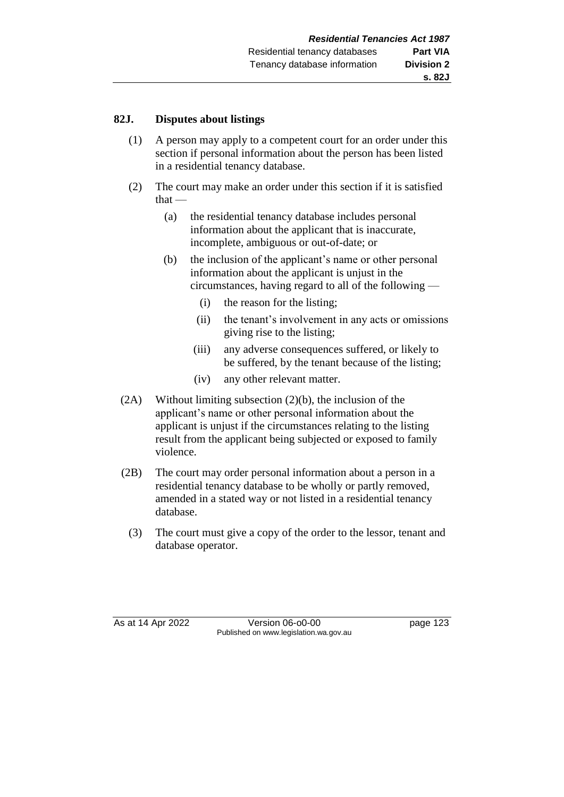#### **82J. Disputes about listings**

- (1) A person may apply to a competent court for an order under this section if personal information about the person has been listed in a residential tenancy database.
- (2) The court may make an order under this section if it is satisfied that —
	- (a) the residential tenancy database includes personal information about the applicant that is inaccurate, incomplete, ambiguous or out-of-date; or
	- (b) the inclusion of the applicant's name or other personal information about the applicant is unjust in the circumstances, having regard to all of the following —
		- (i) the reason for the listing;
		- (ii) the tenant's involvement in any acts or omissions giving rise to the listing;
		- (iii) any adverse consequences suffered, or likely to be suffered, by the tenant because of the listing;
		- (iv) any other relevant matter.
- (2A) Without limiting subsection (2)(b), the inclusion of the applicant's name or other personal information about the applicant is unjust if the circumstances relating to the listing result from the applicant being subjected or exposed to family violence.
- (2B) The court may order personal information about a person in a residential tenancy database to be wholly or partly removed, amended in a stated way or not listed in a residential tenancy database.
	- (3) The court must give a copy of the order to the lessor, tenant and database operator.

As at 14 Apr 2022 Version 06-00-00 Published on www.legislation.wa.gov.au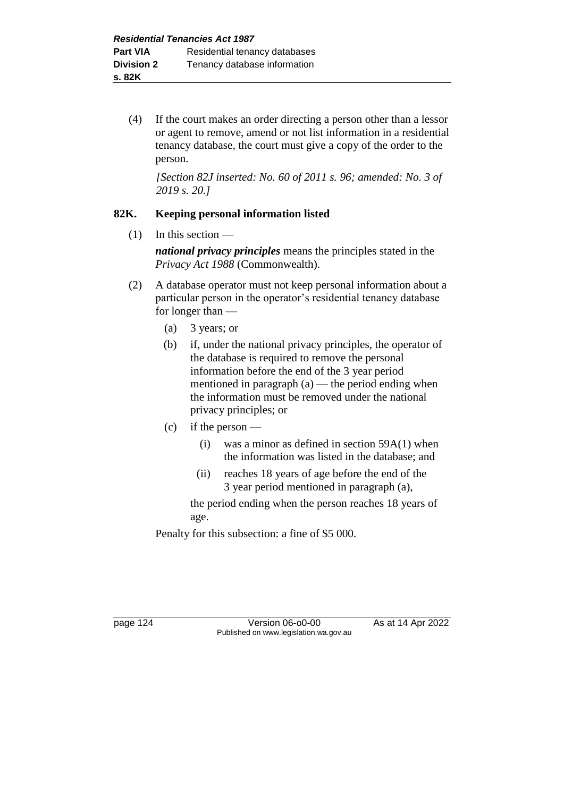(4) If the court makes an order directing a person other than a lessor or agent to remove, amend or not list information in a residential tenancy database, the court must give a copy of the order to the person.

*[Section 82J inserted: No. 60 of 2011 s. 96; amended: No. 3 of 2019 s. 20.]* 

# **82K. Keeping personal information listed**

 $(1)$  In this section —

*national privacy principles* means the principles stated in the *Privacy Act 1988* (Commonwealth).

- (2) A database operator must not keep personal information about a particular person in the operator's residential tenancy database for longer than —
	- (a) 3 years; or
	- (b) if, under the national privacy principles, the operator of the database is required to remove the personal information before the end of the 3 year period mentioned in paragraph  $(a)$  — the period ending when the information must be removed under the national privacy principles; or
	- (c) if the person
		- (i) was a minor as defined in section  $59A(1)$  when the information was listed in the database; and
		- (ii) reaches 18 years of age before the end of the 3 year period mentioned in paragraph (a),

the period ending when the person reaches 18 years of age.

Penalty for this subsection: a fine of \$5 000.

page 124 Version 06-00-00 As at 14 Apr 2022 Published on www.legislation.wa.gov.au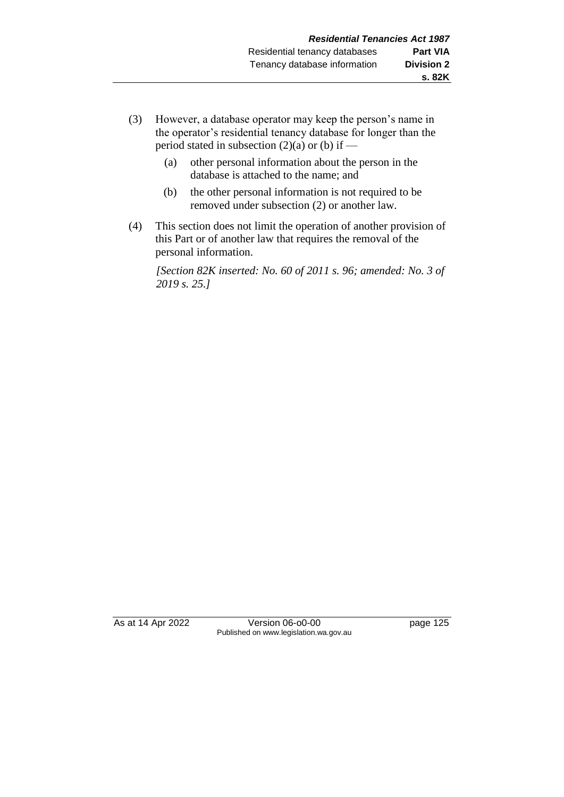- (3) However, a database operator may keep the person's name in the operator's residential tenancy database for longer than the period stated in subsection  $(2)(a)$  or  $(b)$  if —
	- (a) other personal information about the person in the database is attached to the name; and
	- (b) the other personal information is not required to be removed under subsection (2) or another law.
- (4) This section does not limit the operation of another provision of this Part or of another law that requires the removal of the personal information.

*[Section 82K inserted: No. 60 of 2011 s. 96; amended: No. 3 of 2019 s. 25.]* 

As at 14 Apr 2022 Version 06-o0-00 page 125 Published on www.legislation.wa.gov.au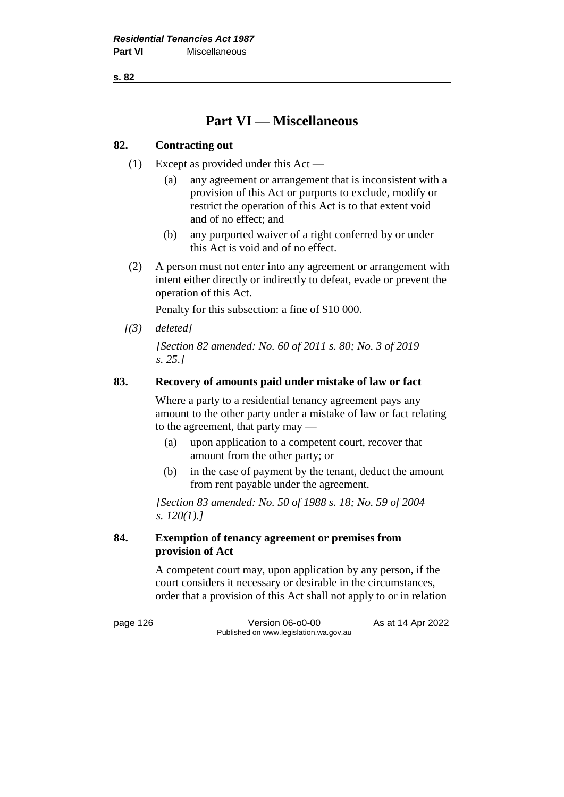**s. 82**

# **Part VI — Miscellaneous**

## **82. Contracting out**

- (1) Except as provided under this Act
	- (a) any agreement or arrangement that is inconsistent with a provision of this Act or purports to exclude, modify or restrict the operation of this Act is to that extent void and of no effect; and
	- (b) any purported waiver of a right conferred by or under this Act is void and of no effect.
- (2) A person must not enter into any agreement or arrangement with intent either directly or indirectly to defeat, evade or prevent the operation of this Act.

Penalty for this subsection: a fine of \$10 000.

*[(3) deleted]*

*[Section 82 amended: No. 60 of 2011 s. 80; No. 3 of 2019 s. 25.]* 

#### **83. Recovery of amounts paid under mistake of law or fact**

Where a party to a residential tenancy agreement pays any amount to the other party under a mistake of law or fact relating to the agreement, that party may —

- (a) upon application to a competent court, recover that amount from the other party; or
- (b) in the case of payment by the tenant, deduct the amount from rent payable under the agreement.

*[Section 83 amended: No. 50 of 1988 s. 18; No. 59 of 2004 s. 120(1).]* 

#### **84. Exemption of tenancy agreement or premises from provision of Act**

A competent court may, upon application by any person, if the court considers it necessary or desirable in the circumstances, order that a provision of this Act shall not apply to or in relation

page 126 Version 06-o0-00 As at 14 Apr 2022 Published on www.legislation.wa.gov.au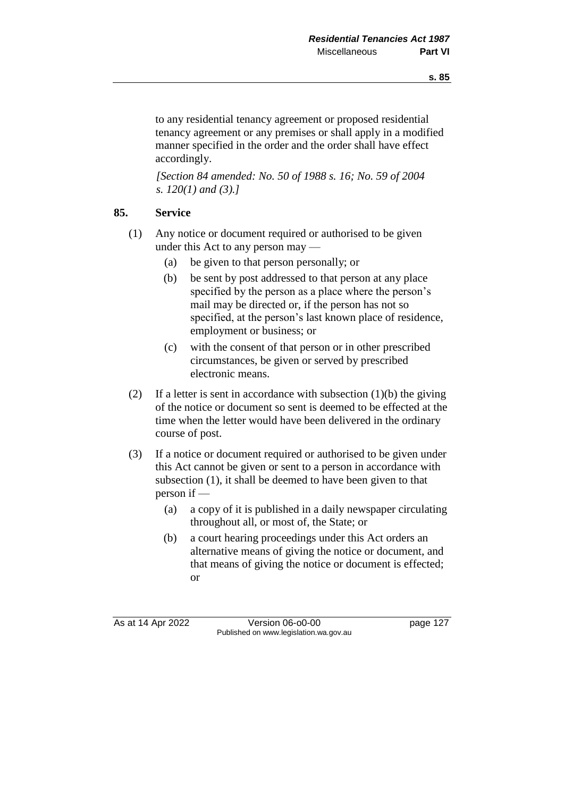to any residential tenancy agreement or proposed residential tenancy agreement or any premises or shall apply in a modified manner specified in the order and the order shall have effect accordingly.

*[Section 84 amended: No. 50 of 1988 s. 16; No. 59 of 2004 s. 120(1) and (3).]* 

#### **85. Service**

- (1) Any notice or document required or authorised to be given under this Act to any person may —
	- (a) be given to that person personally; or
	- (b) be sent by post addressed to that person at any place specified by the person as a place where the person's mail may be directed or, if the person has not so specified, at the person's last known place of residence, employment or business; or
	- (c) with the consent of that person or in other prescribed circumstances, be given or served by prescribed electronic means.
- (2) If a letter is sent in accordance with subsection  $(1)(b)$  the giving of the notice or document so sent is deemed to be effected at the time when the letter would have been delivered in the ordinary course of post.
- (3) If a notice or document required or authorised to be given under this Act cannot be given or sent to a person in accordance with subsection (1), it shall be deemed to have been given to that person if —
	- (a) a copy of it is published in a daily newspaper circulating throughout all, or most of, the State; or
	- (b) a court hearing proceedings under this Act orders an alternative means of giving the notice or document, and that means of giving the notice or document is effected; or

As at 14 Apr 2022 Version 06-00-00 Published on www.legislation.wa.gov.au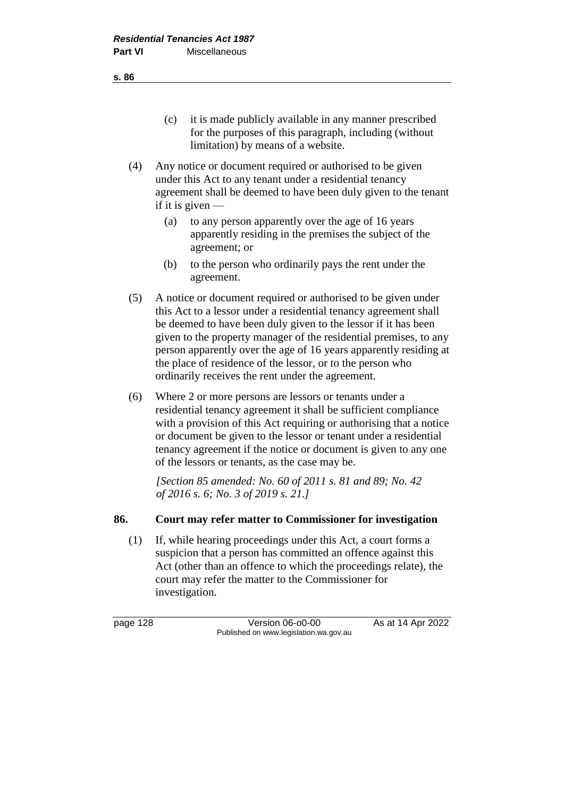- (c) it is made publicly available in any manner prescribed for the purposes of this paragraph, including (without limitation) by means of a website.
- (4) Any notice or document required or authorised to be given under this Act to any tenant under a residential tenancy agreement shall be deemed to have been duly given to the tenant if it is given  $-$ 
	- (a) to any person apparently over the age of 16 years apparently residing in the premises the subject of the agreement; or
	- (b) to the person who ordinarily pays the rent under the agreement.
- (5) A notice or document required or authorised to be given under this Act to a lessor under a residential tenancy agreement shall be deemed to have been duly given to the lessor if it has been given to the property manager of the residential premises, to any person apparently over the age of 16 years apparently residing at the place of residence of the lessor, or to the person who ordinarily receives the rent under the agreement.
- (6) Where 2 or more persons are lessors or tenants under a residential tenancy agreement it shall be sufficient compliance with a provision of this Act requiring or authorising that a notice or document be given to the lessor or tenant under a residential tenancy agreement if the notice or document is given to any one of the lessors or tenants, as the case may be.

*[Section 85 amended: No. 60 of 2011 s. 81 and 89; No. 42 of 2016 s. 6; No. 3 of 2019 s. 21.]* 

## **86. Court may refer matter to Commissioner for investigation**

(1) If, while hearing proceedings under this Act, a court forms a suspicion that a person has committed an offence against this Act (other than an offence to which the proceedings relate), the court may refer the matter to the Commissioner for investigation.

page 128 **Version 06-00-00** As at 14 Apr 2022 Published on www.legislation.wa.gov.au

**s. 86**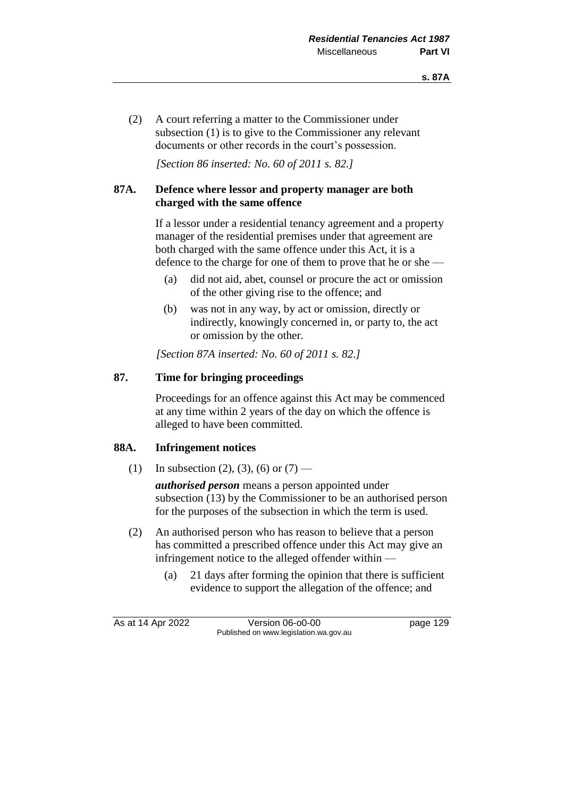(2) A court referring a matter to the Commissioner under subsection (1) is to give to the Commissioner any relevant documents or other records in the court's possession.

*[Section 86 inserted: No. 60 of 2011 s. 82.]* 

## **87A. Defence where lessor and property manager are both charged with the same offence**

If a lessor under a residential tenancy agreement and a property manager of the residential premises under that agreement are both charged with the same offence under this Act, it is a defence to the charge for one of them to prove that he or she —

- (a) did not aid, abet, counsel or procure the act or omission of the other giving rise to the offence; and
- (b) was not in any way, by act or omission, directly or indirectly, knowingly concerned in, or party to, the act or omission by the other.

*[Section 87A inserted: No. 60 of 2011 s. 82.]* 

## **87. Time for bringing proceedings**

Proceedings for an offence against this Act may be commenced at any time within 2 years of the day on which the offence is alleged to have been committed.

## **88A. Infringement notices**

(1) In subsection (2), (3), (6) or  $(7)$  —

*authorised person* means a person appointed under subsection (13) by the Commissioner to be an authorised person for the purposes of the subsection in which the term is used.

- (2) An authorised person who has reason to believe that a person has committed a prescribed offence under this Act may give an infringement notice to the alleged offender within —
	- (a) 21 days after forming the opinion that there is sufficient evidence to support the allegation of the offence; and

As at 14 Apr 2022 Version 06-o0-00 page 129 Published on www.legislation.wa.gov.au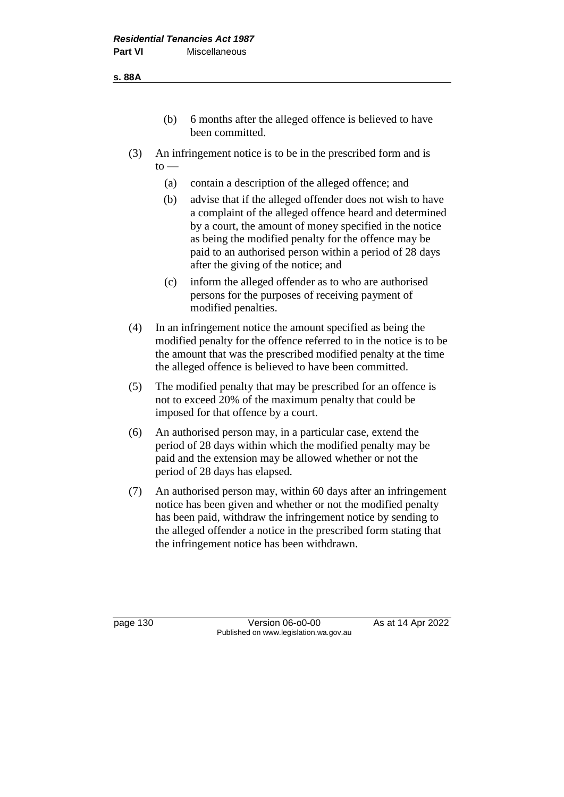- (b) 6 months after the alleged offence is believed to have been committed.
- (3) An infringement notice is to be in the prescribed form and is  $to -$ 
	- (a) contain a description of the alleged offence; and
	- (b) advise that if the alleged offender does not wish to have a complaint of the alleged offence heard and determined by a court, the amount of money specified in the notice as being the modified penalty for the offence may be paid to an authorised person within a period of 28 days after the giving of the notice; and
	- (c) inform the alleged offender as to who are authorised persons for the purposes of receiving payment of modified penalties.
- (4) In an infringement notice the amount specified as being the modified penalty for the offence referred to in the notice is to be the amount that was the prescribed modified penalty at the time the alleged offence is believed to have been committed.
- (5) The modified penalty that may be prescribed for an offence is not to exceed 20% of the maximum penalty that could be imposed for that offence by a court.
- (6) An authorised person may, in a particular case, extend the period of 28 days within which the modified penalty may be paid and the extension may be allowed whether or not the period of 28 days has elapsed.
- (7) An authorised person may, within 60 days after an infringement notice has been given and whether or not the modified penalty has been paid, withdraw the infringement notice by sending to the alleged offender a notice in the prescribed form stating that the infringement notice has been withdrawn.

page 130 Version 06-o0-00 As at 14 Apr 2022 Published on www.legislation.wa.gov.au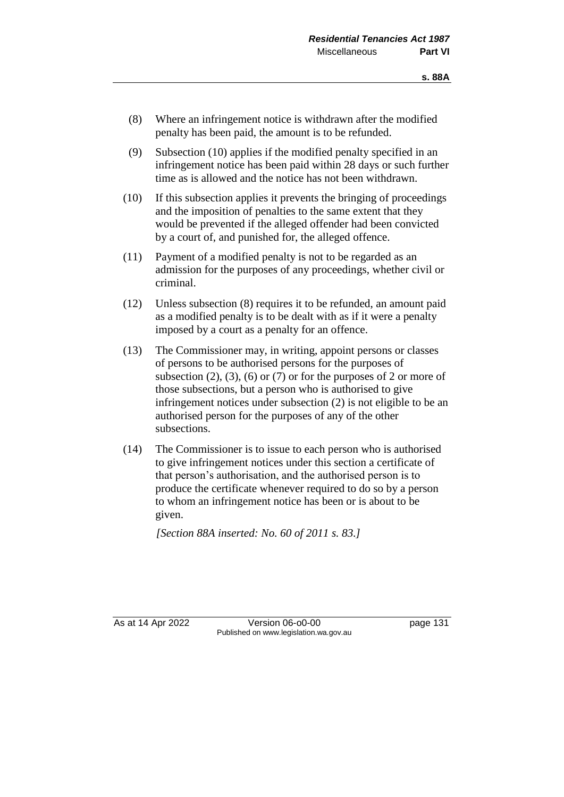- (8) Where an infringement notice is withdrawn after the modified penalty has been paid, the amount is to be refunded.
- (9) Subsection (10) applies if the modified penalty specified in an infringement notice has been paid within 28 days or such further time as is allowed and the notice has not been withdrawn.
- (10) If this subsection applies it prevents the bringing of proceedings and the imposition of penalties to the same extent that they would be prevented if the alleged offender had been convicted by a court of, and punished for, the alleged offence.
- (11) Payment of a modified penalty is not to be regarded as an admission for the purposes of any proceedings, whether civil or criminal.
- (12) Unless subsection (8) requires it to be refunded, an amount paid as a modified penalty is to be dealt with as if it were a penalty imposed by a court as a penalty for an offence.
- (13) The Commissioner may, in writing, appoint persons or classes of persons to be authorised persons for the purposes of subsection  $(2)$ ,  $(3)$ ,  $(6)$  or  $(7)$  or for the purposes of 2 or more of those subsections, but a person who is authorised to give infringement notices under subsection (2) is not eligible to be an authorised person for the purposes of any of the other subsections.
- (14) The Commissioner is to issue to each person who is authorised to give infringement notices under this section a certificate of that person's authorisation, and the authorised person is to produce the certificate whenever required to do so by a person to whom an infringement notice has been or is about to be given.

*[Section 88A inserted: No. 60 of 2011 s. 83.]* 

As at 14 Apr 2022 Version 06-o0-00 page 131 Published on www.legislation.wa.gov.au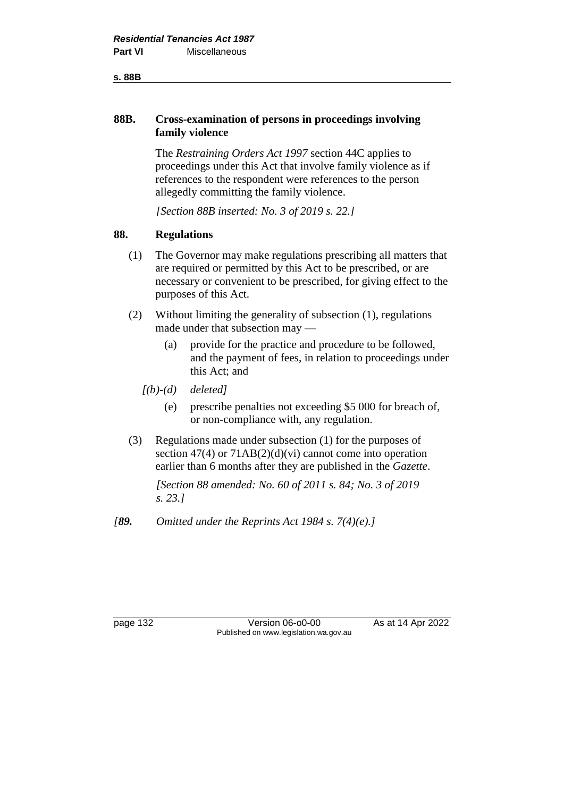#### **s. 88B**

#### **88B. Cross-examination of persons in proceedings involving family violence**

The *Restraining Orders Act 1997* section 44C applies to proceedings under this Act that involve family violence as if references to the respondent were references to the person allegedly committing the family violence.

*[Section 88B inserted: No. 3 of 2019 s. 22.]* 

#### **88. Regulations**

- (1) The Governor may make regulations prescribing all matters that are required or permitted by this Act to be prescribed, or are necessary or convenient to be prescribed, for giving effect to the purposes of this Act.
- (2) Without limiting the generality of subsection (1), regulations made under that subsection may —
	- (a) provide for the practice and procedure to be followed, and the payment of fees, in relation to proceedings under this Act; and
	- *[(b)-(d) deleted]*
		- (e) prescribe penalties not exceeding \$5 000 for breach of, or non-compliance with, any regulation.
- (3) Regulations made under subsection (1) for the purposes of section  $47(4)$  or  $71AB(2)(d)(vi)$  cannot come into operation earlier than 6 months after they are published in the *Gazette*.

*[Section 88 amended: No. 60 of 2011 s. 84; No. 3 of 2019 s. 23.]* 

*[89. Omitted under the Reprints Act 1984 s. 7(4)(e).]*

page 132 Version 06-o0-00 As at 14 Apr 2022 Published on www.legislation.wa.gov.au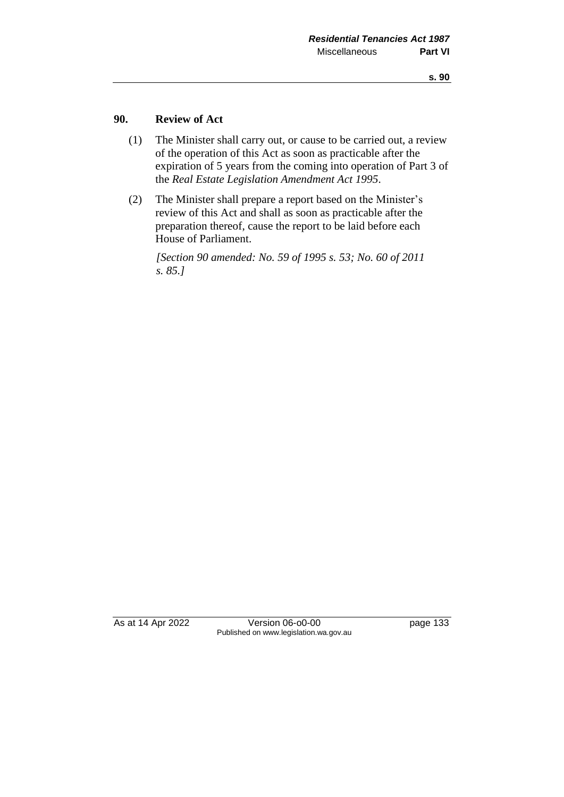#### **90. Review of Act**

- (1) The Minister shall carry out, or cause to be carried out, a review of the operation of this Act as soon as practicable after the expiration of 5 years from the coming into operation of Part 3 of the *Real Estate Legislation Amendment Act 1995*.
- (2) The Minister shall prepare a report based on the Minister's review of this Act and shall as soon as practicable after the preparation thereof, cause the report to be laid before each House of Parliament.

*[Section 90 amended: No. 59 of 1995 s. 53; No. 60 of 2011 s. 85.]* 

As at 14 Apr 2022 Version 06-o0-00 page 133 Published on www.legislation.wa.gov.au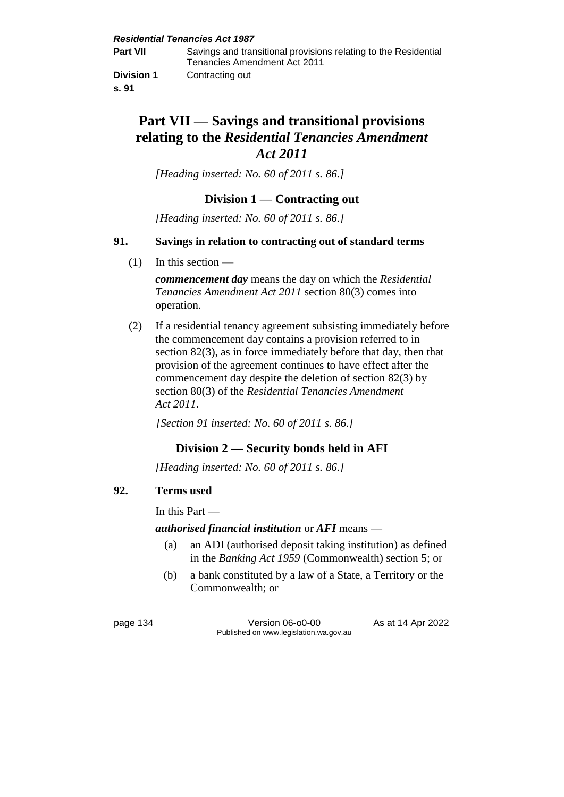# **Part VII — Savings and transitional provisions relating to the** *Residential Tenancies Amendment Act 2011*

*[Heading inserted: No. 60 of 2011 s. 86.]* 

# **Division 1 — Contracting out**

*[Heading inserted: No. 60 of 2011 s. 86.]* 

## **91. Savings in relation to contracting out of standard terms**

 $(1)$  In this section —

*commencement day* means the day on which the *Residential Tenancies Amendment Act 2011* section 80(3) comes into operation.

(2) If a residential tenancy agreement subsisting immediately before the commencement day contains a provision referred to in section 82(3), as in force immediately before that day, then that provision of the agreement continues to have effect after the commencement day despite the deletion of section 82(3) by section 80(3) of the *Residential Tenancies Amendment Act 2011*.

*[Section 91 inserted: No. 60 of 2011 s. 86.]* 

# **Division 2 — Security bonds held in AFI**

*[Heading inserted: No. 60 of 2011 s. 86.]* 

## **92. Terms used**

In this Part —

## *authorised financial institution* or *AFI* means —

- (a) an ADI (authorised deposit taking institution) as defined in the *Banking Act 1959* (Commonwealth) section 5; or
- (b) a bank constituted by a law of a State, a Territory or the Commonwealth; or

page 134 Version 06-00-00 As at 14 Apr 2022 Published on www.legislation.wa.gov.au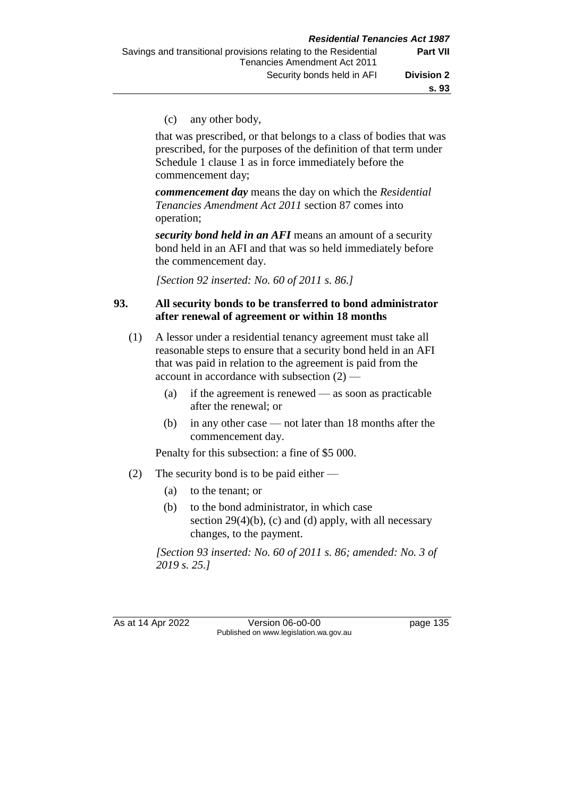(c) any other body,

that was prescribed, or that belongs to a class of bodies that was prescribed, for the purposes of the definition of that term under Schedule 1 clause 1 as in force immediately before the commencement day;

*commencement day* means the day on which the *Residential Tenancies Amendment Act 2011* section 87 comes into operation;

*security bond held in an AFI* means an amount of a security bond held in an AFI and that was so held immediately before the commencement day.

*[Section 92 inserted: No. 60 of 2011 s. 86.]* 

#### **93. All security bonds to be transferred to bond administrator after renewal of agreement or within 18 months**

- (1) A lessor under a residential tenancy agreement must take all reasonable steps to ensure that a security bond held in an AFI that was paid in relation to the agreement is paid from the account in accordance with subsection (2) —
	- (a) if the agreement is renewed as soon as practicable after the renewal; or
	- (b) in any other case not later than 18 months after the commencement day.

Penalty for this subsection: a fine of \$5 000.

- (2) The security bond is to be paid either
	- (a) to the tenant; or
	- (b) to the bond administrator, in which case section  $29(4)(b)$ , (c) and (d) apply, with all necessary changes, to the payment.

*[Section 93 inserted: No. 60 of 2011 s. 86; amended: No. 3 of 2019 s. 25.]* 

As at 14 Apr 2022 Version 06-o0-00 page 135 Published on www.legislation.wa.gov.au

**s. 93**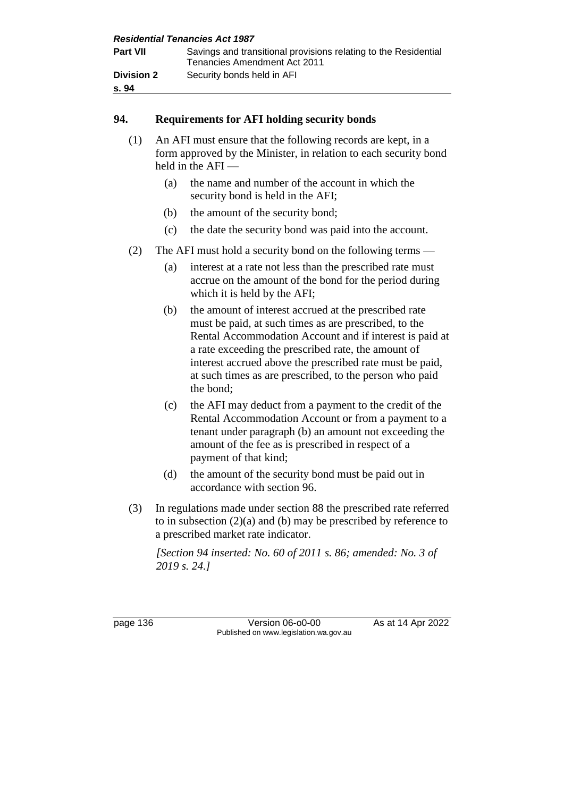|                            | <b>Residential Tenancies Act 1987</b>                                                           |
|----------------------------|-------------------------------------------------------------------------------------------------|
| <b>Part VII</b>            | Savings and transitional provisions relating to the Residential<br>Tenancies Amendment Act 2011 |
| <b>Division 2</b><br>s. 94 | Security bonds held in AFI                                                                      |

#### **94. Requirements for AFI holding security bonds**

- (1) An AFI must ensure that the following records are kept, in a form approved by the Minister, in relation to each security bond held in the AFI —
	- (a) the name and number of the account in which the security bond is held in the AFI;
	- (b) the amount of the security bond;
	- (c) the date the security bond was paid into the account.
- (2) The AFI must hold a security bond on the following terms
	- (a) interest at a rate not less than the prescribed rate must accrue on the amount of the bond for the period during which it is held by the AFI;
	- (b) the amount of interest accrued at the prescribed rate must be paid, at such times as are prescribed, to the Rental Accommodation Account and if interest is paid at a rate exceeding the prescribed rate, the amount of interest accrued above the prescribed rate must be paid, at such times as are prescribed, to the person who paid the bond;
	- (c) the AFI may deduct from a payment to the credit of the Rental Accommodation Account or from a payment to a tenant under paragraph (b) an amount not exceeding the amount of the fee as is prescribed in respect of a payment of that kind;
	- (d) the amount of the security bond must be paid out in accordance with section 96.
- (3) In regulations made under section 88 the prescribed rate referred to in subsection (2)(a) and (b) may be prescribed by reference to a prescribed market rate indicator.

*[Section 94 inserted: No. 60 of 2011 s. 86; amended: No. 3 of 2019 s. 24.]* 

page 136 **Version 06-00-00** As at 14 Apr 2022 Published on www.legislation.wa.gov.au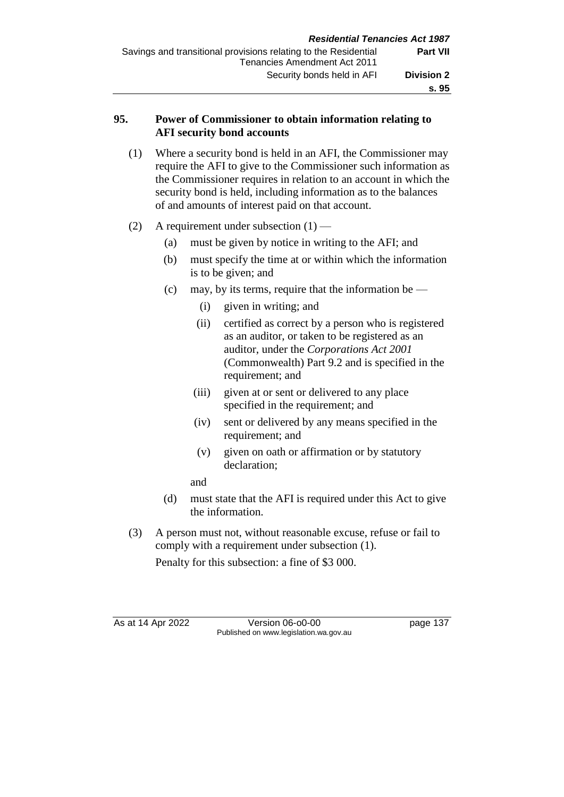### **95. Power of Commissioner to obtain information relating to AFI security bond accounts**

- (1) Where a security bond is held in an AFI, the Commissioner may require the AFI to give to the Commissioner such information as the Commissioner requires in relation to an account in which the security bond is held, including information as to the balances of and amounts of interest paid on that account.
- (2) A requirement under subsection  $(1)$ 
	- (a) must be given by notice in writing to the AFI; and
	- (b) must specify the time at or within which the information is to be given; and
	- (c) may, by its terms, require that the information be  $-$ 
		- (i) given in writing; and
		- (ii) certified as correct by a person who is registered as an auditor, or taken to be registered as an auditor, under the *Corporations Act 2001* (Commonwealth) Part 9.2 and is specified in the requirement; and
		- (iii) given at or sent or delivered to any place specified in the requirement; and
		- (iv) sent or delivered by any means specified in the requirement; and
		- (v) given on oath or affirmation or by statutory declaration;
		- and
	- (d) must state that the AFI is required under this Act to give the information.
- (3) A person must not, without reasonable excuse, refuse or fail to comply with a requirement under subsection (1).

Penalty for this subsection: a fine of \$3 000.

As at 14 Apr 2022 Version 06-o0-00 page 137 Published on www.legislation.wa.gov.au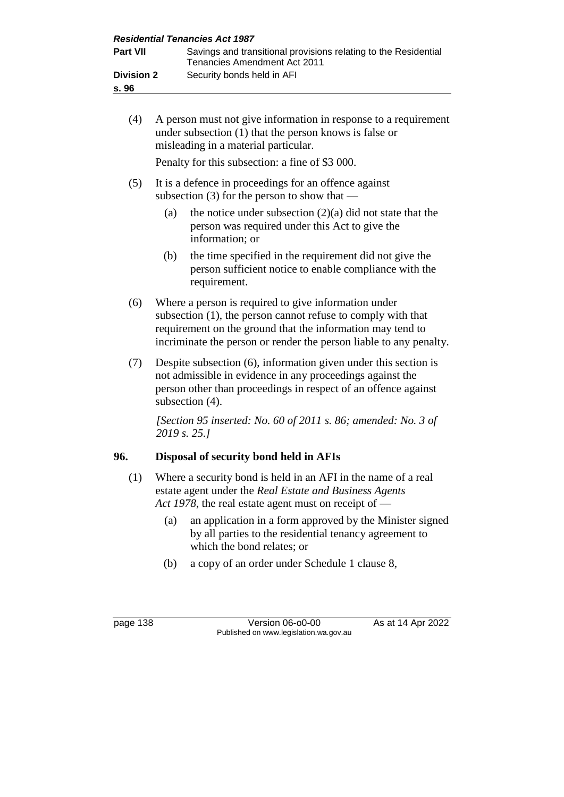|                            | <b>Residential Tenancies Act 1987</b>                                                           |
|----------------------------|-------------------------------------------------------------------------------------------------|
| <b>Part VII</b>            | Savings and transitional provisions relating to the Residential<br>Tenancies Amendment Act 2011 |
| <b>Division 2</b><br>s. 96 | Security bonds held in AFI                                                                      |

(4) A person must not give information in response to a requirement under subsection (1) that the person knows is false or misleading in a material particular.

Penalty for this subsection: a fine of \$3 000.

- (5) It is a defence in proceedings for an offence against subsection (3) for the person to show that —
	- (a) the notice under subsection  $(2)(a)$  did not state that the person was required under this Act to give the information; or
	- (b) the time specified in the requirement did not give the person sufficient notice to enable compliance with the requirement.
- (6) Where a person is required to give information under subsection (1), the person cannot refuse to comply with that requirement on the ground that the information may tend to incriminate the person or render the person liable to any penalty.
- (7) Despite subsection (6), information given under this section is not admissible in evidence in any proceedings against the person other than proceedings in respect of an offence against subsection  $(4)$ .

*[Section 95 inserted: No. 60 of 2011 s. 86; amended: No. 3 of 2019 s. 25.]* 

## **96. Disposal of security bond held in AFIs**

- (1) Where a security bond is held in an AFI in the name of a real estate agent under the *Real Estate and Business Agents Act 1978*, the real estate agent must on receipt of —
	- (a) an application in a form approved by the Minister signed by all parties to the residential tenancy agreement to which the bond relates; or
	- (b) a copy of an order under Schedule 1 clause 8,

page 138 Version 06-00-00 As at 14 Apr 2022 Published on www.legislation.wa.gov.au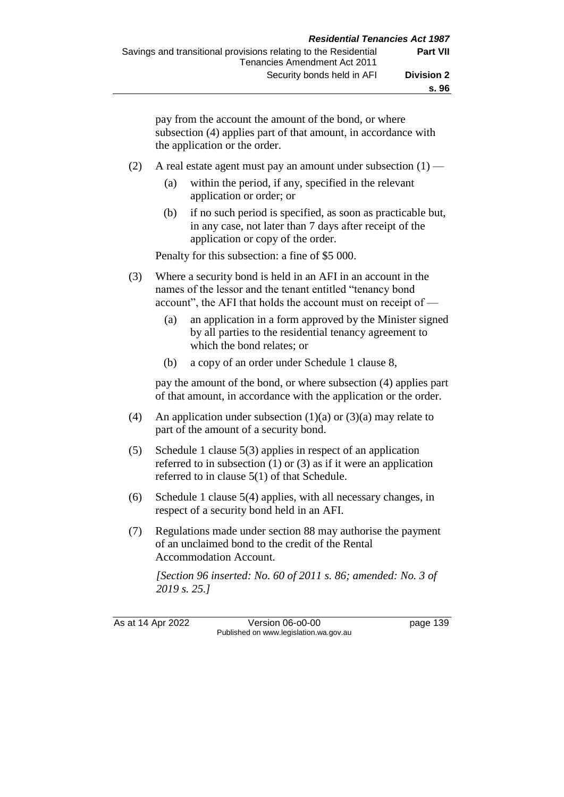pay from the account the amount of the bond, or where subsection (4) applies part of that amount, in accordance with the application or the order.

- (2) A real estate agent must pay an amount under subsection  $(1)$ 
	- (a) within the period, if any, specified in the relevant application or order; or
	- (b) if no such period is specified, as soon as practicable but, in any case, not later than 7 days after receipt of the application or copy of the order.

Penalty for this subsection: a fine of \$5 000.

- (3) Where a security bond is held in an AFI in an account in the names of the lessor and the tenant entitled "tenancy bond account", the AFI that holds the account must on receipt of —
	- (a) an application in a form approved by the Minister signed by all parties to the residential tenancy agreement to which the bond relates; or
	- (b) a copy of an order under Schedule 1 clause 8,

pay the amount of the bond, or where subsection (4) applies part of that amount, in accordance with the application or the order.

- (4) An application under subsection  $(1)(a)$  or  $(3)(a)$  may relate to part of the amount of a security bond.
- (5) Schedule 1 clause 5(3) applies in respect of an application referred to in subsection (1) or (3) as if it were an application referred to in clause 5(1) of that Schedule.
- (6) Schedule 1 clause 5(4) applies, with all necessary changes, in respect of a security bond held in an AFI.
- (7) Regulations made under section 88 may authorise the payment of an unclaimed bond to the credit of the Rental Accommodation Account.

*[Section 96 inserted: No. 60 of 2011 s. 86; amended: No. 3 of 2019 s. 25.]* 

As at 14 Apr 2022 Version 06-o0-00 page 139 Published on www.legislation.wa.gov.au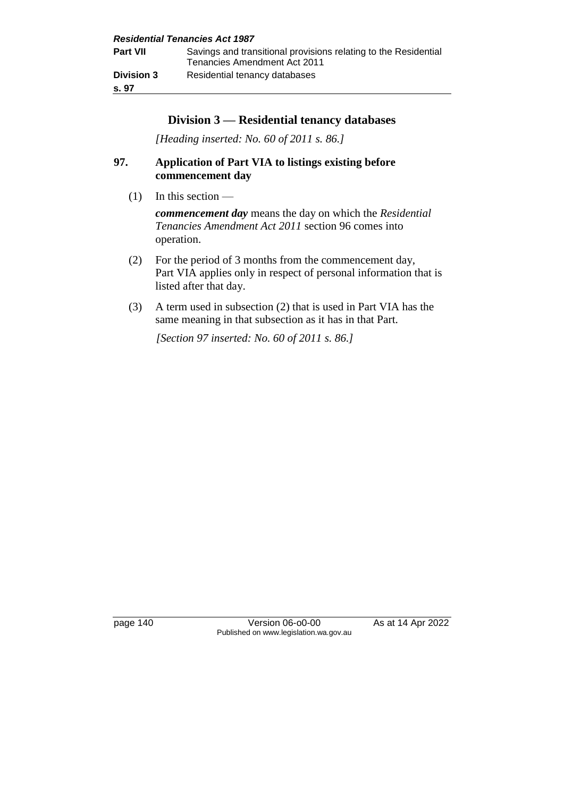|                            | <b>Residential Tenancies Act 1987</b>                                                           |
|----------------------------|-------------------------------------------------------------------------------------------------|
| Part VII                   | Savings and transitional provisions relating to the Residential<br>Tenancies Amendment Act 2011 |
| <b>Division 3</b><br>s. 97 | Residential tenancy databases                                                                   |

### **Division 3 — Residential tenancy databases**

*[Heading inserted: No. 60 of 2011 s. 86.]* 

## **97. Application of Part VIA to listings existing before commencement day**

 $(1)$  In this section —

*commencement day* means the day on which the *Residential Tenancies Amendment Act 2011* section 96 comes into operation.

- (2) For the period of 3 months from the commencement day, Part VIA applies only in respect of personal information that is listed after that day.
- (3) A term used in subsection (2) that is used in Part VIA has the same meaning in that subsection as it has in that Part.

*[Section 97 inserted: No. 60 of 2011 s. 86.]* 

page 140 Version 06-o0-00 As at 14 Apr 2022 Published on www.legislation.wa.gov.au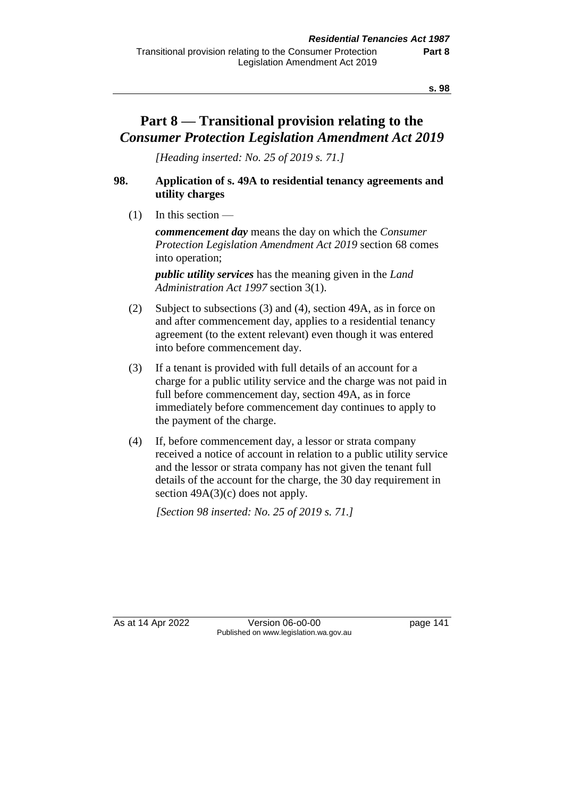# **Part 8 — Transitional provision relating to the**  *Consumer Protection Legislation Amendment Act 2019*

*[Heading inserted: No. 25 of 2019 s. 71.]*

### **98. Application of s. 49A to residential tenancy agreements and utility charges**

 $(1)$  In this section —

*commencement day* means the day on which the *Consumer Protection Legislation Amendment Act 2019* section 68 comes into operation;

*public utility services* has the meaning given in the *Land Administration Act 1997* section 3(1).

- (2) Subject to subsections (3) and (4), section 49A, as in force on and after commencement day, applies to a residential tenancy agreement (to the extent relevant) even though it was entered into before commencement day.
- (3) If a tenant is provided with full details of an account for a charge for a public utility service and the charge was not paid in full before commencement day, section 49A, as in force immediately before commencement day continues to apply to the payment of the charge.
- (4) If, before commencement day, a lessor or strata company received a notice of account in relation to a public utility service and the lessor or strata company has not given the tenant full details of the account for the charge, the 30 day requirement in section  $49A(3)(c)$  does not apply.

*[Section 98 inserted: No. 25 of 2019 s. 71.]*

As at 14 Apr 2022 Version 06-00-00 Published on www.legislation.wa.gov.au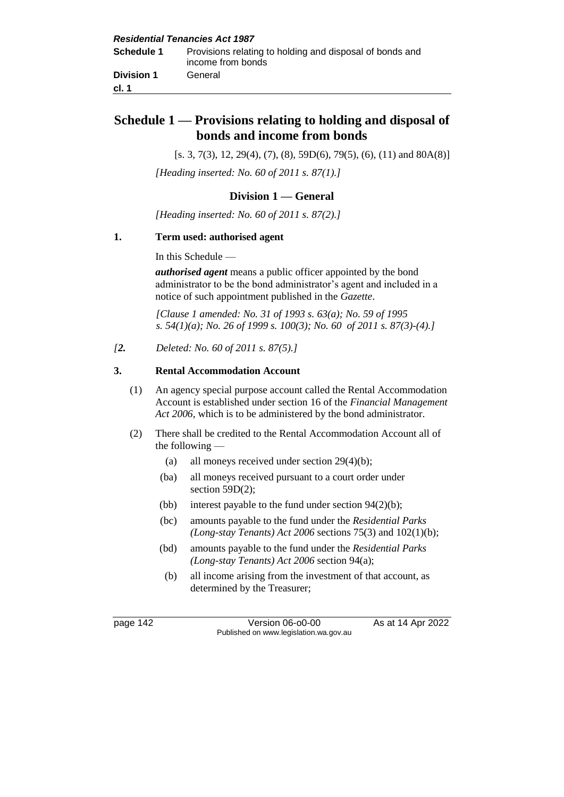## **Schedule 1 — Provisions relating to holding and disposal of bonds and income from bonds**

 $[s. 3, 7(3), 12, 29(4), (7), (8), 59D(6), 79(5), (6), (11) \text{ and } 80A(8)]$ *[Heading inserted: No. 60 of 2011 s. 87(1).]* 

#### **Division 1 — General**

*[Heading inserted: No. 60 of 2011 s. 87(2).]*

#### **1. Term used: authorised agent**

In this Schedule —

*authorised agent* means a public officer appointed by the bond administrator to be the bond administrator's agent and included in a notice of such appointment published in the *Gazette*.

*[Clause 1 amended: No. 31 of 1993 s. 63(a); No. 59 of 1995 s. 54(1)(a); No. 26 of 1999 s. 100(3); No. 60 of 2011 s. 87(3)-(4).]* 

*[2. Deleted: No. 60 of 2011 s. 87(5).]*

#### **3. Rental Accommodation Account**

- (1) An agency special purpose account called the Rental Accommodation Account is established under section 16 of the *Financial Management Act 2006*, which is to be administered by the bond administrator.
- (2) There shall be credited to the Rental Accommodation Account all of the following —
	- (a) all moneys received under section 29(4)(b);
	- (ba) all moneys received pursuant to a court order under section 59D(2);
	- (bb) interest payable to the fund under section  $94(2)(b)$ ;
	- (bc) amounts payable to the fund under the *Residential Parks (Long-stay Tenants) Act 2006* sections 75(3) and 102(1)(b);
	- (bd) amounts payable to the fund under the *Residential Parks (Long-stay Tenants) Act 2006* section 94(a);
	- (b) all income arising from the investment of that account, as determined by the Treasurer;

page 142 Version 06-00-00 As at 14 Apr 2022 Published on www.legislation.wa.gov.au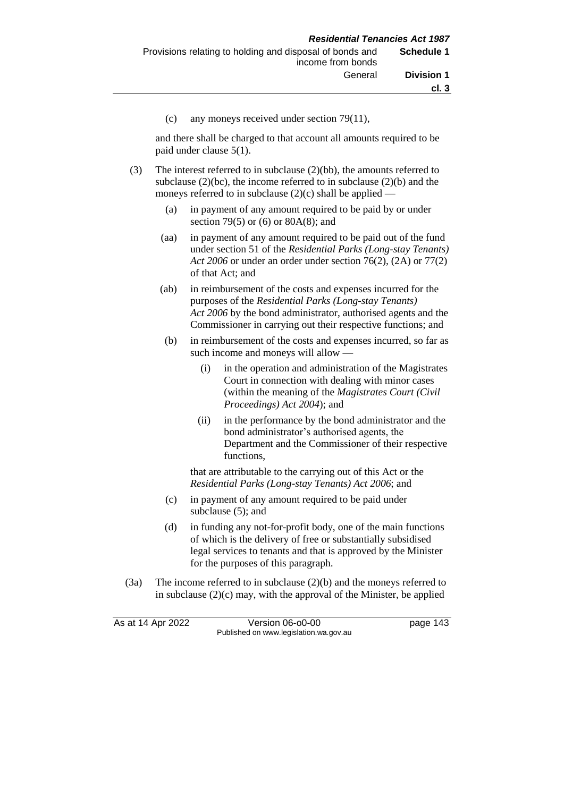(c) any moneys received under section 79(11),

and there shall be charged to that account all amounts required to be paid under clause 5(1).

- (3) The interest referred to in subclause (2)(bb), the amounts referred to subclause  $(2)(bc)$ , the income referred to in subclause  $(2)(b)$  and the moneys referred to in subclause  $(2)(c)$  shall be applied —
	- (a) in payment of any amount required to be paid by or under section 79(5) or (6) or 80A(8); and
	- (aa) in payment of any amount required to be paid out of the fund under section 51 of the *Residential Parks (Long-stay Tenants) Act 2006* or under an order under section 76(2), (2A) or 77(2) of that Act; and
	- (ab) in reimbursement of the costs and expenses incurred for the purposes of the *Residential Parks (Long-stay Tenants) Act 2006* by the bond administrator, authorised agents and the Commissioner in carrying out their respective functions; and
	- (b) in reimbursement of the costs and expenses incurred, so far as such income and moneys will allow —
		- (i) in the operation and administration of the Magistrates Court in connection with dealing with minor cases (within the meaning of the *Magistrates Court (Civil Proceedings) Act 2004*); and
		- (ii) in the performance by the bond administrator and the bond administrator's authorised agents, the Department and the Commissioner of their respective functions,

that are attributable to the carrying out of this Act or the *Residential Parks (Long-stay Tenants) Act 2006*; and

- (c) in payment of any amount required to be paid under subclause (5); and
- (d) in funding any not-for-profit body, one of the main functions of which is the delivery of free or substantially subsidised legal services to tenants and that is approved by the Minister for the purposes of this paragraph.
- (3a) The income referred to in subclause (2)(b) and the moneys referred to in subclause  $(2)(c)$  may, with the approval of the Minister, be applied

| As at 14 Apr 2022 | Version 06-o0-00                       | page 143 |
|-------------------|----------------------------------------|----------|
|                   | Published on www.legislation.wa.gov.au |          |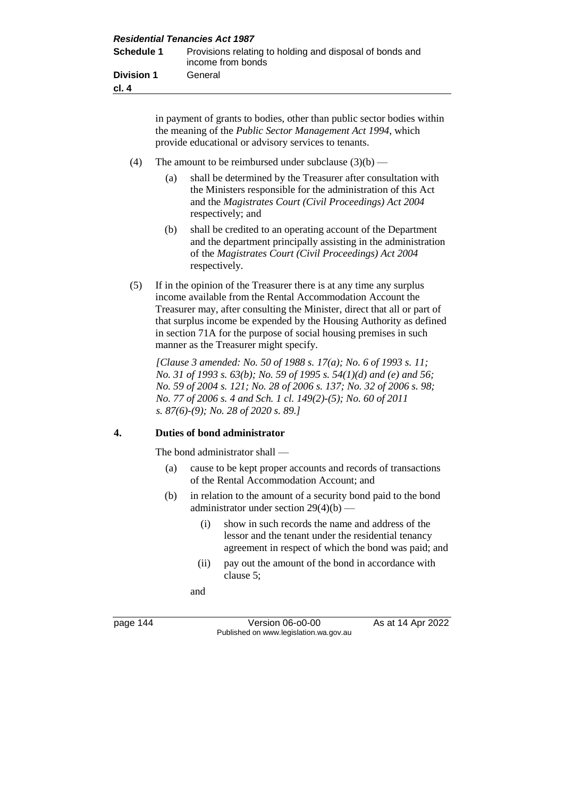in payment of grants to bodies, other than public sector bodies within the meaning of the *Public Sector Management Act 1994*, which provide educational or advisory services to tenants.

- (4) The amount to be reimbursed under subclause  $(3)(b)$ 
	- (a) shall be determined by the Treasurer after consultation with the Ministers responsible for the administration of this Act and the *Magistrates Court (Civil Proceedings) Act 2004*  respectively; and
	- (b) shall be credited to an operating account of the Department and the department principally assisting in the administration of the *Magistrates Court (Civil Proceedings) Act 2004* respectively.
- (5) If in the opinion of the Treasurer there is at any time any surplus income available from the Rental Accommodation Account the Treasurer may, after consulting the Minister, direct that all or part of that surplus income be expended by the Housing Authority as defined in section 71A for the purpose of social housing premises in such manner as the Treasurer might specify.

*[Clause 3 amended: No. 50 of 1988 s. 17(a); No. 6 of 1993 s. 11; No. 31 of 1993 s. 63(b); No. 59 of 1995 s. 54(1)(d) and (e) and 56; No. 59 of 2004 s. 121; No. 28 of 2006 s. 137; No. 32 of 2006 s. 98; No. 77 of 2006 s. 4 and Sch. 1 cl. 149(2)-(5); No. 60 of 2011 s. 87(6)-(9); No. 28 of 2020 s. 89.]*

#### **4. Duties of bond administrator**

The bond administrator shall —

- (a) cause to be kept proper accounts and records of transactions of the Rental Accommodation Account; and
- (b) in relation to the amount of a security bond paid to the bond administrator under section  $29(4)(b)$  —
	- (i) show in such records the name and address of the lessor and the tenant under the residential tenancy agreement in respect of which the bond was paid; and
	- (ii) pay out the amount of the bond in accordance with clause 5;

and

page 144 Version 06-00-00 As at 14 Apr 2022 Published on www.legislation.wa.gov.au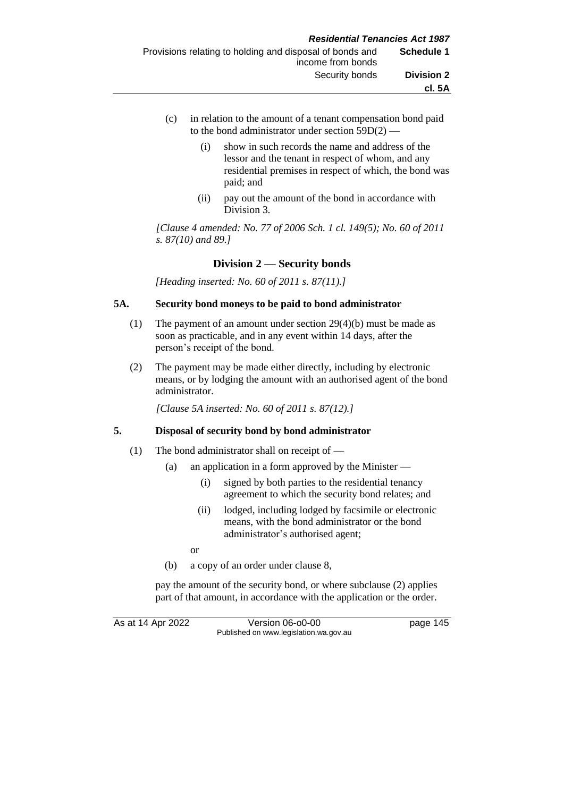- (c) in relation to the amount of a tenant compensation bond paid to the bond administrator under section 59D(2) —
	- (i) show in such records the name and address of the lessor and the tenant in respect of whom, and any residential premises in respect of which, the bond was paid; and
	- (ii) pay out the amount of the bond in accordance with Division 3.

*[Clause 4 amended: No. 77 of 2006 Sch. 1 cl. 149(5); No. 60 of 2011 s. 87(10) and 89.]* 

#### **Division 2 — Security bonds**

*[Heading inserted: No. 60 of 2011 s. 87(11).]*

#### **5A. Security bond moneys to be paid to bond administrator**

- (1) The payment of an amount under section 29(4)(b) must be made as soon as practicable, and in any event within 14 days, after the person's receipt of the bond.
- (2) The payment may be made either directly, including by electronic means, or by lodging the amount with an authorised agent of the bond administrator.

*[Clause 5A inserted: No. 60 of 2011 s. 87(12).]* 

#### **5. Disposal of security bond by bond administrator**

- (1) The bond administrator shall on receipt of
	- (a) an application in a form approved by the Minister
		- (i) signed by both parties to the residential tenancy agreement to which the security bond relates; and
		- (ii) lodged, including lodged by facsimile or electronic means, with the bond administrator or the bond administrator's authorised agent;
		- or
	- (b) a copy of an order under clause 8,

pay the amount of the security bond, or where subclause (2) applies part of that amount, in accordance with the application or the order.

As at 14 Apr 2022 Version 06-o0-00 page 145 Published on www.legislation.wa.gov.au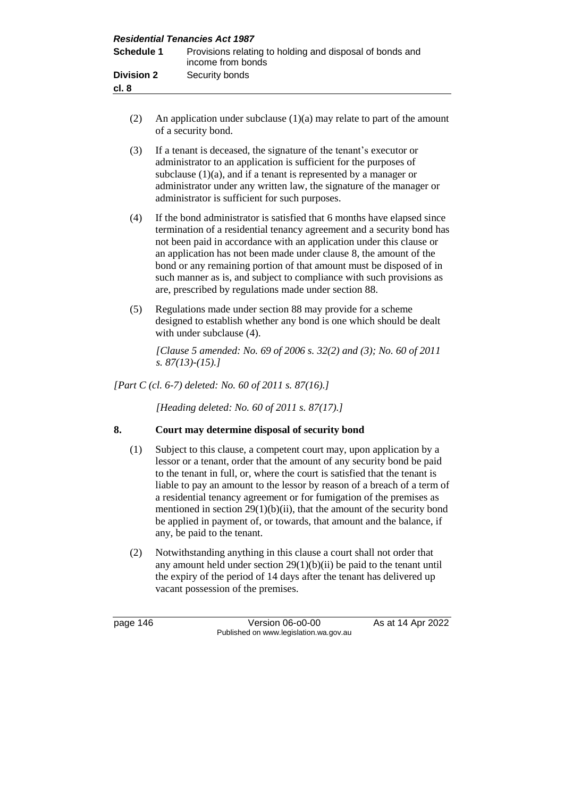| <b>Residential Tenancies Act 1987</b> |                                                                               |
|---------------------------------------|-------------------------------------------------------------------------------|
| <b>Schedule 1</b>                     | Provisions relating to holding and disposal of bonds and<br>income from bonds |
| <b>Division 2</b><br>cl. 8            | Security bonds                                                                |

(2) An application under subclause  $(1)(a)$  may relate to part of the amount of a security bond.

(3) If a tenant is deceased, the signature of the tenant's executor or administrator to an application is sufficient for the purposes of subclause (1)(a), and if a tenant is represented by a manager or administrator under any written law, the signature of the manager or administrator is sufficient for such purposes.

- (4) If the bond administrator is satisfied that 6 months have elapsed since termination of a residential tenancy agreement and a security bond has not been paid in accordance with an application under this clause or an application has not been made under clause 8, the amount of the bond or any remaining portion of that amount must be disposed of in such manner as is, and subject to compliance with such provisions as are, prescribed by regulations made under section 88.
- (5) Regulations made under section 88 may provide for a scheme designed to establish whether any bond is one which should be dealt with under subclause (4).

*[Clause 5 amended: No. 69 of 2006 s. 32(2) and (3); No. 60 of 2011 s. 87(13)-(15).]* 

*[Part C (cl. 6-7) deleted: No. 60 of 2011 s. 87(16).]*

*[Heading deleted: No. 60 of 2011 s. 87(17).]*

#### **8. Court may determine disposal of security bond**

- (1) Subject to this clause, a competent court may, upon application by a lessor or a tenant, order that the amount of any security bond be paid to the tenant in full, or, where the court is satisfied that the tenant is liable to pay an amount to the lessor by reason of a breach of a term of a residential tenancy agreement or for fumigation of the premises as mentioned in section  $29(1)(b)(ii)$ , that the amount of the security bond be applied in payment of, or towards, that amount and the balance, if any, be paid to the tenant.
- (2) Notwithstanding anything in this clause a court shall not order that any amount held under section  $29(1)(b)(ii)$  be paid to the tenant until the expiry of the period of 14 days after the tenant has delivered up vacant possession of the premises.

page 146 Version 06-00-00 As at 14 Apr 2022 Published on www.legislation.wa.gov.au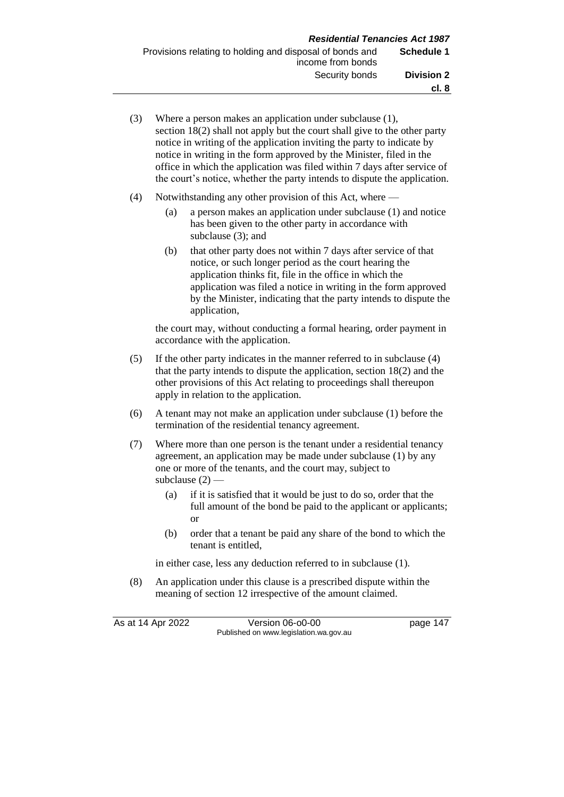(3) Where a person makes an application under subclause (1), section 18(2) shall not apply but the court shall give to the other party notice in writing of the application inviting the party to indicate by notice in writing in the form approved by the Minister, filed in the office in which the application was filed within 7 days after service of the court's notice, whether the party intends to dispute the application. (4) Notwithstanding any other provision of this Act, where — (a) a person makes an application under subclause (1) and notice has been given to the other party in accordance with subclause (3); and (b) that other party does not within 7 days after service of that notice, or such longer period as the court hearing the application thinks fit, file in the office in which the

application was filed a notice in writing in the form approved by the Minister, indicating that the party intends to dispute the application,

the court may, without conducting a formal hearing, order payment in accordance with the application.

- (5) If the other party indicates in the manner referred to in subclause (4) that the party intends to dispute the application, section 18(2) and the other provisions of this Act relating to proceedings shall thereupon apply in relation to the application.
- (6) A tenant may not make an application under subclause (1) before the termination of the residential tenancy agreement.
- (7) Where more than one person is the tenant under a residential tenancy agreement, an application may be made under subclause (1) by any one or more of the tenants, and the court may, subject to subclause  $(2)$  —
	- (a) if it is satisfied that it would be just to do so, order that the full amount of the bond be paid to the applicant or applicants; or
	- (b) order that a tenant be paid any share of the bond to which the tenant is entitled,

in either case, less any deduction referred to in subclause (1).

(8) An application under this clause is a prescribed dispute within the meaning of section 12 irrespective of the amount claimed.

As at 14 Apr 2022 Version 06-o0-00 page 147 Published on www.legislation.wa.gov.au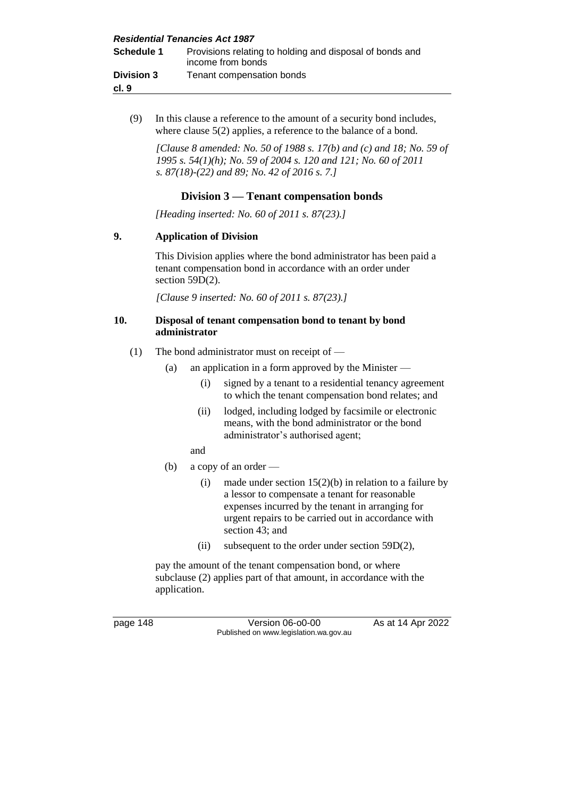| <b>Residential Tenancies Act 1987</b> |                                                                               |  |  |
|---------------------------------------|-------------------------------------------------------------------------------|--|--|
| Schedule 1                            | Provisions relating to holding and disposal of bonds and<br>income from bonds |  |  |
| <b>Division 3</b>                     | Tenant compensation bonds                                                     |  |  |
| cl. 9                                 |                                                                               |  |  |

(9) In this clause a reference to the amount of a security bond includes, where clause 5(2) applies, a reference to the balance of a bond.

*[Clause 8 amended: No. 50 of 1988 s. 17(b) and (c) and 18; No. 59 of 1995 s. 54(1)(h); No. 59 of 2004 s. 120 and 121; No. 60 of 2011 s. 87(18)-(22) and 89; No. 42 of 2016 s. 7.]*

#### **Division 3 — Tenant compensation bonds**

*[Heading inserted: No. 60 of 2011 s. 87(23).]*

#### **9. Application of Division**

This Division applies where the bond administrator has been paid a tenant compensation bond in accordance with an order under section 59D(2).

*[Clause 9 inserted: No. 60 of 2011 s. 87(23).]*

#### **10. Disposal of tenant compensation bond to tenant by bond administrator**

- (1) The bond administrator must on receipt of
	- (a) an application in a form approved by the Minister
		- (i) signed by a tenant to a residential tenancy agreement to which the tenant compensation bond relates; and
		- (ii) lodged, including lodged by facsimile or electronic means, with the bond administrator or the bond administrator's authorised agent;
		- and
	- (b) a copy of an order
		- (i) made under section  $15(2)(b)$  in relation to a failure by a lessor to compensate a tenant for reasonable expenses incurred by the tenant in arranging for urgent repairs to be carried out in accordance with section 43; and
		- (ii) subsequent to the order under section 59D(2),

pay the amount of the tenant compensation bond, or where subclause (2) applies part of that amount, in accordance with the application.

page 148 Version 06-00-00 As at 14 Apr 2022 Published on www.legislation.wa.gov.au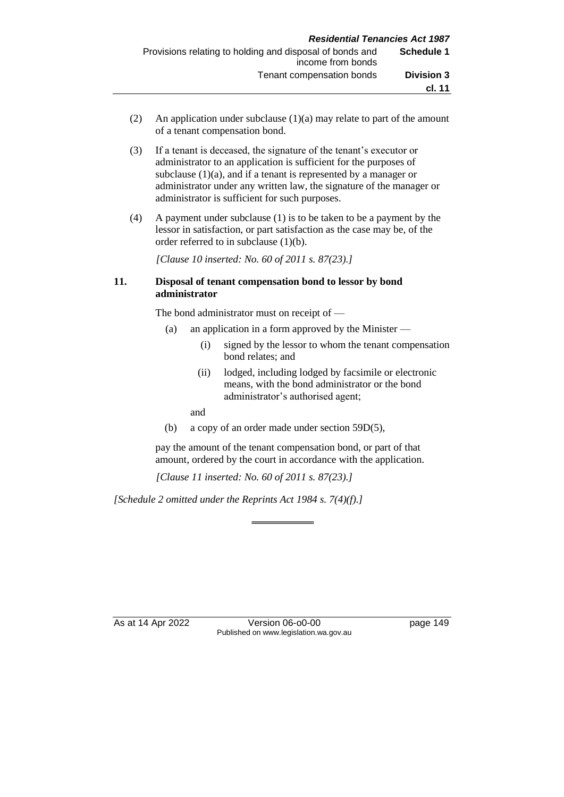- (2) An application under subclause (1)(a) may relate to part of the amount of a tenant compensation bond.
- (3) If a tenant is deceased, the signature of the tenant's executor or administrator to an application is sufficient for the purposes of subclause (1)(a), and if a tenant is represented by a manager or administrator under any written law, the signature of the manager or administrator is sufficient for such purposes.
- (4) A payment under subclause (1) is to be taken to be a payment by the lessor in satisfaction, or part satisfaction as the case may be, of the order referred to in subclause (1)(b).

*[Clause 10 inserted: No. 60 of 2011 s. 87(23).]*

#### **11. Disposal of tenant compensation bond to lessor by bond administrator**

The bond administrator must on receipt of —

- (a) an application in a form approved by the Minister
	- (i) signed by the lessor to whom the tenant compensation bond relates; and
	- (ii) lodged, including lodged by facsimile or electronic means, with the bond administrator or the bond administrator's authorised agent;

and

(b) a copy of an order made under section 59D(5),

pay the amount of the tenant compensation bond, or part of that amount, ordered by the court in accordance with the application.

*[Clause 11 inserted: No. 60 of 2011 s. 87(23).]*

*[Schedule 2 omitted under the Reprints Act 1984 s. 7(4)(f).]*

As at 14 Apr 2022 Version 06-00-00 Published on www.legislation.wa.gov.au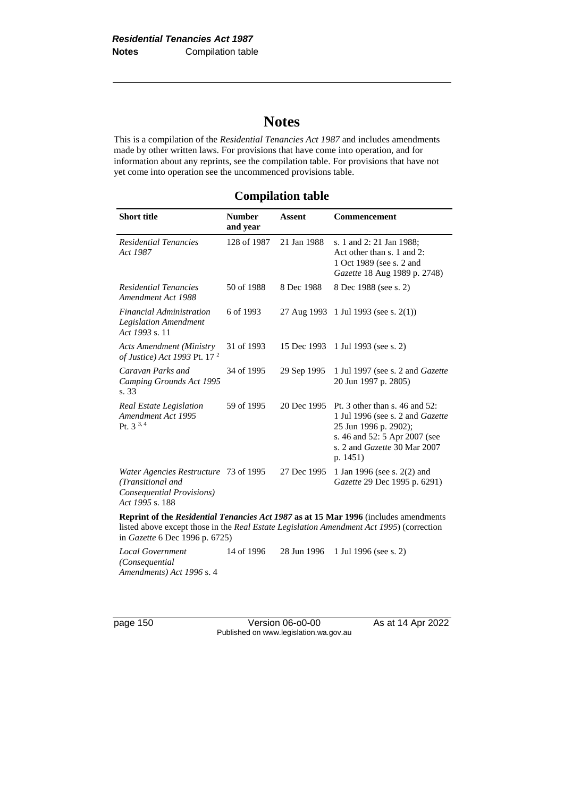# **Notes**

This is a compilation of the *Residential Tenancies Act 1987* and includes amendments made by other written laws. For provisions that have come into operation, and for information about any reprints, see the compilation table. For provisions that have not yet come into operation see the uncommenced provisions table.

#### **Compilation table**

| <b>Short title</b>                                                                                                                                                                                                            | <b>Number</b><br>and year | <b>Assent</b> | <b>Commencement</b>                                                                                                                                                      |  |
|-------------------------------------------------------------------------------------------------------------------------------------------------------------------------------------------------------------------------------|---------------------------|---------------|--------------------------------------------------------------------------------------------------------------------------------------------------------------------------|--|
| <b>Residential Tenancies</b><br>Act 1987                                                                                                                                                                                      | 128 of 1987               | 21 Jan 1988   | s. 1 and 2: 21 Jan 1988;<br>Act other than s. 1 and 2:<br>1 Oct 1989 (see s. 2 and<br>Gazette 18 Aug 1989 p. 2748)                                                       |  |
| Residential Tenancies<br>Amendment Act 1988                                                                                                                                                                                   | 50 of 1988                | 8 Dec 1988    | 8 Dec 1988 (see s. 2)                                                                                                                                                    |  |
| <b>Financial Administration</b><br><b>Legislation Amendment</b><br>Act 1993 s. 11                                                                                                                                             | 6 of 1993                 |               | 27 Aug 1993 1 Jul 1993 (see s. 2(1))                                                                                                                                     |  |
| <b>Acts Amendment (Ministry</b><br>of Justice) Act 1993 Pt. 17 <sup>2</sup>                                                                                                                                                   | 31 of 1993                | 15 Dec 1993   | 1 Jul 1993 (see s. 2)                                                                                                                                                    |  |
| Caravan Parks and<br>Camping Grounds Act 1995<br>s. 33                                                                                                                                                                        | 34 of 1995                | 29 Sep 1995   | 1 Jul 1997 (see s. 2 and Gazette<br>20 Jun 1997 p. 2805)                                                                                                                 |  |
| Real Estate Legislation<br>Amendment Act 1995<br>Pt. 3 <sup>3, 4</sup>                                                                                                                                                        | 59 of 1995                | 20 Dec 1995   | Pt. 3 other than s. 46 and 52:<br>1 Jul 1996 (see s. 2 and Gazette<br>25 Jun 1996 p. 2902);<br>s. 46 and 52: 5 Apr 2007 (see<br>s. 2 and Gazette 30 Mar 2007<br>p. 1451) |  |
| Water Agencies Restructure 73 of 1995<br>(Transitional and<br>Consequential Provisions)<br>Act 1995 s. 188                                                                                                                    |                           | 27 Dec 1995   | 1 Jan 1996 (see s. 2(2) and<br>Gazette 29 Dec 1995 p. 6291)                                                                                                              |  |
| $P$ and $P$ and $P$ and $P$ and $P$ and $P$ and $P$ and $P$ and $P$ and $P$ and $P$ and $P$ and $P$ and $P$ and $P$ and $P$ and $P$ and $P$ and $P$ and $P$ and $P$ and $P$ and $P$ and $P$ and $P$ and $P$ and $P$ and $P$ a |                           |               | <b>Reprint of the Residential Tenancies Act 1987 as at 15 Mar 1996</b> (includes amendments                                                                              |  |

listed above except those in the *Real Estate Legislation Amendment Act 1995*) (correction in *Gazette* 6 Dec 1996 p. 6725)

*Local Government (Consequential Amendments) Act 1996* s. 4 14 of 1996 28 Jun 1996 1 Jul 1996 (see s. 2)

page 150 Version 06-o0-00 As at 14 Apr 2022 Published on www.legislation.wa.gov.au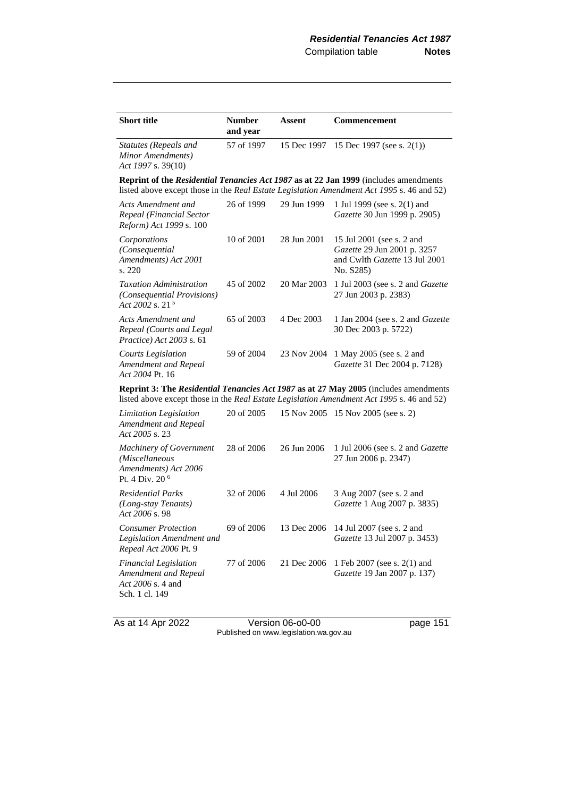| <b>Short title</b>                                                                          | <b>Number</b><br>and year | Assent      | <b>Commencement</b>                                                                                                                                                               |
|---------------------------------------------------------------------------------------------|---------------------------|-------------|-----------------------------------------------------------------------------------------------------------------------------------------------------------------------------------|
| <b>Statutes (Repeals and</b><br>Minor Amendments)<br>Act 1997 s. 39(10)                     | 57 of 1997                | 15 Dec 1997 | 15 Dec 1997 (see s. $2(1)$ )                                                                                                                                                      |
|                                                                                             |                           |             | Reprint of the Residential Tenancies Act 1987 as at 22 Jan 1999 (includes amendments<br>listed above except those in the Real Estate Legislation Amendment Act 1995 s. 46 and 52) |
| Acts Amendment and<br>Repeal (Financial Sector<br>Reform) Act 1999 s. 100                   | 26 of 1999                | 29 Jun 1999 | 1 Jul 1999 (see s. 2(1) and<br>Gazette 30 Jun 1999 p. 2905)                                                                                                                       |
| Corporations<br>(Consequential<br>Amendments) Act 2001<br>s. 220                            | 10 of 2001                | 28 Jun 2001 | 15 Jul 2001 (see s. 2 and<br>Gazette 29 Jun 2001 p. 3257<br>and Cwlth Gazette 13 Jul 2001<br>No. S285)                                                                            |
| <b>Taxation Administration</b><br>(Consequential Provisions)<br>Act 2002 s. 21 <sup>5</sup> | 45 of 2002                | 20 Mar 2003 | 1 Jul 2003 (see s. 2 and <i>Gazette</i><br>27 Jun 2003 p. 2383)                                                                                                                   |
| Acts Amendment and<br>Repeal (Courts and Legal<br>Practice) Act 2003 s. 61                  | 65 of 2003                | 4 Dec 2003  | 1 Jan 2004 (see s. 2 and <i>Gazette</i><br>30 Dec 2003 p. 5722)                                                                                                                   |
| Courts Legislation<br>Amendment and Repeal<br>Act 2004 Pt. 16                               | 59 of 2004                | 23 Nov 2004 | 1 May 2005 (see s. 2 and<br>Gazette 31 Dec 2004 p. 7128)                                                                                                                          |
|                                                                                             |                           |             | Reprint 3: The Residential Tenancies Act 1987 as at 27 May 2005 (includes amendments<br>listed above except those in the Real Estate Legislation Amendment Act 1995 s. 46 and 52) |
| Limitation Legislation<br>Amendment and Repeal<br>Act 2005 s. 23                            | 20 of 2005                |             | 15 Nov 2005 15 Nov 2005 (see s. 2)                                                                                                                                                |
| Machinery of Government<br>(Miscellaneous<br>Amendments) Act 2006<br>Pt. 4 Div. 20 $6$      | 28 of 2006                | 26 Jun 2006 | 1 Jul 2006 (see s. 2 and <i>Gazette</i><br>27 Jun 2006 p. 2347)                                                                                                                   |
| <b>Residential Parks</b><br>(Long-stay Tenants)<br>Act 2006 s. 98                           | 32 of 2006                | 4 Jul 2006  | 3 Aug 2007 (see s. 2 and<br>Gazette 1 Aug 2007 p. 3835)                                                                                                                           |
| <b>Consumer Protection</b><br>Legislation Amendment and<br>Repeal Act 2006 Pt. 9            | 69 of 2006                | 13 Dec 2006 | 14 Jul 2007 (see s. 2 and<br>Gazette 13 Jul 2007 p. 3453)                                                                                                                         |
| <b>Financial Legislation</b><br>Amendment and Repeal<br>Act 2006 s. 4 and<br>Sch. 1 cl. 149 | 77 of 2006                | 21 Dec 2006 | 1 Feb 2007 (see s. 2(1) and<br>Gazette 19 Jan 2007 p. 137)                                                                                                                        |

As at 14 Apr 2022 Version 06-o0-00 page 151 Published on www.legislation.wa.gov.au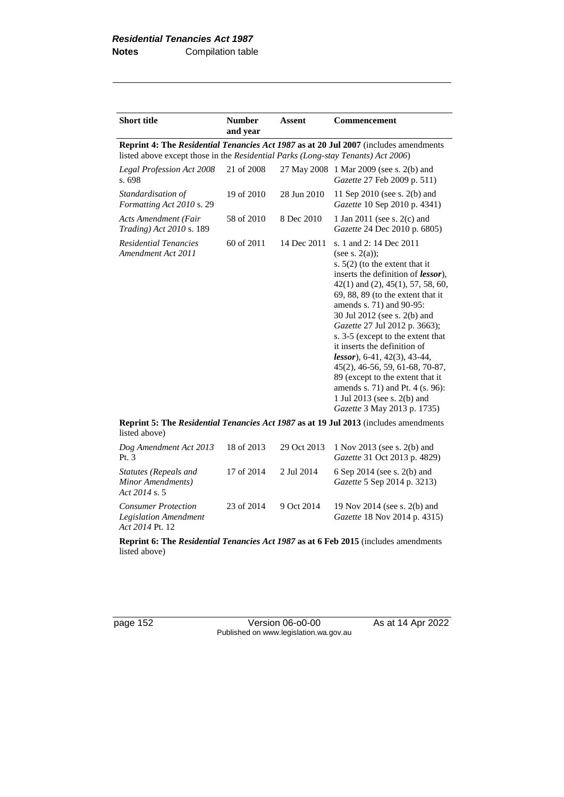| <b>Number</b> | Assent                      | <b>Commencement</b>                                                                                                                                                                                                                                                                                                                                                                                                                                                                                                                                                                                       |
|---------------|-----------------------------|-----------------------------------------------------------------------------------------------------------------------------------------------------------------------------------------------------------------------------------------------------------------------------------------------------------------------------------------------------------------------------------------------------------------------------------------------------------------------------------------------------------------------------------------------------------------------------------------------------------|
|               |                             | <b>Reprint 4: The Residential Tenancies Act 1987 as at 20 Jul 2007</b> (includes amendments                                                                                                                                                                                                                                                                                                                                                                                                                                                                                                               |
| 21 of 2008    |                             | 27 May 2008 1 Mar 2009 (see s. 2(b) and<br>Gazette 27 Feb 2009 p. 511)                                                                                                                                                                                                                                                                                                                                                                                                                                                                                                                                    |
| 19 of 2010    | 28 Jun 2010                 | 11 Sep 2010 (see s. 2(b) and<br>Gazette 10 Sep 2010 p. 4341)                                                                                                                                                                                                                                                                                                                                                                                                                                                                                                                                              |
| 58 of 2010    | 8 Dec 2010                  | 1 Jan 2011 (see s. 2(c) and<br>Gazette 24 Dec 2010 p. 6805)                                                                                                                                                                                                                                                                                                                                                                                                                                                                                                                                               |
| 60 of 2011    | 14 Dec 2011                 | s. 1 and 2: 14 Dec 2011<br>(see s. $2(a)$ );<br>s. $5(2)$ (to the extent that it<br>inserts the definition of <i>lessor</i> ),<br>$42(1)$ and $(2)$ , $45(1)$ , $57$ , $58$ , $60$ ,<br>$69, 88, 89$ (to the extent that it<br>amends s. 71) and 90-95:<br>30 Jul 2012 (see s. 2(b) and<br>Gazette 27 Jul 2012 p. 3663);<br>s. 3-5 (except to the extent that<br>it inserts the definition of<br>$lessor$ ), 6-41, 42(3), 43-44,<br>45(2), 46-56, 59, 61-68, 70-87,<br>89 (except to the extent that it<br>amends s. 71) and Pt. 4 (s. 96):<br>1 Jul 2013 (see s. 2(b) and<br>Gazette 3 May 2013 p. 1735) |
|               | and year<br>$D = 2.1 - 1.7$ | listed above except those in the <i>Residential Parks</i> (Long-stay Tenants) Act 2006)<br>$\ldots$ . $\ldots$ $\ldots$ $\ldots$ $\ldots$ $\ldots$ $\ldots$ $\ldots$ $\ldots$ $\ldots$ $\ldots$ $\ldots$ $\ldots$ $\ldots$ $\ldots$ $\ldots$                                                                                                                                                                                                                                                                                                                                                              |

**Reprint 5: The** *Residential Tenancies Act 1987* **as at 19 Jul 2013** (includes amendments listed above)

| Dog Amendment Act 2013<br>Pt. $3$                                      | 18 of 2013 |            | 29 Oct 2013 1 Nov 2013 (see s. 2(b) and<br>Gazette 31 Oct 2013 p. 4829) |
|------------------------------------------------------------------------|------------|------------|-------------------------------------------------------------------------|
| Statutes (Repeals and<br>Minor Amendments)<br>Act $2014$ s. 5          | 17 of 2014 | 2 Jul 2014 | 6 Sep 2014 (see s. 2(b) and<br>Gazette 5 Sep 2014 p. 3213)              |
| <b>Consumer Protection</b><br>Legislation Amendment<br>Act 2014 Pt. 12 | 23 of 2014 | 9 Oct 2014 | 19 Nov 2014 (see s. 2(b) and<br><i>Gazette</i> 18 Nov 2014 p. 4315)     |

**Reprint 6: The** *Residential Tenancies Act 1987* **as at 6 Feb 2015** (includes amendments listed above)

page 152 Version 06-o0-00 As at 14 Apr 2022 Published on www.legislation.wa.gov.au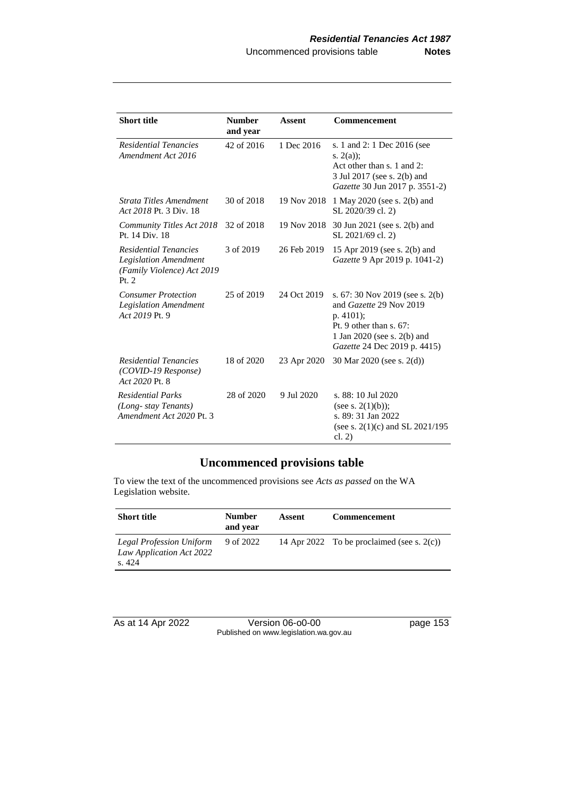| <b>Short title</b>                                                                                    | <b>Number</b><br>and year | Assent      | <b>Commencement</b>                                                                                                                                                    |
|-------------------------------------------------------------------------------------------------------|---------------------------|-------------|------------------------------------------------------------------------------------------------------------------------------------------------------------------------|
| <b>Residential Tenancies</b><br>Amendment Act 2016                                                    | 42 of 2016                | 1 Dec 2016  | s. 1 and 2: 1 Dec 2016 (see<br>s. $2(a)$ :<br>Act other than s. 1 and 2:<br>3 Jul 2017 (see s. 2(b) and<br>Gazette 30 Jun 2017 p. 3551-2)                              |
| Strata Titles Amendment<br>Act 2018 Pt. 3 Div. 18                                                     | 30 of 2018                | 19 Nov 2018 | 1 May 2020 (see s. 2(b) and<br>SL 2020/39 cl. 2)                                                                                                                       |
| Community Titles Act 2018<br>Pt. 14 Div. 18                                                           | 32 of 2018                | 19 Nov 2018 | 30 Jun 2021 (see s. 2(b) and<br>SL 2021/69 cl. 2)                                                                                                                      |
| <b>Residential Tenancies</b><br><b>Legislation Amendment</b><br>(Family Violence) Act 2019<br>Pt. $2$ | 3 of 2019                 | 26 Feb 2019 | 15 Apr 2019 (see s. 2(b) and<br>Gazette 9 Apr 2019 p. 1041-2)                                                                                                          |
| <b>Consumer Protection</b><br><b>Legislation Amendment</b><br>Act 2019 Pt. 9                          | 25 of 2019                | 24 Oct 2019 | s. $67:30$ Nov 2019 (see s. 2(b)<br>and Gazette 29 Nov 2019<br>$p.4101$ :<br>Pt. 9 other than $s$ . 67:<br>1 Jan 2020 (see s. 2(b) and<br>Gazette 24 Dec 2019 p. 4415) |
| <b>Residential Tenancies</b><br>(COVID-19 Response)<br>Act 2020 Pt. 8                                 | 18 of 2020                | 23 Apr 2020 | 30 Mar 2020 (see s. 2(d))                                                                                                                                              |
| <b>Residential Parks</b><br>(Long-stay Tenants)<br>Amendment Act 2020 Pt. 3                           | 28 of 2020                | 9 Jul 2020  | s. 88: 10 Jul 2020<br>(see s. $2(1)(b)$ );<br>s. 89: 31 Jan 2022<br>(see s. $2(1)(c)$ and SL $2021/195$ )<br>cl. $2)$                                                  |

# **Uncommenced provisions table**

To view the text of the uncommenced provisions see *Acts as passed* on the WA Legislation website.

| <b>Short title</b>                                                   | <b>Number</b><br>and year | Assent | <b>Commencement</b>                           |
|----------------------------------------------------------------------|---------------------------|--------|-----------------------------------------------|
| <b>Legal Profession Uniform</b><br>Law Application Act 2022<br>s.424 | 9 of 2022                 |        | 14 Apr 2022 To be proclaimed (see s. $2(c)$ ) |

As at 14 Apr 2022 Version 06-o0-00 page 153 Published on www.legislation.wa.gov.au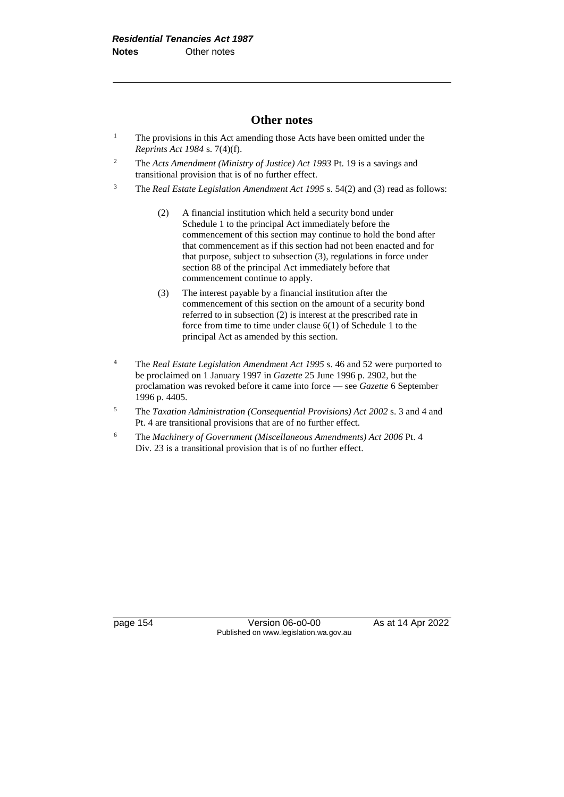#### **Other notes**

- <sup>1</sup> The provisions in this Act amending those Acts have been omitted under the *Reprints Act 1984* s. 7(4)(f).
- <sup>2</sup> The *Acts Amendment (Ministry of Justice) Act 1993* Pt. 19 is a savings and transitional provision that is of no further effect.
- <sup>3</sup> The *Real Estate Legislation Amendment Act 1995* s. 54(2) and (3) read as follows:
	- (2) A financial institution which held a security bond under Schedule 1 to the principal Act immediately before the commencement of this section may continue to hold the bond after that commencement as if this section had not been enacted and for that purpose, subject to subsection (3), regulations in force under section 88 of the principal Act immediately before that commencement continue to apply.
	- (3) The interest payable by a financial institution after the commencement of this section on the amount of a security bond referred to in subsection (2) is interest at the prescribed rate in force from time to time under clause 6(1) of Schedule 1 to the principal Act as amended by this section.
- <sup>4</sup> The *Real Estate Legislation Amendment Act 1995* s. 46 and 52 were purported to be proclaimed on 1 January 1997 in *Gazette* 25 June 1996 p. 2902, but the proclamation was revoked before it came into force — see *Gazette* 6 September 1996 p. 4405.
- <sup>5</sup> The *Taxation Administration (Consequential Provisions) Act 2002* s. 3 and 4 and Pt. 4 are transitional provisions that are of no further effect.
- <sup>6</sup> The *Machinery of Government (Miscellaneous Amendments) Act 2006* Pt. 4 Div. 23 is a transitional provision that is of no further effect.

page 154 Version 06-00-00 As at 14 Apr 2022 Published on www.legislation.wa.gov.au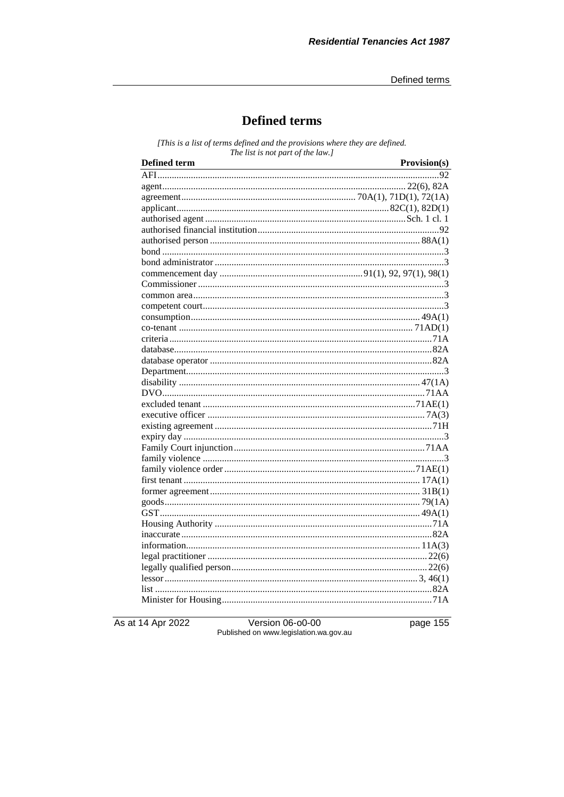# **Defined terms**

[This is a list of terms defined and the provisions where they are defined. The list is not part of the law.]

| <b>Defined term</b> | Provision(s) |
|---------------------|--------------|
|                     |              |
|                     |              |
|                     |              |
|                     |              |
|                     |              |
|                     |              |
|                     |              |
|                     |              |
|                     |              |
|                     |              |
|                     |              |
|                     |              |
|                     |              |
|                     |              |
|                     |              |
|                     |              |
|                     |              |
|                     |              |
|                     |              |
|                     |              |
|                     |              |
|                     |              |
|                     |              |
|                     |              |
|                     |              |
|                     |              |
|                     |              |
|                     |              |
|                     |              |
|                     |              |
|                     |              |
|                     |              |
|                     |              |
|                     |              |
|                     |              |
|                     |              |
|                     |              |
|                     |              |
|                     |              |
|                     |              |
|                     |              |

As at 14 Apr 2022

Version 06-o0-00<br>Published on www.legislation.wa.gov.au

page 155